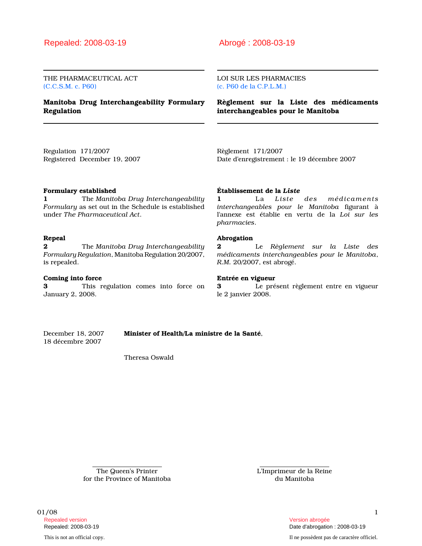THE PHARMACEUTICAL ACT (C.C.S.M. c. P60)

# Manitoba Drug Interchangeability Formulary Regulation

LOI SUR LES PHARMACIES (c. P60 de la C.P.L.M.)

Règlement sur la Liste des médicaments interchangeables pour le Manitoba

Regulation 171/2007 Registered December 19, 2007 Règlement 171/2007 Date d'enregistrement : le 19 décembre 2007

### Formulary established

1 The Manitoba Drug Interchangeability Formulary as set out in the Schedule is established under The Pharmaceutical Act.

# Repeal

**2** The Manitoba Drug Interchangeability Formulary Regulation, Manitoba Regulation 20/2007, is repealed.

### Coming into force

3 This regulation comes into force on January 2, 2008.

### Établissement de la Liste

1 La Liste des médicaments interchangeables pour le Manitoba figurant à l'annexe est établie en vertu de la Loi sur les pharmacies.

### Abrogation

2 Le Règlement sur la Liste des médicaments interchangeables pour le Manitoba, R.M. 20/2007, est abrogé.

### Entrée en vigueur

3 Le présent règlement entre en vigueur le 2 janvier 2008.

18 décembre 2007

December 18, 2007 Minister of Health/La ministre de la Santé,

Theresa Oswald

The Queen's Printer for the Province of Manitoba L'Imprimeur de la Reine du Manitoba

01/08  $\hspace{1.5cm}$  1 Repealed version abrogée et al. Alian abrogée et al. Alian abrogée et al. Alian abrogée et al. Alian abrogée e

This is not an official copy. Il ne possèdent pas de caractère officiel.

Repealed: 2008-03-19 Date d'abrogation : 2008-03-19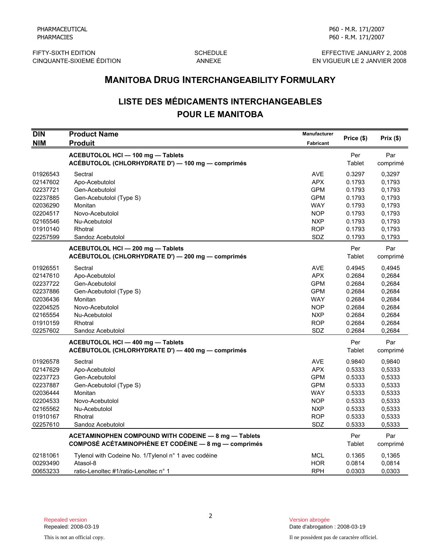FIFTY-SIXTH EDITION GOTHOM SCHEDULE SCHEDULE SEFFECTIVE JANUARY 2, 2008<br>CINQUANTE-SIXIEME ÉDITION ANNEXE ANNEXE ANNEXE EN VIGUEUR LE 2 JANVIER 2008 EN VIGUEUR LE 2 JANVIER 2008

# LISTE DES MÉDICAMENTS INTERCHANGEABLES POUR LE MANITOBA

|                          | <b>MANITOBA DRUG INTERCHANGEABILITY FORMULARY</b>                                                                   |                                         |                      |                 |
|--------------------------|---------------------------------------------------------------------------------------------------------------------|-----------------------------------------|----------------------|-----------------|
|                          | <b>LISTE DES MÉDICAMENTS INTERCHANGEABLES</b>                                                                       |                                         |                      |                 |
|                          | <b>POUR LE MANITOBA</b>                                                                                             |                                         |                      |                 |
| <b>DIN</b><br><b>NIM</b> | <b>Product Name</b><br><b>Produit</b>                                                                               | <b>Manufacturer</b><br><b>Fabricant</b> | Price (\$)           | Prix(\$)        |
|                          | ACEBUTOLOL HCI - 100 mg - Tablets<br>ACÉBUTOLOL (CHLORHYDRATE D') - 100 mg - comprimés                              |                                         | Per<br>Tablet        | Par<br>comprimé |
| 01926543                 | Sectral                                                                                                             | <b>AVE</b>                              | 0.3297               | 0,3297          |
| 02147602                 | Apo-Acebutolol                                                                                                      | <b>APX</b>                              | 0.1793               | 0,1793          |
| 02237721                 | Gen-Acebutolol                                                                                                      | <b>GPM</b>                              | 0.1793               | 0,1793          |
| 02237885                 | Gen-Acebutolol (Type S)                                                                                             | <b>GPM</b>                              | 0.1793               | 0,1793          |
| 02036290                 | Monitan                                                                                                             | <b>WAY</b>                              | 0.1793               | 0,1793          |
| 02204517                 | Novo-Acebutolol                                                                                                     | <b>NOP</b>                              | 0.1793               | 0,1793          |
| 02165546                 | Nu-Acebutolol                                                                                                       | <b>NXP</b>                              | 0.1793               | 0,1793          |
| 01910140                 | Rhotral                                                                                                             | <b>ROP</b>                              | 0.1793               | 0,1793          |
| 02257599                 | Sandoz Acebutolol                                                                                                   | SDZ                                     | 0.1793               | 0,1793          |
|                          | ACEBUTOLOL HCI - 200 mg - Tablets<br>ACÉBUTOLOL (CHLORHYDRATE D') - 200 mg - comprimés                              |                                         | Per<br>Tablet        | Par<br>comprimé |
| 01926551                 | Sectral                                                                                                             | <b>AVE</b>                              | 0.4945               | 0,4945          |
| 02147610                 | Apo-Acebutolol                                                                                                      | <b>APX</b>                              | 0.2684               | 0,2684          |
| 02237722                 | Gen-Acebutolol                                                                                                      | <b>GPM</b>                              | 0.2684               | 0,2684          |
| 02237886                 | Gen-Acebutolol (Type S)                                                                                             | <b>GPM</b>                              | 0.2684               | 0,2684          |
| 02036436                 | Monitan                                                                                                             | <b>WAY</b>                              | 0.2684               | 0,2684          |
| 02204525                 | Novo-Acebutolol                                                                                                     | <b>NOP</b>                              | 0.2684               | 0,2684          |
| 02165554                 | Nu-Acebutolol                                                                                                       | <b>NXP</b>                              | 0.2684               | 0,2684          |
| 01910159                 | Rhotral                                                                                                             | <b>ROP</b>                              | 0.2684               | 0,2684          |
| 02257602                 | Sandoz Acebutolol                                                                                                   | SDZ                                     | 0.2684               | 0,2684          |
|                          | ACEBUTOLOL HCI - 400 mg - Tablets<br>ACEBUTOLOL (CHLORHYDRATE D') — 400 mg — comprimés                              |                                         | Per<br>Tablet        | Par<br>comprimé |
| 01926578                 | Sectral                                                                                                             | <b>AVE</b>                              | 0.9840               | 0,9840          |
| 02147629                 | Apo-Acebutolol                                                                                                      | <b>APX</b>                              | 0.5333               | 0,5333          |
| 02237723                 | Gen-Acebutolol                                                                                                      | <b>GPM</b>                              | 0.5333               | 0,5333          |
| 02237887                 | Gen-Acebutolol (Type S)                                                                                             | <b>GPM</b>                              | 0.5333               | 0,5333          |
| 02036444                 | Monitan                                                                                                             | <b>WAY</b>                              | 0.5333               | 0,5333          |
| 02204533                 | Novo-Acebutolol                                                                                                     | <b>NOP</b>                              | 0.5333               | 0,5333          |
| 02165562                 | Nu-Acebutolol                                                                                                       | <b>NXP</b>                              | 0.5333               | 0,5333          |
| 01910167                 | Rhotral                                                                                                             | <b>ROP</b>                              | 0.5333               | 0,5333          |
| 02257610                 | Sandoz Acebutolol                                                                                                   | <b>SDZ</b>                              | 0.5333               | 0,5333          |
|                          | ACETAMINOPHEN COMPOUND WITH CODEINE - 8 mg - Tablets<br><b>COMPOSÉ ACÉTAMINOPHÈNE ET CODÉINE - 8 mg - comprimés</b> |                                         | Per<br><b>Tablet</b> | Par<br>comprimé |
| 02181061                 | Tylenol with Codeine No. 1/Tylenol n° 1 avec codéine                                                                | <b>MCL</b>                              | 0.1365               | 0,1365          |
| 00293490                 | Atasol-8                                                                                                            | <b>HOR</b>                              | 0.0814               | 0,0814          |
| 00653233                 | ratio-Lenoltec #1/ratio-Lenoltec n° 1                                                                               | <b>RPH</b>                              | 0.0303               | 0,0303          |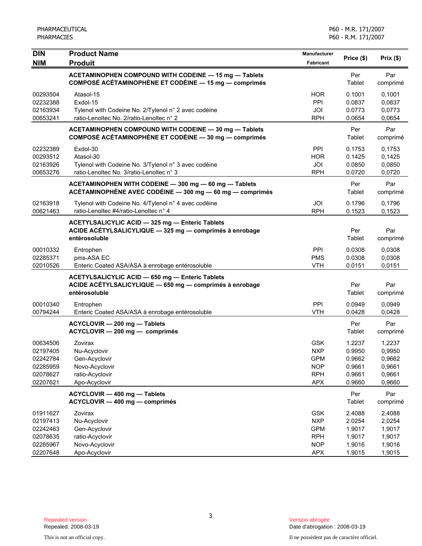| <b>DIN</b>                                                           | <b>Product Name</b>                                                                                                                | Manufacturer                                                                     | Price (\$)                                               | Prix(\$)                                                 |
|----------------------------------------------------------------------|------------------------------------------------------------------------------------------------------------------------------------|----------------------------------------------------------------------------------|----------------------------------------------------------|----------------------------------------------------------|
| <b>NIM</b>                                                           | <b>Produit</b>                                                                                                                     | Fabricant                                                                        |                                                          |                                                          |
|                                                                      | ACETAMINOPHEN COMPOUND WITH CODEINE - 15 mg - Tablets<br>COMPOSÉ ACÉTAMINOPHÈNE ET CODÉINE - 15 mg - comprimés                     |                                                                                  | Per<br>Tablet                                            | Par<br>comprimé                                          |
| 00293504<br>02232388<br>02163934<br>00653241                         | Atasol-15<br>Exdol-15<br>Tylenol with Codeine No. 2/Tylenol n° 2 avec codéine<br>ratio-Lenoltec No. 2/ratio-Lenoltec n° 2          | <b>HOR</b><br>PPI<br>JOI<br><b>RPH</b>                                           | 0.1001<br>0.0837<br>0.0773<br>0.0654                     | 0,1001<br>0,0837<br>0,0773<br>0,0654                     |
|                                                                      | ACETAMINOPHEN COMPOUND WITH CODEINE - 30 mg - Tablets<br>COMPOSÉ ACÉTAMINOPHÈNE ET CODÉINE - 30 mg - comprimés                     |                                                                                  | Per<br>Tablet                                            | Par<br>comprimé                                          |
| 02232389<br>00293512<br>02163926<br>00653276                         | Exdol-30<br>Atasol-30<br>Tylenol with Codeine No. 3/Tylenol n° 3 avec codéine<br>ratio-Lenoltec No. 3/ratio-Lenoltec n° 3          | PPI<br><b>HOR</b><br>JOI<br><b>RPH</b>                                           | 0.1753<br>0.1425<br>0.0850<br>0.0720                     | 0.1753<br>0,1425<br>0,0850<br>0,0720                     |
|                                                                      | ACETAMINOPHEN WITH CODEINE - 300 mg - 60 mg - Tablets<br>ACÉTAMINOPHÈNE AVEC CODÉINE - 300 mg - 60 mg - comprimés                  |                                                                                  | Per<br>Tablet                                            | Par<br>comprimé                                          |
| 02163918<br>00621463                                                 | Tylenol with Codeine No. 4/Tylenol n° 4 avec codéine<br>ratio-Lenoltec #4/ratio-Lenoltec n° 4                                      | JOI<br><b>RPH</b>                                                                | 0.1796<br>0.1523                                         | 0.1796<br>0,1523                                         |
|                                                                      | ACETYLSALICYLIC ACID - 325 mg - Enteric Tablets<br>ACIDE ACÉTYLSALICYLIQUE - 325 mg - comprimés à enrobage<br>entérosoluble        |                                                                                  | Per<br>Tablet                                            | Par<br>comprimé                                          |
| 00010332<br>02285371<br>02010526                                     | Entrophen<br>pms-ASA EC<br>Enteric Coated ASA/ASA à enrobage entérosoluble                                                         | PPI<br><b>PMS</b><br><b>VTH</b>                                                  | 0.0308<br>0.0308<br>0.0151                               | 0,0308<br>0,0308<br>0,0151                               |
|                                                                      | <b>ACETYLSALICYLIC ACID - 650 mg - Enteric Tablets</b><br>ACIDE ACÉTYLSALICYLIQUE - 650 mg - comprimés à enrobage<br>entérosoluble |                                                                                  | Per<br>Tablet                                            | Par<br>comprimé                                          |
| 00010340<br>00794244                                                 | Entrophen<br>Enteric Coated ASA/ASA à enrobage entérosoluble                                                                       | PPI<br><b>VTH</b>                                                                | 0.0949<br>0.0428                                         | 0,0949<br>0,0428                                         |
|                                                                      | ACYCLOVIR - 200 mg - Tablets<br>ACYCLOVIR - 200 mg - comprimés                                                                     |                                                                                  | Per<br>Tablet                                            | Par<br>comprimé                                          |
| 00634506<br>02197405<br>02242784<br>02285959<br>02078627<br>02207621 | Zovirax<br>Nu-Acyclovir<br>Gen-Acyclovir<br>Novo-Acyclovir<br>ratio-Acyclovir<br>Apo-Acyclovir                                     | <b>GSK</b><br><b>NXP</b><br><b>GPM</b><br><b>NOP</b><br><b>RPH</b><br><b>APX</b> | 1.2237<br>0.9950<br>0.9662<br>0.9661<br>0.9661<br>0.9660 | 1,2237<br>0,9950<br>0,9662<br>0,9661<br>0,9661<br>0,9660 |
|                                                                      | ACYCLOVIR - 400 mg - Tablets<br>ACYCLOVIR - 400 mg - comprimés                                                                     |                                                                                  | Per<br><b>Tablet</b>                                     | Par<br>comprimé                                          |
| 01911627<br>02197413<br>02242463<br>02078635<br>02285967<br>02207648 | Zovirax<br>Nu-Acyclovir<br>Gen-Acyclovir<br>ratio-Acyclovir<br>Novo-Acyclovir<br>Apo-Acyclovir                                     | <b>GSK</b><br><b>NXP</b><br><b>GPM</b><br><b>RPH</b><br><b>NOP</b><br><b>APX</b> | 2.4088<br>2.0254<br>1.9017<br>1.9017<br>1.9016<br>1.9015 | 2,4088<br>2,0254<br>1,9017<br>1,9017<br>1,9016<br>1,9015 |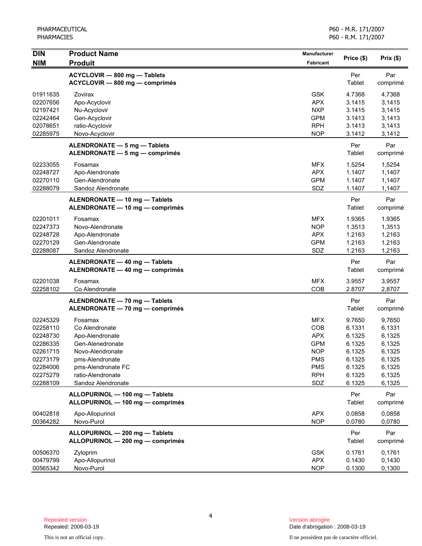| <b>DIN</b>                                                                                               | <b>Product Name</b>                                                                                                                                                      | <b>Manufacturer</b>                                                                                          | Price (\$)                                                                             | Prix(\$)                                                                               |
|----------------------------------------------------------------------------------------------------------|--------------------------------------------------------------------------------------------------------------------------------------------------------------------------|--------------------------------------------------------------------------------------------------------------|----------------------------------------------------------------------------------------|----------------------------------------------------------------------------------------|
| <b>NIM</b>                                                                                               | <b>Produit</b>                                                                                                                                                           | Fabricant                                                                                                    |                                                                                        |                                                                                        |
|                                                                                                          | ACYCLOVIR - 800 mg - Tablets<br>ACYCLOVIR - 800 mg - comprimés                                                                                                           |                                                                                                              | Per<br>Tablet                                                                          | Par<br>comprimé                                                                        |
| 01911635<br>02207656<br>02197421<br>02242464<br>02078651<br>02285975                                     | Zovirax<br>Apo-Acyclovir<br>Nu-Acyclovir<br>Gen-Acyclovir<br>ratio-Acyclovir<br>Novo-Acyclovir                                                                           | <b>GSK</b><br><b>APX</b><br><b>NXP</b><br><b>GPM</b><br><b>RPH</b><br><b>NOP</b>                             | 4.7368<br>3.1415<br>3.1415<br>3.1413<br>3.1413<br>3.1412                               | 4,7368<br>3,1415<br>3,1415<br>3,1413<br>3,1413<br>3,1412                               |
|                                                                                                          | ALENDRONATE - 5 mg - Tablets<br>ALENDRONATE - 5 mg - comprimés                                                                                                           |                                                                                                              | Per<br>Tablet                                                                          | Par<br>comprimé                                                                        |
| 02233055<br>02248727<br>02270110<br>02288079                                                             | Fosamax<br>Apo-Alendronate<br>Gen-Alendronate<br>Sandoz Alendronate                                                                                                      | <b>MFX</b><br><b>APX</b><br><b>GPM</b><br>SDZ                                                                | 1.5254<br>1.1407<br>1.1407<br>1.1407                                                   | 1,5254<br>1,1407<br>1,1407<br>1,1407                                                   |
|                                                                                                          | ALENDRONATE - 10 mg - Tablets<br>ALENDRONATE - 10 mg - comprimés                                                                                                         |                                                                                                              | Per<br>Tablet                                                                          | Par<br>comprimé                                                                        |
| 02201011<br>02247373<br>02248728<br>02270129<br>02288087                                                 | Fosamax<br>Novo-Alendronate<br>Apo-Alendronate<br>Gen-Alendronate<br>Sandoz Alendronate                                                                                  | <b>MFX</b><br><b>NOP</b><br><b>APX</b><br><b>GPM</b><br>SDZ                                                  | 1.9365<br>1.3513<br>1.2163<br>1.2163<br>1.2163                                         | 1,9365<br>1,3513<br>1,2163<br>1,2163<br>1,2163                                         |
|                                                                                                          | ALENDRONATE - 40 mg - Tablets<br>ALENDRONATE - 40 mg - comprimés                                                                                                         |                                                                                                              | Per<br>Tablet                                                                          | Par<br>comprimé                                                                        |
| 02201038<br>02258102                                                                                     | Fosamax<br>Co Alendronate                                                                                                                                                | <b>MFX</b><br>COB                                                                                            | 3.9557<br>2.8707                                                                       | 3,9557<br>2,8707                                                                       |
|                                                                                                          | ALENDRONATE - 70 mg - Tablets<br>ALENDRONATE - 70 mg - comprimés                                                                                                         |                                                                                                              | Per<br>Tablet                                                                          | Par<br>comprimé                                                                        |
| 02245329<br>02258110<br>02248730<br>02286335<br>02261715<br>02273179<br>02284006<br>02275279<br>02288109 | Fosamax<br>Co Alendronate<br>Apo-Alendronate<br>Gen-Alenedronate<br>Novo-Alendronate<br>pms-Alendronate<br>pms-Alendronate FC<br>ratio-Alendronate<br>Sandoz Alendronate | <b>MFX</b><br>COB<br><b>APX</b><br><b>GPM</b><br><b>NOP</b><br><b>PMS</b><br><b>PMS</b><br><b>RPH</b><br>SDZ | 9.7650<br>6.1331<br>6.1325<br>6.1325<br>6.1325<br>6.1325<br>6.1325<br>6.1325<br>6.1325 | 9,7650<br>6,1331<br>6,1325<br>6,1325<br>6,1325<br>6,1325<br>6,1325<br>6,1325<br>6,1325 |
|                                                                                                          | ALLOPURINOL - 100 mg - Tablets<br>ALLOPURINOL - 100 mg - comprimés                                                                                                       |                                                                                                              | Per<br><b>Tablet</b>                                                                   | Par<br>comprimé                                                                        |
| 00402818<br>00364282                                                                                     | Apo-Allopurinol<br>Novo-Purol                                                                                                                                            | <b>APX</b><br><b>NOP</b>                                                                                     | 0.0858<br>0.0780                                                                       | 0,0858<br>0,0780                                                                       |
|                                                                                                          | ALLOPURINOL - 200 mg - Tablets<br>ALLOPURINOL - 200 mg - comprimés                                                                                                       |                                                                                                              | Per<br><b>Tablet</b>                                                                   | Par<br>comprimé                                                                        |
| 00506370<br>00479799<br>00565342                                                                         | Zyloprim<br>Apo-Allopurinol<br>Novo-Purol                                                                                                                                | <b>GSK</b><br><b>APX</b><br><b>NOP</b>                                                                       | 0.1761<br>0.1430<br>0.1300                                                             | 0,1761<br>0,1430<br>0,1300                                                             |

Date d'abrogation : 2008-03-19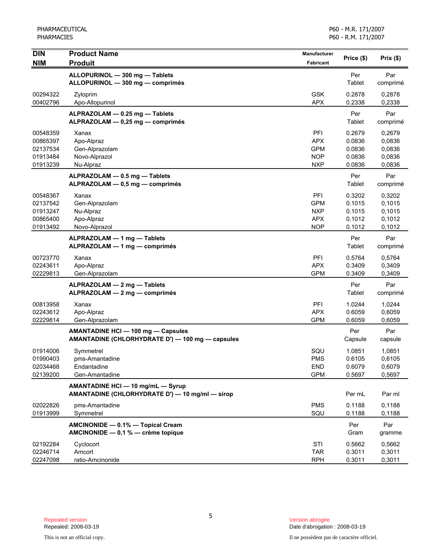| <b>DIN</b>           | <b>Product Name</b>                                                                         | Manufacturer             | Price (\$)       | Prix(\$)         |
|----------------------|---------------------------------------------------------------------------------------------|--------------------------|------------------|------------------|
| <b>NIM</b>           | <b>Produit</b>                                                                              | Fabricant                |                  |                  |
|                      | ALLOPURINOL - 300 mg - Tablets<br>ALLOPURINOL - 300 mg - comprimés                          |                          | Per<br>Tablet    | Par<br>comprimé  |
| 00294322             |                                                                                             | <b>GSK</b>               | 0.2878           | 0,2878           |
| 00402796             | Zyloprim<br>Apo-Allopurinol                                                                 | <b>APX</b>               | 0.2338           | 0,2338           |
|                      | ALPRAZOLAM - 0.25 mg - Tablets                                                              |                          | Per              | Par              |
|                      | ALPRAZOLAM - 0,25 mg - comprimés                                                            |                          | Tablet           | comprimé         |
| 00548359             | Xanax                                                                                       | PFI                      | 0.2679           | 0,2679           |
| 00865397             | Apo-Alpraz                                                                                  | <b>APX</b>               | 0.0836           | 0.0836           |
| 02137534<br>01913484 | Gen-Alprazolam<br>Novo-Alprazol                                                             | <b>GPM</b><br><b>NOP</b> | 0.0836<br>0.0836 | 0,0836           |
| 01913239             | Nu-Alpraz                                                                                   | <b>NXP</b>               | 0.0836           | 0,0836<br>0,0836 |
|                      | ALPRAZOLAM - 0.5 mg - Tablets                                                               |                          | Per              | Par              |
|                      | ALPRAZOLAM - 0,5 mg - comprimés                                                             |                          | Tablet           | comprimé         |
| 00548367             | Xanax                                                                                       | PFI                      | 0.3202           | 0,3202           |
| 02137542             | Gen-Alprazolam                                                                              | <b>GPM</b>               | 0.1015           | 0,1015           |
| 01913247             | Nu-Alpraz                                                                                   | <b>NXP</b>               | 0.1015           | 0,1015           |
| 00865400<br>01913492 | Apo-Alpraz<br>Novo-Alprazol                                                                 | <b>APX</b><br><b>NOP</b> | 0.1012<br>0.1012 | 0,1012<br>0,1012 |
|                      |                                                                                             |                          |                  |                  |
|                      | ALPRAZOLAM - 1 mg - Tablets<br>ALPRAZOLAM - 1 mg - comprimés                                |                          | Per<br>Tablet    | Par<br>comprimé  |
| 00723770             | Xanax                                                                                       | PFI                      | 0.5764           | 0,5764           |
| 02243611             | Apo-Alpraz                                                                                  | <b>APX</b>               | 0.3409           | 0,3409           |
| 02229813             | Gen-Alprazolam                                                                              | <b>GPM</b>               | 0.3409           | 0,3409           |
|                      | ALPRAZOLAM - 2 mg - Tablets                                                                 |                          | Per              | Par              |
|                      | ALPRAZOLAM - 2 mg - comprimés                                                               |                          | Tablet           | comprimé         |
| 00813958             | Xanax                                                                                       | <b>PFI</b>               | 1.0244           | 1,0244           |
| 02243612             | Apo-Alpraz                                                                                  | <b>APX</b>               | 0.6059           | 0,6059           |
| 02229814             | Gen-Alprazolam                                                                              | <b>GPM</b>               | 0.6059           | 0,6059           |
|                      | <b>AMANTADINE HCI - 100 mg - Capsules</b>                                                   |                          | Per              | Par              |
|                      | AMANTADINE (CHLORHYDRATE D') - 100 mg - capsules                                            |                          | Capsule          | capsule          |
| 01914006             | Symmetrel                                                                                   | SQU                      | 1.0851           | 1,0851           |
| 01990403             | pms-Amantadine<br>Endantadine                                                               | <b>PMS</b>               | 0.6105           | 0,6105           |
| 02034468<br>02139200 | Gen-Amantadine                                                                              | <b>END</b><br><b>GPM</b> | 0.6079<br>0.5697 | 0,6079<br>0,5697 |
|                      |                                                                                             |                          |                  |                  |
|                      | <b>AMANTADINE HCI - 10 mg/mL - Syrup</b><br>AMANTADINE (CHLORHYDRATE D') - 10 mg/ml - sirop |                          | Per mL           | Par ml           |
| 02022826             | pms-Amantadine                                                                              | <b>PMS</b>               | 0.1188           | 0.1188           |
| 01913999             | Symmetrel                                                                                   | SQU                      | 0.1188           | 0,1188           |
|                      | AMCINONIDE - 0.1% - Topical Cream<br>AMCINONIDE - 0,1 % - crème topique                     |                          | Per<br>Gram      | Par<br>gramme    |
| 02192284             | Cyclocort                                                                                   | STI                      | 0.5662           | 0,5662           |
| 02246714             | Amcort                                                                                      | <b>TAR</b>               | 0.3011           | 0,3011           |
| 02247098             | ratio-Amcinonide                                                                            | <b>RPH</b>               | 0.3011           | 0,3011           |

5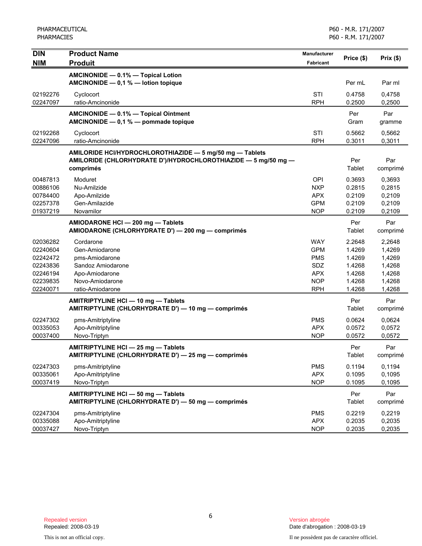| <b>DIN</b><br><b>NIM</b> | <b>Product Name</b><br><b>Produit</b>                                                                                                   | Manufacturer<br><b>Fabricant</b> | Price (\$)       | Prix(\$)         |
|--------------------------|-----------------------------------------------------------------------------------------------------------------------------------------|----------------------------------|------------------|------------------|
|                          | AMCINONIDE - 0.1% - Topical Lotion                                                                                                      |                                  |                  |                  |
|                          | AMCINONIDE - 0,1 % - lotion topique                                                                                                     |                                  | Per mL           | Par ml           |
| 02192276                 | Cyclocort                                                                                                                               | STI                              | 0.4758           | 0,4758           |
| 02247097                 | ratio-Amcinonide                                                                                                                        | <b>RPH</b>                       | 0.2500           | 0,2500           |
|                          | AMCINONIDE - 0.1% - Topical Ointment<br>AMCINONIDE $-$ 0,1 % $-$ pommade topique                                                        |                                  | Per<br>Gram      | Par<br>gramme    |
| 02192268<br>02247096     | Cyclocort<br>ratio-Amcinonide                                                                                                           | STI<br><b>RPH</b>                | 0.5662<br>0.3011 | 0,5662<br>0,3011 |
|                          | AMILORIDE HCI/HYDROCHLOROTHIAZIDE - 5 mg/50 mg - Tablets<br>AMILORIDE (CHLORHYDRATE D')/HYDROCHLOROTHIAZIDE - 5 mg/50 mg -<br>comprimés |                                  | Per<br>Tablet    | Par<br>comprimé  |
| 00487813                 | Moduret                                                                                                                                 | <b>OPI</b>                       | 0.3693           | 0,3693           |
| 00886106                 | Nu-Amilzide                                                                                                                             | <b>NXP</b>                       | 0.2815           | 0,2815           |
| 00784400                 | Apo-Amilzide                                                                                                                            | <b>APX</b>                       | 0.2109           | 0,2109           |
| 02257378                 | Gen-Amilazide<br>Novamilor                                                                                                              | <b>GPM</b><br><b>NOP</b>         | 0.2109           | 0,2109           |
| 01937219                 |                                                                                                                                         |                                  | 0.2109           | 0,2109           |
|                          | AMIODARONE HCI - 200 mg - Tablets<br>AMIODARONE (CHLORHYDRATE D') — 200 mg — comprimés                                                  |                                  | Per<br>Tablet    | Par<br>comprimé  |
| 02036282                 | Cordarone                                                                                                                               | <b>WAY</b>                       | 2.2648           | 2,2648           |
| 02240604                 | Gen-Amiodarone                                                                                                                          | <b>GPM</b>                       | 1.4269           | 1,4269           |
| 02242472                 | pms-Amiodarone                                                                                                                          | <b>PMS</b>                       | 1.4269           | 1,4269           |
| 02243836                 | Sandoz Amiodarone                                                                                                                       | SDZ                              | 1.4268           | 1,4268           |
| 02246194<br>02239835     | Apo-Amiodarone<br>Novo-Amiodarone                                                                                                       | <b>APX</b><br><b>NOP</b>         | 1.4268<br>1.4268 | 1,4268           |
| 02240071                 | ratio-Amiodarone                                                                                                                        | <b>RPH</b>                       | 1.4268           | 1,4268<br>1,4268 |
|                          |                                                                                                                                         |                                  |                  |                  |
|                          | AMITRIPTYLINE HCI - 10 mg - Tablets<br>AMITRIPTYLINE (CHLORHYDRATE D') - 10 mg - comprimés                                              |                                  | Per<br>Tablet    | Par<br>comprimé  |
| 02247302                 | pms-Amitriptyline                                                                                                                       | <b>PMS</b>                       | 0.0624           | 0,0624           |
| 00335053                 | Apo-Amitriptyline                                                                                                                       | <b>APX</b>                       | 0.0572           | 0,0572           |
| 00037400                 | Novo-Triptyn                                                                                                                            | <b>NOP</b>                       | 0.0572           | 0,0572           |
|                          | AMITRIPTYLINE HCI - 25 mg - Tablets<br>AMITRIPTYLINE (CHLORHYDRATE D') — 25 mg — comprimés                                              |                                  | Per<br>Tablet    | Par<br>comprimé  |
| 02247303                 | pms-Amitriptyline                                                                                                                       | <b>PMS</b>                       | 0.1194           | 0,1194           |
| 00335061                 | Apo-Amitriptyline                                                                                                                       | <b>APX</b>                       | 0.1095           | 0,1095           |
| 00037419                 | Novo-Triptyn                                                                                                                            | <b>NOP</b>                       | 0.1095           | 0,1095           |
|                          | AMITRIPTYLINE HCI - 50 mg - Tablets<br>AMITRIPTYLINE (CHLORHYDRATE D') - 50 mg - comprimés                                              |                                  | Per<br>Tablet    | Par<br>comprimé  |
| 02247304                 | pms-Amitriptyline                                                                                                                       | <b>PMS</b>                       | 0.2219           | 0,2219           |
| 00335088                 | Apo-Amitriptyline                                                                                                                       | <b>APX</b>                       | 0.2035           | 0,2035           |
| 00037427                 | Novo-Triptyn                                                                                                                            | <b>NOP</b>                       | 0.2035           | 0,2035           |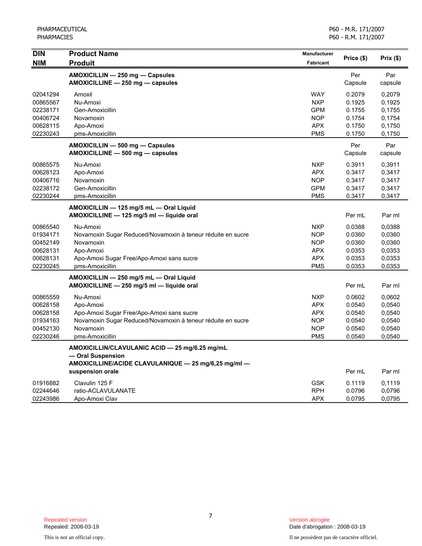| <b>DIN</b><br><b>NIM</b>                                             | <b>Product Name</b><br><b>Produit</b>                                                                                                                             | Manufacturer<br><b>Fabricant</b>                                                 | Price (\$)                                                                 | Prix(\$)                                                                   |
|----------------------------------------------------------------------|-------------------------------------------------------------------------------------------------------------------------------------------------------------------|----------------------------------------------------------------------------------|----------------------------------------------------------------------------|----------------------------------------------------------------------------|
|                                                                      | AMOXICILLIN - 250 mg - Capsules                                                                                                                                   |                                                                                  | Per                                                                        | Par                                                                        |
| 02041294<br>00865567<br>02238171<br>00406724<br>00628115<br>02230243 | AMOXICILLINE - 250 mg - capsules<br>Amoxil<br>Nu-Amoxi<br>Gen-Amoxicillin<br>Novamoxin<br>Apo-Amoxi<br>pms-Amoxicillin<br>AMOXICILLIN - 500 mg - Capsules         | <b>WAY</b><br><b>NXP</b><br><b>GPM</b><br><b>NOP</b><br><b>APX</b><br><b>PMS</b> | Capsule<br>0.2079<br>0.1925<br>0.1755<br>0.1754<br>0.1750<br>0.1750<br>Per | capsule<br>0,2079<br>0,1925<br>0,1755<br>0,1754<br>0,1750<br>0,1750<br>Par |
| 00865575                                                             | AMOXICILLINE - 500 mg - capsules<br>Nu-Amoxi                                                                                                                      | <b>NXP</b>                                                                       | Capsule<br>0.3911                                                          | capsule<br>0,3911                                                          |
| 00628123<br>00406716<br>02238172<br>02230244                         | Apo-Amoxi<br>Novamoxin<br>Gen-Amoxicillin<br>pms-Amoxicillin                                                                                                      | <b>APX</b><br><b>NOP</b><br><b>GPM</b><br><b>PMS</b>                             | 0.3417<br>0.3417<br>0.3417<br>0.3417                                       | 0,3417<br>0,3417<br>0,3417<br>0,3417                                       |
|                                                                      | AMOXICILLIN - 125 mg/5 mL - Oral Liquid<br>AMOXICILLINE - 125 mg/5 ml - liquide oral                                                                              |                                                                                  | Per mL                                                                     | Par ml                                                                     |
| 00865540<br>01934171<br>00452149<br>00628131<br>00628131<br>02230245 | Nu-Amoxi<br>Novamoxin Sugar Reduced/Novamoxin à teneur réduite en sucre<br>Novamoxin<br>Apo-Amoxi<br>Apo-Amoxi Sugar Free/Apo-Amoxi sans sucre<br>pms-Amoxicillin | <b>NXP</b><br><b>NOP</b><br><b>NOP</b><br><b>APX</b><br><b>APX</b><br><b>PMS</b> | 0.0388<br>0.0360<br>0.0360<br>0.0353<br>0.0353<br>0.0353                   | 0,0388<br>0,0360<br>0,0360<br>0,0353<br>0,0353<br>0,0353                   |
|                                                                      | AMOXICILLIN - 250 mg/5 mL - Oral Liquid<br>AMOXICILLINE - 250 mg/5 ml - liquide oral                                                                              |                                                                                  | Per mL                                                                     | Par ml                                                                     |
| 00865559<br>00628158<br>00628158<br>01934163<br>00452130<br>02230246 | Nu-Amoxi<br>Apo-Amoxi<br>Apo-Amoxi Sugar Free/Apo-Amoxi sans sucre<br>Novamoxin Sugar Reduced/Novamoxin à teneur réduite en sucre<br>Novamoxin<br>pms-Amoxicillin | <b>NXP</b><br><b>APX</b><br><b>APX</b><br><b>NOP</b><br><b>NOP</b><br><b>PMS</b> | 0.0602<br>0.0540<br>0.0540<br>0.0540<br>0.0540<br>0.0540                   | 0,0602<br>0,0540<br>0,0540<br>0,0540<br>0,0540<br>0.0540                   |
|                                                                      | AMOXICILLIN/CLAVULANIC ACID - 25 mg/6.25 mg/mL<br>- Oral Suspension<br>AMOXICILLINE/ACIDE CLAVULANIQUE - 25 mg/6,25 mg/ml -<br>suspension orale                   |                                                                                  | Per mL                                                                     | Par ml                                                                     |
| 01916882<br>02244646<br>02243986                                     | Clavulin 125 F<br>ratio-ACLAVULANATE<br>Apo-Amoxi Clav                                                                                                            | <b>GSK</b><br><b>RPH</b><br><b>APX</b>                                           | 0.1119<br>0.0796<br>0.0795                                                 | 0,1119<br>0,0796<br>0,0795                                                 |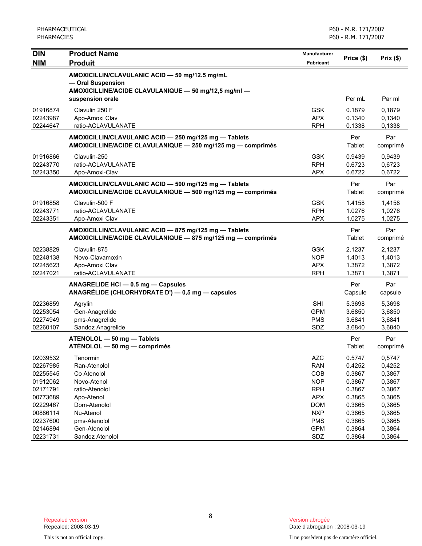| <b>DIN</b>                                                           | <b>Product Name</b>                                                                                                                             | <b>Manufacturer</b>                                                       | Price (\$)                                               | Prix(\$)                                                 |
|----------------------------------------------------------------------|-------------------------------------------------------------------------------------------------------------------------------------------------|---------------------------------------------------------------------------|----------------------------------------------------------|----------------------------------------------------------|
| <b>NIM</b>                                                           | <b>Produit</b>                                                                                                                                  | Fabricant                                                                 |                                                          |                                                          |
|                                                                      | AMOXICILLIN/CLAVULANIC ACID - 50 mg/12.5 mg/mL<br>- Oral Suspension<br>AMOXICILLINE/ACIDE CLAVULANIQUE - 50 mg/12,5 mg/ml -<br>suspension orale |                                                                           | Per mL                                                   | Par ml                                                   |
| 01916874<br>02243987<br>02244647                                     | Clavulin 250 F<br>Apo-Amoxi Clav<br>ratio-ACLAVULANATE                                                                                          | <b>GSK</b><br><b>APX</b><br><b>RPH</b>                                    | 0.1879<br>0.1340<br>0.1338                               | 0,1879<br>0,1340<br>0,1338                               |
|                                                                      | AMOXICILLIN/CLAVULANIC ACID - 250 mg/125 mg - Tablets<br>AMOXICILLINE/ACIDE CLAVULANIQUE - 250 mg/125 mg - comprimés                            |                                                                           | Per<br>Tablet                                            | Par<br>comprimé                                          |
| 01916866<br>02243770<br>02243350                                     | Clavulin-250<br>ratio-ACLAVULANATE<br>Apo-Amoxi-Clav                                                                                            | <b>GSK</b><br><b>RPH</b><br><b>APX</b>                                    | 0.9439<br>0.6723<br>0.6722                               | 0,9439<br>0,6723<br>0,6722                               |
|                                                                      | AMOXICILLIN/CLAVULANIC ACID - 500 mg/125 mg - Tablets<br>AMOXICILLINE/ACIDE CLAVULANIQUE - 500 mg/125 mg - comprimés                            |                                                                           | Per<br>Tablet                                            | Par<br>comprimé                                          |
| 01916858<br>02243771<br>02243351                                     | Clavulin-500 F<br>ratio-ACLAVULANATE<br>Apo-Amoxi Clav                                                                                          | <b>GSK</b><br><b>RPH</b><br><b>APX</b>                                    | 1.4158<br>1.0276<br>1.0275                               | 1,4158<br>1,0276<br>1,0275                               |
|                                                                      | AMOXICILLIN/CLAVULANIC ACID - 875 mg/125 mg - Tablets<br>AMOXICILLINE/ACIDE CLAVULANIQUE - 875 mg/125 mg - comprimés                            |                                                                           | Per<br>Tablet                                            | Par<br>comprimé                                          |
| 02238829<br>02248138<br>02245623<br>02247021                         | Clavulin-875<br>Novo-Clavamoxin<br>Apo-Amoxi Clav<br>ratio-ACLAVULANATE                                                                         | <b>GSK</b><br><b>NOP</b><br><b>APX</b><br><b>RPH</b>                      | 2.1237<br>1.4013<br>1.3872<br>1.3871                     | 2,1237<br>1,4013<br>1,3872<br>1,3871                     |
|                                                                      | ANAGRELIDE HCI - 0.5 mg - Capsules<br>ANAGRÉLIDE (CHLORHYDRATE D') - 0,5 mg - capsules                                                          |                                                                           | Per<br>Capsule                                           | Par<br>capsule                                           |
| 02236859<br>02253054<br>02274949<br>02260107                         | Agrylin<br>Gen-Anagrelide<br>pms-Anagrelide<br>Sandoz Anagrelide                                                                                | <b>SHI</b><br><b>GPM</b><br><b>PMS</b><br>SDZ                             | 5.3698<br>3.6850<br>3.6841<br>3.6840                     | 5,3698<br>3,6850<br>3,6841<br>3,6840                     |
|                                                                      | ATENOLOL - 50 mg - Tablets<br>ATÉNOLOL - 50 mg - comprimés                                                                                      |                                                                           | Per<br><b>Tablet</b>                                     | Par<br>comprimé                                          |
| 02039532<br>02267985<br>02255545<br>01912062<br>02171791<br>00773689 | Tenormin<br>Ran-Atenolol<br>Co Atenolol<br>Novo-Atenol<br>ratio-Atenolol<br>Apo-Atenol<br>Dom-Atenolol                                          | <b>AZC</b><br><b>RAN</b><br>COB<br><b>NOP</b><br><b>RPH</b><br><b>APX</b> | 0.5747<br>0.4252<br>0.3867<br>0.3867<br>0.3867<br>0.3865 | 0,5747<br>0,4252<br>0,3867<br>0,3867<br>0,3867<br>0,3865 |
| 02229467<br>00886114<br>02237600<br>02146894<br>02231731             | Nu-Atenol<br>pms-Atenolol<br>Gen-Atenolol<br>Sandoz Atenolol                                                                                    | <b>DOM</b><br><b>NXP</b><br><b>PMS</b><br><b>GPM</b><br>SDZ               | 0.3865<br>0.3865<br>0.3865<br>0.3864<br>0.3864           | 0,3865<br>0,3865<br>0,3865<br>0,3864<br>0,3864           |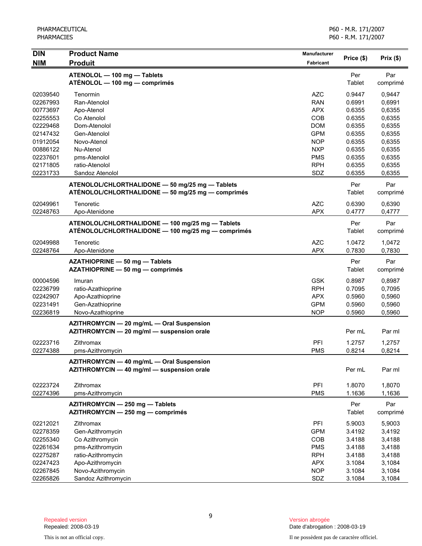| <b>DIN</b> | <b>Product Name</b>                                | <b>Manufacturer</b> |               |          |
|------------|----------------------------------------------------|---------------------|---------------|----------|
| <b>NIM</b> | <b>Produit</b>                                     | <b>Fabricant</b>    | Price (\$)    | Prix(\$) |
|            | ATENOLOL - 100 mg - Tablets                        |                     | Per           | Par      |
|            | ATÉNOLOL - 100 mg - comprimés                      |                     | Tablet        | comprimé |
| 02039540   | Tenormin                                           | <b>AZC</b>          | 0.9447        | 0,9447   |
| 02267993   | Ran-Atenolol                                       | <b>RAN</b>          | 0.6991        | 0,6991   |
| 00773697   | Apo-Atenol                                         | <b>APX</b>          | 0.6355        | 0,6355   |
| 02255553   | Co Atenolol                                        | COB                 | 0.6355        | 0,6355   |
| 02229468   | Dom-Atenolol                                       | <b>DOM</b>          | 0.6355        | 0,6355   |
| 02147432   | Gen-Atenolol                                       | <b>GPM</b>          | 0.6355        | 0,6355   |
| 01912054   | Novo-Atenol                                        | <b>NOP</b>          | 0.6355        | 0,6355   |
| 00886122   | Nu-Atenol                                          | <b>NXP</b>          | 0.6355        | 0,6355   |
| 02237601   | pms-Atenolol                                       | <b>PMS</b>          | 0.6355        | 0,6355   |
| 02171805   | ratio-Atenolol                                     | <b>RPH</b>          | 0.6355        | 0,6355   |
| 02231733   | Sandoz Atenolol                                    | SDZ                 | 0.6355        | 0,6355   |
|            | ATENOLOL/CHLORTHALIDONE - 50 mg/25 mg - Tablets    |                     | Per           | Par      |
|            | ATÉNOLOL/CHLORTHALIDONE - 50 mg/25 mg - comprimés  |                     | Tablet        | comprimé |
| 02049961   | Tenoretic                                          | <b>AZC</b>          | 0.6390        | 0,6390   |
| 02248763   | Apo-Atenidone                                      | <b>APX</b>          | 0.4777        | 0,4777   |
|            | ATENOLOL/CHLORTHALIDONE - 100 mg/25 mg - Tablets   |                     | Per           | Par      |
|            | ATÉNOLOL/CHLORTHALIDONE — 100 mg/25 mg — comprimés |                     | Tablet        | comprimé |
| 02049988   | Tenoretic                                          | <b>AZC</b>          | 1.0472        | 1,0472   |
| 02248764   | Apo-Atenidone                                      | <b>APX</b>          | 0.7830        | 0,7830   |
|            | AZATHIOPRINE - 50 mg - Tablets                     |                     | Per           | Par      |
|            | AZATHIOPRINE - 50 mg - comprimés                   |                     | Tablet        | comprimé |
| 00004596   | Imuran                                             | <b>GSK</b>          | 0.8987        | 0,8987   |
| 02236799   | ratio-Azathioprine                                 | <b>RPH</b>          | 0.7095        | 0,7095   |
| 02242907   | Apo-Azathioprine                                   | <b>APX</b>          | 0.5960        | 0,5960   |
| 02231491   | Gen-Azathioprine                                   | <b>GPM</b>          | 0.5960        | 0,5960   |
| 02236819   | Novo-Azathioprine                                  | <b>NOP</b>          | 0.5960        | 0,5960   |
|            | AZITHROMYCIN - 20 mg/mL - Oral Suspension          |                     |               |          |
|            | AZITHROMYCIN - 20 mg/ml - suspension orale         |                     | Per mL        | Par ml   |
| 02223716   | Zithromax                                          | PFI                 | 1.2757        | 1,2757   |
| 02274388   | pms-Azithromycin                                   | <b>PMS</b>          | 0.8214        | 0,8214   |
|            | AZITHROMYCIN - 40 mg/mL - Oral Suspension          |                     |               |          |
|            | AZITHROMYCIN - 40 mg/ml - suspension orale         |                     | Per mL        | Par ml   |
| 02223724   | Zithromax                                          | PFI                 | 1.8070        | 1,8070   |
| 02274396   | pms-Azithromycin                                   | <b>PMS</b>          | 1.1636        | 1,1636   |
|            | AZITHROMYCIN - 250 mg - Tablets                    |                     | Per           | Par      |
|            | AZITHROMYCIN - 250 mg - comprimés                  |                     | <b>Tablet</b> | comprimé |
| 02212021   | Zithromax                                          | PFI                 | 5.9003        | 5,9003   |
| 02278359   | Gen-Azithromycin                                   | <b>GPM</b>          | 3.4192        | 3,4192   |
| 02255340   | Co Azithromycin                                    | COB                 | 3.4188        | 3,4188   |
| 02261634   | pms-Azithromycin                                   | <b>PMS</b>          | 3.4188        | 3,4188   |
| 02275287   | ratio-Azithromycin                                 | <b>RPH</b>          | 3.4188        | 3,4188   |
| 02247423   | Apo-Azithromycin                                   | <b>APX</b>          | 3.1084        | 3,1084   |
| 02267845   | Novo-Azithromycin                                  | <b>NOP</b>          | 3.1084        | 3,1084   |
| 02265826   | Sandoz Azithromycin                                | SDZ                 | 3.1084        | 3,1084   |

Date d'abrogation : 2008-03-19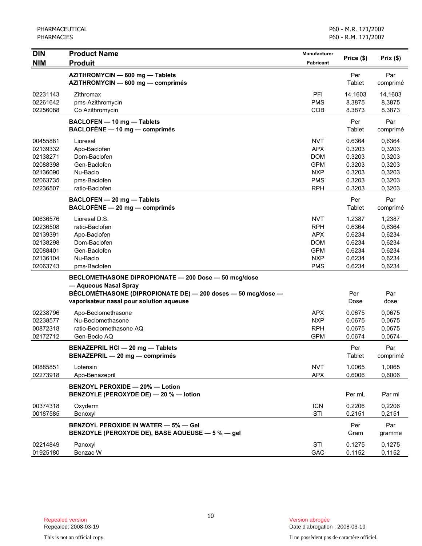| <b>DIN</b>                                                                       | <b>Product Name</b>                                                                                                                                                                       | <b>Manufacturer</b>                                                                            | Price (\$)                                                         | Prix(\$)                                                           |
|----------------------------------------------------------------------------------|-------------------------------------------------------------------------------------------------------------------------------------------------------------------------------------------|------------------------------------------------------------------------------------------------|--------------------------------------------------------------------|--------------------------------------------------------------------|
| <b>NIM</b>                                                                       | <b>Produit</b>                                                                                                                                                                            | <b>Fabricant</b>                                                                               |                                                                    |                                                                    |
|                                                                                  | AZITHROMYCIN - 600 mg - Tablets<br>AZITHROMYCIN - 600 mg - comprimés                                                                                                                      |                                                                                                | Per<br>Tablet                                                      | Par<br>comprimé                                                    |
| 02231143<br>02261642<br>02256088                                                 | Zithromax<br>pms-Azithromycin<br>Co Azithromycin                                                                                                                                          | PFI<br><b>PMS</b><br>COB                                                                       | 14.1603<br>8.3875<br>8.3873                                        | 14,1603<br>8,3875<br>8.3873                                        |
|                                                                                  | BACLOFEN - 10 mg - Tablets<br>BACLOFÈNE - 10 mg - comprimés                                                                                                                               |                                                                                                | Per<br>Tablet                                                      | Par<br>comprimé                                                    |
| 00455881<br>02139332<br>02138271<br>02088398<br>02136090<br>02063735<br>02236507 | Lioresal<br>Apo-Baclofen<br>Dom-Baclofen<br>Gen-Baclofen<br>Nu-Baclo<br>pms-Baclofen<br>ratio-Baclofen                                                                                    | <b>NVT</b><br><b>APX</b><br><b>DOM</b><br><b>GPM</b><br><b>NXP</b><br><b>PMS</b><br><b>RPH</b> | 0.6364<br>0.3203<br>0.3203<br>0.3203<br>0.3203<br>0.3203<br>0.3203 | 0,6364<br>0,3203<br>0,3203<br>0,3203<br>0,3203<br>0,3203<br>0,3203 |
|                                                                                  | BACLOFEN - 20 mg - Tablets<br>$BACLOFÈNE - 20 mg - comprimés$                                                                                                                             |                                                                                                | Per<br>Tablet                                                      | Par<br>comprimé                                                    |
| 00636576<br>02236508<br>02139391<br>02138298<br>02088401<br>02136104<br>02063743 | Lioresal D.S.<br>ratio-Baclofen<br>Apo-Baclofen<br>Dom-Baclofen<br>Gen-Baclofen<br>Nu-Baclo<br>pms-Baclofen                                                                               | <b>NVT</b><br><b>RPH</b><br><b>APX</b><br><b>DOM</b><br><b>GPM</b><br><b>NXP</b><br><b>PMS</b> | 1.2387<br>0.6364<br>0.6234<br>0.6234<br>0.6234<br>0.6234<br>0.6234 | 1,2387<br>0,6364<br>0,6234<br>0,6234<br>0,6234<br>0,6234<br>0,6234 |
|                                                                                  | BECLOMETHASONE DIPROPIONATE - 200 Dose - 50 mcg/dose<br>- Aqueous Nasal Spray<br>BÉCLOMÉTHASONE (DIPROPIONATE DE) - 200 doses - 50 mcg/dose -<br>vaporisateur nasal pour solution aqueuse |                                                                                                | Per<br>Dose                                                        | Par<br>dose                                                        |
| 02238796<br>02238577<br>00872318<br>02172712                                     | Apo-Beclomethasone<br>Nu-Beclomethasone<br>ratio-Beclomethasone AQ<br>Gen-Beclo AQ                                                                                                        | <b>APX</b><br><b>NXP</b><br><b>RPH</b><br><b>GPM</b>                                           | 0.0675<br>0.0675<br>0.0675<br>0.0674                               | 0,0675<br>0,0675<br>0,0675<br>0,0674                               |
|                                                                                  | BENAZEPRIL HCI - 20 mg - Tablets<br>BENAZEPRIL - 20 mg - comprimés                                                                                                                        |                                                                                                | Per<br>Tablet                                                      | Par<br>comprimé                                                    |
| 00885851<br>02273918                                                             | Lotensin<br>Apo-Benazepril                                                                                                                                                                | <b>NVT</b><br><b>APX</b>                                                                       | 1.0065<br>0.6006                                                   | 1,0065<br>0,6006                                                   |
|                                                                                  | BENZOYL PEROXIDE - 20% - Lotion<br>BENZOYLE (PEROXYDE DE) - 20 % - lotion                                                                                                                 |                                                                                                | Per mL                                                             | Par ml                                                             |
| 00374318<br>00187585                                                             | Oxyderm<br>Benoxyl                                                                                                                                                                        | <b>ICN</b><br>STI                                                                              | 0.2206<br>0.2151                                                   | 0,2206<br>0,2151                                                   |
|                                                                                  | <b>BENZOYL PEROXIDE IN WATER - 5% - Gel</b><br>BENZOYLE (PEROXYDE DE), BASE AQUEUSE - 5 % - gel                                                                                           |                                                                                                | Per<br>Gram                                                        | Par<br>gramme                                                      |
| 02214849<br>01925180                                                             | Panoxyl<br>Benzac W                                                                                                                                                                       | STI<br>GAC                                                                                     | 0.1275<br>0.1152                                                   | 0,1275<br>0,1152                                                   |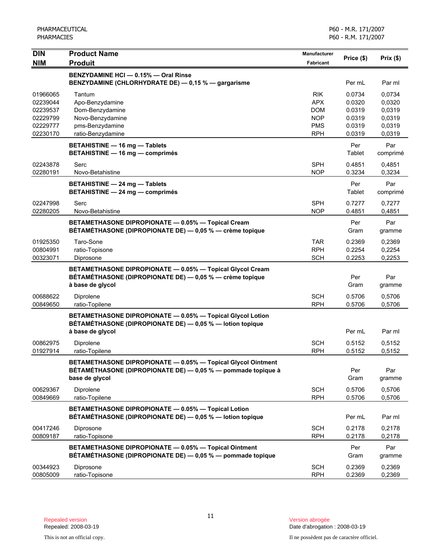| <b>DIN</b>                                                           | <b>Product Name</b>                                                                                                                            | <b>Manufacturer</b>                                                              | Price (\$)                                               | Prix(\$)                                                 |
|----------------------------------------------------------------------|------------------------------------------------------------------------------------------------------------------------------------------------|----------------------------------------------------------------------------------|----------------------------------------------------------|----------------------------------------------------------|
| <b>NIM</b>                                                           | <b>Produit</b>                                                                                                                                 | Fabricant                                                                        |                                                          |                                                          |
|                                                                      | BENZYDAMINE HCI-0.15% - Oral Rinse<br>BENZYDAMINE (CHLORHYDRATE DE) - 0,15 % - gargarisme                                                      |                                                                                  | Per mL                                                   | Par ml                                                   |
| 01966065<br>02239044<br>02239537<br>02229799<br>02229777<br>02230170 | Tantum<br>Apo-Benzydamine<br>Dom-Benzydamine<br>Novo-Benzydamine<br>pms-Benzydamine<br>ratio-Benzydamine                                       | <b>RIK</b><br><b>APX</b><br><b>DOM</b><br><b>NOP</b><br><b>PMS</b><br><b>RPH</b> | 0.0734<br>0.0320<br>0.0319<br>0.0319<br>0.0319<br>0.0319 | 0,0734<br>0,0320<br>0,0319<br>0,0319<br>0,0319<br>0,0319 |
|                                                                      | <b>BETAHISTINE - 16 mg - Tablets</b><br><b>BETAHISTINE - 16 mg - comprimés</b>                                                                 |                                                                                  | Per<br>Tablet                                            | Par<br>comprimé                                          |
| 02243878<br>02280191                                                 | Serc<br>Novo-Betahistine                                                                                                                       | <b>SPH</b><br><b>NOP</b>                                                         | 0.4851<br>0.3234                                         | 0,4851<br>0,3234                                         |
|                                                                      | <b>BETAHISTINE - 24 mg - Tablets</b><br><b>BETAHISTINE - 24 mg - comprimés</b>                                                                 |                                                                                  | Per<br>Tablet                                            | Par<br>comprimé                                          |
| 02247998<br>02280205                                                 | Serc<br>Novo-Betahistine                                                                                                                       | <b>SPH</b><br><b>NOP</b>                                                         | 0.7277<br>0.4851                                         | 0,7277<br>0,4851                                         |
|                                                                      | BETAMETHASONE DIPROPIONATE - 0.05% - Topical Cream<br>BETAMETHASONE (DIPROPIONATE DE) - 0,05 % - crème topique                                 |                                                                                  | Per<br>Gram                                              | Par<br>gramme                                            |
| 01925350<br>00804991<br>00323071                                     | Taro-Sone<br>ratio-Topisone<br>Diprosone                                                                                                       | <b>TAR</b><br><b>RPH</b><br><b>SCH</b>                                           | 0.2369<br>0.2254<br>0.2253                               | 0,2369<br>0,2254<br>0,2253                               |
|                                                                      | BETAMETHASONE DIPROPIONATE - 0.05% - Topical Glycol Cream<br>BÉTAMÉTHASONE (DIPROPIONATE DE) — 0,05 % — crème topique<br>à base de glycol      |                                                                                  | Per<br>Gram                                              | Par<br>gramme                                            |
| 00688622<br>00849650                                                 | Diprolene<br>ratio-Topilene                                                                                                                    | <b>SCH</b><br><b>RPH</b>                                                         | 0.5706<br>0.5706                                         | 0,5706<br>0,5706                                         |
|                                                                      | BETAMETHASONE DIPROPIONATE - 0.05% - Topical Glycol Lotion<br>BÉTAMÉTHASONE (DIPROPIONATE DE) - 0,05 % - lotion topique<br>à base de glycol    |                                                                                  | Per mL                                                   | Par ml                                                   |
| 00862975<br>01927914                                                 | Diprolene<br>ratio-Topilene                                                                                                                    | <b>SCH</b><br><b>RPH</b>                                                         | 0.5152<br>0.5152                                         | 0,5152<br>0,5152                                         |
|                                                                      | BETAMETHASONE DIPROPIONATE - 0.05% - Topical Glycol Ointment<br>BÉTAMÉTHASONE (DIPROPIONATE DE) — 0,05 % — pommade topique à<br>base de glycol |                                                                                  | Per<br>Gram                                              | Par<br>gramme                                            |
| 00629367<br>00849669                                                 | Diprolene<br>ratio-Topilene                                                                                                                    | <b>SCH</b><br><b>RPH</b>                                                         | 0.5706<br>0.5706                                         | 0,5706<br>0,5706                                         |
|                                                                      | BETAMETHASONE DIPROPIONATE - 0.05% - Topical Lotion<br>BÉTAMÉTHASONE (DIPROPIONATE DE) - 0,05 % - lotion topique                               |                                                                                  | Per mL                                                   | Par ml                                                   |
| 00417246<br>00809187                                                 | Diprosone<br>ratio-Topisone                                                                                                                    | <b>SCH</b><br><b>RPH</b>                                                         | 0.2178<br>0.2178                                         | 0,2178<br>0,2178                                         |
|                                                                      | BETAMETHASONE DIPROPIONATE - 0.05% - Topical Ointment<br>BÉTAMÉTHASONE (DIPROPIONATE DE) - 0,05 % - pommade topique                            |                                                                                  | Per<br>Gram                                              | Par<br>gramme                                            |
| 00344923<br>00805009                                                 | Diprosone<br>ratio-Topisone                                                                                                                    | <b>SCH</b><br><b>RPH</b>                                                         | 0.2369<br>0.2369                                         | 0,2369<br>0,2369                                         |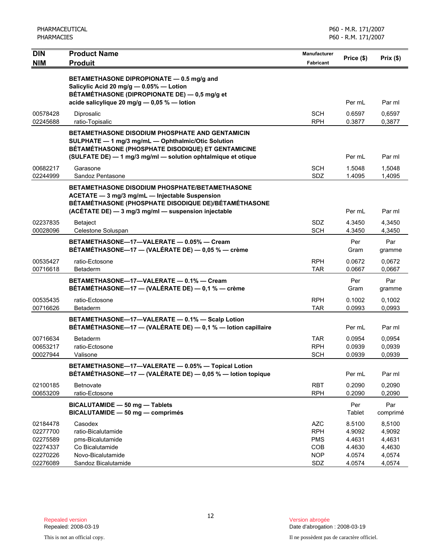| <b>DIN</b>                                                           | <b>Product Name</b>                                                                                                                                                                                                         | <b>Manufacturer</b>                                                       | Price (\$)                                               | Prix(\$)                                                 |
|----------------------------------------------------------------------|-----------------------------------------------------------------------------------------------------------------------------------------------------------------------------------------------------------------------------|---------------------------------------------------------------------------|----------------------------------------------------------|----------------------------------------------------------|
| <b>NIM</b>                                                           | <b>Produit</b>                                                                                                                                                                                                              | Fabricant                                                                 |                                                          |                                                          |
|                                                                      | BETAMETHASONE DIPROPIONATE - 0.5 mg/g and<br>Salicylic Acid 20 mg/g - 0.05% - Lotion<br>BÉTAMÉTHASONE (DIPROPIONATE DE) - 0,5 mg/g et<br>acide salicylique 20 mg/g - 0,05 % - lotion                                        |                                                                           | Per mL                                                   | Par ml                                                   |
| 00578428<br>02245688                                                 | Diprosalic<br>ratio-Topisalic                                                                                                                                                                                               | <b>SCH</b><br><b>RPH</b>                                                  | 0.6597<br>0.3877                                         | 0,6597<br>0,3877                                         |
|                                                                      | BETAMETHASONE DISODIUM PHOSPHATE AND GENTAMICIN<br>SULPHATE - 1 mg/3 mg/mL - Ophthalmic/Otic Solution<br>BÉTAMÉTHASONE (PHOSPHATE DISODIQUE) ET GENTAMICINE<br>(SULFATE DE) - 1 mg/3 mg/ml - solution ophtalmique et otique |                                                                           | Per mL                                                   | Par ml                                                   |
| 00682217<br>02244999                                                 | Garasone<br>Sandoz Pentasone                                                                                                                                                                                                | <b>SCH</b><br><b>SDZ</b>                                                  | 1.5048<br>1.4095                                         | 1,5048<br>1,4095                                         |
|                                                                      | BETAMETHASONE DISODIUM PHOSPHATE/BETAMETHASONE<br>ACETATE - 3 mg/3 mg/mL - Injectable Suspension<br>BÉTAMÉTHASONE (PHOSPHATE DISODIQUE DE)/BÉTAMÉTHASONE<br>(ACÉTATE DE) - 3 mg/3 mg/ml - suspension injectable             |                                                                           | Per mL                                                   | Par ml                                                   |
| 02237835<br>00028096                                                 | Betaject<br>Celestone Soluspan                                                                                                                                                                                              | <b>SDZ</b><br><b>SCH</b>                                                  | 4.3450<br>4.3450                                         | 4,3450<br>4,3450                                         |
|                                                                      | BETAMETHASONE-17-VALERATE - 0.05% - Cream<br>BÉTAMÉTHASONE—17 — (VALÉRATE DE) — 0,05 % — crème                                                                                                                              |                                                                           | Per<br>Gram                                              | Par<br>gramme                                            |
| 00535427<br>00716618                                                 | ratio-Ectosone<br>Betaderm                                                                                                                                                                                                  | <b>RPH</b><br><b>TAR</b>                                                  | 0.0672<br>0.0667                                         | 0,0672<br>0,0667                                         |
|                                                                      | BETAMETHASONE-17-VALERATE - 0.1% - Cream<br>BÉTAMÉTHASONE—17 — (VALÉRATE DE) — 0,1 % — crème                                                                                                                                |                                                                           | Per<br>Gram                                              | Par<br>gramme                                            |
| 00535435<br>00716626                                                 | ratio-Ectosone<br>Betaderm                                                                                                                                                                                                  | <b>RPH</b><br><b>TAR</b>                                                  | 0.1002<br>0.0993                                         | 0,1002<br>0,0993                                         |
|                                                                      | BETAMETHASONE-17-VALERATE - 0.1% - Scalp Lotion<br>BÉTAMÉTHASONE-17 - (VALÉRATE DE) - 0,1 % - lotion capillaire                                                                                                             |                                                                           | Per mL                                                   | Par ml                                                   |
| 00716634<br>00653217<br>00027944                                     | <b>Betaderm</b><br>ratio-Ectosone<br>Valisone                                                                                                                                                                               | <b>TAR</b><br><b>RPH</b><br><b>SCH</b>                                    | 0.0954<br>0.0939<br>0.0939                               | 0,0954<br>0,0939<br>0.0939                               |
|                                                                      | BETAMETHASONE-17-VALERATE - 0.05% - Topical Lotion<br>BÉTAMÉTHASONE-17 - (VALÉRATE DE) - 0,05 % - lotion topique                                                                                                            |                                                                           | Per mL                                                   | Par ml                                                   |
| 02100185<br>00653209                                                 | Betnovate<br>ratio-Ectosone                                                                                                                                                                                                 | <b>RBT</b><br><b>RPH</b>                                                  | 0.2090<br>0.2090                                         | 0,2090<br>0,2090                                         |
|                                                                      | BICALUTAMIDE - 50 mg - Tablets<br>BICALUTAMIDE - 50 mg - comprimés                                                                                                                                                          |                                                                           | Per<br>Tablet                                            | Par<br>comprimé                                          |
| 02184478<br>02277700<br>02275589<br>02274337<br>02270226<br>02276089 | Casodex<br>ratio-Bicalutamide<br>pms-Bicalutamide<br>Co Bicalutamide<br>Novo-Bicalutamide<br>Sandoz Bicalutamide                                                                                                            | <b>AZC</b><br><b>RPH</b><br><b>PMS</b><br><b>COB</b><br><b>NOP</b><br>SDZ | 8.5100<br>4.9092<br>4.4631<br>4.4630<br>4.0574<br>4.0574 | 8,5100<br>4,9092<br>4,4631<br>4,4630<br>4,0574<br>4,0574 |
|                                                                      |                                                                                                                                                                                                                             |                                                                           |                                                          |                                                          |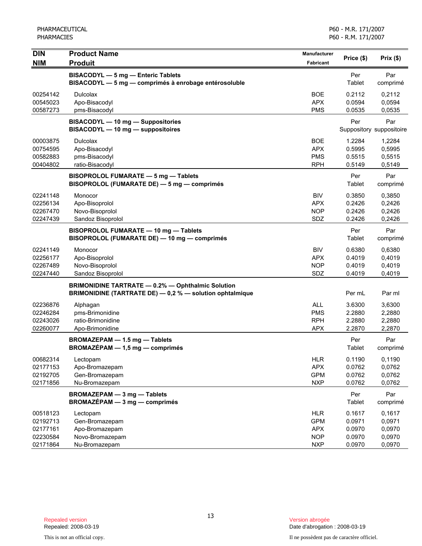| <b>DIN</b>           | <b>Product Name</b>                                                                                                  | Manufacturer             | Price (\$)       | Prix(\$)                        |
|----------------------|----------------------------------------------------------------------------------------------------------------------|--------------------------|------------------|---------------------------------|
| <b>NIM</b>           | <b>Produit</b>                                                                                                       | <b>Fabricant</b>         |                  |                                 |
|                      | BISACODYL - 5 mg - Enteric Tablets<br>BISACODYL - 5 mg - comprimés à enrobage entérosoluble                          |                          | Per<br>Tablet    | Par<br>comprimé                 |
| 00254142             | <b>Dulcolax</b>                                                                                                      | <b>BOE</b>               | 0.2112           | 0,2112                          |
| 00545023<br>00587273 | Apo-Bisacodyl<br>pms-Bisacodyl                                                                                       | <b>APX</b><br><b>PMS</b> | 0.0594<br>0.0535 | 0,0594<br>0,0535                |
|                      | BISACODYL - 10 mg - Suppositories<br>BISACODYL - 10 mg - suppositoires                                               |                          | Per              | Par<br>Suppository suppositoire |
| 00003875             | <b>Dulcolax</b>                                                                                                      | <b>BOE</b>               | 1.2284           | 1,2284                          |
| 00754595<br>00582883 | Apo-Bisacodyl<br>pms-Bisacodyl                                                                                       | <b>APX</b><br><b>PMS</b> | 0.5995<br>0.5515 | 0,5995<br>0,5515                |
| 00404802             | ratio-Bisacodyl                                                                                                      | <b>RPH</b>               | 0.5149           | 0,5149                          |
|                      | BISOPROLOL FUMARATE - 5 mg - Tablets<br>BISOPROLOL (FUMARATE DE) - 5 mg - comprimés                                  |                          | Per<br>Tablet    | Par<br>comprimé                 |
| 02241148             | Monocor                                                                                                              | <b>BIV</b>               | 0.3850           | 0,3850                          |
| 02256134             | Apo-Bisoprolol                                                                                                       | <b>APX</b>               | 0.2426           | 0.2426                          |
| 02267470             | Novo-Bisoprolol                                                                                                      | <b>NOP</b>               | 0.2426           | 0,2426                          |
| 02247439             | Sandoz Bisoprolol                                                                                                    | SDZ                      | 0.2426           | 0,2426                          |
|                      | BISOPROLOL FUMARATE - 10 mg - Tablets<br>BISOPROLOL (FUMARATE DE) - 10 mg - comprimés                                |                          | Per<br>Tablet    | Par<br>comprimé                 |
| 02241149             | Monocor                                                                                                              | <b>BIV</b>               | 0.6380           | 0,6380                          |
| 02256177             | Apo-Bisoprolol                                                                                                       | <b>APX</b>               | 0.4019           | 0,4019                          |
| 02267489             | Novo-Bisoprolol                                                                                                      | <b>NOP</b>               | 0.4019           | 0,4019                          |
| 02247440             | Sandoz Bisoprolol                                                                                                    | SDZ                      | 0.4019           | 0,4019                          |
|                      | <b>BRIMONIDINE TARTRATE - 0.2% - Ophthalmic Solution</b><br>BRIMONIDINE (TARTRATE DE) - 0,2 % - solution ophtalmique |                          | Per mL           | Par ml                          |
| 02236876             | Alphagan                                                                                                             | <b>ALL</b>               | 3.6300           | 3,6300                          |
| 02246284             | pms-Brimonidine                                                                                                      | <b>PMS</b>               | 2.2880           | 2,2880                          |
| 02243026             | ratio-Brimonidine                                                                                                    | <b>RPH</b>               | 2.2880           | 2,2880                          |
| 02260077             | Apo-Brimonidine                                                                                                      | <b>APX</b>               | 2.2870           | 2,2870                          |
|                      | BROMAZEPAM - 1.5 mg - Tablets<br><b>BROMAZÉPAM - 1,5 mg - comprimés</b>                                              |                          | Per<br>Tablet    | Par<br>comprimé                 |
| 00682314             | Lectopam                                                                                                             | HLR                      | 0.1190           | 0,1190                          |
| 02177153             | Apo-Bromazepam                                                                                                       | <b>APX</b>               | 0.0762           | 0,0762                          |
| 02192705             | Gen-Bromazepam                                                                                                       | <b>GPM</b>               | 0.0762           | 0,0762                          |
| 02171856             | Nu-Bromazepam                                                                                                        | <b>NXP</b>               | 0.0762           | 0,0762                          |
|                      | <b>BROMAZEPAM - 3 mg - Tablets</b><br>BROMAZÉPAM - 3 mg - comprimés                                                  |                          | Per<br>Tablet    | Par<br>comprimé                 |
| 00518123             | Lectopam                                                                                                             | <b>HLR</b>               | 0.1617           | 0,1617                          |
| 02192713             | Gen-Bromazepam                                                                                                       | <b>GPM</b>               | 0.0971           | 0,0971                          |
| 02177161             | Apo-Bromazepam                                                                                                       | <b>APX</b>               | 0.0970           | 0,0970                          |
| 02230584             | Novo-Bromazepam                                                                                                      | <b>NOP</b>               | 0.0970           | 0,0970                          |
| 02171864             | Nu-Bromazepam                                                                                                        | <b>NXP</b>               | 0.0970           | 0,0970                          |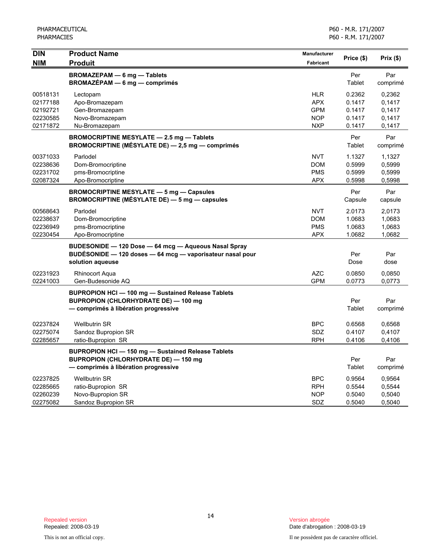| <b>DIN</b> | <b>Product Name</b>                                       | <b>Manufacturer</b> | Price (\$) | Prix(\$) |
|------------|-----------------------------------------------------------|---------------------|------------|----------|
| <b>NIM</b> | <b>Produit</b><br><b>BROMAZEPAM - 6 mg - Tablets</b>      | <b>Fabricant</b>    | Per        | Par      |
|            | <b>BROMAZÉPAM - 6 mg - comprimés</b>                      |                     | Tablet     | comprimé |
| 00518131   | Lectopam                                                  | <b>HLR</b>          | 0.2362     | 0,2362   |
| 02177188   | Apo-Bromazepam                                            | <b>APX</b>          | 0.1417     | 0,1417   |
| 02192721   | Gen-Bromazepam                                            | GPM                 | 0.1417     | 0,1417   |
| 02230585   | Novo-Bromazepam                                           | <b>NOP</b>          | 0.1417     | 0.1417   |
| 02171872   | Nu-Bromazepam                                             | <b>NXP</b>          | 0.1417     | 0,1417   |
|            | BROMOCRIPTINE MESYLATE - 2.5 mg - Tablets                 |                     | Per        | Par      |
|            | BROMOCRIPTINE (MÉSYLATE DE) - 2,5 mg - comprimés          |                     | Tablet     | comprimé |
| 00371033   | Parlodel                                                  | <b>NVT</b>          | 1.1327     | 1,1327   |
| 02238636   | Dom-Bromocriptine                                         | <b>DOM</b>          | 0.5999     | 0,5999   |
| 02231702   | pms-Bromocriptine                                         | <b>PMS</b>          | 0.5999     | 0,5999   |
| 02087324   | Apo-Bromocriptine                                         | <b>APX</b>          | 0.5998     | 0,5998   |
|            | <b>BROMOCRIPTINE MESYLATE - 5 mg - Capsules</b>           |                     | Per        | Par      |
|            | BROMOCRIPTINE (MÉSYLATE DE) - 5 mg - capsules             |                     | Capsule    | capsule  |
| 00568643   | Parlodel                                                  | <b>NVT</b>          | 2.0173     | 2,0173   |
| 02238637   | Dom-Bromocriptine                                         | <b>DOM</b>          | 1.0683     | 1,0683   |
| 02236949   | pms-Bromocriptine                                         | <b>PMS</b>          | 1.0683     | 1,0683   |
| 02230454   | Apo-Bromocriptine                                         | <b>APX</b>          | 1.0682     | 1,0682   |
|            | BUDESONIDE - 120 Dose - 64 mcg - Aqueous Nasal Spray      |                     |            |          |
|            | BUDESONIDE - 120 doses - 64 mcg - vaporisateur nasal pour |                     | Per        | Par      |
|            | solution aqueuse                                          |                     | Dose       | dose     |
| 02231923   | Rhinocort Aqua                                            | <b>AZC</b>          | 0.0850     | 0,0850   |
| 02241003   | Gen-Budesonide AQ                                         | <b>GPM</b>          | 0.0773     | 0,0773   |
|            | <b>BUPROPION HCI-100 mg-Sustained Release Tablets</b>     |                     |            |          |
|            | <b>BUPROPION (CHLORHYDRATE DE) - 100 mg</b>               |                     | Per        | Par      |
|            | - comprimés à libération progressive                      |                     | Tablet     | comprimé |
| 02237824   | <b>Wellbutrin SR</b>                                      | <b>BPC</b>          | 0.6568     | 0,6568   |
| 02275074   | Sandoz Bupropion SR                                       | <b>SDZ</b>          | 0.4107     | 0,4107   |
| 02285657   | ratio-Bupropion SR                                        | <b>RPH</b>          | 0.4106     | 0,4106   |
|            | <b>BUPROPION HCI - 150 mg - Sustained Release Tablets</b> |                     |            |          |
|            | <b>BUPROPION (CHLORHYDRATE DE) - 150 mg</b>               |                     | Per        | Par      |
|            | - comprimés à libération progressive                      |                     | Tablet     | comprimé |
| 02237825   | <b>Wellbutrin SR</b>                                      | <b>BPC</b>          | 0.9564     | 0,9564   |
| 02285665   | ratio-Bupropion SR                                        | <b>RPH</b>          | 0.5544     | 0,5544   |
| 02260239   | Novo-Bupropion SR                                         | <b>NOP</b>          | 0.5040     | 0,5040   |
| 02275082   | Sandoz Bupropion SR                                       | SDZ                 | 0.5040     | 0,5040   |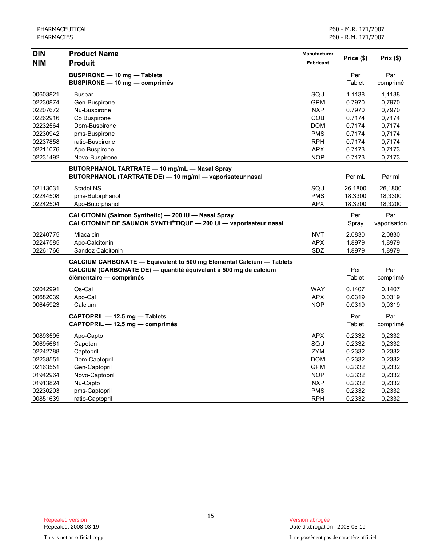| <b>DIN</b> | <b>Product Name</b>                                                         | Manufacturer     |            |              |
|------------|-----------------------------------------------------------------------------|------------------|------------|--------------|
| <b>NIM</b> | <b>Produit</b>                                                              | <b>Fabricant</b> | Price (\$) | Prix(\$)     |
|            | <b>BUSPIRONE - 10 mg - Tablets</b>                                          |                  | Per        | Par          |
|            | BUSPIRONE - 10 mg - comprimés                                               |                  | Tablet     | comprimé     |
| 00603821   | Buspar                                                                      | SQU              | 1.1138     | 1,1138       |
| 02230874   | Gen-Buspirone                                                               | <b>GPM</b>       | 0.7970     | 0,7970       |
| 02207672   | Nu-Buspirone                                                                | <b>NXP</b>       | 0.7970     | 0,7970       |
| 02262916   | Co Buspirone                                                                | <b>COB</b>       | 0.7174     | 0,7174       |
| 02232564   | Dom-Buspirone                                                               | <b>DOM</b>       | 0.7174     | 0,7174       |
| 02230942   | pms-Buspirone                                                               | <b>PMS</b>       | 0.7174     | 0,7174       |
| 02237858   | ratio-Buspirone                                                             | <b>RPH</b>       | 0.7174     | 0,7174       |
| 02211076   | Apo-Buspirone                                                               | <b>APX</b>       | 0.7173     | 0,7173       |
| 02231492   | Novo-Buspirone                                                              | <b>NOP</b>       | 0.7173     | 0,7173       |
|            | BUTORPHANOL TARTRATE - 10 mg/mL - Nasal Spray                               |                  |            |              |
|            | BUTORPHANOL (TARTRATE DE) - 10 mg/ml - vaporisateur nasal                   |                  | Per mL     | Par ml       |
| 02113031   | Stadol NS                                                                   | SQU              | 26.1800    | 26,1800      |
| 02244508   | pms-Butorphanol                                                             | <b>PMS</b>       | 18.3300    | 18,3300      |
| 02242504   | Apo-Butorphanol                                                             | <b>APX</b>       | 18.3200    | 18,3200      |
|            | CALCITONIN (Salmon Synthetic) - 200 IU - Nasal Spray                        |                  | Per        | Par          |
|            | CALCITONINE DE SAUMON SYNTHÉTIQUE - 200 UI - vaporisateur nasal             |                  | Spray      | vaporisation |
| 02240775   | Miacalcin                                                                   | <b>NVT</b>       | 2.0830     | 2,0830       |
| 02247585   | Apo-Calcitonin                                                              | <b>APX</b>       | 1.8979     | 1,8979       |
| 02261766   | Sandoz Calcitonin                                                           | <b>SDZ</b>       | 1.8979     | 1,8979       |
|            | <b>CALCIUM CARBONATE - Equivalent to 500 mg Elemental Calcium - Tablets</b> |                  |            |              |
|            | CALCIUM (CARBONATE DE) - quantité équivalant à 500 mg de calcium            |                  | Per        | Par          |
|            | élémentaire - comprimés                                                     |                  | Tablet     | comprimé     |
| 02042991   | Os-Cal                                                                      | <b>WAY</b>       | 0.1407     | 0,1407       |
| 00682039   | Apo-Cal                                                                     | <b>APX</b>       | 0.0319     | 0,0319       |
| 00645923   | Calcium                                                                     | <b>NOP</b>       | 0.0319     | 0,0319       |
|            | CAPTOPRIL - 12.5 mg - Tablets                                               |                  | Per        | Par          |
|            | CAPTOPRIL - 12,5 mg - comprimés                                             |                  | Tablet     | comprimé     |
| 00893595   | Apo-Capto                                                                   | <b>APX</b>       | 0.2332     | 0,2332       |
| 00695661   | Capoten                                                                     | SQU              | 0.2332     | 0,2332       |
| 02242788   | Captopril                                                                   | <b>ZYM</b>       | 0.2332     | 0,2332       |
| 02238551   | Dom-Captopril                                                               | <b>DOM</b>       | 0.2332     | 0,2332       |
| 02163551   | Gen-Captopril                                                               | <b>GPM</b>       | 0.2332     | 0,2332       |
| 01942964   | Novo-Captopril                                                              | <b>NOP</b>       | 0.2332     | 0,2332       |
| 01913824   | Nu-Capto                                                                    | <b>NXP</b>       | 0.2332     | 0,2332       |
| 02230203   | pms-Captopril                                                               | <b>PMS</b>       | 0.2332     | 0,2332       |
| 00851639   | ratio-Captopril                                                             | <b>RPH</b>       | 0.2332     | 0,2332       |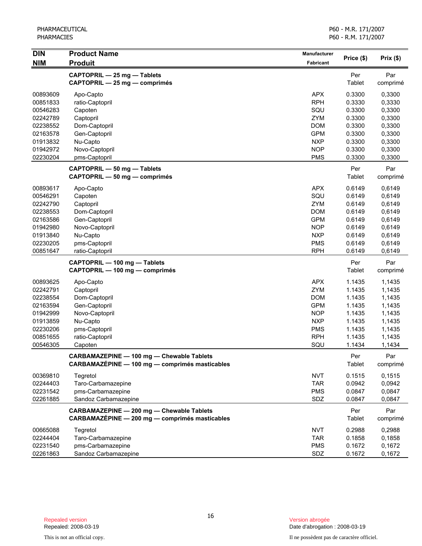| <b>DIN</b>           | <b>Product Name</b>                                                                         | Manufacturer             | Price (\$)       | Prix(\$)         |
|----------------------|---------------------------------------------------------------------------------------------|--------------------------|------------------|------------------|
| <b>NIM</b>           | <b>Produit</b>                                                                              | <b>Fabricant</b>         |                  |                  |
|                      | CAPTOPRIL - 25 mg - Tablets                                                                 |                          | Per              | Par              |
|                      | CAPTOPRIL - 25 mg - comprimés                                                               |                          | Tablet           | comprimé         |
| 00893609             | Apo-Capto                                                                                   | <b>APX</b>               | 0.3300           | 0,3300           |
| 00851833             | ratio-Captopril                                                                             | <b>RPH</b>               | 0.3330           | 0,3330           |
| 00546283             | Capoten                                                                                     | SQU                      | 0.3300           | 0,3300           |
| 02242789             | Captopril                                                                                   | ZYM                      | 0.3300           | 0,3300           |
| 02238552             | Dom-Captopril                                                                               | <b>DOM</b>               | 0.3300           | 0,3300           |
| 02163578             | Gen-Captopril                                                                               | <b>GPM</b>               | 0.3300           | 0,3300           |
| 01913832             | Nu-Capto                                                                                    | <b>NXP</b>               | 0.3300           | 0,3300           |
| 01942972             | Novo-Captopril                                                                              | <b>NOP</b>               | 0.3300           | 0,3300           |
| 02230204             | pms-Captopril                                                                               | <b>PMS</b>               | 0.3300           | 0,3300           |
|                      | CAPTOPRIL - 50 mg - Tablets                                                                 |                          | Per              | Par              |
|                      | CAPTOPRIL - 50 mg - comprimés                                                               |                          | Tablet           | comprimé         |
| 00893617             | Apo-Capto                                                                                   | <b>APX</b>               | 0.6149           | 0,6149           |
| 00546291             | Capoten                                                                                     | SQU                      | 0.6149           | 0,6149           |
| 02242790             | Captopril                                                                                   | <b>ZYM</b>               | 0.6149           | 0,6149           |
| 02238553             | Dom-Captopril                                                                               | <b>DOM</b>               | 0.6149           | 0,6149           |
| 02163586             | Gen-Captopril                                                                               | <b>GPM</b>               | 0.6149           | 0,6149           |
| 01942980             | Novo-Captopril                                                                              | <b>NOP</b>               | 0.6149           | 0,6149           |
| 01913840             | Nu-Capto                                                                                    | <b>NXP</b>               | 0.6149           | 0,6149           |
| 02230205             | pms-Captopril                                                                               | <b>PMS</b>               | 0.6149           | 0,6149           |
| 00851647             | ratio-Captopril                                                                             | <b>RPH</b>               | 0.6149           | 0,6149           |
|                      | CAPTOPRIL - 100 mg - Tablets                                                                |                          | Per              | Par              |
|                      | CAPTOPRIL - 100 mg - comprimés                                                              |                          | Tablet           | comprimé         |
| 00893625             | Apo-Capto                                                                                   | <b>APX</b>               | 1.1435           | 1,1435           |
| 02242791             | Captopril                                                                                   | ZYM                      | 1.1435           | 1,1435           |
| 02238554             | Dom-Captopril                                                                               | <b>DOM</b>               | 1.1435           | 1,1435           |
| 02163594             | Gen-Captopril                                                                               | <b>GPM</b>               | 1.1435           | 1,1435           |
| 01942999             | Novo-Captopril                                                                              | <b>NOP</b>               | 1.1435           | 1,1435           |
| 01913859             | Nu-Capto                                                                                    | <b>NXP</b><br><b>PMS</b> | 1.1435           | 1,1435           |
| 02230206<br>00851655 | pms-Captopril<br>ratio-Captopril                                                            | <b>RPH</b>               | 1.1435<br>1.1435 | 1,1435<br>1,1435 |
| 00546305             | Capoten                                                                                     | SQU                      | 1.1434           | 1,1434           |
|                      |                                                                                             |                          |                  |                  |
|                      | CARBAMAZEPINE - 100 mg - Chewable Tablets<br>CARBAMAZÉPINE - 100 mg - comprimés masticables |                          | Per<br>Tablet    | Par<br>comprimé  |
|                      |                                                                                             |                          |                  |                  |
| 00369810             | Tegretol                                                                                    | <b>NVT</b>               | 0.1515           | 0,1515           |
| 02244403             | Taro-Carbamazepine                                                                          | <b>TAR</b>               | 0.0942           | 0,0942           |
| 02231542             | pms-Carbamazepine                                                                           | <b>PMS</b><br>SDZ        | 0.0847           | 0,0847           |
| 02261885             | Sandoz Carbamazepine                                                                        |                          | 0.0847           | 0,0847           |
|                      | CARBAMAZEPINE - 200 mg - Chewable Tablets                                                   |                          | Per              | Par              |
|                      | CARBAMAZÉPINE - 200 mg - comprimés masticables                                              |                          | Tablet           | comprimé         |
| 00665088             | Tegretol                                                                                    | <b>NVT</b>               | 0.2988           | 0,2988           |
| 02244404             | Taro-Carbamazepine                                                                          | <b>TAR</b>               | 0.1858           | 0,1858           |
| 02231540             | pms-Carbamazepine                                                                           | <b>PMS</b>               | 0.1672           | 0,1672           |
| 02261863             | Sandoz Carbamazepine                                                                        | SDZ                      | 0.1672           | 0,1672           |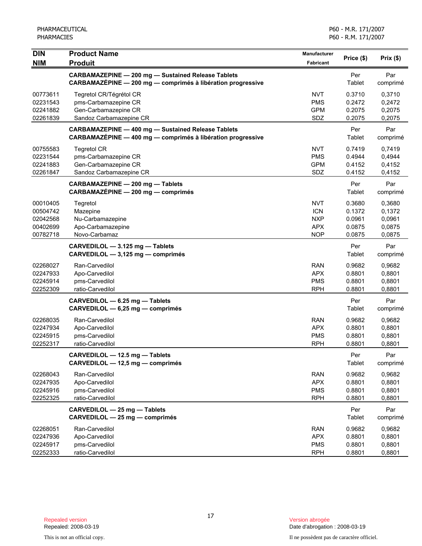| <b>DIN</b>                                               | <b>Product Name</b>                                                                                                      | Manufacturer                                         | Price (\$)                                     | Prix(\$)                                       |
|----------------------------------------------------------|--------------------------------------------------------------------------------------------------------------------------|------------------------------------------------------|------------------------------------------------|------------------------------------------------|
| <b>NIM</b>                                               | <b>Produit</b>                                                                                                           | Fabricant                                            |                                                |                                                |
|                                                          | <b>CARBAMAZEPINE - 200 mg - Sustained Release Tablets</b><br>CARBAMAZÉPINE - 200 mg - comprimés à libération progressive |                                                      | Per<br>Tablet                                  | Par<br>comprimé                                |
| 00773611<br>02231543<br>02241882<br>02261839             | Tegretol CR/Tégrétol CR<br>pms-Carbamazepine CR<br>Gen-Carbamazepine CR<br>Sandoz Carbamazepine CR                       | <b>NVT</b><br><b>PMS</b><br><b>GPM</b><br>SDZ        | 0.3710<br>0.2472<br>0.2075<br>0.2075           | 0,3710<br>0,2472<br>0,2075<br>0,2075           |
|                                                          | <b>CARBAMAZEPINE - 400 mg - Sustained Release Tablets</b><br>CARBAMAZÉPINE - 400 mg - comprimés à libération progressive |                                                      | Per<br>Tablet                                  | Par<br>comprimé                                |
| 00755583<br>02231544<br>02241883<br>02261847             | <b>Tegretol CR</b><br>pms-Carbamazepine CR<br>Gen-Carbamazepine CR<br>Sandoz Carbamazepine CR                            | NVT<br><b>PMS</b><br><b>GPM</b><br>SDZ               | 0.7419<br>0.4944<br>0.4152<br>0.4152           | 0,7419<br>0,4944<br>0,4152<br>0,4152           |
|                                                          | CARBAMAZEPINE - 200 mg - Tablets<br>CARBAMAZÉPINE - 200 mg - comprimés                                                   |                                                      | Per<br>Tablet                                  | Par<br>comprimé                                |
| 00010405<br>00504742<br>02042568<br>00402699<br>00782718 | Tegretol<br>Mazepine<br>Nu-Carbamazepine<br>Apo-Carbamazepine<br>Novo-Carbamaz                                           | NVT<br><b>ICN</b><br>NXP<br><b>APX</b><br><b>NOP</b> | 0.3680<br>0.1372<br>0.0961<br>0.0875<br>0.0875 | 0,3680<br>0,1372<br>0,0961<br>0,0875<br>0,0875 |
|                                                          | CARVEDILOL - 3.125 mg - Tablets<br>CARVEDILOL - 3,125 mg - comprimés                                                     |                                                      | Per<br>Tablet                                  | Par<br>comprimé                                |
| 02268027<br>02247933<br>02245914<br>02252309             | Ran-Carvedilol<br>Apo-Carvedilol<br>pms-Carvedilol<br>ratio-Carvedilol                                                   | <b>RAN</b><br><b>APX</b><br><b>PMS</b><br><b>RPH</b> | 0.9682<br>0.8801<br>0.8801<br>0.8801           | 0,9682<br>0,8801<br>0,8801<br>0,8801           |
|                                                          | CARVEDILOL - 6.25 mg - Tablets<br>CARVEDILOL - 6,25 mg - comprimés                                                       |                                                      | Per<br>Tablet                                  | Par<br>comprimé                                |
| 02268035<br>02247934<br>02245915<br>02252317             | Ran-Carvedilol<br>Apo-Carvedilol<br>pms-Carvedilol<br>ratio-Carvedilol                                                   | RAN<br><b>APX</b><br><b>PMS</b><br><b>RPH</b>        | 0.9682<br>0.8801<br>0.8801<br>0.8801           | 0,9682<br>0,8801<br>0,8801<br>0,8801           |
|                                                          | CARVEDILOL - 12.5 mg - Tablets<br>CARVEDILOL - 12,5 mg - comprimés                                                       |                                                      | Per<br>Tablet                                  | Par<br>comprimé                                |
| 02268043<br>02247935<br>02245916<br>02252325             | Ran-Carvedilol<br>Apo-Carvedilol<br>pms-Carvedilol<br>ratio-Carvedilol                                                   | <b>RAN</b><br><b>APX</b><br><b>PMS</b><br><b>RPH</b> | 0.9682<br>0.8801<br>0.8801<br>0.8801           | 0,9682<br>0,8801<br>0,8801<br>0,8801           |
|                                                          | CARVEDILOL - 25 mg - Tablets<br>CARVEDILOL - 25 mg - comprimés                                                           |                                                      | Per<br>Tablet                                  | Par<br>comprimé                                |
| 02268051<br>02247936<br>02245917<br>02252333             | Ran-Carvedilol<br>Apo-Carvedilol<br>pms-Carvedilol<br>ratio-Carvedilol                                                   | <b>RAN</b><br><b>APX</b><br><b>PMS</b><br><b>RPH</b> | 0.9682<br>0.8801<br>0.8801<br>0.8801           | 0,9682<br>0,8801<br>0,8801<br>0,8801           |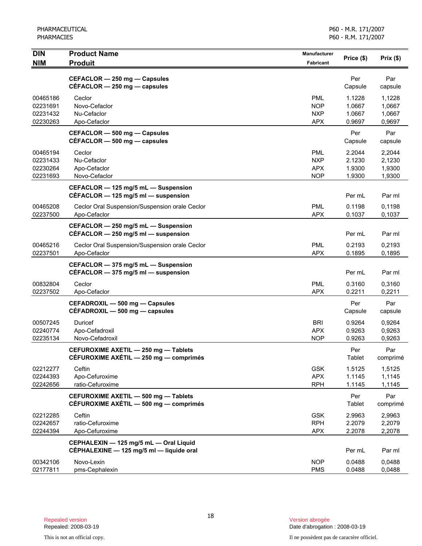| <b>DIN</b><br><b>NIM</b> | <b>Product Name</b><br><b>Produit</b>                                              | <b>Manufacturer</b><br><b>Fabricant</b> | Price (\$)       | Prix(\$)         |
|--------------------------|------------------------------------------------------------------------------------|-----------------------------------------|------------------|------------------|
|                          |                                                                                    |                                         |                  |                  |
|                          | CEFACLOR - 250 mg - Capsules                                                       |                                         | Per              | Par              |
|                          | $CEFACLOR - 250$ mg $-$ capsules                                                   |                                         | Capsule          | capsule          |
| 00465186                 | Ceclor                                                                             | <b>PML</b>                              | 1.1228           | 1,1228           |
| 02231691<br>02231432     | Novo-Cefaclor<br>Nu-Cefaclor                                                       | <b>NOP</b><br><b>NXP</b>                | 1.0667<br>1.0667 | 1,0667<br>1,0667 |
| 02230263                 | Apo-Cefaclor                                                                       | <b>APX</b>                              | 0.9697           | 0,9697           |
|                          | CEFACLOR - 500 mg - Capsules                                                       |                                         | Per              | Par              |
|                          | $CEFACLOR - 500$ mg $-$ capsules                                                   |                                         | Capsule          | capsule          |
| 00465194                 | Ceclor                                                                             | <b>PML</b>                              | 2.2044           | 2,2044           |
| 02231433                 | Nu-Cefaclor                                                                        | <b>NXP</b>                              | 2.1230           | 2,1230           |
| 02230264                 | Apo-Cefaclor                                                                       | <b>APX</b>                              | 1.9300           | 1,9300           |
| 02231693                 | Novo-Cefaclor                                                                      | <b>NOP</b>                              | 1.9300           | 1,9300           |
|                          | CEFACLOR - 125 mg/5 mL - Suspension<br>CEFACLOR $-$ 125 mg/5 ml $-$ suspension     |                                         | Per mL           | Par ml           |
| 00465208                 | Ceclor Oral Suspension/Suspension orale Ceclor                                     | <b>PML</b>                              | 0.1198           | 0,1198           |
| 02237500                 | Apo-Cefaclor                                                                       | <b>APX</b>                              | 0.1037           | 0,1037           |
|                          | CEFACLOR - 250 mg/5 mL - Suspension                                                |                                         |                  |                  |
|                          | CÉFACLOR $-$ 250 mg/5 ml $-$ suspension                                            |                                         | Per mL           | Par ml           |
| 00465216                 | Ceclor Oral Suspension/Suspension orale Ceclor                                     | <b>PML</b>                              | 0.2193           | 0,2193           |
| 02237501                 | Apo-Cefaclor                                                                       | <b>APX</b>                              | 0.1895           | 0,1895           |
|                          | CEFACLOR - 375 mg/5 mL - Suspension<br>CÉFACLOR $-$ 375 mg/5 ml $-$ suspension     |                                         | Per mL           | Par ml           |
| 00832804                 | Ceclor                                                                             | <b>PML</b>                              | 0.3160           | 0,3160           |
| 02237502                 | Apo-Cefaclor                                                                       | <b>APX</b>                              | 0.2211           | 0,2211           |
|                          | CEFADROXIL - 500 mg - Capsules                                                     |                                         | Per              | Par              |
|                          | CEFADROXIL - 500 mg - capsules                                                     |                                         | Capsule          | capsule          |
| 00507245                 | Duricef                                                                            | <b>BRI</b>                              | 0.9264           | 0,9264           |
| 02240774                 | Apo-Cefadroxil                                                                     | <b>APX</b>                              | 0.9263           | 0,9263           |
| 02235134                 | Novo-Cefadroxil                                                                    | <b>NOP</b>                              | 0.9263           | 0,9263           |
|                          | CEFUROXIME AXETIL - 250 mg - Tablets                                               |                                         | Per              | Par              |
|                          | CÉFUROXIME AXÉTIL - 250 mg - comprimés                                             |                                         | Tablet           | comprimé         |
| 02212277<br>02244393     | Ceftin<br>Apo-Cefuroxime                                                           | <b>GSK</b><br><b>APX</b>                | 1.5125<br>1.1145 | 1,5125<br>1,1145 |
| 02242656                 | ratio-Cefuroxime                                                                   | <b>RPH</b>                              | 1.1145           | 1,1145           |
|                          | CEFUROXIME AXETIL - 500 mg - Tablets                                               |                                         | Per              | Par              |
|                          | CÉFUROXIME AXÉTIL - 500 mg - comprimés                                             |                                         | Tablet           | comprimé         |
| 02212285                 | Ceftin                                                                             | <b>GSK</b>                              | 2.9963           | 2,9963           |
| 02242657                 | ratio-Cefuroxime                                                                   | <b>RPH</b>                              | 2.2079           | 2,2079           |
| 02244394                 | Apo-Cefuroxime                                                                     | <b>APX</b>                              | 2.2078           | 2,2078           |
|                          | CEPHALEXIN - 125 mg/5 mL - Oral Liquid<br>CÉPHALEXINE - 125 mg/5 ml - liquide oral |                                         | Per mL           | Par ml           |
|                          |                                                                                    |                                         |                  |                  |
| 00342106<br>02177811     | Novo-Lexin<br>pms-Cephalexin                                                       | <b>NOP</b><br><b>PMS</b>                | 0.0488<br>0.0488 | 0,0488<br>0,0488 |
|                          |                                                                                    |                                         |                  |                  |

Date d'abrogation : 2008-03-19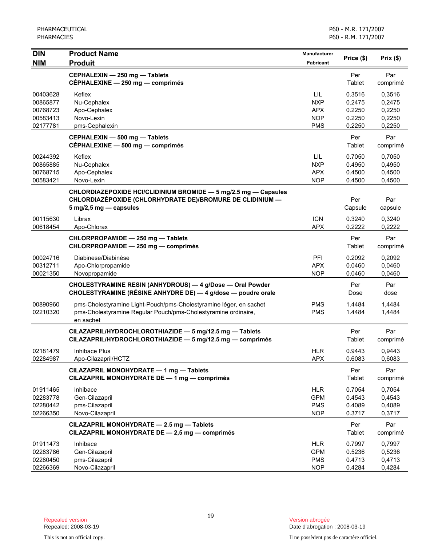| <b>DIN</b>                                               | <b>Product Name</b>                                                                                                                                                       | Manufacturer                                                       | Price (\$)                                     | Prix(\$)                                       |
|----------------------------------------------------------|---------------------------------------------------------------------------------------------------------------------------------------------------------------------------|--------------------------------------------------------------------|------------------------------------------------|------------------------------------------------|
| <b>NIM</b>                                               | <b>Produit</b>                                                                                                                                                            | Fabricant                                                          |                                                |                                                |
|                                                          | CEPHALEXIN - 250 mg - Tablets<br>CÉPHALEXINE - 250 mg - comprimés                                                                                                         |                                                                    | Per<br>Tablet                                  | Par<br>comprimé                                |
| 00403628<br>00865877<br>00768723<br>00583413<br>02177781 | Keflex<br>Nu-Cephalex<br>Apo-Cephalex<br>Novo-Lexin<br>pms-Cephalexin                                                                                                     | <b>LIL</b><br><b>NXP</b><br><b>APX</b><br><b>NOP</b><br><b>PMS</b> | 0.3516<br>0.2475<br>0.2250<br>0.2250<br>0.2250 | 0,3516<br>0,2475<br>0,2250<br>0,2250<br>0,2250 |
|                                                          | CEPHALEXIN - 500 mg - Tablets<br>CEPHALEXINE - 500 mg - comprimés                                                                                                         |                                                                    | Per<br>Tablet                                  | Par<br>comprimé                                |
| 00244392<br>00865885<br>00768715<br>00583421             | Keflex<br>Nu-Cephalex<br>Apo-Cephalex<br>Novo-Lexin                                                                                                                       | <b>LIL</b><br><b>NXP</b><br><b>APX</b><br><b>NOP</b>               | 0.7050<br>0.4950<br>0.4500<br>0.4500           | 0,7050<br>0,4950<br>0,4500<br>0,4500           |
|                                                          | CHLORDIAZEPOXIDE HCI/CLIDINIUM BROMIDE - 5 mg/2.5 mg - Capsules<br>CHLORDIAZÉPOXIDE (CHLORHYDRATE DE)/BROMURE DE CLIDINIUM -<br>$5 \text{ mg}/2, 5 \text{ mg}$ - capsules |                                                                    | Per<br>Capsule                                 | Par<br>capsule                                 |
| 00115630<br>00618454                                     | Librax<br>Apo-Chlorax                                                                                                                                                     | <b>ICN</b><br><b>APX</b>                                           | 0.3240<br>0.2222                               | 0,3240<br>0,2222                               |
|                                                          | CHLORPROPAMIDE - 250 mg - Tablets<br>CHLORPROPAMIDE - 250 mg - comprimés                                                                                                  |                                                                    | Per<br>Tablet                                  | Par<br>comprimé                                |
| 00024716<br>00312711<br>00021350                         | Diabinese/Diabinèse<br>Apo-Chlorpropamide<br>Novopropamide                                                                                                                | PFI<br><b>APX</b><br><b>NOP</b>                                    | 0.2092<br>0.0460<br>0.0460                     | 0,2092<br>0,0460<br>0,0460                     |
|                                                          | CHOLESTYRAMINE RESIN (ANHYDROUS) - 4 g/Dose - Oral Powder<br>CHOLESTYRAMINE (RÉSINE ANHYDRE DE) - 4 g/dose - poudre orale                                                 |                                                                    | Per<br>Dose                                    | Par<br>dose                                    |
| 00890960<br>02210320                                     | pms-Cholestyramine Light-Pouch/pms-Cholestyramine léger, en sachet<br>pms-Cholestyramine Regular Pouch/pms-Cholestyramine ordinaire,<br>en sachet                         | <b>PMS</b><br><b>PMS</b>                                           | 1.4484<br>1.4484                               | 1,4484<br>1,4484                               |
|                                                          | CILAZAPRIL/HYDROCHLOROTHIAZIDE - 5 mg/12.5 mg - Tablets<br>CILAZAPRIL/HYDROCHLOROTHIAZIDE - 5 mg/12.5 mg - comprimés                                                      |                                                                    | Per<br>Tablet                                  | Par<br>comprimé                                |
| 02181479<br>02284987                                     | Inhibace Plus<br>Apo-Cilazapril/HCTZ                                                                                                                                      | <b>HLR</b><br><b>APX</b>                                           | 0.9443<br>0.6083                               | 0.9443<br>0,6083                               |
|                                                          | CILAZAPRIL MONOHYDRATE - 1 mg - Tablets<br>CILAZAPRIL MONOHYDRATE DE - 1 mg - comprimés                                                                                   |                                                                    | Per<br>Tablet                                  | Par<br>comprimé                                |
| 01911465<br>02283778<br>02280442<br>02266350             | Inhibace<br>Gen-Cilazapril<br>pms-Cilazapril<br>Novo-Cilazapril                                                                                                           | <b>HLR</b><br><b>GPM</b><br><b>PMS</b><br><b>NOP</b>               | 0.7054<br>0.4543<br>0.4089<br>0.3717           | 0,7054<br>0,4543<br>0,4089<br>0,3717           |
|                                                          | CILAZAPRIL MONOHYDRATE - 2.5 mg - Tablets<br>CILAZAPRIL MONOHYDRATE DE - 2,5 mg - comprimés                                                                               |                                                                    | Per<br>Tablet                                  | Par<br>comprimé                                |
| 01911473<br>02283786<br>02280450<br>02266369             | Inhibace<br>Gen-Cilazapril<br>pms-Cilazapril<br>Novo-Cilazapril                                                                                                           | <b>HLR</b><br><b>GPM</b><br><b>PMS</b><br><b>NOP</b>               | 0.7997<br>0.5236<br>0.4713<br>0.4284           | 0,7997<br>0,5236<br>0,4713<br>0,4284           |

Date d'abrogation : 2008-03-19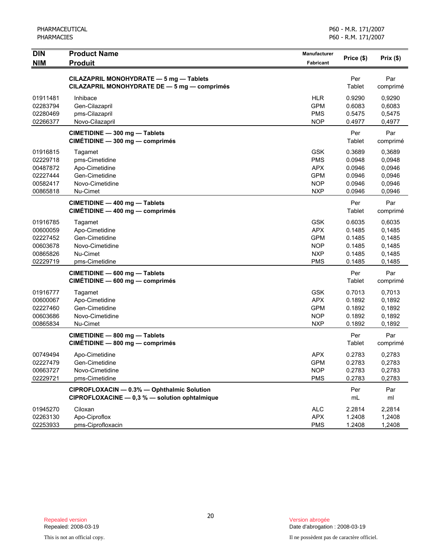| <b>DIN</b>                                                           | <b>Product Name</b>                                                                          | Manufacturer                                                                     | Price (\$)                                               |                                                          |
|----------------------------------------------------------------------|----------------------------------------------------------------------------------------------|----------------------------------------------------------------------------------|----------------------------------------------------------|----------------------------------------------------------|
| <b>NIM</b>                                                           | <b>Produit</b>                                                                               | Fabricant                                                                        |                                                          | Prix(\$)                                                 |
|                                                                      | CILAZAPRIL MONOHYDRATE - 5 mg - Tablets<br>CILAZAPRIL MONOHYDRATE DE - 5 mg - comprimés      |                                                                                  | Per<br>Tablet                                            | Par<br>comprimé                                          |
| 01911481<br>02283794<br>02280469                                     | Inhibace<br>Gen-Cilazapril<br>pms-Cilazapril                                                 | <b>HLR</b><br><b>GPM</b><br><b>PMS</b>                                           | 0.9290<br>0.6083<br>0.5475                               | 0,9290<br>0,6083<br>0,5475                               |
| 02266377                                                             | Novo-Cilazapril                                                                              | <b>NOP</b>                                                                       | 0.4977                                                   | 0,4977                                                   |
|                                                                      | CIMETIDINE - 300 mg - Tablets<br>CIMÉTIDINE - 300 mg - comprimés                             |                                                                                  | Per<br>Tablet                                            | Par<br>comprimé                                          |
| 01916815<br>02229718<br>00487872<br>02227444<br>00582417<br>00865818 | Tagamet<br>pms-Cimetidine<br>Apo-Cimetidine<br>Gen-Cimetidine<br>Novo-Cimetidine<br>Nu-Cimet | <b>GSK</b><br><b>PMS</b><br><b>APX</b><br><b>GPM</b><br><b>NOP</b><br><b>NXP</b> | 0.3689<br>0.0948<br>0.0946<br>0.0946<br>0.0946<br>0.0946 | 0,3689<br>0,0948<br>0,0946<br>0,0946<br>0,0946<br>0,0946 |
|                                                                      | CIMETIDINE - 400 mg - Tablets<br>CIMÉTIDINE - 400 mg - comprimés                             |                                                                                  | Per<br>Tablet                                            | Par<br>comprimé                                          |
| 01916785<br>00600059<br>02227452<br>00603678<br>00865826<br>02229719 | Tagamet<br>Apo-Cimetidine<br>Gen-Cimetidine<br>Novo-Cimetidine<br>Nu-Cimet<br>pms-Cimetidine | <b>GSK</b><br><b>APX</b><br><b>GPM</b><br><b>NOP</b><br><b>NXP</b><br><b>PMS</b> | 0.6035<br>0.1485<br>0.1485<br>0.1485<br>0.1485<br>0.1485 | 0,6035<br>0,1485<br>0,1485<br>0,1485<br>0,1485<br>0,1485 |
|                                                                      | CIMETIDINE - 600 mg - Tablets<br>CIMÉTIDINE - 600 mg - comprimés                             |                                                                                  | Per<br>Tablet                                            | Par<br>comprimé                                          |
| 01916777<br>00600067<br>02227460<br>00603686<br>00865834             | Tagamet<br>Apo-Cimetidine<br>Gen-Cimetidine<br>Novo-Cimetidine<br>Nu-Cimet                   | <b>GSK</b><br><b>APX</b><br><b>GPM</b><br><b>NOP</b><br><b>NXP</b>               | 0.7013<br>0.1892<br>0.1892<br>0.1892<br>0.1892           | 0,7013<br>0,1892<br>0,1892<br>0,1892<br>0,1892           |
|                                                                      | CIMETIDINE - 800 mg - Tablets<br>CIMÉTIDINE - 800 mg - comprimés                             |                                                                                  | Per<br>Tablet                                            | Par<br>comprimé                                          |
| 00749494<br>02227479<br>00663727<br>02229721                         | Apo-Cimetidine<br>Gen-Cimetidine<br>Novo-Cimetidine<br>pms-Cimetidine                        | <b>APX</b><br><b>GPM</b><br><b>NOP</b><br><b>PMS</b>                             | 0.2783<br>0.2783<br>0.2783<br>0.2783                     | 0,2783<br>0,2783<br>0,2783<br>0,2783                     |
|                                                                      | CIPROFLOXACIN - 0.3% - Ophthalmic Solution<br>CIPROFLOXACINE - 0,3 % - solution ophtalmique  |                                                                                  | Per<br>mL                                                | Par<br>ml                                                |
| 01945270<br>02263130<br>02253933                                     | Ciloxan<br>Apo-Ciproflox<br>pms-Ciprofloxacin                                                | <b>ALC</b><br><b>APX</b><br><b>PMS</b>                                           | 2.2814<br>1.2408<br>1.2408                               | 2,2814<br>1,2408<br>1,2408                               |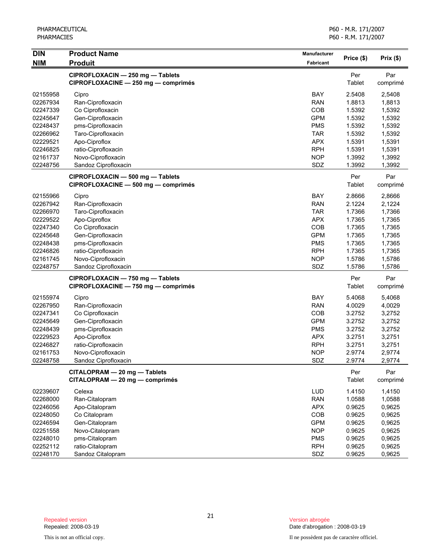| <b>DIN</b> | <b>Product Name</b>                                                     | Manufacturer |               |                 |
|------------|-------------------------------------------------------------------------|--------------|---------------|-----------------|
| <b>NIM</b> | <b>Produit</b>                                                          | Fabricant    | Price (\$)    | Prix(\$)        |
|            | CIPROFLOXACIN - 250 mg - Tablets<br>CIPROFLOXACINE - 250 mg - comprimés |              | Per<br>Tablet | Par<br>comprimé |
| 02155958   | Cipro                                                                   | <b>BAY</b>   | 2.5408        | 2,5408          |
| 02267934   | Ran-Ciprofloxacin                                                       | <b>RAN</b>   | 1.8813        | 1,8813          |
| 02247339   | Co Ciprofloxacin                                                        | COB          | 1.5392        | 1,5392          |
| 02245647   | Gen-Ciprofloxacin                                                       | <b>GPM</b>   | 1.5392        | 1,5392          |
| 02248437   | pms-Ciprofloxacin                                                       | <b>PMS</b>   | 1.5392        | 1,5392          |
| 02266962   | Taro-Ciprofloxacin                                                      | <b>TAR</b>   | 1.5392        | 1,5392          |
| 02229521   | Apo-Ciproflox                                                           | <b>APX</b>   | 1.5391        | 1,5391          |
| 02246825   | ratio-Ciprofloxacin                                                     | <b>RPH</b>   | 1.5391        | 1,5391          |
| 02161737   | Novo-Ciprofloxacin                                                      | <b>NOP</b>   | 1.3992        | 1,3992          |
| 02248756   | Sandoz Ciprofloxacin                                                    | SDZ          | 1.3992        | 1,3992          |
|            | CIPROFLOXACIN - 500 mg - Tablets<br>CIPROFLOXACINE - 500 mg - comprimés |              | Per<br>Tablet | Par<br>comprimé |
| 02155966   | Cipro                                                                   | <b>BAY</b>   | 2.8666        | 2,8666          |
| 02267942   | Ran-Ciprofloxacin                                                       | <b>RAN</b>   | 2.1224        | 2,1224          |
| 02266970   | Taro-Ciprofloxacin                                                      | <b>TAR</b>   | 1.7366        | 1,7366          |
| 02229522   | Apo-Ciproflox                                                           | <b>APX</b>   | 1.7365        | 1,7365          |
| 02247340   | Co Ciprofloxacin                                                        | COB          | 1.7365        | 1,7365          |
| 02245648   | Gen-Ciprofloxacin                                                       | <b>GPM</b>   | 1.7365        | 1,7365          |
| 02248438   | pms-Ciprofloxacin                                                       | <b>PMS</b>   | 1.7365        | 1,7365          |
| 02246826   | ratio-Ciprofloxacin                                                     | <b>RPH</b>   | 1.7365        | 1,7365          |
| 02161745   | Novo-Ciprofloxacin                                                      | <b>NOP</b>   | 1.5786        | 1,5786          |
| 02248757   | Sandoz Ciprofloxacin                                                    | SDZ          | 1.5786        | 1,5786          |
|            | CIPROFLOXACIN - 750 mg - Tablets<br>CIPROFLOXACINE - 750 mg - comprimés |              | Per<br>Tablet | Par<br>comprimé |
| 02155974   | Cipro                                                                   | <b>BAY</b>   | 5.4068        | 5,4068          |
| 02267950   | Ran-Ciprofloxacin                                                       | <b>RAN</b>   | 4.0029        | 4,0029          |
| 02247341   | Co Ciprofloxacin                                                        | COB          | 3.2752        | 3,2752          |
| 02245649   | Gen-Ciprofloxacin                                                       | <b>GPM</b>   | 3.2752        | 3,2752          |
| 02248439   | pms-Ciprofloxacin                                                       | <b>PMS</b>   | 3.2752        | 3,2752          |
| 02229523   | Apo-Ciproflox                                                           | <b>APX</b>   | 3.2751        | 3,2751          |
| 02246827   | ratio-Ciprofloxacin                                                     | <b>RPH</b>   | 3.2751        | 3,2751          |
| 02161753   | Novo-Ciprofloxacin                                                      | <b>NOP</b>   | 2.9774        | 2,9774          |
| 02248758   | Sandoz Ciprofloxacin                                                    | SDZ          | 2.9774        | 2,9774          |
|            | CITALOPRAM - 20 mg - Tablets<br>CITALOPRAM - 20 mg - comprimés          |              | Per<br>Tablet | Par<br>comprimé |
| 02239607   | Celexa                                                                  | LUD          | 1.4150        | 1,4150          |
| 02268000   | Ran-Citalopram                                                          | <b>RAN</b>   | 1.0588        | 1,0588          |
| 02246056   | Apo-Citalopram                                                          | <b>APX</b>   | 0.9625        | 0,9625          |
| 02248050   | Co Citalopram                                                           | COB          | 0.9625        | 0,9625          |
| 02246594   | Gen-Citalopram                                                          | <b>GPM</b>   | 0.9625        | 0,9625          |
| 02251558   | Novo-Citalopram                                                         | <b>NOP</b>   | 0.9625        | 0,9625          |
| 02248010   | pms-Citalopram                                                          | <b>PMS</b>   | 0.9625        | 0,9625          |
| 02252112   | ratio-Citalopram                                                        | <b>RPH</b>   | 0.9625        | 0,9625          |
| 02248170   | Sandoz Citalopram                                                       | SDZ          | 0.9625        | 0,9625          |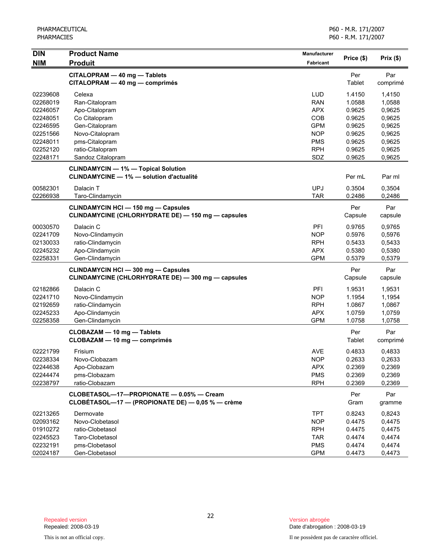| <b>DIN</b> | <b>Product Name</b>                                | <b>Manufacturer</b> |            | Prix(\$) |
|------------|----------------------------------------------------|---------------------|------------|----------|
| <b>NIM</b> | <b>Produit</b>                                     | Fabricant           | Price (\$) |          |
|            | CITALOPRAM - 40 mg - Tablets                       |                     | Per        | Par      |
|            | CITALOPRAM - 40 mg - comprimés                     |                     | Tablet     | comprimé |
| 02239608   | Celexa                                             | <b>LUD</b>          | 1.4150     | 1,4150   |
| 02268019   | Ran-Citalopram                                     | <b>RAN</b>          | 1.0588     | 1,0588   |
| 02246057   | Apo-Citalopram                                     | <b>APX</b>          | 0.9625     | 0,9625   |
| 02248051   | Co Citalopram                                      | COB                 | 0.9625     | 0,9625   |
| 02246595   | Gen-Citalopram                                     | <b>GPM</b>          | 0.9625     | 0,9625   |
| 02251566   | Novo-Citalopram                                    | <b>NOP</b>          | 0.9625     | 0,9625   |
| 02248011   | pms-Citalopram                                     | <b>PMS</b>          | 0.9625     | 0,9625   |
| 02252120   | ratio-Citalopram                                   | <b>RPH</b>          | 0.9625     | 0,9625   |
| 02248171   | Sandoz Citalopram                                  | SDZ                 | 0.9625     | 0,9625   |
|            | <b>CLINDAMYCIN - 1% - Topical Solution</b>         |                     |            |          |
|            | <b>CLINDAMYCINE - 1% - solution d'actualité</b>    |                     | Per mL     | Par ml   |
| 00582301   | Dalacin T                                          | <b>UPJ</b>          | 0.3504     | 0,3504   |
| 02266938   | Taro-Clindamycin                                   | <b>TAR</b>          | 0.2486     | 0,2486   |
|            | <b>CLINDAMYCIN HCI - 150 mg - Capsules</b>         |                     | Per        | Par      |
|            | CLINDAMYCINE (CHLORHYDRATE DE) - 150 mg - capsules |                     | Capsule    | capsule  |
| 00030570   | Dalacin C                                          | PFI                 | 0.9765     | 0,9765   |
| 02241709   | Novo-Clindamycin                                   | <b>NOP</b>          | 0.5976     | 0,5976   |
| 02130033   | ratio-Clindamycin                                  | <b>RPH</b>          | 0.5433     | 0,5433   |
| 02245232   | Apo-Clindamycin                                    | <b>APX</b>          | 0.5380     | 0,5380   |
| 02258331   | Gen-Clindamycin                                    | <b>GPM</b>          | 0.5379     | 0,5379   |
|            | <b>CLINDAMYCIN HCI - 300 mg - Capsules</b>         |                     | Per        | Par      |
|            | CLINDAMYCINE (CHLORHYDRATE DE) - 300 mg - capsules |                     | Capsule    | capsule  |
| 02182866   | Dalacin C                                          | PFI                 | 1.9531     | 1,9531   |
| 02241710   | Novo-Clindamycin                                   | <b>NOP</b>          | 1.1954     | 1,1954   |
| 02192659   | ratio-Clindamycin                                  | <b>RPH</b>          | 1.0867     | 1,0867   |
| 02245233   | Apo-Clindamycin                                    | <b>APX</b>          | 1.0759     | 1,0759   |
| 02258358   | Gen-Clindamycin                                    | <b>GPM</b>          | 1.0758     | 1,0758   |
|            | CLOBAZAM - 10 mg - Tablets                         |                     | Per        | Par      |
|            | CLOBAZAM - 10 mg - comprimés                       |                     | Tablet     | comprimé |
| 02221799   | Frisium                                            | <b>AVE</b>          | 0.4833     | 0,4833   |
| 02238334   | Novo-Clobazam                                      | <b>NOP</b>          | 0.2633     | 0,2633   |
| 02244638   | Apo-Clobazam                                       | <b>APX</b>          | 0.2369     | 0,2369   |
| 02244474   | pms-Clobazam                                       | <b>PMS</b>          | 0.2369     | 0,2369   |
| 02238797   | ratio-Clobazam                                     | <b>RPH</b>          | 0.2369     | 0,2369   |
|            | CLOBETASOL-17-PROPIONATE - 0.05% - Cream           |                     | Per        | Par      |
|            | CLOBÉTASOL-17 - (PROPIONATE DE) - 0,05 % - crème   |                     | Gram       | gramme   |
| 02213265   | Dermovate                                          | <b>TPT</b>          | 0.8243     | 0,8243   |
| 02093162   | Novo-Clobetasol                                    | <b>NOP</b>          | 0.4475     | 0,4475   |
| 01910272   | ratio-Clobetasol                                   | <b>RPH</b>          | 0.4475     | 0,4475   |
| 02245523   | Taro-Clobetasol                                    | <b>TAR</b>          | 0.4474     | 0,4474   |
| 02232191   | pms-Clobetasol                                     | <b>PMS</b>          | 0.4474     | 0,4474   |
| 02024187   | Gen-Clobetasol                                     | <b>GPM</b>          | 0.4473     | 0,4473   |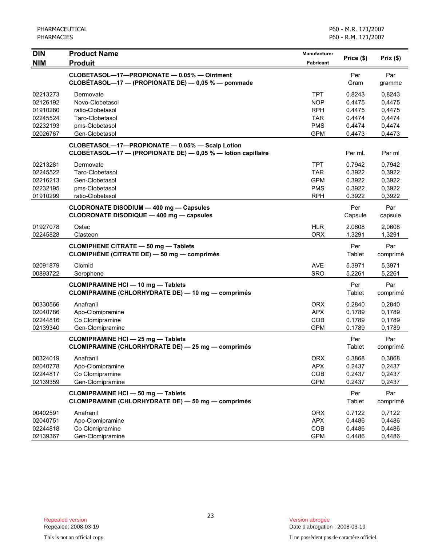| <b>DIN</b><br><b>NIM</b>                                             | <b>Product Name</b><br><b>Produit</b>                                                                           | Manufacturer<br>Fabricant                                                        | Price (\$)                                               | Prix(\$)                                                 |
|----------------------------------------------------------------------|-----------------------------------------------------------------------------------------------------------------|----------------------------------------------------------------------------------|----------------------------------------------------------|----------------------------------------------------------|
|                                                                      | CLOBETASOL-17-PROPIONATE - 0.05% - Ointment<br>CLOBÉTASOL-17 - (PROPIONATE DE) - 0,05 % - pommade               |                                                                                  | Per<br>Gram                                              | Par<br>gramme                                            |
| 02213273<br>02126192<br>01910280<br>02245524<br>02232193<br>02026767 | Dermovate<br>Novo-Clobetasol<br>ratio-Clobetasol<br>Taro-Clobetasol<br>pms-Clobetasol<br>Gen-Clobetasol         | <b>TPT</b><br><b>NOP</b><br><b>RPH</b><br><b>TAR</b><br><b>PMS</b><br><b>GPM</b> | 0.8243<br>0.4475<br>0.4475<br>0.4474<br>0.4474<br>0.4473 | 0,8243<br>0,4475<br>0,4475<br>0,4474<br>0,4474<br>0,4473 |
|                                                                      | CLOBETASOL-17-PROPIONATE - 0.05% - Scalp Lotion<br>CLOBÉTASOL-17 - (PROPIONATE DE) - 0,05 % - lotion capillaire |                                                                                  | Per mL                                                   | Par ml                                                   |
| 02213281<br>02245522<br>02216213<br>02232195<br>01910299             | Dermovate<br>Taro-Clobetasol<br>Gen-Clobetasol<br>pms-Clobetasol<br>ratio-Clobetasol                            | <b>TPT</b><br><b>TAR</b><br><b>GPM</b><br><b>PMS</b><br><b>RPH</b>               | 0.7942<br>0.3922<br>0.3922<br>0.3922<br>0.3922           | 0,7942<br>0,3922<br>0,3922<br>0,3922<br>0,3922           |
|                                                                      | <b>CLODRONATE DISODIUM - 400 mg - Capsules</b><br>CLODRONATE DISODIQUE - 400 mg - capsules                      |                                                                                  | Per<br>Capsule                                           | Par<br>capsule                                           |
| 01927078<br>02245828                                                 | Ostac<br>Clasteon                                                                                               | <b>HLR</b><br><b>ORX</b>                                                         | 2.0608<br>1.3291                                         | 2,0608<br>1,3291                                         |
|                                                                      | <b>CLOMIPHENE CITRATE - 50 mg - Tablets</b><br>CLOMIPHÈNE (CITRATE DE) - 50 mg - comprimés                      |                                                                                  | Per<br>Tablet                                            | Par<br>comprimé                                          |
| 02091879<br>00893722                                                 | Clomid<br>Serophene                                                                                             | <b>AVE</b><br><b>SRO</b>                                                         | 5.3971<br>5.2261                                         | 5,3971<br>5,2261                                         |
|                                                                      | <b>CLOMIPRAMINE HCI - 10 mg - Tablets</b><br><b>CLOMIPRAMINE (CHLORHYDRATE DE) - 10 mg - comprimés</b>          |                                                                                  | Per<br>Tablet                                            | Par<br>comprimé                                          |
| 00330566<br>02040786<br>02244816<br>02139340                         | Anafranil<br>Apo-Clomipramine<br>Co Clomipramine<br>Gen-Clomipramine                                            | <b>ORX</b><br><b>APX</b><br>COB<br><b>GPM</b>                                    | 0.2840<br>0.1789<br>0.1789<br>0.1789                     | 0,2840<br>0,1789<br>0,1789<br>0,1789                     |
|                                                                      | <b>CLOMIPRAMINE HCI - 25 mg - Tablets</b><br>CLOMIPRAMINE (CHLORHYDRATE DE) - 25 mg - comprimés                 |                                                                                  | Per<br>Tablet                                            | Par<br>comprimé                                          |
| 00324019<br>02040778<br>02244817<br>02139359                         | Anafranil<br>Apo-Clomipramine<br>Co Clomipramine<br>Gen-Clomipramine                                            | <b>ORX</b><br><b>APX</b><br>COB<br><b>GPM</b>                                    | 0.3868<br>0.2437<br>0.2437<br>0.2437                     | 0,3868<br>0,2437<br>0,2437<br>0,2437                     |
|                                                                      | <b>CLOMIPRAMINE HCI - 50 mg - Tablets</b><br>CLOMIPRAMINE (CHLORHYDRATE DE) - 50 mg - comprimés                 |                                                                                  | Per<br>Tablet                                            | Par<br>comprimé                                          |
| 00402591<br>02040751<br>02244818<br>02139367                         | Anafranil<br>Apo-Clomipramine<br>Co Clomipramine<br>Gen-Clomipramine                                            | ORX<br><b>APX</b><br>COB<br><b>GPM</b>                                           | 0.7122<br>0.4486<br>0.4486<br>0.4486                     | 0,7122<br>0,4486<br>0,4486<br>0,4486                     |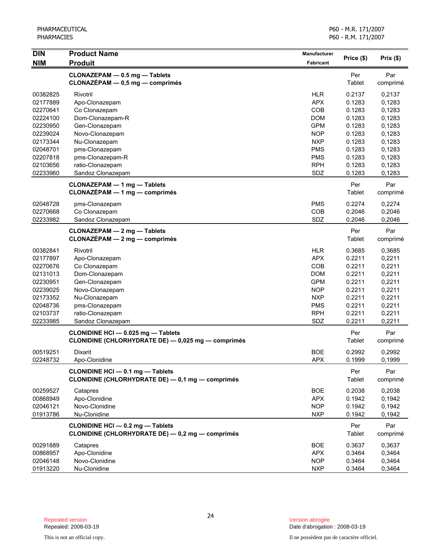| <b>DIN</b>           | <b>Product Name</b>                                                                         | Manufacturer             |                  |                  |
|----------------------|---------------------------------------------------------------------------------------------|--------------------------|------------------|------------------|
| <b>NIM</b>           | <b>Produit</b>                                                                              | Fabricant                | Price (\$)       | Prix(\$)         |
|                      | CLONAZEPAM - 0.5 mg - Tablets<br>CLONAZEPAM - 0,5 mg - comprimés                            |                          | Per<br>Tablet    | Par<br>comprimé  |
| 00382825             | Rivotril                                                                                    | <b>HLR</b>               | 0.2137           | 0,2137           |
| 02177889             | Apo-Clonazepam                                                                              | <b>APX</b>               | 0.1283           | 0,1283           |
| 02270641             | Co Clonazepam                                                                               | COB                      | 0.1283           | 0,1283           |
| 02224100<br>02230950 | Dom-Clonazepam-R<br>Gen-Clonazepam                                                          | <b>DOM</b><br><b>GPM</b> | 0.1283<br>0.1283 | 0,1283<br>0,1283 |
| 02239024             | Novo-Clonazepam                                                                             | <b>NOP</b>               | 0.1283           | 0,1283           |
| 02173344             | Nu-Clonazepam                                                                               | <b>NXP</b>               | 0.1283           | 0,1283           |
| 02048701             | pms-Clonazepam                                                                              | <b>PMS</b>               | 0.1283           | 0,1283           |
| 02207818             | pms-Clonazepam-R                                                                            | <b>PMS</b>               | 0.1283           | 0,1283           |
| 02103656             | ratio-Clonazepam                                                                            | <b>RPH</b>               | 0.1283           | 0,1283           |
| 02233960             | Sandoz Clonazepam                                                                           | SDZ                      | 0.1283           | 0,1283           |
|                      | <b>CLONAZEPAM - 1 mg - Tablets</b>                                                          |                          | Per              | Par              |
|                      | $CLONAZÉPAM - 1 mg - comprimés$                                                             |                          | Tablet           | comprimé         |
| 02048728             | pms-Clonazepam                                                                              | <b>PMS</b>               | 0.2274           | 0,2274           |
| 02270668             | Co Clonazepam                                                                               | COB                      | 0.2046           | 0,2046           |
| 02233982             | Sandoz Clonazepam                                                                           | SDZ                      | 0.2046           | 0,2046           |
|                      | <b>CLONAZEPAM - 2 mg - Tablets</b><br>$CLONAZÉPAM - 2 mg - comprimés$                       |                          | Per<br>Tablet    | Par<br>comprimé  |
| 00382841             | Rivotril                                                                                    | <b>HLR</b>               | 0.3685           | 0,3685           |
| 02177897             | Apo-Clonazepam                                                                              | <b>APX</b>               | 0.2211           | 0,2211           |
| 02270676             | Co Clonazepam                                                                               | COB                      | 0.2211           | 0,2211           |
| 02131013             | Dom-Clonazepam                                                                              | <b>DOM</b>               | 0.2211           | 0,2211           |
| 02230951             | Gen-Clonazepam                                                                              | <b>GPM</b>               | 0.2211           | 0,2211           |
| 02239025             | Novo-Clonazepam                                                                             | <b>NOP</b>               | 0.2211           | 0,2211           |
| 02173352             | Nu-Clonazepam                                                                               | <b>NXP</b>               | 0.2211           | 0,2211           |
| 02048736             | pms-Clonazepam                                                                              | <b>PMS</b>               | 0.2211           | 0,2211           |
| 02103737             | ratio-Clonazepam                                                                            | <b>RPH</b>               | 0.2211           | 0,2211           |
| 02233985             | Sandoz Clonazepam                                                                           | SDZ                      | 0.2211           | 0,2211           |
|                      | CLONIDINE HCI - 0.025 mg - Tablets<br>CLONIDINE (CHLORHYDRATE DE) - 0,025 mg - comprimés    |                          | Per<br>Tablet    | Par<br>comprimé  |
| 00519251             | Dixarit                                                                                     | <b>BOE</b>               | 0.2992           | 0,2992           |
| 02248732             | Apo-Clonidine                                                                               | <b>APX</b>               | 0.1999           | 0,1999           |
|                      | <b>CLONIDINE HCI - 0.1 mg - Tablets</b><br>CLONIDINE (CHLORHYDRATE DE) - 0,1 mg - comprimés |                          | Per<br>Tablet    | Par<br>comprimé  |
| 00259527             | Catapres                                                                                    | <b>BOE</b>               | 0.2038           | 0,2038           |
| 00868949             | Apo-Clonidine                                                                               | <b>APX</b>               | 0.1942           | 0,1942           |
| 02046121             | Novo-Clonidine                                                                              | <b>NOP</b>               | 0.1942           | 0,1942           |
| 01913786             | Nu-Clonidine                                                                                | <b>NXP</b>               | 0.1942           | 0,1942           |
|                      | CLONIDINE HCI - 0.2 mg - Tablets<br>CLONIDINE (CHLORHYDRATE DE) - 0,2 mg - comprimés        |                          | Per<br>Tablet    | Par<br>comprimé  |
| 00291889             | Catapres                                                                                    | <b>BOE</b>               | 0.3637           | 0,3637           |
| 00868957             | Apo-Clonidine                                                                               | <b>APX</b>               | 0.3464           | 0,3464           |
| 02046148             | Novo-Clonidine                                                                              | <b>NOP</b>               | 0.3464           | 0,3464           |
| 01913220             | Nu-Clonidine                                                                                | <b>NXP</b>               | 0.3464           | 0,3464           |

Date d'abrogation : 2008-03-19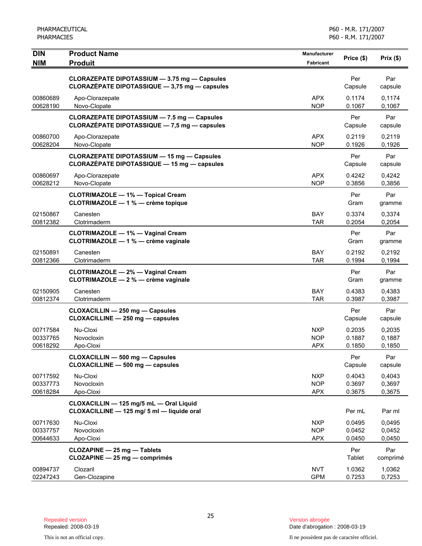| <b>DIN</b>                       | <b>Product Name</b>                                                                                | <b>Manufacturer</b>                    | Price (\$)                 | Prix(\$)                   |
|----------------------------------|----------------------------------------------------------------------------------------------------|----------------------------------------|----------------------------|----------------------------|
| <b>NIM</b>                       | <b>Produit</b>                                                                                     | <b>Fabricant</b>                       |                            |                            |
|                                  | CLORAZEPATE DIPOTASSIUM - 3.75 mg - Capsules<br>CLORAZÉPATE DIPOTASSIQUE - 3,75 mg - capsules      |                                        | Per<br>Capsule             | Par<br>capsule             |
| 00860689<br>00628190             | Apo-Clorazepate<br>Novo-Clopate                                                                    | APX.<br><b>NOP</b>                     | 0.1174<br>0.1067           | 0,1174<br>0,1067           |
|                                  | <b>CLORAZEPATE DIPOTASSIUM - 7.5 mg - Capsules</b><br>CLORAZÉPATE DIPOTASSIQUE - 7,5 mg - capsules |                                        | Per<br>Capsule             | Par<br>capsule             |
| 00860700<br>00628204             | Apo-Clorazepate<br>Novo-Clopate                                                                    | <b>APX</b><br><b>NOP</b>               | 0.2119<br>0.1926           | 0,2119<br>0,1926           |
|                                  | <b>CLORAZEPATE DIPOTASSIUM - 15 mg - Capsules</b><br>CLORAZÉPATE DIPOTASSIQUE - 15 mg - capsules   |                                        | Per<br>Capsule             | Par<br>capsule             |
| 00860697<br>00628212             | Apo-Clorazepate<br>Novo-Clopate                                                                    | <b>APX</b><br><b>NOP</b>               | 0.4242<br>0.3856           | 0,4242<br>0,3856           |
|                                  | <b>CLOTRIMAZOLE - 1% - Topical Cream</b><br>CLOTRIMAZOLE - 1 % - crème topique                     |                                        | Per<br>Gram                | Par<br>gramme              |
| 02150867<br>00812382             | Canesten<br>Clotrimaderm                                                                           | BAY<br><b>TAR</b>                      | 0.3374<br>0.2054           | 0,3374<br>0,2054           |
|                                  | <b>CLOTRIMAZOLE - 1% - Vaginal Cream</b><br>CLOTRIMAZOLE - 1 % - crème vaginale                    |                                        | Per<br>Gram                | Par<br>gramme              |
| 02150891<br>00812366             | Canesten<br>Clotrimaderm                                                                           | BAY<br><b>TAR</b>                      | 0.2192<br>0.1994           | 0,2192<br>0,1994           |
|                                  | <b>CLOTRIMAZOLE - 2% - Vaginal Cream</b><br>CLOTRIMAZOLE - 2 % - crème vaginale                    |                                        | Per<br>Gram                | Par<br>gramme              |
| 02150905<br>00812374             | Canesten<br>Clotrimaderm                                                                           | <b>BAY</b><br><b>TAR</b>               | 0.4383<br>0.3987           | 0,4383<br>0,3987           |
|                                  | CLOXACILLIN - 250 mg - Capsules<br>CLOXACILLINE - 250 mg - capsules                                |                                        | Per<br>Capsule             | Par<br>capsule             |
| 00717584<br>00337765<br>00618292 | Nu-Cloxi<br>Novocloxin<br>Apo-Cloxi                                                                | <b>NXP</b><br><b>NOP</b><br><b>APX</b> | 0.2035<br>0.1887<br>0.1850 | 0,2035<br>0,1887<br>0,1850 |
|                                  | <b>CLOXACILLIN - 500 mg - Capsules</b><br>CLOXACILLINE - 500 mg - capsules                         |                                        | Per<br>Capsule             | Par<br>capsule             |
| 00717592<br>00337773<br>00618284 | Nu-Cloxi<br>Novocloxin<br>Apo-Cloxi                                                                | <b>NXP</b><br><b>NOP</b><br><b>APX</b> | 0.4043<br>0.3697<br>0.3675 | 0,4043<br>0,3697<br>0,3675 |
|                                  | CLOXACILLIN - 125 mg/5 mL - Oral Liquid<br>CLOXACILLINE - 125 mg/ 5 ml - liquide oral              |                                        | Per mL                     | Par ml                     |
| 00717630<br>00337757<br>00644633 | Nu-Cloxi<br>Novocloxin<br>Apo-Cloxi                                                                | NXP<br><b>NOP</b><br><b>APX</b>        | 0.0495<br>0.0452<br>0.0450 | 0.0495<br>0,0452<br>0,0450 |
|                                  | <b>CLOZAPINE - 25 mg - Tablets</b><br>CLOZAPINE - 25 mg - comprimés                                |                                        | Per<br><b>Tablet</b>       | Par<br>comprimé            |
| 00894737<br>02247243             | Clozaril<br>Gen-Clozapine                                                                          | <b>NVT</b><br><b>GPM</b>               | 1.0362<br>0.7253           | 1,0362<br>0,7253           |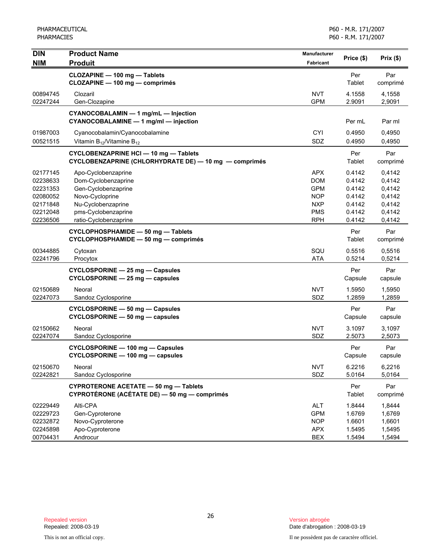| <b>DIN</b><br><b>NIM</b>                                                         | <b>Product Name</b><br><b>Produit</b>                                                                                                                      | Manufacturer<br><b>Fabricant</b>                                                               | Price (\$)                                                         | Prix(\$)                                                           |
|----------------------------------------------------------------------------------|------------------------------------------------------------------------------------------------------------------------------------------------------------|------------------------------------------------------------------------------------------------|--------------------------------------------------------------------|--------------------------------------------------------------------|
|                                                                                  | CLOZAPINE - 100 mg - Tablets<br>CLOZAPINE - 100 mg - comprimés                                                                                             |                                                                                                | Per<br>Tablet                                                      | Par<br>comprimé                                                    |
| 00894745<br>02247244                                                             | Clozaril<br>Gen-Clozapine                                                                                                                                  | <b>NVT</b><br><b>GPM</b>                                                                       | 4.1558<br>2.9091                                                   | 4,1558<br>2,9091                                                   |
|                                                                                  | CYANOCOBALAMIN - 1 mg/mL - Injection<br>CYANOCOBALAMINE - 1 mg/ml - injection                                                                              |                                                                                                | Per mL                                                             | Par ml                                                             |
| 01987003<br>00521515                                                             | Cyanocobalamin/Cyanocobalamine<br>Vitamin $B_{12}$ /Vitamine $B_{12}$                                                                                      | <b>CYI</b><br>SDZ                                                                              | 0.4950<br>0.4950                                                   | 0,4950<br>0,4950                                                   |
|                                                                                  | <b>CYCLOBENZAPRINE HCI - 10 mg - Tablets</b><br>CYCLOBENZAPRINE (CHLORHYDRATE DE) - 10 mg - comprimés                                                      |                                                                                                | Per<br>Tablet                                                      | Par<br>comprimé                                                    |
| 02177145<br>02238633<br>02231353<br>02080052<br>02171848<br>02212048<br>02236506 | Apo-Cyclobenzaprine<br>Dom-Cyclobenzaprine<br>Gen-Cyclobenzaprine<br>Novo-Cycloprine<br>Nu-Cyclobenzaprine<br>pms-Cyclobenzaprine<br>ratio-Cyclobenzaprine | <b>APX</b><br><b>DOM</b><br><b>GPM</b><br><b>NOP</b><br><b>NXP</b><br><b>PMS</b><br><b>RPH</b> | 0.4142<br>0.4142<br>0.4142<br>0.4142<br>0.4142<br>0.4142<br>0.4142 | 0,4142<br>0,4142<br>0,4142<br>0,4142<br>0,4142<br>0,4142<br>0,4142 |
|                                                                                  | CYCLOPHOSPHAMIDE - 50 mg - Tablets<br>CYCLOPHOSPHAMIDE - 50 mg - comprimés                                                                                 |                                                                                                | Per<br>Tablet                                                      | Par<br>comprimé                                                    |
| 00344885<br>02241796                                                             | Cytoxan<br>Procytox                                                                                                                                        | SQU<br><b>ATA</b>                                                                              | 0.5516<br>0.5214                                                   | 0,5516<br>0,5214                                                   |
|                                                                                  | CYCLOSPORINE - 25 mg - Capsules<br>CYCLOSPORINE - 25 mg - capsules                                                                                         |                                                                                                | Per<br>Capsule                                                     | Par<br>capsule                                                     |
| 02150689<br>02247073                                                             | Neoral<br>Sandoz Cyclosporine                                                                                                                              | <b>NVT</b><br>SDZ                                                                              | 1.5950<br>1.2859                                                   | 1,5950<br>1,2859                                                   |
|                                                                                  | CYCLOSPORINE - 50 mg - Capsules<br>CYCLOSPORINE - 50 mg - capsules                                                                                         |                                                                                                | Per<br>Capsule                                                     | Par<br>capsule                                                     |
| 02150662<br>02247074                                                             | Neoral<br>Sandoz Cyclosporine                                                                                                                              | <b>NVT</b><br>SDZ                                                                              | 3.1097<br>2.5073                                                   | 3,1097<br>2,5073                                                   |
|                                                                                  | CYCLOSPORINE - 100 mg - Capsules<br>CYCLOSPORINE - 100 mg - capsules                                                                                       |                                                                                                | Per<br>Capsule                                                     | Par<br>capsule                                                     |
| 02150670<br>02242821                                                             | Neoral<br>Sandoz Cyclosporine                                                                                                                              | <b>NVT</b><br>SDZ                                                                              | 6.2216<br>5.0164                                                   | 6,2216<br>5,0164                                                   |
|                                                                                  | CYPROTERONE ACETATE - 50 mg - Tablets<br><b>CYPROTÉRONE (ACÉTATE DE) - 50 mg - comprimés</b>                                                               |                                                                                                | Per<br>Tablet                                                      | Par<br>comprimé                                                    |
| 02229449<br>02229723<br>02232872<br>02245898<br>00704431                         | Alti-CPA<br>Gen-Cyproterone<br>Novo-Cyproterone<br>Apo-Cyproterone<br>Androcur                                                                             | <b>ALT</b><br><b>GPM</b><br><b>NOP</b><br><b>APX</b><br><b>BEX</b>                             | 1.8444<br>1.6769<br>1.6601<br>1.5495<br>1.5494                     | 1,8444<br>1,6769<br>1,6601<br>1,5495<br>1,5494                     |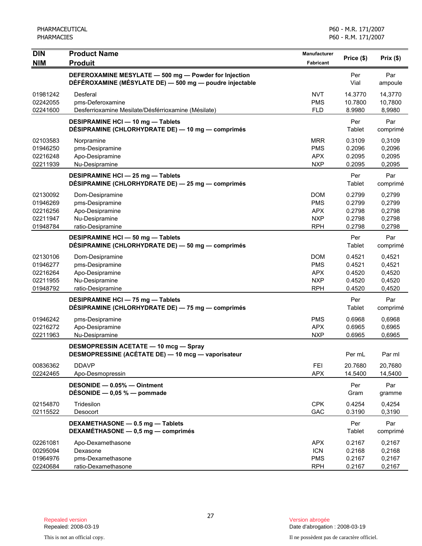| <b>DIN</b>                                               | <b>Product Name</b>                                                                                              | Manufacturer                                                       | Price (\$)                                     | Prix(\$)                                       |
|----------------------------------------------------------|------------------------------------------------------------------------------------------------------------------|--------------------------------------------------------------------|------------------------------------------------|------------------------------------------------|
| <b>NIM</b>                                               | <b>Produit</b>                                                                                                   | Fabricant                                                          |                                                |                                                |
|                                                          | DEFEROXAMINE MESYLATE - 500 mg - Powder for Injection<br>DÉFÉROXAMINE (MÉSYLATE DE) - 500 mg - poudre injectable |                                                                    | Per<br>Vial                                    | Par<br>ampoule                                 |
| 01981242<br>02242055<br>02241600                         | Desferal<br>pms-Deferoxamine<br>Desferrioxamine Mesilate/Désférrioxamine (Mésilate)                              | <b>NVT</b><br><b>PMS</b><br><b>FLD</b>                             | 14.3770<br>10.7800<br>8.9980                   | 14,3770<br>10,7800<br>8,9980                   |
|                                                          | DESIPRAMINE HCI - 10 mg - Tablets<br>DÉSIPRAMINE (CHLORHYDRATE DE) — 10 mg — comprimés                           |                                                                    | Per<br>Tablet                                  | Par<br>comprimé                                |
| 02103583<br>01946250<br>02216248<br>02211939             | Norpramine<br>pms-Desipramine<br>Apo-Desipramine<br>Nu-Desipramine                                               | <b>MRR</b><br><b>PMS</b><br><b>APX</b><br><b>NXP</b>               | 0.3109<br>0.2096<br>0.2095<br>0.2095           | 0,3109<br>0,2096<br>0,2095<br>0,2095           |
|                                                          | <b>DESIPRAMINE HCI - 25 mg - Tablets</b><br>DÉSIPRAMINE (CHLORHYDRATE DE) - 25 mg - comprimés                    |                                                                    | Per<br>Tablet                                  | Par<br>comprimé                                |
| 02130092<br>01946269<br>02216256<br>02211947<br>01948784 | Dom-Desipramine<br>pms-Desipramine<br>Apo-Desipramine<br>Nu-Desipramine<br>ratio-Desipramine                     | <b>DOM</b><br><b>PMS</b><br><b>APX</b><br><b>NXP</b><br><b>RPH</b> | 0.2799<br>0.2799<br>0.2798<br>0.2798<br>0.2798 | 0,2799<br>0,2799<br>0,2798<br>0,2798<br>0,2798 |
|                                                          | DESIPRAMINE HCI - 50 mg - Tablets<br>DÉSIPRAMINE (CHLORHYDRATE DE) - 50 mg - comprimés                           |                                                                    | Per<br>Tablet                                  | Par<br>comprimé                                |
| 02130106<br>01946277<br>02216264<br>02211955<br>01948792 | Dom-Desipramine<br>pms-Desipramine<br>Apo-Desipramine<br>Nu-Desipramine<br>ratio-Desipramine                     | <b>DOM</b><br><b>PMS</b><br><b>APX</b><br><b>NXP</b><br><b>RPH</b> | 0.4521<br>0.4521<br>0.4520<br>0.4520<br>0.4520 | 0,4521<br>0,4521<br>0,4520<br>0,4520<br>0,4520 |
|                                                          | <b>DESIPRAMINE HCI - 75 mg - Tablets</b><br>DÉSIPRAMINE (CHLORHYDRATE DE) - 75 mg - comprimés                    |                                                                    | Per<br>Tablet                                  | Par<br>comprimé                                |
| 01946242<br>02216272<br>02211963                         | pms-Desipramine<br>Apo-Desipramine<br>Nu-Desipramine                                                             | <b>PMS</b><br><b>APX</b><br><b>NXP</b>                             | 0.6968<br>0.6965<br>0.6965                     | 0,6968<br>0,6965<br>0,6965                     |
|                                                          | <b>DESMOPRESSIN ACETATE - 10 mcg - Spray</b><br>DESMOPRESSINE (ACÉTATE DE) - 10 mcg - vaporisateur               |                                                                    | Per mL                                         | Par ml                                         |
| 00836362<br>02242465                                     | <b>DDAVP</b><br>Apo-Desmopressin                                                                                 | <b>FEI</b><br><b>APX</b>                                           | 20.7680<br>14.5400                             | 20,7680<br>14,5400                             |
|                                                          | DESONIDE - 0.05% - Ointment<br>DÉSONIDE $-$ 0,05 % $-$ pommade                                                   |                                                                    | Per<br>Gram                                    | Par<br>gramme                                  |
| 02154870<br>02115522                                     | Tridesilon<br>Desocort                                                                                           | <b>CPK</b><br>GAC                                                  | 0.4254<br>0.3190                               | 0,4254<br>0,3190                               |
|                                                          | DEXAMETHASONE - 0.5 mg - Tablets<br>DEXAMÉTHASONE - 0,5 mg - comprimés                                           |                                                                    | Per<br>Tablet                                  | Par<br>comprimé                                |
| 02261081<br>00295094<br>01964976<br>02240684             | Apo-Dexamethasone<br>Dexasone<br>pms-Dexamethasone<br>ratio-Dexamethasone                                        | <b>APX</b><br><b>ICN</b><br><b>PMS</b><br><b>RPH</b>               | 0.2167<br>0.2168<br>0.2167<br>0.2167           | 0,2167<br>0,2168<br>0,2167<br>0,2167           |

Date d'abrogation : 2008-03-19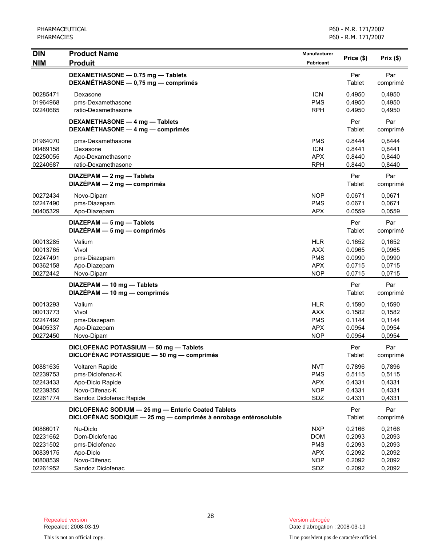| <b>DIN</b>                                                           | <b>Product Name</b>                                                                                                   | Manufacturer                                                              | Price (\$)                                               | Prix(\$)                                                 |
|----------------------------------------------------------------------|-----------------------------------------------------------------------------------------------------------------------|---------------------------------------------------------------------------|----------------------------------------------------------|----------------------------------------------------------|
| <b>NIM</b>                                                           | <b>Produit</b>                                                                                                        | Fabricant                                                                 |                                                          |                                                          |
|                                                                      | DEXAMETHASONE - 0.75 mg - Tablets<br>DEXAMÉTHASONE - 0,75 mg - comprimés                                              |                                                                           | Per<br>Tablet                                            | Par<br>comprimé                                          |
| 00285471<br>01964968<br>02240685                                     | Dexasone<br>pms-Dexamethasone<br>ratio-Dexamethasone                                                                  | <b>ICN</b><br><b>PMS</b><br><b>RPH</b>                                    | 0.4950<br>0.4950<br>0.4950                               | 0,4950<br>0,4950<br>0,4950                               |
|                                                                      | DEXAMETHASONE - 4 mg - Tablets<br>DEXAMÉTHASONE - 4 mg - comprimés                                                    |                                                                           | Per<br>Tablet                                            | Par<br>comprimé                                          |
| 01964070<br>00489158<br>02250055<br>02240687                         | pms-Dexamethasone<br>Dexasone<br>Apo-Dexamethasone<br>ratio-Dexamethasone                                             | <b>PMS</b><br><b>ICN</b><br><b>APX</b><br><b>RPH</b>                      | 0.8444<br>0.8441<br>0.8440<br>0.8440                     | 0,8444<br>0,8441<br>0,8440<br>0,8440                     |
|                                                                      | DIAZEPAM - 2 mg - Tablets<br>DIAZÉPAM - 2 mg - comprimés                                                              |                                                                           | Per<br>Tablet                                            | Par<br>comprimé                                          |
| 00272434<br>02247490<br>00405329                                     | Novo-Dipam<br>pms-Diazepam<br>Apo-Diazepam                                                                            | <b>NOP</b><br><b>PMS</b><br><b>APX</b>                                    | 0.0671<br>0.0671<br>0.0559                               | 0,0671<br>0,0671<br>0,0559                               |
|                                                                      | DIAZEPAM - 5 mg - Tablets<br>DIAZÉPAM - 5 mg - comprimés                                                              |                                                                           | Per<br>Tablet                                            | Par<br>comprimé                                          |
| 00013285<br>00013765<br>02247491<br>00362158<br>00272442             | Valium<br>Vivol<br>pms-Diazepam<br>Apo-Diazepam<br>Novo-Dipam                                                         | <b>HLR</b><br><b>AXX</b><br><b>PMS</b><br><b>APX</b><br><b>NOP</b>        | 0.1652<br>0.0965<br>0.0990<br>0.0715<br>0.0715           | 0,1652<br>0,0965<br>0,0990<br>0,0715<br>0,0715           |
|                                                                      | DIAZEPAM - 10 mg - Tablets<br>DIAZÉPAM - 10 mg - comprimés                                                            |                                                                           | Per<br>Tablet                                            | Par<br>comprimé                                          |
| 00013293<br>00013773<br>02247492<br>00405337<br>00272450             | Valium<br>Vivol<br>pms-Diazepam<br>Apo-Diazepam<br>Novo-Dipam                                                         | <b>HLR</b><br><b>AXX</b><br><b>PMS</b><br><b>APX</b><br><b>NOP</b>        | 0.1590<br>0.1582<br>0.1144<br>0.0954<br>0.0954           | 0,1590<br>0,1582<br>0,1144<br>0,0954<br>0,0954           |
|                                                                      | DICLOFENAC POTASSIUM - 50 mg - Tablets<br>DICLOFÉNAC POTASSIQUE - 50 mg - comprimés                                   |                                                                           | Per<br><b>Tablet</b>                                     | Par<br>comprimé                                          |
| 00881635<br>02239753<br>02243433<br>02239355<br>02261774             | Voltaren Rapide<br>pms-Diclofenac-K<br>Apo-Diclo Rapide<br>Novo-Difenac-K<br>Sandoz Diclofenac Rapide                 | <b>NVT</b><br><b>PMS</b><br><b>APX</b><br><b>NOP</b><br>SDZ               | 0.7896<br>0.5115<br>0.4331<br>0.4331<br>0.4331           | 0,7896<br>0,5115<br>0,4331<br>0,4331<br>0,4331           |
|                                                                      | DICLOFENAC SODIUM - 25 mg - Enteric Coated Tablets<br>DICLOFÉNAC SODIQUE - 25 mg - comprimés à enrobage entérosoluble |                                                                           | Per<br>Tablet                                            | Par<br>comprimé                                          |
| 00886017<br>02231662<br>02231502<br>00839175<br>00808539<br>02261952 | Nu-Diclo<br>Dom-Diclofenac<br>pms-Diclofenac<br>Apo-Diclo<br>Novo-Difenac<br>Sandoz Diclofenac                        | <b>NXP</b><br><b>DOM</b><br><b>PMS</b><br><b>APX</b><br><b>NOP</b><br>SDZ | 0.2166<br>0.2093<br>0.2093<br>0.2092<br>0.2092<br>0.2092 | 0,2166<br>0,2093<br>0,2093<br>0,2092<br>0,2092<br>0,2092 |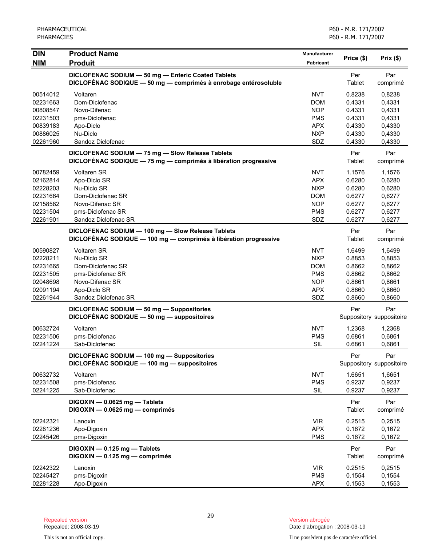| <b>DIN</b> | <b>Product Name</b>                                                                                                   | <b>Manufacturer</b> | Price (\$)    | Prix(\$)                 |
|------------|-----------------------------------------------------------------------------------------------------------------------|---------------------|---------------|--------------------------|
| <b>NIM</b> | <b>Produit</b>                                                                                                        | <b>Fabricant</b>    |               |                          |
|            | DICLOFENAC SODIUM - 50 mg - Enteric Coated Tablets                                                                    |                     | Per           | Par                      |
|            | DICLOFENAC SODIQUE - 50 mg - comprimés à enrobage entérosoluble                                                       |                     | Tablet        | comprimé                 |
| 00514012   | Voltaren                                                                                                              | <b>NVT</b>          | 0.8238        | 0,8238                   |
| 02231663   | Dom-Diclofenac                                                                                                        | <b>DOM</b>          | 0.4331        | 0,4331                   |
| 00808547   | Novo-Difenac                                                                                                          | <b>NOP</b>          | 0.4331        | 0,4331                   |
| 02231503   | pms-Diclofenac                                                                                                        | <b>PMS</b>          | 0.4331        | 0,4331                   |
| 00839183   | Apo-Diclo                                                                                                             | <b>APX</b>          | 0.4330        | 0,4330                   |
| 00886025   | Nu-Diclo                                                                                                              | <b>NXP</b>          | 0.4330        | 0,4330                   |
| 02261960   | Sandoz Diclofenac                                                                                                     | SDZ                 | 0.4330        | 0,4330                   |
|            | DICLOFENAC SODIUM - 75 mg - Slow Release Tablets                                                                      |                     | Per           | Par                      |
|            | DICLOFÉNAC SODIQUE - 75 mg - comprimés à libération progressive                                                       |                     | Tablet        | comprimé                 |
| 00782459   | <b>Voltaren SR</b>                                                                                                    | <b>NVT</b>          | 1.1576        | 1,1576                   |
| 02162814   | Apo-Diclo SR                                                                                                          | <b>APX</b>          | 0.6280        | 0,6280                   |
| 02228203   | Nu-Diclo SR                                                                                                           | <b>NXP</b>          | 0.6280        | 0,6280                   |
| 02231664   | Dom-Diclofenac SR                                                                                                     | <b>DOM</b>          | 0.6277        | 0,6277                   |
| 02158582   | Novo-Difenac SR                                                                                                       | <b>NOP</b>          | 0.6277        | 0,6277                   |
| 02231504   | pms-Diclofenac SR                                                                                                     | <b>PMS</b>          | 0.6277        | 0,6277                   |
| 02261901   | Sandoz Diclofenac SR                                                                                                  | SDZ                 | 0.6277        | 0,6277                   |
|            | DICLOFENAC SODIUM - 100 mg - Slow Release Tablets<br>DICLOFÉNAC SODIQUE — 100 mg — comprimés à libération progressive |                     | Per<br>Tablet | Par<br>comprimé          |
| 00590827   | Voltaren SR                                                                                                           | <b>NVT</b>          | 1.6499        | 1,6499                   |
| 02228211   | Nu-Diclo SR                                                                                                           | <b>NXP</b>          | 0.8853        | 0,8853                   |
| 02231665   | Dom-Diclofenac SR                                                                                                     | <b>DOM</b>          | 0.8662        | 0,8662                   |
| 02231505   | pms-Diclofenac SR                                                                                                     | <b>PMS</b>          | 0.8662        | 0,8662                   |
| 02048698   | Novo-Difenac SR                                                                                                       | <b>NOP</b>          | 0.8661        | 0,8661                   |
| 02091194   | Apo-Diclo SR                                                                                                          | <b>APX</b>          | 0.8660        | 0,8660                   |
| 02261944   | Sandoz Diclofenac SR                                                                                                  | SDZ                 | 0.8660        | 0,8660                   |
|            | DICLOFENAC SODIUM - 50 mg - Suppositories                                                                             |                     | Per           | Par                      |
|            | DICLOFÉNAC SODIQUE - 50 mg - suppositoires                                                                            |                     |               | Suppository suppositoire |
| 00632724   | Voltaren                                                                                                              | <b>NVT</b>          | 1.2368        | 1,2368                   |
| 02231506   | pms-Diclofenac                                                                                                        | <b>PMS</b>          | 0.6861        | 0,6861                   |
| 02241224   | Sab-Diclofenac                                                                                                        | SIL                 | 0.6861        | 0,6861                   |
|            | DICLOFENAC SODIUM - 100 mg - Suppositories                                                                            |                     | Per           | Par                      |
|            | DICLOFÉNAC SODIQUE - 100 mg - suppositoires                                                                           |                     |               | Suppository suppositoire |
| 00632732   | Voltaren                                                                                                              | <b>NVT</b>          | 1.6651        | 1,6651                   |
| 02231508   | pms-Diclofenac                                                                                                        | <b>PMS</b>          | 0.9237        | 0,9237                   |
| 02241225   | Sab-Diclofenac                                                                                                        | SIL                 | 0.9237        | 0,9237                   |
|            | DIGOXIN - 0.0625 mg - Tablets                                                                                         |                     | Per           | Par                      |
|            | DIGOXIN - 0.0625 mg - comprimés                                                                                       |                     | Tablet        | comprimé                 |
| 02242321   | Lanoxin                                                                                                               | <b>VIR</b>          | 0.2515        | 0,2515                   |
| 02281236   | Apo-Digoxin                                                                                                           | <b>APX</b>          | 0.1672        | 0,1672                   |
| 02245426   | pms-Digoxin                                                                                                           | <b>PMS</b>          | 0.1672        | 0,1672                   |
|            | DIGOXIN - 0.125 mg - Tablets                                                                                          |                     | Per           | Par                      |
|            | $DIGOXIN - 0.125 mg - comprimés$                                                                                      |                     | Tablet        | comprimé                 |
| 02242322   | Lanoxin                                                                                                               | <b>VIR</b>          | 0.2515        | 0,2515                   |
| 02245427   | pms-Digoxin                                                                                                           | <b>PMS</b>          | 0.1554        | 0,1554                   |
| 02281228   | Apo-Digoxin                                                                                                           | <b>APX</b>          | 0.1553        | 0,1553                   |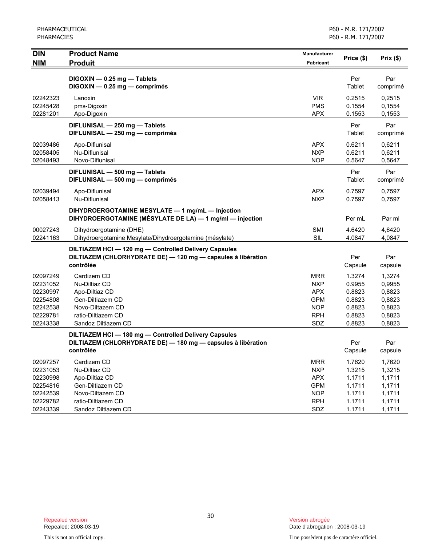| DIN                                                                              | <b>Product Name</b>                                                                                                                 | Manufacturer                                                                            | Price (\$)                                                         | Prix(\$)                                                           |
|----------------------------------------------------------------------------------|-------------------------------------------------------------------------------------------------------------------------------------|-----------------------------------------------------------------------------------------|--------------------------------------------------------------------|--------------------------------------------------------------------|
| <b>NIM</b>                                                                       | <b>Produit</b>                                                                                                                      | Fabricant                                                                               |                                                                    |                                                                    |
|                                                                                  | DIGOXIN - 0.25 mg - Tablets<br>DIGOXIN - 0.25 mg - comprimés                                                                        |                                                                                         | Per<br>Tablet                                                      | Par<br>comprimé                                                    |
| 02242323<br>02245428<br>02281201                                                 | Lanoxin<br>pms-Digoxin<br>Apo-Digoxin                                                                                               | <b>VIR</b><br><b>PMS</b><br><b>APX</b>                                                  | 0.2515<br>0.1554<br>0.1553                                         | 0,2515<br>0,1554<br>0,1553                                         |
|                                                                                  | DIFLUNISAL - 250 mg - Tablets<br>DIFLUNISAL - 250 mg - comprimés                                                                    |                                                                                         | Per<br>Tablet                                                      | Par<br>comprimé                                                    |
| 02039486<br>02058405<br>02048493                                                 | Apo-Diflunisal<br>Nu-Diflunisal<br>Novo-Diflunisal                                                                                  | <b>APX</b><br><b>NXP</b><br><b>NOP</b>                                                  | 0.6211<br>0.6211<br>0.5647                                         | 0,6211<br>0,6211<br>0,5647                                         |
|                                                                                  | DIFLUNISAL - 500 mg - Tablets<br>DIFLUNISAL - 500 mg - comprimés                                                                    |                                                                                         | Per<br>Tablet                                                      | Par<br>comprimé                                                    |
| 02039494<br>02058413                                                             | Apo-Diflunisal<br>Nu-Diflunisal                                                                                                     | <b>APX</b><br><b>NXP</b>                                                                | 0.7597<br>0.7597                                                   | 0,7597<br>0,7597                                                   |
|                                                                                  | DIHYDROERGOTAMINE MESYLATE - 1 mg/mL - Injection<br>DIHYDROERGOTAMINE (MÉSYLATE DE LA) - 1 mg/ml - injection                        |                                                                                         | Per mL                                                             | Par ml                                                             |
| 00027243<br>02241163                                                             | Dihydroergotamine (DHE)<br>Dihydroergotamine Mesylate/Dihydroergotamine (mésylate)                                                  | <b>SMI</b><br>SIL                                                                       | 4.6420<br>4.0847                                                   | 4,6420<br>4,0847                                                   |
|                                                                                  | DILTIAZEM HCI-120 mg-Controlled Delivery Capsules<br>DILTIAZEM (CHLORHYDRATE DE) - 120 mg - capsules à libération<br>contrôlée      |                                                                                         | Per<br>Capsule                                                     | Par<br>capsule                                                     |
| 02097249<br>02231052<br>02230997<br>02254808<br>02242538<br>02229781<br>02243338 | Cardizem CD<br>Nu-Diltiaz CD<br>Apo-Diltiaz CD<br>Gen-Diltiazem CD<br>Novo-Diltazem CD<br>ratio-Diltiazem CD<br>Sandoz Diltiazem CD | <b>MRR</b><br><b>NXP</b><br><b>APX</b><br><b>GPM</b><br><b>NOP</b><br><b>RPH</b><br>SDZ | 1.3274<br>0.9955<br>0.8823<br>0.8823<br>0.8823<br>0.8823<br>0.8823 | 1,3274<br>0,9955<br>0,8823<br>0,8823<br>0,8823<br>0,8823<br>0,8823 |
|                                                                                  | DILTIAZEM HCI-180 mg-Controlled Delivery Capsules<br>DILTIAZEM (CHLORHYDRATE DE) - 180 mg - capsules à libération<br>contrôlée      |                                                                                         | Per<br>Capsule                                                     | Par<br>capsule                                                     |
| 02097257<br>02231053<br>02230998<br>02254816<br>02242539                         | Cardizem CD<br>Nu-Diltiaz CD<br>Apo-Diltiaz CD<br>Gen-Diltiazem CD<br>Novo-Diltazem CD                                              | <b>MRR</b><br><b>NXP</b><br><b>APX</b><br><b>GPM</b><br><b>NOP</b>                      | 1.7620<br>1.3215<br>1.1711<br>1.1711<br>1.1711                     | 1,7620<br>1,3215<br>1,1711<br>1,1711<br>1,1711                     |
| 02229782<br>02243339                                                             | ratio-Diltiazem CD<br>Sandoz Diltiazem CD                                                                                           | <b>RPH</b><br>SDZ                                                                       | 1.1711<br>1.1711                                                   | 1,1711<br>1,1711                                                   |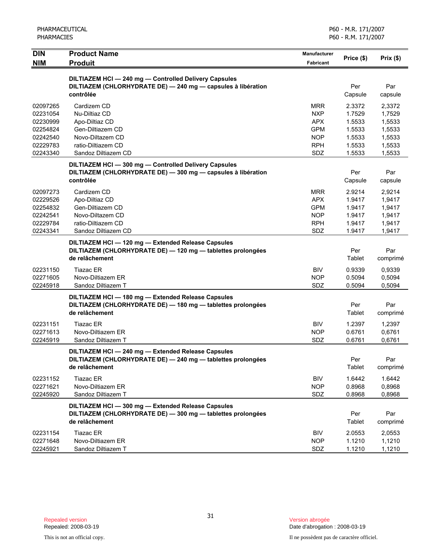| PHARMACEUTICAL           |                                                                                                                                     | P60 - M.R. 171/2007                     |                |                 |
|--------------------------|-------------------------------------------------------------------------------------------------------------------------------------|-----------------------------------------|----------------|-----------------|
| <b>PHARMACIES</b>        |                                                                                                                                     | P60 - R.M. 171/2007                     |                |                 |
| <b>DIN</b><br><b>NIM</b> | <b>Product Name</b><br><b>Produit</b>                                                                                               | <b>Manufacturer</b><br><b>Fabricant</b> | Price (\$)     | Prix(\$)        |
|                          | DILTIAZEM HCI-240 mg-Controlled Delivery Capsules<br>DILTIAZEM (CHLORHYDRATE DE) - 240 mg - capsules à libération<br>contrôlée      |                                         | Per<br>Capsule | Par<br>capsule  |
| 02097265                 | Cardizem CD                                                                                                                         | <b>MRR</b>                              | 2.3372         | 2,3372          |
| 02231054                 | Nu-Diltiaz CD                                                                                                                       | <b>NXP</b>                              | 1.7529         | 1,7529          |
| 02230999                 | Apo-Diltiaz CD                                                                                                                      | <b>APX</b>                              | 1.5533         | 1,5533          |
| 02254824                 | Gen-Diltiazem CD                                                                                                                    | <b>GPM</b>                              | 1.5533         | 1,5533          |
| 02242540                 | Novo-Diltazem CD                                                                                                                    | <b>NOP</b>                              | 1.5533         | 1,5533          |
| 02229783                 | ratio-Diltiazem CD                                                                                                                  | <b>RPH</b>                              | 1.5533         | 1,5533          |
| 02243340                 | Sandoz Diltiazem CD                                                                                                                 | SDZ                                     | 1.5533         | 1,5533          |
|                          | DILTIAZEM HCI-300 mg-Controlled Delivery Capsules<br>DILTIAZEM (CHLORHYDRATE DE) - 300 mg - capsules à libération<br>contrôlée      |                                         | Per<br>Capsule | Par<br>capsule  |
| 02097273                 | Cardizem CD                                                                                                                         | <b>MRR</b>                              | 2.9214         | 2,9214          |
| 02229526                 | Apo-Diltiaz CD                                                                                                                      | APX.                                    | 1.9417         | 1,9417          |
| 02254832                 | Gen-Diltiazem CD                                                                                                                    | <b>GPM</b>                              | 1.9417         | 1,9417          |
| 02242541                 | Novo-Diltazem CD                                                                                                                    | <b>NOP</b>                              | 1.9417         | 1,9417          |
| 02229784                 | ratio-Diltiazem CD                                                                                                                  | <b>RPH</b>                              | 1.9417         | 1,9417          |
| 02243341                 | Sandoz Diltiazem CD                                                                                                                 | SDZ                                     | 1.9417         | 1,9417          |
|                          | DILTIAZEM HCI - 120 mg - Extended Release Capsules<br>DILTIAZEM (CHLORHYDRATE DE) - 120 mg - tablettes prolongées<br>de relâchement |                                         | Per<br>Tablet  | Par<br>comprimé |
| 02231150                 | Tiazac ER                                                                                                                           | BIV                                     | 0.9339         | 0,9339          |
| 02271605                 | Novo-Diltiazem ER                                                                                                                   | <b>NOP</b>                              | 0.5094         | 0,5094          |
| 02245918                 | Sandoz Diltiazem T                                                                                                                  | <b>SDZ</b>                              | 0.5094         | 0,5094          |
|                          | DILTIAZEM HCI - 180 mg - Extended Release Capsules<br>DILTIAZEM (CHLORHYDRATE DE) - 180 mg - tablettes prolongées<br>de relâchement |                                         | Per<br>Tablet  | Par<br>comprimé |
| 02231151                 | Tiazac ER                                                                                                                           | BIV                                     | 1.2397         | 1,2397          |
| 02271613                 | Novo-Diltiazem ER                                                                                                                   | <b>NOP</b>                              | 0.6761         | 0,6761          |
| 02245919                 | Sandoz Diltiazem T                                                                                                                  | SDZ                                     | 0.6761         | 0,6761          |
|                          | DILTIAZEM HCI-240 mg-Extended Release Capsules<br>DILTIAZEM (CHLORHYDRATE DE) - 240 mg - tablettes prolongées<br>de relâchement     |                                         | Per<br>Tablet  | Par<br>comprimé |
| 02231152                 | Tiazac ER                                                                                                                           | <b>BIV</b>                              | 1.6442         | 1.6442          |
| 02271621                 | Novo-Diltiazem ER                                                                                                                   | <b>NOP</b>                              | 0.8968         | 0,8968          |
| 02245920                 | Sandoz Diltiazem T                                                                                                                  | SDZ                                     | 0.8968         | 0,8968          |
|                          | DILTIAZEM HCI - 300 mg - Extended Release Capsules<br>DILTIAZEM (CHLORHYDRATE DE) - 300 mg - tablettes prolongées<br>de relâchement |                                         | Per<br>Tablet  | Par<br>comprimé |
| 02231154                 | Tiazac ER                                                                                                                           | <b>BIV</b>                              | 2.0553         | 2,0553          |
| 02271648                 | Novo-Diltiazem ER                                                                                                                   | <b>NOP</b>                              | 1.1210         | 1,1210          |
| 02245921                 | Sandoz Diltiazem T                                                                                                                  | SDZ                                     | 1.1210         | 1,1210          |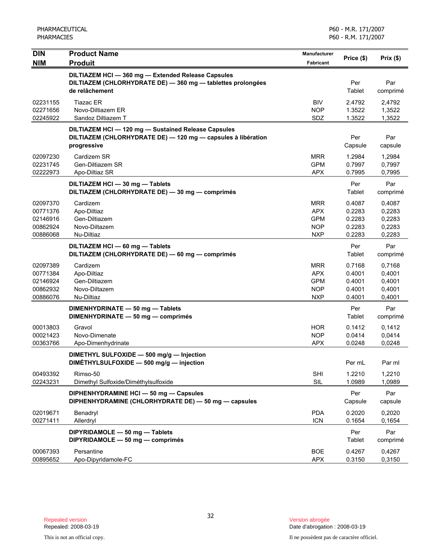| <b>DIN</b>                                               | <b>Product Name</b>                                                                                                                 | Manufacturer                                                       | Price (\$)                                     | Prix(\$)                                       |
|----------------------------------------------------------|-------------------------------------------------------------------------------------------------------------------------------------|--------------------------------------------------------------------|------------------------------------------------|------------------------------------------------|
| <b>NIM</b>                                               | <b>Produit</b>                                                                                                                      | Fabricant                                                          |                                                |                                                |
|                                                          | DILTIAZEM HCI - 360 mg - Extended Release Capsules<br>DILTIAZEM (CHLORHYDRATE DE) - 360 mg - tablettes prolongées<br>de relâchement |                                                                    | Per<br>Tablet                                  | Par<br>comprimé                                |
| 02231155<br>02271656<br>02245922                         | Tiazac ER<br>Novo-Diltiazem ER<br>Sandoz Diltiazem T                                                                                | <b>BIV</b><br><b>NOP</b><br>SDZ                                    | 2.4792<br>1.3522<br>1.3522                     | 2,4792<br>1,3522<br>1,3522                     |
|                                                          | DILTIAZEM HCI - 120 mg - Sustained Release Capsules<br>DILTIAZEM (CHLORHYDRATE DE) - 120 mg - capsules à libération<br>progressive  |                                                                    | Per<br>Capsule                                 | Par<br>capsule                                 |
| 02097230<br>02231745<br>02222973                         | Cardizem SR<br>Gen-Diltiazem SR<br>Apo-Diltiaz SR                                                                                   | <b>MRR</b><br><b>GPM</b><br><b>APX</b>                             | 1.2984<br>0.7997<br>0.7995                     | 1,2984<br>0,7997<br>0,7995                     |
|                                                          | DILTIAZEM HCI - 30 mg - Tablets<br>DILTIAZEM (CHLORHYDRATE DE) - 30 mg - comprimés                                                  |                                                                    | Per<br>Tablet                                  | Par<br>comprimé                                |
| 02097370<br>00771376<br>02146916<br>00862924<br>00886068 | Cardizem<br>Apo-Diltiaz<br>Gen-Diltiazem<br>Novo-Diltazem<br>Nu-Diltiaz                                                             | <b>MRR</b><br><b>APX</b><br><b>GPM</b><br><b>NOP</b><br><b>NXP</b> | 0.4087<br>0.2283<br>0.2283<br>0.2283<br>0.2283 | 0.4087<br>0,2283<br>0,2283<br>0,2283<br>0,2283 |
|                                                          | DILTIAZEM HCI - 60 mg - Tablets<br>DILTIAZEM (CHLORHYDRATE DE) - 60 mg - comprimés                                                  |                                                                    | Per<br>Tablet                                  | Par<br>comprimé                                |
| 02097389<br>00771384<br>02146924<br>00862932<br>00886076 | Cardizem<br>Apo-Diltiaz<br>Gen-Diltiazem<br>Novo-Diltazem<br>Nu-Diltiaz                                                             | <b>MRR</b><br><b>APX</b><br><b>GPM</b><br><b>NOP</b><br><b>NXP</b> | 0.7168<br>0.4001<br>0.4001<br>0.4001<br>0.4001 | 0,7168<br>0,4001<br>0,4001<br>0,4001<br>0,4001 |
|                                                          | DIMENHYDRINATE - 50 mg - Tablets<br>DIMENHYDRINATE - 50 mg - comprimés                                                              |                                                                    | Per<br>Tablet                                  | Par<br>comprimé                                |
| 00013803<br>00021423<br>00363766                         | Gravol<br>Novo-Dimenate<br>Apo-Dimenhydrinate                                                                                       | <b>HOR</b><br><b>NOP</b><br><b>APX</b>                             | 0.1412<br>0.0414<br>0.0248                     | 0,1412<br>0,0414<br>0,0248                     |
|                                                          | DIMETHYL SULFOXIDE - 500 mg/g - Injection<br>DIMETHYLSULFOXIDE - 500 mg/g - injection                                               |                                                                    | Per mL                                         | Par ml                                         |
| 00493392<br>02243231                                     | Rimso-50<br>Dimethyl Sulfoxide/Diméthylsulfoxide                                                                                    | SHI<br>SIL                                                         | 1.2210<br>1.0989                               | 1,2210<br>1,0989                               |
|                                                          | DIPHENHYDRAMINE HCI - 50 mg - Capsules<br>DIPHENHYDRAMINE (CHLORHYDRATE DE) - 50 mg - capsules                                      |                                                                    | Per<br>Capsule                                 | Par<br>capsule                                 |
| 02019671<br>00271411                                     | Benadryl<br>Allerdryl                                                                                                               | PDA<br><b>ICN</b>                                                  | 0.2020<br>0.1654                               | 0,2020<br>0,1654                               |
|                                                          | DIPYRIDAMOLE - 50 mg - Tablets<br>DIPYRIDAMOLE - 50 mg - comprimés                                                                  |                                                                    | Per<br>Tablet                                  | Par<br>comprimé                                |
| 00067393<br>00895652                                     | Persantine<br>Apo-Dipyridamole-FC                                                                                                   | <b>BOE</b><br><b>APX</b>                                           | 0.4267<br>0.3150                               | 0,4267<br>0,3150                               |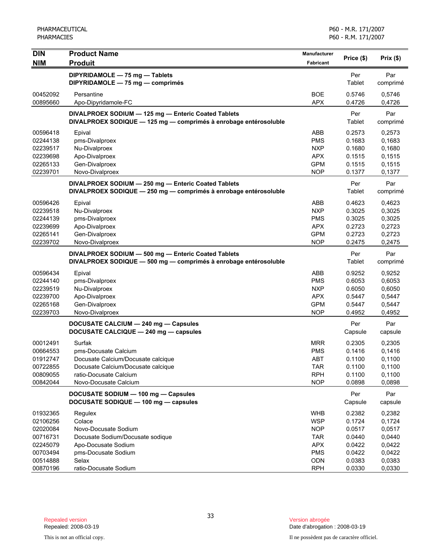| <b>DIN</b> | <b>Product Name</b>                                              | <b>Manufacturer</b> |            | Prix(\$) |
|------------|------------------------------------------------------------------|---------------------|------------|----------|
| <b>NIM</b> | <b>Produit</b>                                                   | Fabricant           | Price (\$) |          |
|            | DIPYRIDAMOLE - 75 mg - Tablets                                   |                     | Per        | Par      |
|            | DIPYRIDAMOLE - 75 mg - comprimés                                 |                     | Tablet     | comprimé |
| 00452092   | Persantine                                                       | <b>BOE</b>          | 0.5746     | 0,5746   |
| 00895660   | Apo-Dipyridamole-FC                                              | <b>APX</b>          | 0.4726     | 0,4726   |
|            | DIVALPROEX SODIUM - 125 mg - Enteric Coated Tablets              |                     | Per        | Par      |
|            | DIVALPROEX SODIQUE - 125 mg - comprimés à enrobage entérosoluble |                     | Tablet     | comprimé |
| 00596418   | Epival                                                           | ABB                 | 0.2573     | 0,2573   |
| 02244138   | pms-Divalproex                                                   | <b>PMS</b>          | 0.1683     | 0,1683   |
| 02239517   | Nu-Divalproex                                                    | <b>NXP</b>          | 0.1680     | 0,1680   |
| 02239698   | Apo-Divalproex                                                   | <b>APX</b>          | 0.1515     | 0,1515   |
| 02265133   | Gen-Divalproex                                                   | <b>GPM</b>          | 0.1515     | 0,1515   |
| 02239701   | Novo-Divalproex                                                  | <b>NOP</b>          | 0.1377     | 0,1377   |
|            | DIVALPROEX SODIUM - 250 mg - Enteric Coated Tablets              |                     | Per        | Par      |
|            | DIVALPROEX SODIQUE - 250 mg - comprimés à enrobage entérosoluble |                     | Tablet     | comprimé |
| 00596426   | Epival                                                           | ABB                 | 0.4623     | 0,4623   |
| 02239518   | Nu-Divalproex                                                    | <b>NXP</b>          | 0.3025     | 0,3025   |
| 02244139   | pms-Divalproex                                                   | <b>PMS</b>          | 0.3025     | 0,3025   |
| 02239699   | Apo-Divalproex                                                   | <b>APX</b>          | 0.2723     | 0,2723   |
| 02265141   | Gen-Divalproex                                                   | <b>GPM</b>          | 0.2723     | 0,2723   |
| 02239702   | Novo-Divalproex                                                  | <b>NOP</b>          | 0.2475     | 0,2475   |
|            | DIVALPROEX SODIUM - 500 mg - Enteric Coated Tablets              |                     | Per        | Par      |
|            | DIVALPROEX SODIQUE - 500 mg - comprimés à enrobage entérosoluble |                     | Tablet     | comprimé |
| 00596434   | Epival                                                           | ABB                 | 0.9252     | 0,9252   |
| 02244140   | pms-Divalproex                                                   | <b>PMS</b>          | 0.6053     | 0,6053   |
| 02239519   | Nu-Divalproex                                                    | <b>NXP</b>          | 0.6050     | 0,6050   |
| 02239700   | Apo-Divalproex                                                   | <b>APX</b>          | 0.5447     | 0,5447   |
| 02265168   | Gen-Divalproex                                                   | <b>GPM</b>          | 0.5447     | 0,5447   |
| 02239703   | Novo-Divalproex                                                  | <b>NOP</b>          | 0.4952     | 0,4952   |
|            | DOCUSATE CALCIUM - 240 mg - Capsules                             |                     | Per        | Par      |
|            | DOCUSATE CALCIQUE - 240 mg - capsules                            |                     | Capsule    | capsule  |
| 00012491   | Surfak                                                           | <b>MRR</b>          | 0.2305     | 0,2305   |
| 00664553   | pms-Docusate Calcium                                             | <b>PMS</b>          | 0.1416     | 0,1416   |
| 01912747   | Docusate Calcium/Docusate calcique                               | ABT                 | 0.1100     | 0,1100   |
| 00722855   | Docusate Calcium/Docusate calcique                               | <b>TAR</b>          | 0.1100     | 0,1100   |
| 00809055   | ratio-Docusate Calcium                                           | <b>RPH</b>          | 0.1100     | 0,1100   |
| 00842044   | Novo-Docusate Calcium                                            | <b>NOP</b>          | 0.0898     | 0,0898   |
|            | DOCUSATE SODIUM - 100 mg - Capsules                              |                     | Per        | Par      |
|            | DOCUSATE SODIQUE - 100 mg - capsules                             |                     | Capsule    | capsule  |
| 01932365   | Regulex                                                          | <b>WHB</b>          | 0.2382     | 0,2382   |
| 02106256   | Colace                                                           | <b>WSP</b>          | 0.1724     | 0,1724   |
| 02020084   | Novo-Docusate Sodium                                             | <b>NOP</b>          | 0.0517     | 0,0517   |
| 00716731   | Docusate Sodium/Docusate sodique                                 | <b>TAR</b>          | 0.0440     | 0,0440   |
| 02245079   | Apo-Docusate Sodium                                              | <b>APX</b>          | 0.0422     | 0,0422   |
| 00703494   | pms-Docusate Sodium                                              | <b>PMS</b>          | 0.0422     | 0,0422   |
| 00514888   | Selax                                                            | <b>ODN</b>          | 0.0383     | 0,0383   |
| 00870196   | ratio-Docusate Sodium                                            | <b>RPH</b>          | 0.0330     | 0,0330   |

Date d'abrogation : 2008-03-19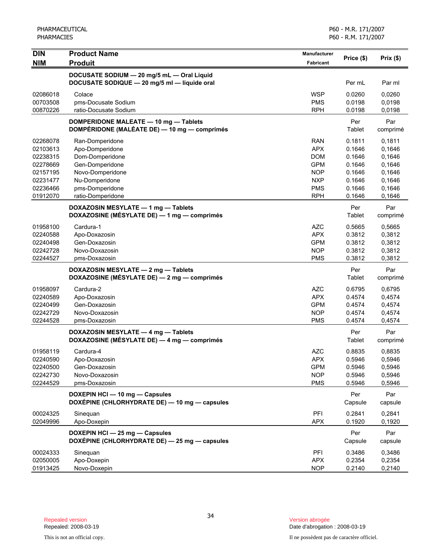| <b>DIN</b> | <b>Product Name</b>                           | Manufacturer     | Price (\$) |          |
|------------|-----------------------------------------------|------------------|------------|----------|
| <b>NIM</b> | <b>Produit</b>                                | <b>Fabricant</b> |            | Prix(\$) |
|            | DOCUSATE SODIUM - 20 mg/5 mL - Oral Liquid    |                  |            |          |
|            | DOCUSATE SODIQUE - 20 mg/5 ml - liquide oral  |                  | Per mL     | Par ml   |
| 02086018   | Colace                                        | <b>WSP</b>       | 0.0260     | 0,0260   |
| 00703508   | pms-Docusate Sodium                           | <b>PMS</b>       | 0.0198     | 0,0198   |
| 00870226   | ratio-Docusate Sodium                         | <b>RPH</b>       | 0.0198     | 0,0198   |
|            | DOMPERIDONE MALEATE - 10 mg - Tablets         |                  | Per        | Par      |
|            | DOMPÉRIDONE (MALÉATE DE) - 10 mg - comprimés  |                  | Tablet     | comprimé |
| 02268078   | Ran-Domperidone                               | <b>RAN</b>       | 0.1811     | 0,1811   |
| 02103613   | Apo-Domperidone                               | <b>APX</b>       | 0.1646     | 0,1646   |
| 02238315   | Dom-Domperidone                               | <b>DOM</b>       | 0.1646     | 0,1646   |
| 02278669   | Gen-Domperidone                               | <b>GPM</b>       | 0.1646     | 0,1646   |
| 02157195   | Novo-Domperidone                              | <b>NOP</b>       | 0.1646     | 0,1646   |
| 02231477   | Nu-Domperidone                                | <b>NXP</b>       | 0.1646     | 0,1646   |
| 02236466   | pms-Domperidone                               | <b>PMS</b>       | 0.1646     | 0,1646   |
| 01912070   | ratio-Domperidone                             | <b>RPH</b>       | 0.1646     | 0,1646   |
|            | DOXAZOSIN MESYLATE - 1 mg - Tablets           |                  | Per        | Par      |
|            | DOXAZOSINE (MÉSYLATE DE) - 1 mg - comprimés   |                  | Tablet     | comprimé |
| 01958100   | Cardura-1                                     | AZC              | 0.5665     | 0,5665   |
| 02240588   | Apo-Doxazosin                                 | <b>APX</b>       | 0.3812     | 0,3812   |
| 02240498   | Gen-Doxazosin                                 | <b>GPM</b>       | 0.3812     | 0,3812   |
| 02242728   | Novo-Doxazosin                                | <b>NOP</b>       | 0.3812     | 0,3812   |
| 02244527   | pms-Doxazosin                                 | <b>PMS</b>       | 0.3812     | 0,3812   |
|            | DOXAZOSIN MESYLATE - 2 mg - Tablets           |                  | Per        | Par      |
|            | DOXAZOSINE (MÉSYLATE DE) — 2 mg — comprimés   |                  | Tablet     | comprimé |
| 01958097   | Cardura-2                                     | <b>AZC</b>       | 0.6795     | 0,6795   |
| 02240589   | Apo-Doxazosin                                 | <b>APX</b>       | 0.4574     | 0,4574   |
| 02240499   | Gen-Doxazosin                                 | <b>GPM</b>       | 0.4574     | 0,4574   |
| 02242729   | Novo-Doxazosin                                | <b>NOP</b>       | 0.4574     | 0,4574   |
| 02244528   | pms-Doxazosin                                 | <b>PMS</b>       | 0.4574     | 0,4574   |
|            | DOXAZOSIN MESYLATE - 4 mg - Tablets           |                  | Per        | Par      |
|            | DOXAZOSINE (MÉSYLATE DE) — 4 mg — comprimés   |                  | Tablet     | comprimé |
| 01958119   | Cardura-4                                     | <b>AZC</b>       | 0.8835     | 0,8835   |
| 02240590   | Apo-Doxazosin                                 | <b>APX</b>       | 0.5946     | 0,5946   |
| 02240500   | Gen-Doxazosin                                 | <b>GPM</b>       | 0.5946     | 0,5946   |
| 02242730   | Novo-Doxazosin                                | <b>NOP</b>       | 0.5946     | 0,5946   |
| 02244529   | pms-Doxazosin                                 | <b>PMS</b>       | 0.5946     | 0,5946   |
|            | DOXEPIN HCI - 10 mg - Capsules                |                  | Per        | Par      |
|            | DOXÉPINE (CHLORHYDRATE DE) - 10 mg - capsules |                  | Capsule    | capsule  |
| 00024325   | Sinequan                                      | PFI              | 0.2841     | 0,2841   |
| 02049996   | Apo-Doxepin                                   | <b>APX</b>       | 0.1920     | 0,1920   |
|            | DOXEPIN HCI - 25 mg - Capsules                |                  | Per        | Par      |
|            | DOXÉPINE (CHLORHYDRATE DE) - 25 mg - capsules |                  | Capsule    | capsule  |
| 00024333   | Sinequan                                      | PFI              | 0.3486     | 0,3486   |
| 02050005   | Apo-Doxepin                                   | <b>APX</b>       | 0.2354     | 0,2354   |
| 01913425   | Novo-Doxepin                                  | <b>NOP</b>       | 0.2140     | 0,2140   |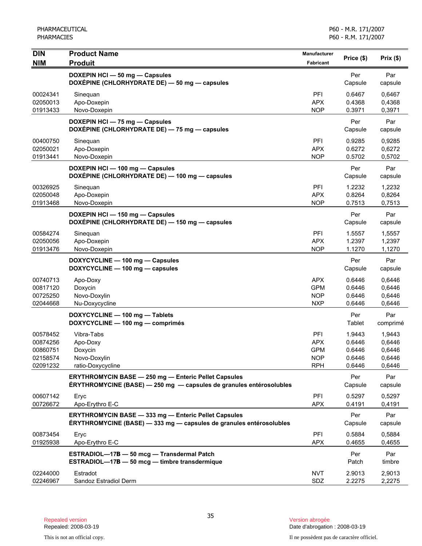| <b>DIN</b>           | <b>Product Name</b>                                                                                                                | <b>Manufacturer</b>      | Price (\$)       | Prix(\$)         |
|----------------------|------------------------------------------------------------------------------------------------------------------------------------|--------------------------|------------------|------------------|
| <b>NIM</b>           | <b>Produit</b>                                                                                                                     | <b>Fabricant</b>         |                  |                  |
|                      | DOXEPIN HCI - 50 mg - Capsules                                                                                                     |                          | Per              | Par              |
|                      | DOXÉPINE (CHLORHYDRATE DE) - 50 mg - capsules                                                                                      |                          | Capsule          | capsule          |
| 00024341             | Sinequan                                                                                                                           | <b>PFI</b>               | 0.6467           | 0,6467           |
| 02050013             | Apo-Doxepin                                                                                                                        | <b>APX</b>               | 0.4368           | 0,4368           |
| 01913433             | Novo-Doxepin                                                                                                                       | <b>NOP</b>               | 0.3971           | 0,3971           |
|                      | DOXEPIN HCI - 75 mg - Capsules<br>DOXÉPINE (CHLORHYDRATE DE) - 75 mg - capsules                                                    |                          | Per<br>Capsule   | Par<br>capsule   |
|                      |                                                                                                                                    |                          |                  |                  |
| 00400750<br>02050021 | Sinequan<br>Apo-Doxepin                                                                                                            | PFI<br><b>APX</b>        | 0.9285<br>0.6272 | 0,9285<br>0,6272 |
| 01913441             | Novo-Doxepin                                                                                                                       | <b>NOP</b>               | 0.5702           | 0,5702           |
|                      | DOXEPIN HCI - 100 mg - Capsules                                                                                                    |                          | Per              | Par              |
|                      | DOXÉPINE (CHLORHYDRATE DE) - 100 mg - capsules                                                                                     |                          | Capsule          | capsule          |
| 00326925             | Sineguan                                                                                                                           | PFI                      | 1.2232           | 1,2232           |
| 02050048             | Apo-Doxepin                                                                                                                        | <b>APX</b>               | 0.8264           | 0,8264           |
| 01913468             | Novo-Doxepin                                                                                                                       | <b>NOP</b>               | 0.7513           | 0,7513           |
|                      | DOXEPIN HCI - 150 mg - Capsules                                                                                                    |                          | Per              | Par              |
|                      | DOXÉPINE (CHLORHYDRATE DE) - 150 mg - capsules                                                                                     |                          | Capsule          | capsule          |
| 00584274             | Sinequan                                                                                                                           | PFI                      | 1.5557           | 1,5557           |
| 02050056             | Apo-Doxepin                                                                                                                        | <b>APX</b>               | 1.2397           | 1,2397           |
| 01913476             | Novo-Doxepin                                                                                                                       | <b>NOP</b>               | 1.1270           | 1,1270           |
|                      | DOXYCYCLINE - 100 mg - Capsules                                                                                                    |                          | Per              | Par              |
|                      | DOXYCYCLINE - 100 mg - capsules                                                                                                    |                          | Capsule          | capsule          |
| 00740713             | Apo-Doxy                                                                                                                           | <b>APX</b>               | 0.6446           | 0,6446           |
| 00817120<br>00725250 | Doxycin<br>Novo-Doxylin                                                                                                            | <b>GPM</b><br><b>NOP</b> | 0.6446<br>0.6446 | 0,6446<br>0,6446 |
| 02044668             | Nu-Doxycycline                                                                                                                     | <b>NXP</b>               | 0.6446           | 0,6446           |
|                      | DOXYCYCLINE - 100 mg - Tablets                                                                                                     |                          | Per              | Par              |
|                      | DOXYCYCLINE - 100 mg - comprimés                                                                                                   |                          | Tablet           | comprimé         |
| 00578452             | Vibra-Tabs                                                                                                                         | PFI                      | 1.9443           | 1,9443           |
| 00874256             | Apo-Doxy                                                                                                                           | <b>APX</b>               | 0.6446           | 0,6446           |
| 00860751             | Doxycin                                                                                                                            | <b>GPM</b>               | 0.6446           | 0,6446           |
| 02158574             | Novo-Doxylin                                                                                                                       | <b>NOP</b>               | 0.6446           | 0,6446           |
| 02091232             | ratio-Doxycycline                                                                                                                  | <b>RPH</b>               | 0.6446           | 0,6446           |
|                      | <b>ERYTHROMYCIN BASE - 250 mg - Enteric Pellet Capsules</b>                                                                        |                          | Per              | Par              |
|                      | ÉRYTHROMYCINE (BASE) - 250 mg - capsules de granules entérosolubles                                                                |                          | Capsule          | capsule          |
| 00607142             | Eryc                                                                                                                               | PFI                      | 0.5297           | 0,5297           |
| 00726672             | Apo-Erythro E-C                                                                                                                    | <b>APX</b>               | 0.4191           | 0,4191           |
|                      | <b>ERYTHROMYCIN BASE - 333 mg - Enteric Pellet Capsules</b><br>ERYTHROMYCINE (BASE) — 333 mg — capsules de granules entérosolubles |                          | Per<br>Capsule   | Par<br>capsule   |
| 00873454             | Eryc                                                                                                                               | PFI                      | 0.5884           | 0,5884           |
| 01925938             | Apo-Erythro E-C                                                                                                                    | <b>APX</b>               | 0.4655           | 0,4655           |
|                      | ESTRADIOL-17B - 50 mcg - Transdermal Patch                                                                                         |                          | Per              | Par              |
|                      | ESTRADIOL-17B - 50 mcg - timbre transdermique                                                                                      |                          | Patch            | timbre           |
| 02244000             | Estradot                                                                                                                           | <b>NVT</b>               | 2.9013           | 2,9013           |
| 02246967             | Sandoz Estradiol Derm                                                                                                              | SDZ                      | 2.2275           | 2,2275           |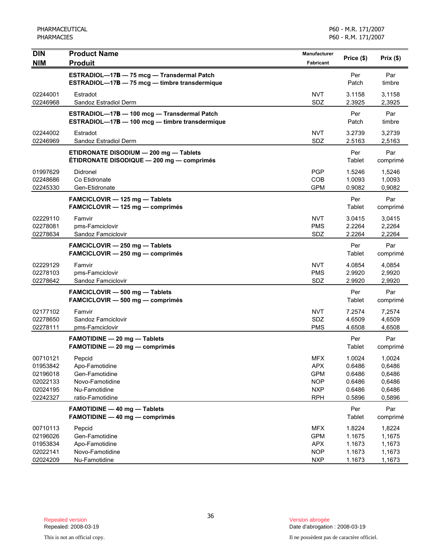| <b>DIN</b><br><b>NIM</b>                                             | <b>Product Name</b><br><b>Produit</b>                                                              | Manufacturer<br>Fabricant                                                        | Price (\$)                                               | $Prix($ \$)                                              |
|----------------------------------------------------------------------|----------------------------------------------------------------------------------------------------|----------------------------------------------------------------------------------|----------------------------------------------------------|----------------------------------------------------------|
|                                                                      | ESTRADIOL-17B - 75 mcg - Transdermal Patch<br>ESTRADIOL-17B - 75 mcg - timbre transdermique        |                                                                                  | Per<br>Patch                                             | Par<br>timbre                                            |
| 02244001<br>02246968                                                 | Estradot<br>Sandoz Estradiol Derm                                                                  | <b>NVT</b><br>SDZ                                                                | 3.1158<br>2.3925                                         | 3,1158<br>2,3925                                         |
|                                                                      | ESTRADIOL-17B - 100 mcg - Transdermal Patch<br>ESTRADIOL-17B - 100 mcg - timbre transdermique      |                                                                                  | Per<br>Patch                                             | Par<br>timbre                                            |
| 02244002<br>02246969                                                 | Estradot<br>Sandoz Estradiol Derm                                                                  | <b>NVT</b><br>SDZ                                                                | 3.2739<br>2.5163                                         | 3,2739<br>2,5163                                         |
|                                                                      | ETIDRONATE DISODIUM - 200 mg - Tablets<br>ETIDRONATE DISODIQUE - 200 mg - comprimés                |                                                                                  | Per<br>Tablet                                            | Par<br>comprimé                                          |
| 01997629<br>02248686<br>02245330                                     | Didronel<br>Co Etidronate<br>Gen-Etidronate                                                        | <b>PGP</b><br>COB<br><b>GPM</b>                                                  | 1.5246<br>1.0093<br>0.9082                               | 1,5246<br>1,0093<br>0,9082                               |
|                                                                      | FAMCICLOVIR - 125 mg - Tablets<br>FAMCICLOVIR - 125 mg - comprimés                                 |                                                                                  | Per<br>Tablet                                            | Par<br>comprimé                                          |
| 02229110<br>02278081<br>02278634                                     | Famvir<br>pms-Famciclovir<br>Sandoz Famciclovir                                                    | <b>NVT</b><br><b>PMS</b><br>SDZ                                                  | 3.0415<br>2.2264<br>2.2264                               | 3,0415<br>2,2264<br>2,2264                               |
|                                                                      | FAMCICLOVIR - 250 mg - Tablets<br>FAMCICLOVIR - 250 mg - comprimés                                 |                                                                                  | Per<br>Tablet                                            | Par<br>comprimé                                          |
| 02229129<br>02278103<br>02278642                                     | Famvir<br>pms-Famciclovir<br>Sandoz Famciclovir                                                    | <b>NVT</b><br><b>PMS</b><br>SDZ                                                  | 4.0854<br>2.9920<br>2.9920                               | 4,0854<br>2,9920<br>2,9920                               |
|                                                                      | FAMCICLOVIR - 500 mg - Tablets<br>FAMCICLOVIR - 500 mg - comprimés                                 |                                                                                  | Per<br>Tablet                                            | Par<br>comprimé                                          |
| 02177102<br>02278650<br>02278111                                     | Famvir<br>Sandoz Famciclovir<br>pms-Famciclovir                                                    | <b>NVT</b><br>SDZ<br><b>PMS</b>                                                  | 7.2574<br>4.6509<br>4.6508                               | 7,2574<br>4,6509<br>4,6508                               |
|                                                                      | <b>FAMOTIDINE - 20 mg - Tablets</b><br>FAMOTIDINE - 20 mg - comprimés                              |                                                                                  | Per<br>Tablet                                            | Par<br>comprimé                                          |
| 00710121<br>01953842<br>02196018<br>02022133<br>02024195<br>02242327 | Pepcid<br>Apo-Famotidine<br>Gen-Famotidine<br>Novo-Famotidine<br>Nu-Famotidine<br>ratio-Famotidine | <b>MFX</b><br><b>APX</b><br><b>GPM</b><br><b>NOP</b><br><b>NXP</b><br><b>RPH</b> | 1.0024<br>0.6486<br>0.6486<br>0.6486<br>0.6486<br>0.5896 | 1,0024<br>0,6486<br>0,6486<br>0,6486<br>0,6486<br>0,5896 |
|                                                                      | <b>FAMOTIDINE - 40 mg - Tablets</b><br>FAMOTIDINE - 40 mg - comprimés                              |                                                                                  | Per<br>Tablet                                            | Par<br>comprimé                                          |
| 00710113<br>02196026<br>01953834<br>02022141<br>02024209             | Pepcid<br>Gen-Famotidine<br>Apo-Famotidine<br>Novo-Famotidine<br>Nu-Famotidine                     | <b>MFX</b><br><b>GPM</b><br><b>APX</b><br><b>NOP</b><br><b>NXP</b>               | 1.8224<br>1.1675<br>1.1673<br>1.1673<br>1.1673           | 1,8224<br>1,1675<br>1,1673<br>1,1673<br>1,1673           |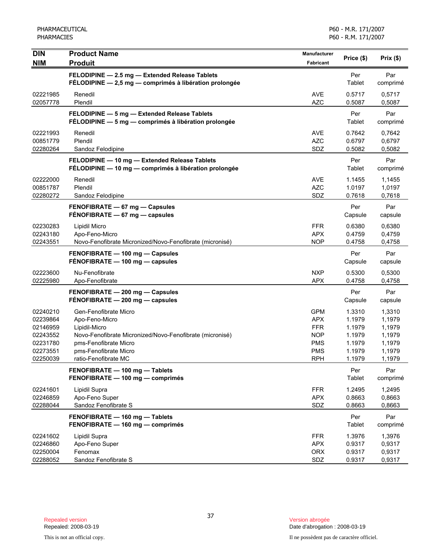| <b>DIN</b>                                                                       | <b>Product Name</b>                                                                                                                                                                            | <b>Manufacturer</b>                                                                            | Price (\$)                                                         | Prix(\$)                                                           |
|----------------------------------------------------------------------------------|------------------------------------------------------------------------------------------------------------------------------------------------------------------------------------------------|------------------------------------------------------------------------------------------------|--------------------------------------------------------------------|--------------------------------------------------------------------|
| <b>NIM</b>                                                                       | <b>Produit</b>                                                                                                                                                                                 | Fabricant                                                                                      |                                                                    |                                                                    |
|                                                                                  | FELODIPINE - 2.5 mg - Extended Release Tablets<br>FÉLODIPINE - 2,5 mg - comprimés à libération prolongée                                                                                       |                                                                                                | Per<br>Tablet                                                      | Par<br>comprimé                                                    |
| 02221985<br>02057778                                                             | Renedil<br>Plendil                                                                                                                                                                             | <b>AVE</b><br><b>AZC</b>                                                                       | 0.5717<br>0.5087                                                   | 0,5717<br>0,5087                                                   |
|                                                                                  | FELODIPINE - 5 mg - Extended Release Tablets<br>FÉLODIPINE - 5 mg - comprimés à libération prolongée                                                                                           |                                                                                                | Per<br>Tablet                                                      | Par<br>comprimé                                                    |
| 02221993<br>00851779<br>02280264                                                 | Renedil<br>Plendil<br>Sandoz Felodipine                                                                                                                                                        | <b>AVE</b><br><b>AZC</b><br>SDZ                                                                | 0.7642<br>0.6797<br>0.5082                                         | 0,7642<br>0,6797<br>0,5082                                         |
|                                                                                  | FELODIPINE - 10 mg - Extended Release Tablets<br>FÉLODIPINE - 10 mg - comprimés à libération prolongée                                                                                         |                                                                                                | Per<br>Tablet                                                      | Par<br>comprimé                                                    |
| 02222000<br>00851787<br>02280272                                                 | Renedil<br>Plendil<br>Sandoz Felodipine                                                                                                                                                        | <b>AVE</b><br><b>AZC</b><br>SDZ                                                                | 1.1455<br>1.0197<br>0.7618                                         | 1,1455<br>1,0197<br>0,7618                                         |
|                                                                                  | FENOFIBRATE - 67 mg - Capsules<br>FENOFIBRATE - 67 mg - capsules                                                                                                                               |                                                                                                | Per<br>Capsule                                                     | Par<br>capsule                                                     |
| 02230283<br>02243180<br>02243551                                                 | Lipidil Micro<br>Apo-Feno-Micro<br>Novo-Fenofibrate Micronized/Novo-Fenofibrate (micronisé)                                                                                                    | <b>FFR</b><br><b>APX</b><br><b>NOP</b>                                                         | 0.6380<br>0.4759<br>0.4758                                         | 0,6380<br>0,4759<br>0,4758                                         |
|                                                                                  | FENOFIBRATE - 100 mg - Capsules<br>FÉNOFIBRATE - 100 mg - capsules                                                                                                                             |                                                                                                | Per<br>Capsule                                                     | Par<br>capsule                                                     |
| 02223600<br>02225980                                                             | Nu-Fenofibrate<br>Apo-Fenofibrate                                                                                                                                                              | <b>NXP</b><br><b>APX</b>                                                                       | 0.5300<br>0.4758                                                   | 0,5300<br>0,4758                                                   |
|                                                                                  | FENOFIBRATE - 200 mg - Capsules<br>FENOFIBRATE - 200 mg - capsules                                                                                                                             |                                                                                                | Per<br>Capsule                                                     | Par<br>capsule                                                     |
| 02240210<br>02239864<br>02146959<br>02243552<br>02231780<br>02273551<br>02250039 | Gen-Fenofibrate Micro<br>Apo-Feno-Micro<br>Lipidil-Micro<br>Novo-Fenofibrate Micronized/Novo-Fenofibrate (micronisé)<br>pms-Fenofibrate Micro<br>pms-Fenofibrate Micro<br>ratio-Fenofibrate MC | <b>GPM</b><br><b>APX</b><br><b>FFR</b><br><b>NOP</b><br><b>PMS</b><br><b>PMS</b><br><b>RPH</b> | 1.3310<br>1.1979<br>1.1979<br>1.1979<br>1.1979<br>1.1979<br>1.1979 | 1,3310<br>1,1979<br>1,1979<br>1,1979<br>1,1979<br>1,1979<br>1,1979 |
|                                                                                  | FENOFIBRATE - 100 mg - Tablets<br>FENOFIBRATE - 100 mg - comprimés                                                                                                                             |                                                                                                | Per<br><b>Tablet</b>                                               | Par<br>comprimé                                                    |
| 02241601<br>02246859<br>02288044                                                 | Lipidil Supra<br>Apo-Feno Super<br>Sandoz Fenofibrate S                                                                                                                                        | <b>FFR</b><br><b>APX</b><br>SDZ                                                                | 1.2495<br>0.8663<br>0.8663                                         | 1,2495<br>0,8663<br>0,8663                                         |
|                                                                                  | FENOFIBRATE - 160 mg - Tablets<br>FENOFIBRATE - 160 mg - comprimés                                                                                                                             |                                                                                                | Per<br>Tablet                                                      | Par<br>comprimé                                                    |
| 02241602<br>02246860<br>02250004<br>02288052                                     | Lipidil Supra<br>Apo-Feno Super<br>Fenomax<br>Sandoz Fenofibrate S                                                                                                                             | <b>FFR</b><br><b>APX</b><br><b>ORX</b><br>SDZ                                                  | 1.3976<br>0.9317<br>0.9317<br>0.9317                               | 1,3976<br>0,9317<br>0,9317<br>0,9317                               |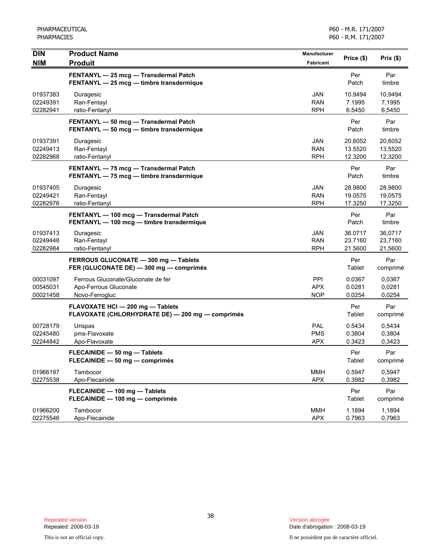| <b>DIN</b><br><b>NIM</b>         | <b>Product Name</b><br><b>Produit</b>                                                | Manufacturer<br><b>Fabricant</b>       | Price (\$)                    | Prix(\$)                      |
|----------------------------------|--------------------------------------------------------------------------------------|----------------------------------------|-------------------------------|-------------------------------|
|                                  | FENTANYL - 25 mcg - Transdermal Patch<br>FENTANYL - 25 mcg - timbre transdermique    |                                        | Per<br>Patch                  | Par<br>timbre                 |
| 01937383<br>02249391<br>02282941 | Duragesic<br>Ran-Fentayl<br>ratio-Fentanyl                                           | <b>JAN</b><br><b>RAN</b><br><b>RPH</b> | 10.9494<br>7.1995<br>6.5450   | 10,9494<br>7,1995<br>6,5450   |
|                                  | FENTANYL - 50 mcg - Transdermal Patch<br>FENTANYL - 50 mcg - timbre transdermique    |                                        | Per<br>Patch                  | Par<br>timbre                 |
| 01937391<br>02249413<br>02282968 | Duragesic<br>Ran-Fentayl<br>ratio-Fentanyl                                           | <b>JAN</b><br><b>RAN</b><br><b>RPH</b> | 20.6052<br>13.5520<br>12.3200 | 20,6052<br>13,5520<br>12,3200 |
|                                  | FENTANYL - 75 mcg - Transdermal Patch<br>FENTANYL - 75 mcg - timbre transdermique    |                                        | Per<br>Patch                  | Par<br>timbre                 |
| 01937405<br>02249421<br>02282976 | Duragesic<br>Ran-Fentayl<br>ratio-Fentanyl                                           | <b>JAN</b><br><b>RAN</b><br><b>RPH</b> | 28.9800<br>19.0575<br>17.3250 | 28,9800<br>19,0575<br>17,3250 |
|                                  | FENTANYL - 100 mcg - Transdermal Patch<br>FENTANYL - 100 mcg - timbre transdermique  |                                        | Per<br>Patch                  | Par<br>timbre                 |
| 01937413<br>02249448<br>02282984 | Duragesic<br>Ran-Fentayl<br>ratio-Fentanyl                                           | <b>JAN</b><br><b>RAN</b><br><b>RPH</b> | 36.0717<br>23.7160<br>21.5600 | 36,0717<br>23,7160<br>21,5600 |
|                                  | FERROUS GLUCONATE - 300 mg - Tablets<br>FER (GLUCONATE DE) - 300 mg - comprimés      |                                        | Per<br>Tablet                 | Par<br>comprimé               |
| 00031097<br>00545031<br>00021458 | Ferrous Gluconate/Gluconate de fer<br>Apo-Ferrous Gluconate<br>Novo-Ferrogluc        | PPI<br><b>APX</b><br><b>NOP</b>        | 0.0367<br>0.0281<br>0.0254    | 0,0367<br>0,0281<br>0,0254    |
|                                  | FLAVOXATE HCI - 200 mg - Tablets<br>FLAVOXATE (CHLORHYDRATE DE) - 200 mg - comprimés |                                        | Per<br>Tablet                 | Par<br>comprimé               |
| 00728179<br>02245480<br>02244842 | Urispas<br>pms-Flavoxate<br>Apo-Flavoxate                                            | PAL<br><b>PMS</b><br><b>APX</b>        | 0.5434<br>0.3804<br>0.3423    | 0,5434<br>0,3804<br>0,3423    |
|                                  | FLECAINIDE - 50 mg - Tablets<br>FLECAINIDE - 50 mg - comprimés                       |                                        | Per<br>Tablet                 | Par<br>comprimé               |
| 01966197<br>02275538             | Tambocor<br>Apo-Flecainide                                                           | MMH<br><b>APX</b>                      | 0.5947<br>0.3982              | 0.5947<br>0,3982              |
|                                  | FLECAINIDE - 100 mg - Tablets<br>FLECAINIDE - 100 mg - comprimés                     |                                        | Per<br>Tablet                 | Par<br>comprimé               |
| 01966200<br>02275546             | Tambocor<br>Apo-Flecainide                                                           | MMH<br><b>APX</b>                      | 1.1894<br>0.7963              | 1,1894<br>0,7963              |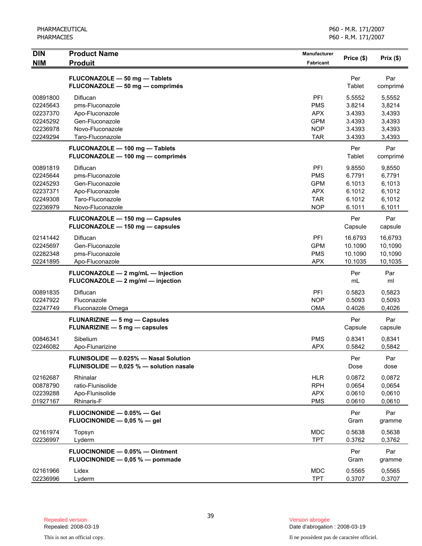| <b>DIN</b><br><b>NIM</b> | <b>Product Name</b><br><b>Produit</b>                                  | <b>Manufacturer</b><br><b>Fabricant</b> | Price (\$)     | Prix(\$)           |
|--------------------------|------------------------------------------------------------------------|-----------------------------------------|----------------|--------------------|
|                          | FLUCONAZOLE - 50 mg - Tablets                                          |                                         | Per            | Par                |
|                          | FLUCONAZOLE - 50 mg - comprimés                                        |                                         | Tablet         | comprimé           |
| 00891800                 | Diflucan                                                               | PFI                                     | 5.5552         | 5,5552             |
| 02245643                 | pms-Fluconazole                                                        | <b>PMS</b>                              | 3.8214         | 3,8214             |
| 02237370                 | Apo-Fluconazole                                                        | <b>APX</b>                              | 3.4393         | 3,4393             |
| 02245292                 | Gen-Fluconazole                                                        | <b>GPM</b>                              | 3.4393         | 3,4393             |
| 02236978                 | Novo-Fluconazole                                                       | <b>NOP</b>                              | 3.4393         | 3,4393             |
| 02249294                 | Taro-Fluconazole                                                       | <b>TAR</b>                              | 3.4393         | 3,4393             |
|                          | FLUCONAZOLE - 100 mg - Tablets<br>FLUCONAZOLE - 100 mg - comprimés     |                                         | Per<br>Tablet  | Par<br>comprimé    |
| 00891819                 | Diflucan                                                               | PFI                                     | 9.8550         | 9,8550             |
| 02245644                 | pms-Fluconazole                                                        | <b>PMS</b>                              | 6.7791         | 6,7791             |
| 02245293                 | Gen-Fluconazole                                                        | <b>GPM</b>                              | 6.1013         | 6,1013             |
| 02237371                 | Apo-Fluconazole                                                        | <b>APX</b>                              | 6.1012         | 6,1012             |
| 02249308<br>02236979     | Taro-Fluconazole                                                       | <b>TAR</b><br><b>NOP</b>                | 6.1012         | 6,1012<br>6,1011   |
|                          | Novo-Fluconazole                                                       |                                         | 6.1011         |                    |
|                          | FLUCONAZOLE - 150 mg - Capsules<br>FLUCONAZOLE - 150 mg - capsules     |                                         | Per<br>Capsule | Par<br>capsule     |
| 02141442                 | Diflucan                                                               | PFI                                     | 16.6793        |                    |
| 02245697                 | Gen-Fluconazole                                                        | <b>GPM</b>                              | 10.1090        | 16,6793<br>10,1090 |
| 02282348                 | pms-Fluconazole                                                        | <b>PMS</b>                              | 10.1090        | 10,1090            |
| 02241895                 | Apo-Fluconazole                                                        | <b>APX</b>                              | 10.1035        | 10,1035            |
|                          | FLUCONAZOLE - 2 mg/mL - Injection<br>FLUCONAZOLE - 2 mg/ml - injection |                                         | Per<br>mL      | Par<br>ml          |
| 00891835                 | Diflucan                                                               | PFI                                     | 0.5823         | 0,5823             |
| 02247922                 | Fluconazole                                                            | <b>NOP</b>                              | 0.5093         | 0,5093             |
| 02247749                 | Fluconazole Omega                                                      | <b>OMA</b>                              | 0.4026         | 0,4026             |
|                          | <b>FLUNARIZINE - 5 mg - Capsules</b>                                   |                                         | Per            | Par                |
|                          | FLUNARIZINE - 5 mg - capsules                                          |                                         | Capsule        | capsule            |
| 00846341                 | Sibelium                                                               | <b>PMS</b>                              | 0.8341         | 0,8341             |
| 02246082                 | Apo-Flunarizine                                                        | <b>APX</b>                              | 0.5842         | 0,5842             |
|                          | FLUNISOLIDE - 0.025% - Nasal Solution                                  |                                         | Per            | Par                |
|                          | FLUNISOLIDE - 0,025 % - solution nasale                                |                                         | Dose           | dose               |
| 02162687                 | Rhinalar                                                               | <b>HLR</b>                              | 0.0872         | 0,0872             |
| 00878790                 | ratio-Flunisolide                                                      | <b>RPH</b>                              | 0.0654         | 0,0654             |
| 02239288                 | Apo-Flunisolide                                                        | <b>APX</b>                              | 0.0610         | 0,0610             |
| 01927167                 | Rhinaris-F                                                             | <b>PMS</b>                              | 0.0610         | 0,0610             |
|                          | FLUOCINONIDE - 0.05% - Gel                                             |                                         | Per            | Par                |
|                          | FLUOCINONIDE - 0,05 % - gel                                            |                                         | Gram           | gramme             |
| 02161974                 | Topsyn                                                                 | <b>MDC</b>                              | 0.5638         | 0,5638             |
| 02236997                 | Lyderm                                                                 | <b>TPT</b>                              | 0.3762         | 0,3762             |
|                          | FLUOCINONIDE - 0.05% - Ointment                                        |                                         | Per            | Par                |
|                          | FLUOCINONIDE - 0,05 % - pommade                                        |                                         | Gram           | gramme             |
| 02161966                 | Lidex                                                                  | <b>MDC</b>                              | 0.5565         | 0,5565             |
| 02236996                 | Lyderm                                                                 | <b>TPT</b>                              | 0.3707         | 0,3707             |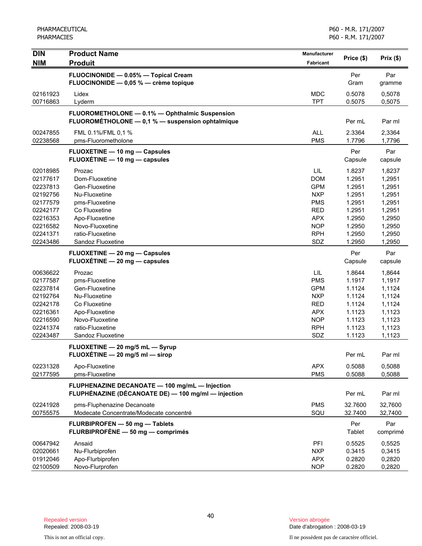| <b>DIN</b> | <b>Product Name</b>                                                | Manufacturer     |               |          |
|------------|--------------------------------------------------------------------|------------------|---------------|----------|
| <b>NIM</b> | <b>Produit</b>                                                     | <b>Fabricant</b> | Price (\$)    | Prix(\$) |
|            | FLUOCINONIDE - 0.05% - Topical Cream                               |                  | Per           | Par      |
|            | FLUOCINONIDE - 0,05 % - crème topique                              |                  | Gram          | gramme   |
| 02161923   | Lidex                                                              | <b>MDC</b>       | 0.5078        | 0,5078   |
| 00716863   | Lyderm                                                             | <b>TPT</b>       | 0.5075        | 0,5075   |
|            | FLUOROMETHOLONE - 0.1% - Ophthalmic Suspension                     |                  |               |          |
|            | FLUOROMÉTHOLONE - 0,1 % - suspension ophtalmique                   |                  | Per mL        | Par ml   |
| 00247855   | FML 0.1%/FML 0,1 %                                                 | <b>ALL</b>       | 2.3364        | 2,3364   |
| 02238568   | pms-Fluorometholone                                                | <b>PMS</b>       | 1.7796        | 1,7796   |
|            | <b>FLUOXETINE - 10 mg - Capsules</b>                               |                  | Per           | Par      |
|            | FLUOXÉTINE - 10 mg - capsules                                      |                  | Capsule       | capsule  |
| 02018985   | Prozac                                                             | <b>LIL</b>       | 1.8237        | 1,8237   |
| 02177617   | Dom-Fluoxetine                                                     | <b>DOM</b>       | 1.2951        | 1,2951   |
| 02237813   | Gen-Fluoxetine                                                     | <b>GPM</b>       | 1.2951        | 1,2951   |
| 02192756   | Nu-Fluoxetine                                                      | <b>NXP</b>       | 1.2951        | 1,2951   |
| 02177579   | pms-Fluoxetine                                                     | <b>PMS</b>       | 1.2951        | 1,2951   |
| 02242177   | Co Fluoxetine                                                      | <b>RED</b>       | 1.2951        | 1,2951   |
| 02216353   | Apo-Fluoxetine                                                     | <b>APX</b>       | 1.2950        | 1,2950   |
| 02216582   | Novo-Fluoxetine                                                    | <b>NOP</b>       | 1.2950        | 1,2950   |
| 02241371   | ratio-Fluoxetine                                                   | <b>RPH</b>       | 1.2950        | 1,2950   |
| 02243486   | Sandoz Fluoxetine                                                  | SDZ              | 1.2950        | 1,2950   |
|            | FLUOXETINE - 20 mg - Capsules                                      |                  | Per           | Par      |
|            | FLUOXÉTINE - 20 mg - capsules                                      |                  | Capsule       | capsule  |
| 00636622   | Prozac                                                             | <b>LIL</b>       | 1.8644        | 1,8644   |
| 02177587   | pms-Fluoxetine                                                     | <b>PMS</b>       | 1.1917        | 1,1917   |
| 02237814   | Gen-Fluoxetine                                                     | <b>GPM</b>       | 1.1124        | 1,1124   |
| 02192764   | Nu-Fluoxetine                                                      | <b>NXP</b>       | 1.1124        | 1,1124   |
| 02242178   | Co Fluoxetine                                                      | <b>RED</b>       | 1.1124        | 1,1124   |
| 02216361   | Apo-Fluoxetine                                                     | <b>APX</b>       | 1.1123        | 1,1123   |
| 02216590   | Novo-Fluoxetine                                                    | <b>NOP</b>       | 1.1123        | 1,1123   |
| 02241374   | ratio-Fluoxetine                                                   | <b>RPH</b>       | 1.1123        | 1,1123   |
| 02243487   | Sandoz Fluoxetine                                                  | SDZ              | 1.1123        | 1,1123   |
|            |                                                                    |                  |               |          |
|            | FLUOXETINE - 20 mg/5 mL - Syrup<br>FLUOXÉTINE - 20 mg/5 ml - sirop |                  | Per mL        | Par ml   |
|            |                                                                    |                  |               |          |
| 02231328   | Apo-Fluoxetine                                                     | <b>APX</b>       | 0.5088        | 0,5088   |
| 02177595   | pms-Fluoxetine                                                     | <b>PMS</b>       | 0.5088        | 0,5088   |
|            | FLUPHENAZINE DECANOATE - 100 mg/mL - Injection                     |                  |               |          |
|            | FLUPHÉNAZINE (DÉCANOATE DE) - 100 mg/ml - injection                |                  | Per mL        | Par ml   |
| 02241928   | pms-Fluphenazine Decanoate                                         | <b>PMS</b>       | 32.7600       | 32,7600  |
| 00755575   | Modecate Concentrate/Modecate concentré                            | SQU              | 32.7400       | 32,7400  |
|            | FLURBIPROFEN - 50 mg - Tablets                                     |                  | Per           | Par      |
|            | FLURBIPROFÈNE - 50 mg - comprimés                                  |                  | <b>Tablet</b> | comprimé |
| 00647942   | Ansaid                                                             | PFI              | 0.5525        | 0,5525   |
| 02020661   | Nu-Flurbiprofen                                                    | <b>NXP</b>       | 0.3415        | 0,3415   |
| 01912046   | Apo-Flurbiprofen                                                   | <b>APX</b>       | 0.2820        | 0,2820   |
| 02100509   | Novo-Flurprofen                                                    | <b>NOP</b>       | 0.2820        | 0,2820   |

Date d'abrogation : 2008-03-19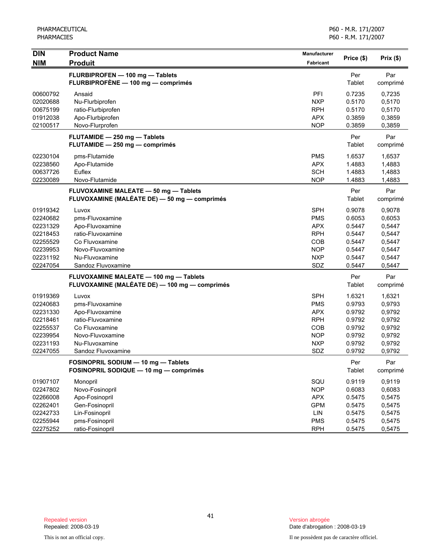| <b>DIN</b> | <b>Product Name</b>                           | Manufacturer     | Price (\$) | Prix(\$) |
|------------|-----------------------------------------------|------------------|------------|----------|
| <b>NIM</b> | <b>Produit</b>                                | <b>Fabricant</b> |            |          |
|            | FLURBIPROFEN - 100 mg - Tablets               |                  | Per        | Par      |
|            | FLURBIPROFÈNE - 100 mg - comprimés            |                  | Tablet     | comprimé |
| 00600792   | Ansaid                                        | PFI              | 0.7235     | 0,7235   |
| 02020688   | Nu-Flurbiprofen                               | <b>NXP</b>       | 0.5170     | 0,5170   |
| 00675199   | ratio-Flurbiprofen                            | <b>RPH</b>       | 0.5170     | 0,5170   |
| 01912038   | Apo-Flurbiprofen                              | <b>APX</b>       | 0.3859     | 0,3859   |
| 02100517   | Novo-Flurprofen                               | <b>NOP</b>       | 0.3859     | 0,3859   |
|            | FLUTAMIDE - 250 mg - Tablets                  |                  | Per        | Par      |
|            | FLUTAMIDE - 250 mg - comprimés                |                  | Tablet     | comprimé |
| 02230104   | pms-Flutamide                                 | <b>PMS</b>       | 1.6537     | 1,6537   |
| 02238560   | Apo-Flutamide                                 | <b>APX</b>       | 1.4883     | 1,4883   |
| 00637726   | Euflex                                        | <b>SCH</b>       | 1.4883     | 1,4883   |
| 02230089   | Novo-Flutamide                                | <b>NOP</b>       | 1.4883     | 1,4883   |
|            | FLUVOXAMINE MALEATE - 50 mg - Tablets         |                  | Per        | Par      |
|            | FLUVOXAMINE (MALÉATE DE) - 50 mg - comprimés  |                  | Tablet     | comprimé |
| 01919342   | Luvox                                         | <b>SPH</b>       | 0.9078     | 0,9078   |
| 02240682   | pms-Fluvoxamine                               | <b>PMS</b>       | 0.6053     | 0.6053   |
| 02231329   | Apo-Fluvoxamine                               | <b>APX</b>       | 0.5447     | 0,5447   |
| 02218453   | ratio-Fluvoxamine                             | <b>RPH</b>       | 0.5447     | 0,5447   |
| 02255529   | Co Fluvoxamine                                | COB              | 0.5447     | 0,5447   |
| 02239953   | Novo-Fluvoxamine                              | <b>NOP</b>       | 0.5447     | 0,5447   |
| 02231192   | Nu-Fluvoxamine                                | <b>NXP</b>       | 0.5447     | 0,5447   |
| 02247054   | Sandoz Fluvoxamine                            | SDZ              | 0.5447     | 0,5447   |
|            | FLUVOXAMINE MALEATE - 100 mg - Tablets        |                  | Per        | Par      |
|            | FLUVOXAMINE (MALÉATE DE) — 100 mg — comprimés |                  | Tablet     | comprimé |
| 01919369   | Luvox                                         | <b>SPH</b>       | 1.6321     | 1,6321   |
| 02240683   | pms-Fluvoxamine                               | <b>PMS</b>       | 0.9793     | 0,9793   |
| 02231330   | Apo-Fluvoxamine                               | <b>APX</b>       | 0.9792     | 0,9792   |
| 02218461   | ratio-Fluvoxamine                             | <b>RPH</b>       | 0.9792     | 0,9792   |
| 02255537   | Co Fluvoxamine                                | COB              | 0.9792     | 0,9792   |
| 02239954   | Novo-Fluvoxamine                              | <b>NOP</b>       | 0.9792     | 0,9792   |
| 02231193   | Nu-Fluvoxamine                                | <b>NXP</b>       | 0.9792     | 0,9792   |
| 02247055   | Sandoz Fluvoxamine                            | SDZ              | 0.9792     | 0,9792   |
|            | FOSINOPRIL SODIUM - 10 mg - Tablets           |                  | Per        | Par      |
|            | FOSINOPRIL SODIQUE - 10 mg - comprimés        |                  | Tablet     | comprimé |
| 01907107   | Monopril                                      | SQU              | 0.9119     | 0,9119   |
| 02247802   | Novo-Fosinopril                               | <b>NOP</b>       | 0.6083     | 0,6083   |
| 02266008   | Apo-Fosinopril                                | <b>APX</b>       | 0.5475     | 0,5475   |
| 02262401   | Gen-Fosinopril                                | <b>GPM</b>       | 0.5475     | 0,5475   |
| 02242733   | Lin-Fosinopril                                | LIN              | 0.5475     | 0,5475   |
| 02255944   | pms-Fosinopril                                | <b>PMS</b>       | 0.5475     | 0,5475   |
| 02275252   | ratio-Fosinopril                              | <b>RPH</b>       | 0.5475     | 0,5475   |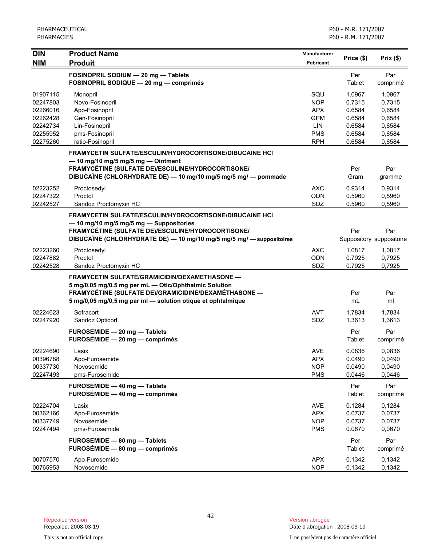| <b>DIN</b>                                                                       | <b>Product Name</b>                                                                                                                                                                                                                    | <b>Manufacturer</b>                                                                     | Price (\$)                                                         | Prix(\$)                                                           |
|----------------------------------------------------------------------------------|----------------------------------------------------------------------------------------------------------------------------------------------------------------------------------------------------------------------------------------|-----------------------------------------------------------------------------------------|--------------------------------------------------------------------|--------------------------------------------------------------------|
| <b>NIM</b>                                                                       | <b>Produit</b>                                                                                                                                                                                                                         | <b>Fabricant</b>                                                                        |                                                                    |                                                                    |
|                                                                                  | FOSINOPRIL SODIUM - 20 mg - Tablets<br>FOSINOPRIL SODIQUE - 20 mg - comprimés                                                                                                                                                          |                                                                                         | Per<br>Tablet                                                      | Par<br>comprimé                                                    |
| 01907115<br>02247803<br>02266016<br>02262428<br>02242734<br>02255952<br>02275260 | Monopril<br>Novo-Fosinopril<br>Apo-Fosinopril<br>Gen-Fosinopril<br>Lin-Fosinopril<br>pms-Fosinopril<br>ratio-Fosinopril                                                                                                                | SQU<br><b>NOP</b><br><b>APX</b><br><b>GPM</b><br><b>LIN</b><br><b>PMS</b><br><b>RPH</b> | 1.0967<br>0.7315<br>0.6584<br>0.6584<br>0.6584<br>0.6584<br>0.6584 | 1,0967<br>0,7315<br>0,6584<br>0,6584<br>0,6584<br>0,6584<br>0,6584 |
|                                                                                  | <b>FRAMYCETIN SULFATE/ESCULIN/HYDROCORTISONE/DIBUCAINE HCI</b><br>$-$ 10 mg/10 mg/5 mg/5 mg $-$ Ointment<br>FRAMYCÉTINE (SULFATE DE)/ESCULINE/HYDROCORTISONE/<br>DIBUCAÏNE (CHLORHYDRATE DE) - 10 mg/10 mg/5 mg/5 mg/ - pommade        |                                                                                         | Per<br>Gram                                                        | Par<br>gramme                                                      |
| 02223252<br>02247322<br>02242527                                                 | Proctosedyl<br>Proctol<br>Sandoz Proctomyxin HC                                                                                                                                                                                        | <b>AXC</b><br><b>ODN</b><br><b>SDZ</b>                                                  | 0.9314<br>0.5960<br>0.5960                                         | 0.9314<br>0,5960<br>0,5960                                         |
|                                                                                  | <b>FRAMYCETIN SULFATE/ESCULIN/HYDROCORTISONE/DIBUCAINE HCI</b><br>- 10 mg/10 mg/5 mg/5 mg - Suppositories<br>FRAMYCÉTINE (SULFATE DE)/ESCULINE/HYDROCORTISONE/<br>DIBUCAÏNE (CHLORHYDRATE DE) - 10 mg/10 mg/5 mg/5 mg/ - suppositoires |                                                                                         | Per                                                                | Par<br>Suppository suppositoire                                    |
| 02223260<br>02247882<br>02242528                                                 | Proctosedyl<br>Proctol<br>Sandoz Proctomyxin HC                                                                                                                                                                                        | <b>AXC</b><br><b>ODN</b><br>SDZ                                                         | 1.0817<br>0.7925<br>0.7925                                         | 1,0817<br>0,7925<br>0,7925                                         |
|                                                                                  | FRAMYCETIN SULFATE/GRAMICIDIN/DEXAMETHASONE —<br>5 mg/0.05 mg/0.5 mg per mL - Otic/Ophthalmic Solution<br>FRAMYCÉTINE (SULFATE DE)/GRAMICIDINE/DEXAMÉTHASONE -<br>5 mg/0,05 mg/0,5 mg par ml - solution otique et ophtalmique          |                                                                                         | Per<br>mL                                                          | Par<br>ml                                                          |
| 02224623<br>02247920                                                             | Sofracort<br>Sandoz Opticort                                                                                                                                                                                                           | <b>AVT</b><br>SDZ                                                                       | 1.7834<br>1.3613                                                   | 1,7834<br>1,3613                                                   |
|                                                                                  | FUROSEMIDE - 20 mg - Tablets<br>FUROSÉMIDE - 20 mg - comprimés                                                                                                                                                                         |                                                                                         | Per<br>Tablet                                                      | Par<br>comprimé                                                    |
| 02224690<br>00396788<br>00337730<br>02247493                                     | Lasix<br>Apo-Furosemide<br>Novosemide<br>pms-Furosemide                                                                                                                                                                                | <b>AVE</b><br>APX<br><b>NOP</b><br><b>PMS</b>                                           | 0.0836<br>0.0490<br>0.0490<br>0.0446                               | 0.0836<br>0,0490<br>0,0490<br>0,0446                               |
|                                                                                  | FUROSEMIDE - 40 mg - Tablets<br>FUROSÉMIDE - 40 mg - comprimés                                                                                                                                                                         |                                                                                         | Per<br>Tablet                                                      | Par<br>comprimé                                                    |
| 02224704<br>00362166<br>00337749<br>02247494                                     | Lasix<br>Apo-Furosemide<br>Novosemide<br>pms-Furosemide                                                                                                                                                                                | <b>AVE</b><br><b>APX</b><br><b>NOP</b><br><b>PMS</b>                                    | 0.1284<br>0.0737<br>0.0737<br>0.0670                               | 0,1284<br>0,0737<br>0,0737<br>0,0670                               |
|                                                                                  | FUROSEMIDE - 80 mg - Tablets<br>FUROSÉMIDE - 80 mg - comprimés                                                                                                                                                                         |                                                                                         | Per<br>Tablet                                                      | Par<br>comprimé                                                    |
| 00707570<br>00765953                                                             | Apo-Furosemide<br>Novosemide                                                                                                                                                                                                           | <b>APX</b><br><b>NOP</b>                                                                | 0.1342<br>0.1342                                                   | 0,1342<br>0,1342                                                   |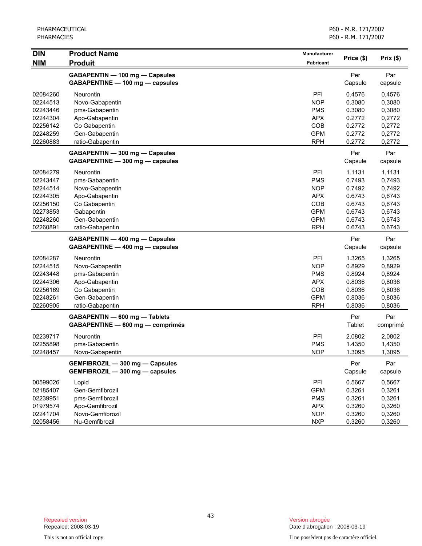| <b>DIN</b> | <b>Product Name</b>              | <b>Manufacturer</b> | Price (\$) | Prix(\$) |
|------------|----------------------------------|---------------------|------------|----------|
| <b>NIM</b> | <b>Produit</b>                   | <b>Fabricant</b>    |            |          |
|            | GABAPENTIN - 100 mg - Capsules   |                     | Per        | Par      |
|            | GABAPENTINE - 100 mg - capsules  |                     | Capsule    | capsule  |
| 02084260   | Neurontin                        | PFI                 | 0.4576     | 0,4576   |
| 02244513   | Novo-Gabapentin                  | <b>NOP</b>          | 0.3080     | 0,3080   |
| 02243446   | pms-Gabapentin                   | <b>PMS</b>          | 0.3080     | 0,3080   |
| 02244304   | Apo-Gabapentin                   | <b>APX</b>          | 0.2772     | 0,2772   |
| 02256142   | Co Gabapentin                    | COB                 | 0.2772     | 0,2772   |
| 02248259   | Gen-Gabapentin                   | <b>GPM</b>          | 0.2772     | 0,2772   |
| 02260883   | ratio-Gabapentin                 | <b>RPH</b>          | 0.2772     | 0,2772   |
|            | GABAPENTIN - 300 mg - Capsules   |                     | Per        | Par      |
|            | GABAPENTINE - 300 mg - capsules  |                     | Capsule    | capsule  |
| 02084279   | <b>Neurontin</b>                 | PFI                 | 1.1131     | 1,1131   |
| 02243447   | pms-Gabapentin                   | <b>PMS</b>          | 0.7493     | 0,7493   |
| 02244514   | Novo-Gabapentin                  | <b>NOP</b>          | 0.7492     | 0,7492   |
| 02244305   | Apo-Gabapentin                   | <b>APX</b>          | 0.6743     | 0,6743   |
| 02256150   | Co Gabapentin                    | COB                 | 0.6743     | 0,6743   |
| 02273853   | Gabapentin                       | <b>GPM</b>          | 0.6743     | 0,6743   |
| 02248260   | Gen-Gabapentin                   | <b>GPM</b>          | 0.6743     | 0,6743   |
| 02260891   | ratio-Gabapentin                 | <b>RPH</b>          | 0.6743     | 0,6743   |
|            | GABAPENTIN - 400 mg - Capsules   |                     | Per        | Par      |
|            | GABAPENTINE - 400 mg - capsules  |                     | Capsule    | capsule  |
| 02084287   | <b>Neurontin</b>                 | PFI                 | 1.3265     | 1,3265   |
| 02244515   | Novo-Gabapentin                  | <b>NOP</b>          | 0.8929     | 0,8929   |
| 02243448   | pms-Gabapentin                   | <b>PMS</b>          | 0.8924     | 0,8924   |
| 02244306   | Apo-Gabapentin                   | <b>APX</b>          | 0.8036     | 0,8036   |
| 02256169   | Co Gabapentin                    | COB                 | 0.8036     | 0,8036   |
| 02248261   | Gen-Gabapentin                   | <b>GPM</b>          | 0.8036     | 0,8036   |
| 02260905   | ratio-Gabapentin                 | <b>RPH</b>          | 0.8036     | 0,8036   |
|            | GABAPENTIN - 600 mg - Tablets    |                     | Per        | Par      |
|            | GABAPENTINE - 600 mg - comprimés |                     | Tablet     | comprimé |
| 02239717   | <b>Neurontin</b>                 | PFI                 | 2.0802     | 2,0802   |
| 02255898   | pms-Gabapentin                   | <b>PMS</b>          | 1.4350     | 1,4350   |
| 02248457   | Novo-Gabapentin                  | <b>NOP</b>          | 1.3095     | 1,3095   |
|            | GEMFIBROZIL - 300 mg - Capsules  |                     | Per        | Par      |
|            | GEMFIBROZIL - 300 mg - capsules  |                     | Capsule    | capsule  |
| 00599026   | Lopid                            | PFI                 | 0.5667     | 0,5667   |
| 02185407   | Gen-Gemfibrozil                  | <b>GPM</b>          | 0.3261     | 0,3261   |
| 02239951   | pms-Gemfibrozil                  | <b>PMS</b>          | 0.3261     | 0,3261   |
| 01979574   | Apo-Gemfibrozil                  | <b>APX</b>          | 0.3260     | 0,3260   |
| 02241704   | Novo-Gemfibrozil                 | <b>NOP</b>          | 0.3260     | 0,3260   |
| 02058456   | Nu-Gemfibrozil                   | <b>NXP</b>          | 0.3260     | 0,3260   |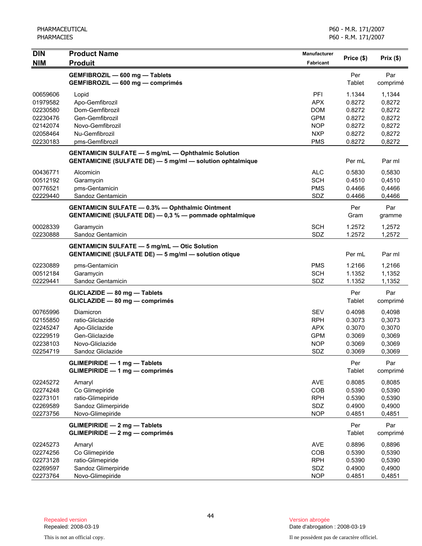| <b>DIN</b><br><b>NIM</b>         | <b>Product Name</b><br><b>Produit</b>                                                                                         | <b>Manufacturer</b><br><b>Fabricant</b> | Price (\$)                 | Prix(\$)                   |
|----------------------------------|-------------------------------------------------------------------------------------------------------------------------------|-----------------------------------------|----------------------------|----------------------------|
|                                  | GEMFIBROZIL - 600 mg - Tablets<br>GEMFIBROZIL - 600 mg - comprimés                                                            |                                         | Per<br>Tablet              | Par<br>comprimé            |
| 00659606<br>01979582<br>02230580 | Lopid<br>Apo-Gemfibrozil<br>Dom-Gemfibrozil                                                                                   | PFI<br><b>APX</b><br><b>DOM</b>         | 1.1344<br>0.8272<br>0.8272 | 1,1344<br>0,8272<br>0,8272 |
| 02230476                         | Gen-Gemfibrozil                                                                                                               | <b>GPM</b>                              | 0.8272                     | 0,8272                     |
| 02142074<br>02058464<br>02230183 | Novo-Gemfibrozil<br>Nu-Gemfibrozil<br>pms-Gemfibrozil                                                                         | <b>NOP</b><br><b>NXP</b><br><b>PMS</b>  | 0.8272<br>0.8272<br>0.8272 | 0,8272<br>0,8272<br>0,8272 |
|                                  | <b>GENTAMICIN SULFATE - 5 mg/mL - Ophthalmic Solution</b><br><b>GENTAMICINE (SULFATE DE) - 5 mg/ml - solution ophtalmique</b> |                                         | Per mL                     | Par ml                     |
| 00436771                         | Alcomicin                                                                                                                     | <b>ALC</b>                              | 0.5830                     | 0,5830                     |
| 00512192<br>00776521             | Garamycin<br>pms-Gentamicin                                                                                                   | <b>SCH</b><br><b>PMS</b>                | 0.4510<br>0.4466           | 0,4510<br>0,4466           |
| 02229440                         | Sandoz Gentamicin                                                                                                             | SDZ                                     | 0.4466                     | 0,4466                     |
|                                  | <b>GENTAMICIN SULFATE - 0.3% - Ophthalmic Ointment</b><br>GENTAMICINE (SULFATE DE) - 0,3 % - pommade ophtalmique              |                                         | Per<br>Gram                | Par<br>gramme              |
| 00028339<br>02230888             | Garamycin<br>Sandoz Gentamicin                                                                                                | <b>SCH</b><br>SDZ                       | 1.2572<br>1.2572           | 1,2572<br>1,2572           |
|                                  | <b>GENTAMICIN SULFATE - 5 mg/mL - Otic Solution</b><br><b>GENTAMICINE (SULFATE DE) - 5 mg/ml - solution otique</b>            |                                         | Per mL                     | Par ml                     |
| 02230889                         | pms-Gentamicin                                                                                                                | <b>PMS</b>                              | 1.2166                     | 1,2166                     |
| 00512184<br>02229441             | Garamycin<br>Sandoz Gentamicin                                                                                                | <b>SCH</b><br>SDZ                       | 1.1352<br>1.1352           | 1,1352<br>1,1352           |
|                                  | GLICLAZIDE - 80 mg - Tablets<br>GLICLAZIDE - 80 mg - comprimés                                                                |                                         | Per<br>Tablet              | Par<br>comprimé            |
| 00765996                         | Diamicron                                                                                                                     | <b>SEV</b>                              | 0.4098                     | 0,4098                     |
| 02155850                         | ratio-Gliclazide                                                                                                              | <b>RPH</b>                              | 0.3073                     | 0,3073                     |
| 02245247                         | Apo-Gliclazide<br>Gen-Gliclazide                                                                                              | <b>APX</b><br><b>GPM</b>                | 0.3070<br>0.3069           | 0,3070                     |
| 02229519<br>02238103             | Novo-Gliclazide                                                                                                               | <b>NOP</b>                              | 0.3069                     | 0,3069<br>0,3069           |
| 02254719                         | Sandoz Gliclazide                                                                                                             | SDZ                                     | 0.3069                     | 0,3069                     |
|                                  | <b>GLIMEPIRIDE - 1 mg - Tablets</b><br><b>GLIMEPIRIDE - 1 mg - comprimés</b>                                                  |                                         | Per<br><b>Tablet</b>       | Par<br>comprimé            |
| 02245272                         | Amaryl                                                                                                                        | <b>AVE</b>                              | 0.8085                     | 0,8085                     |
| 02274248                         | Co Glimepiride                                                                                                                | <b>COB</b>                              | 0.5390                     | 0,5390                     |
| 02273101                         | ratio-Glimepiride                                                                                                             | <b>RPH</b>                              | 0.5390                     | 0,5390                     |
| 02269589<br>02273756             | Sandoz Glimerpiride<br>Novo-Glimepiride                                                                                       | SDZ<br><b>NOP</b>                       | 0.4900<br>0.4851           | 0,4900<br>0,4851           |
|                                  | <b>GLIMEPIRIDE - 2 mg - Tablets</b><br><b>GLIMEPIRIDE - 2 mg - comprimés</b>                                                  |                                         | Per<br>Tablet              | Par<br>comprimé            |
| 02245273                         | Amaryl                                                                                                                        | <b>AVE</b>                              | 0.8896                     | 0,8896                     |
| 02274256                         | Co Glimepiride                                                                                                                | <b>COB</b>                              | 0.5390                     | 0,5390                     |
| 02273128                         | ratio-Glimepiride                                                                                                             | <b>RPH</b>                              | 0.5390                     | 0,5390                     |
| 02269597                         | Sandoz Glimerpiride                                                                                                           | SDZ                                     | 0.4900                     | 0,4900                     |
| 02273764                         | Novo-Glimepiride                                                                                                              | <b>NOP</b>                              | 0.4851                     | 0,4851                     |

Date d'abrogation : 2008-03-19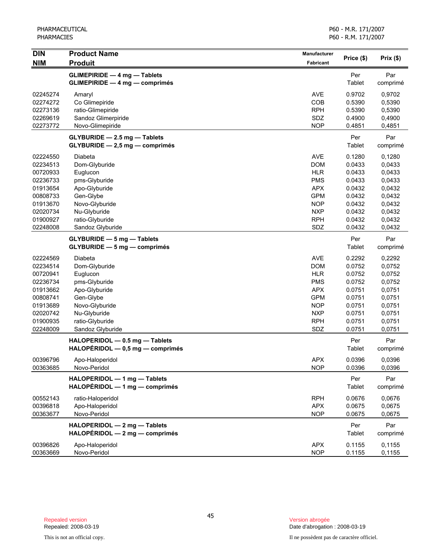| DIN                  | <b>Product Name</b>                                                     | Manufacturer                           | Price (\$)                 | Prix(\$)         |
|----------------------|-------------------------------------------------------------------------|----------------------------------------|----------------------------|------------------|
| <b>NIM</b>           | <b>Produit</b>                                                          | Fabricant                              |                            |                  |
|                      | <b>GLIMEPIRIDE - 4 mg - Tablets</b><br>$GLIMEPIRIDE - 4 mg - comprimés$ |                                        | Per<br>Tablet              | Par<br>comprimé  |
| 02245274             | Amaryl                                                                  | <b>AVE</b>                             | 0.9702                     | 0,9702           |
| 02274272             | Co Glimepiride                                                          | COB                                    | 0.5390                     | 0,5390           |
| 02273136             | ratio-Glimepiride                                                       | <b>RPH</b>                             | 0.5390                     | 0,5390           |
| 02269619             | Sandoz Glimerpiride                                                     | SDZ                                    | 0.4900                     | 0,4900           |
| 02273772             | Novo-Glimepiride                                                        | <b>NOP</b>                             | 0.4851                     | 0,4851           |
|                      | GLYBURIDE - 2.5 mg - Tablets<br>GLYBURIDE - 2,5 mg - comprimés          |                                        | Per<br>Tablet              | Par<br>comprimé  |
| 02224550             | Diabeta                                                                 | <b>AVE</b>                             | 0.1280                     | 0,1280           |
| 02234513             | Dom-Glyburide                                                           | <b>DOM</b>                             | 0.0433                     | 0,0433           |
| 00720933             | Euglucon                                                                | <b>HLR</b>                             | 0.0433                     | 0,0433           |
| 02236733             | pms-Glyburide                                                           | <b>PMS</b>                             | 0.0433                     | 0,0433           |
| 01913654             | Apo-Glyburide                                                           | <b>APX</b>                             | 0.0432                     | 0,0432           |
| 00808733             | Gen-Glybe                                                               | <b>GPM</b>                             | 0.0432                     | 0,0432           |
| 01913670             | Novo-Glyburide                                                          | <b>NOP</b>                             | 0.0432                     | 0,0432           |
| 02020734             | Nu-Glyburide                                                            | <b>NXP</b>                             | 0.0432                     | 0,0432           |
| 01900927             | ratio-Glyburide                                                         | <b>RPH</b>                             | 0.0432                     | 0,0432           |
| 02248008             | Sandoz Glyburide                                                        | SDZ                                    | 0.0432                     | 0,0432           |
|                      | GLYBURIDE - 5 mg - Tablets<br>GLYBURIDE - 5 mg - comprimés              |                                        | Per<br><b>Tablet</b>       | Par<br>comprimé  |
| 02224569             | Diabeta                                                                 | <b>AVE</b>                             | 0.2292                     | 0,2292           |
| 02234514             | Dom-Glyburide                                                           | <b>DOM</b>                             | 0.0752                     | 0,0752           |
| 00720941             | Euglucon                                                                | <b>HLR</b>                             | 0.0752                     | 0,0752           |
| 02236734             | pms-Glyburide                                                           | <b>PMS</b>                             | 0.0752                     | 0,0752           |
| 01913662             | Apo-Glyburide                                                           | <b>APX</b>                             | 0.0751                     | 0,0751           |
| 00808741             | Gen-Glybe                                                               | <b>GPM</b>                             | 0.0751                     | 0,0751           |
| 01913689<br>02020742 | Novo-Glyburide<br>Nu-Glyburide                                          | <b>NOP</b><br><b>NXP</b><br><b>RPH</b> | 0.0751<br>0.0751<br>0.0751 | 0,0751<br>0,0751 |
| 01900935<br>02248009 | ratio-Glyburide<br>Sandoz Glyburide                                     | SDZ                                    | 0.0751                     | 0,0751<br>0,0751 |
|                      | HALOPERIDOL - 0.5 mg - Tablets<br>$HALOPÉRIDOL - 0.5 mg - comprimés$    |                                        | Per<br>Tablet              | Par<br>comprimé  |
| 00396796             | Apo-Haloperidol                                                         | <b>APX</b>                             | 0.0396                     | 0,0396           |
| 00363685             | Novo-Peridol                                                            | <b>NOP</b>                             | 0.0396                     | 0,0396           |
|                      | HALOPERIDOL - 1 mg - Tablets<br>HALOPÉRIDOL - 1 mg - comprimés          |                                        | Per<br><b>Tablet</b>       | Par<br>comprimé  |
| 00552143             | ratio-Haloperidol                                                       | <b>RPH</b>                             | 0.0676                     | 0,0676           |
| 00396818             | Apo-Haloperidol                                                         | <b>APX</b>                             | 0.0675                     | 0,0675           |
| 00363677             | Novo-Peridol                                                            | <b>NOP</b>                             | 0.0675                     | 0,0675           |
|                      | HALOPERIDOL - 2 mg - Tablets<br>HALOPÉRIDOL - 2 mg - comprimés          |                                        | Per<br><b>Tablet</b>       | Par<br>comprimé  |
| 00396826             | Apo-Haloperidol                                                         | <b>APX</b>                             | 0.1155                     | 0,1155           |
| 00363669             | Novo-Peridol                                                            | <b>NOP</b>                             | 0.1155                     | 0,1155           |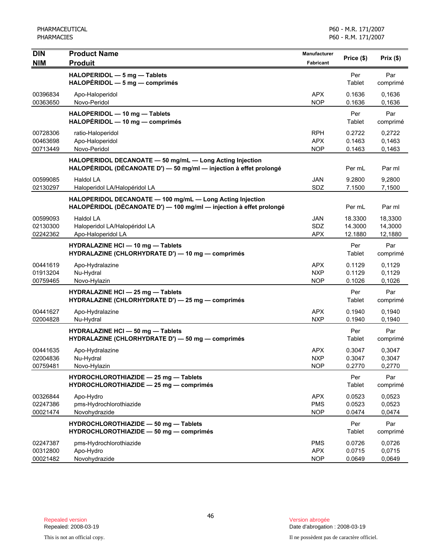| <b>DIN</b><br><b>NIM</b>         | <b>Product Name</b><br><b>Produit</b>                                                                                            | <b>Manufacturer</b><br>Fabricant       | Price (\$)                    | Prix(\$)                      |
|----------------------------------|----------------------------------------------------------------------------------------------------------------------------------|----------------------------------------|-------------------------------|-------------------------------|
|                                  | HALOPERIDOL - 5 mg - Tablets<br>$HALOPÉRIDOL - 5 mg - comprimés$                                                                 |                                        | Per<br>Tablet                 | Par<br>comprimé               |
| 00396834<br>00363650             | Apo-Haloperidol<br>Novo-Peridol                                                                                                  | <b>APX</b><br><b>NOP</b>               | 0.1636<br>0.1636              | 0,1636<br>0,1636              |
|                                  | HALOPERIDOL - 10 mg - Tablets<br>HALOPÉRIDOL - 10 mg - comprimés                                                                 |                                        | Per<br>Tablet                 | Par<br>comprimé               |
| 00728306<br>00463698<br>00713449 | ratio-Haloperidol<br>Apo-Haloperidol<br>Novo-Peridol                                                                             | <b>RPH</b><br><b>APX</b><br><b>NOP</b> | 0.2722<br>0.1463<br>0.1463    | 0,2722<br>0,1463<br>0,1463    |
|                                  | HALOPERIDOL DECANOATE - 50 mg/mL - Long Acting Injection<br>HALOPÉRIDOL (DÉCANOATE D') - 50 mg/ml - injection à effet prolongé   |                                        | Per mL                        | Par ml                        |
| 00599085<br>02130297             | Haldol LA<br>Haloperidol LA/Halopéridol LA                                                                                       | <b>JAN</b><br>SDZ                      | 9.2800<br>7.1500              | 9,2800<br>7,1500              |
|                                  | HALOPERIDOL DECANOATE - 100 mg/mL - Long Acting Injection<br>HALOPÉRIDOL (DÉCANOATE D') - 100 mg/ml - injection à effet prolongé |                                        | Per mL                        | Par ml                        |
| 00599093<br>02130300<br>02242362 | Haldol LA<br>Haloperidol LA/Halopéridol LA<br>Apo-Haloperidol LA                                                                 | <b>JAN</b><br>SDZ<br><b>APX</b>        | 18.3300<br>14.3000<br>12.1880 | 18,3300<br>14,3000<br>12,1880 |
|                                  | <b>HYDRALAZINE HCI - 10 mg - Tablets</b><br>HYDRALAZINE (CHLORHYDRATE D') - 10 mg - comprimés                                    |                                        | Per<br>Tablet                 | Par<br>comprimé               |
| 00441619<br>01913204<br>00759465 | Apo-Hydralazine<br>Nu-Hydral<br>Novo-Hylazin                                                                                     | <b>APX</b><br><b>NXP</b><br><b>NOP</b> | 0.1129<br>0.1129<br>0.1026    | 0,1129<br>0,1129<br>0,1026    |
|                                  | HYDRALAZINE HCI - 25 mg - Tablets<br>HYDRALAZINE (CHLORHYDRATE D') - 25 mg - comprimés                                           |                                        | Per<br>Tablet                 | Par<br>comprimé               |
| 00441627<br>02004828             | Apo-Hydralazine<br>Nu-Hydral                                                                                                     | <b>APX</b><br><b>NXP</b>               | 0.1940<br>0.1940              | 0,1940<br>0,1940              |
|                                  | <b>HYDRALAZINE HCI - 50 mg - Tablets</b><br>HYDRALAZINE (CHLORHYDRATE D') - 50 mg - comprimés                                    |                                        | Per<br>Tablet                 | Par<br>comprimé               |
| 00441635<br>02004836<br>00759481 | Apo-Hydralazine<br>Nu-Hydral<br>Novo-Hylazin                                                                                     | <b>APX</b><br><b>NXP</b><br><b>NOP</b> | 0.3047<br>0.3047<br>0.2770    | 0.3047<br>0,3047<br>0,2770    |
|                                  | HYDROCHLOROTHIAZIDE - 25 mg - Tablets<br>HYDROCHLOROTHIAZIDE - 25 mg - comprimés                                                 |                                        | Per<br><b>Tablet</b>          | Par<br>comprimé               |
| 00326844<br>02247386<br>00021474 | Apo-Hydro<br>pms-Hydrochlorothiazide<br>Novohydrazide                                                                            | <b>APX</b><br><b>PMS</b><br><b>NOP</b> | 0.0523<br>0.0523<br>0.0474    | 0,0523<br>0,0523<br>0,0474    |
|                                  | HYDROCHLOROTHIAZIDE - 50 mg - Tablets<br>HYDROCHLOROTHIAZIDE - 50 mg - comprimés                                                 |                                        | Per<br><b>Tablet</b>          | Par<br>comprimé               |
| 02247387<br>00312800<br>00021482 | pms-Hydrochlorothiazide<br>Apo-Hydro<br>Novohydrazide                                                                            | <b>PMS</b><br><b>APX</b><br><b>NOP</b> | 0.0726<br>0.0715<br>0.0649    | 0,0726<br>0,0715<br>0,0649    |

Date d'abrogation : 2008-03-19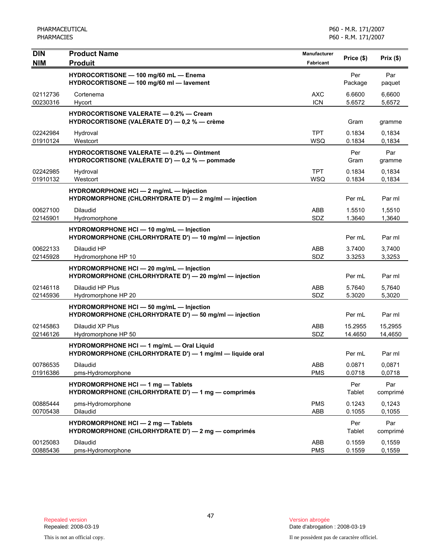| DIN<br><b>NIM</b>    | <b>Product Name</b><br><b>Produit</b>                                                                 | Manufacturer<br>Fabricant | Price (\$)         | Prix(\$)           |
|----------------------|-------------------------------------------------------------------------------------------------------|---------------------------|--------------------|--------------------|
|                      | HYDROCORTISONE - 100 mg/60 mL - Enema<br>HYDROCORTISONE - 100 mg/60 ml - lavement                     |                           | Per<br>Package     | Par<br>paquet      |
| 02112736<br>00230316 | Cortenema<br>Hycort                                                                                   | <b>AXC</b><br><b>ICN</b>  | 6.6600<br>5.6572   | 6,6600<br>5,6572   |
|                      | <b>HYDROCORTISONE VALERATE - 0.2% - Cream</b><br>HYDROCORTISONE (VALÉRATE D') - 0,2 % - crème         |                           | Gram               | gramme             |
| 02242984<br>01910124 | Hydroval<br>Westcort                                                                                  | <b>TPT</b><br>WSQ         | 0.1834<br>0.1834   | 0,1834<br>0,1834   |
|                      | <b>HYDROCORTISONE VALERATE - 0.2% - Ointment</b><br>HYDROCORTISONE (VALÉRATE D') — 0,2 % — pommade    |                           | Per<br>Gram        | Par<br>gramme      |
| 02242985<br>01910132 | Hydroval<br>Westcort                                                                                  | <b>TPT</b><br>WSQ         | 0.1834<br>0.1834   | 0,1834<br>0,1834   |
|                      | HYDROMORPHONE HCI - 2 mg/mL - Injection<br>HYDROMORPHONE (CHLORHYDRATE D') - 2 mg/ml - injection      |                           | Per mL             | Par ml             |
| 00627100<br>02145901 | <b>Dilaudid</b><br>Hydromorphone                                                                      | ABB<br><b>SDZ</b>         | 1.5510<br>1.3640   | 1,5510<br>1,3640   |
|                      | HYDROMORPHONE HCI - 10 mg/mL - Injection<br>HYDROMORPHONE (CHLORHYDRATE D') - 10 mg/ml - injection    |                           | Per mL             | Par ml             |
| 00622133<br>02145928 | Dilaudid HP<br>Hydromorphone HP 10                                                                    | ABB<br>SDZ                | 3.7400<br>3.3253   | 3,7400<br>3,3253   |
|                      | HYDROMORPHONE HCI - 20 mg/mL - Injection<br>HYDROMORPHONE (CHLORHYDRATE D') - 20 mg/ml - injection    |                           | Per mL             | Par ml             |
| 02146118<br>02145936 | Dilaudid HP Plus<br>Hydromorphone HP 20                                                               | ABB<br>SDZ                | 5.7640<br>5.3020   | 5,7640<br>5,3020   |
|                      | HYDROMORPHONE HCI - 50 mg/mL - Injection<br>HYDROMORPHONE (CHLORHYDRATE D') - 50 mg/ml - injection    |                           | Per mL             | Par ml             |
| 02145863<br>02146126 | Dilaudid XP Plus<br>Hydromorphone HP 50                                                               | ABB<br>SDZ                | 15.2955<br>14.4650 | 15,2955<br>14,4650 |
|                      | HYDROMORPHONE HCI - 1 mg/mL - Oral Liquid<br>HYDROMORPHONE (CHLORHYDRATE D') - 1 mg/ml - liquide oral |                           | Per mL             | Par ml             |
| 00786535<br>01916386 | Dilaudid<br>pms-Hydromorphone                                                                         | ABB<br><b>PMS</b>         | 0.0871<br>0.0718   | 0,0871<br>0,0718   |
|                      | HYDROMORPHONE HCI - 1 mg - Tablets<br>HYDROMORPHONE (CHLORHYDRATE D') - 1 mg - comprimés              |                           | Per<br>Tablet      | Par<br>comprimé    |
| 00885444<br>00705438 | pms-Hydromorphone<br>Dilaudid                                                                         | <b>PMS</b><br>ABB         | 0.1243<br>0.1055   | 0,1243<br>0,1055   |
|                      | HYDROMORPHONE HCI - 2 mg - Tablets<br>HYDROMORPHONE (CHLORHYDRATE D') - 2 mg - comprimés              |                           | Per<br>Tablet      | Par<br>comprimé    |
| 00125083<br>00885436 | <b>Dilaudid</b><br>pms-Hydromorphone                                                                  | ABB<br><b>PMS</b>         | 0.1559<br>0.1559   | 0,1559<br>0,1559   |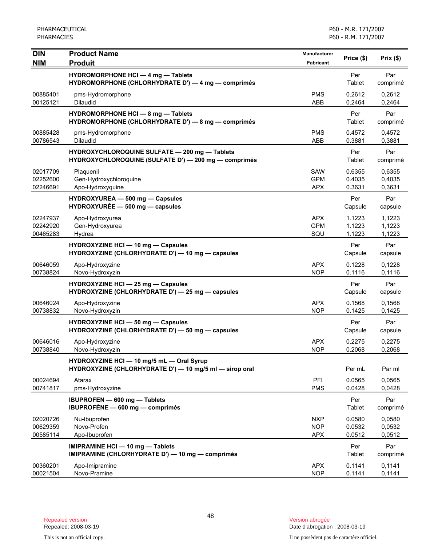| <b>DIN</b>                       | <b>Product Name</b>                                                                                   | <b>Manufacturer</b>                    | Price (\$)                 | Prix(\$)                   |
|----------------------------------|-------------------------------------------------------------------------------------------------------|----------------------------------------|----------------------------|----------------------------|
| <b>NIM</b>                       | <b>Produit</b>                                                                                        | <b>Fabricant</b>                       |                            |                            |
|                                  | HYDROMORPHONE HCI - 4 mg - Tablets<br>HYDROMORPHONE (CHLORHYDRATE D') - 4 mg - comprimés              |                                        | Per<br>Tablet              | Par<br>comprimé            |
| 00885401<br>00125121             | pms-Hydromorphone<br>Dilaudid                                                                         | <b>PMS</b><br>ABB                      | 0.2612<br>0.2464           | 0,2612<br>0,2464           |
|                                  | HYDROMORPHONE HCI - 8 mg - Tablets<br>HYDROMORPHONE (CHLORHYDRATE D') - 8 mg - comprimés              |                                        | Per<br>Tablet              | Par<br>comprimé            |
| 00885428<br>00786543             | pms-Hydromorphone<br><b>Dilaudid</b>                                                                  | <b>PMS</b><br>ABB                      | 0.4572<br>0.3881           | 0,4572<br>0,3881           |
|                                  | HYDROXYCHLOROQUINE SULFATE - 200 mg - Tablets<br>HYDROXYCHLOROQUINE (SULFATE D') - 200 mg - comprimés |                                        | Per<br>Tablet              | Par<br>comprimé            |
| 02017709<br>02252600<br>02246691 | Plaquenil<br>Gen-Hydroxychloroquine<br>Apo-Hydroxyquine                                               | SAW<br><b>GPM</b><br><b>APX</b>        | 0.6355<br>0.4035<br>0.3631 | 0.6355<br>0,4035<br>0,3631 |
|                                  | HYDROXYUREA - 500 mg - Capsules<br>HYDROXYURÉE - 500 mg - capsules                                    |                                        | Per<br>Capsule             | Par<br>capsule             |
| 02247937<br>02242920<br>00465283 | Apo-Hydroxyurea<br>Gen-Hydroxyurea<br>Hydrea                                                          | <b>APX</b><br><b>GPM</b><br>SQU        | 1.1223<br>1.1223<br>1.1223 | 1,1223<br>1,1223<br>1,1223 |
|                                  | <b>HYDROXYZINE HCI - 10 mg - Capsules</b><br>HYDROXYZINE (CHLORHYDRATE D') - 10 mg - capsules         |                                        | Per<br>Capsule             | Par<br>capsule             |
| 00646059<br>00738824             | Apo-Hydroxyzine<br>Novo-Hydroxyzin                                                                    | <b>APX</b><br><b>NOP</b>               | 0.1228<br>0.1116           | 0,1228<br>0,1116           |
|                                  | <b>HYDROXYZINE HCI - 25 mg - Capsules</b><br>HYDROXYZINE (CHLORHYDRATE D') - 25 mg - capsules         |                                        | Per<br>Capsule             | Par<br>capsule             |
| 00646024<br>00738832             | Apo-Hydroxyzine<br>Novo-Hydroxyzin                                                                    | APX.<br><b>NOP</b>                     | 0.1568<br>0.1425           | 0,1568<br>0,1425           |
|                                  | <b>HYDROXYZINE HCI - 50 mg - Capsules</b><br>HYDROXYZINE (CHLORHYDRATE D') - 50 mg - capsules         |                                        | Per<br>Capsule             | Par<br>capsule             |
| 00646016<br>00738840             | Apo-Hydroxyzine<br>Novo-Hydroxyzin                                                                    | <b>APX</b><br><b>NOP</b>               | 0.2275<br>0.2068           | 0,2275<br>0,2068           |
|                                  | HYDROXYZINE HCI - 10 mg/5 mL - Oral Syrup<br>HYDROXYZINE (CHLORHYDRATE D') - 10 mg/5 ml - sirop oral  |                                        | Per mL                     | Par ml                     |
| 00024694<br>00741817             | Atarax<br>pms-Hydroxyzine                                                                             | PFI<br><b>PMS</b>                      | 0.0565<br>0.0428           | 0,0565<br>0,0428           |
|                                  | IBUPROFEN - 600 mg - Tablets<br>IBUPROFÈNE - 600 mg - comprimés                                       |                                        | Per<br><b>Tablet</b>       | Par<br>comprimé            |
| 02020726<br>00629359<br>00585114 | Nu-Ibuprofen<br>Novo-Profen<br>Apo-Ibuprofen                                                          | <b>NXP</b><br><b>NOP</b><br><b>APX</b> | 0.0580<br>0.0532<br>0.0512 | 0,0580<br>0,0532<br>0,0512 |
|                                  | IMIPRAMINE HCI - 10 mg - Tablets<br>IMIPRAMINE (CHLORHYDRATE D') - 10 mg - comprimés                  |                                        | Per<br>Tablet              | Par<br>comprimé            |
| 00360201<br>00021504             | Apo-Imipramine<br>Novo-Pramine                                                                        | <b>APX</b><br><b>NOP</b>               | 0.1141<br>0.1141           | 0,1141<br>0,1141           |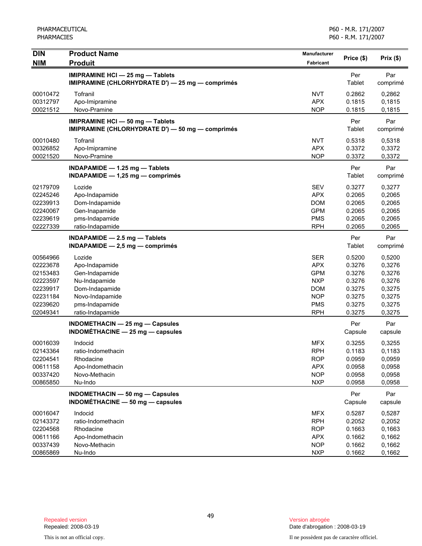| <b>DIN</b> | <b>Product Name</b>                                                                  | Manufacturer     | Price (\$)     | Prix(\$)        |
|------------|--------------------------------------------------------------------------------------|------------------|----------------|-----------------|
| <b>NIM</b> | <b>Produit</b>                                                                       | <b>Fabricant</b> |                |                 |
|            | IMIPRAMINE HCI - 25 mg - Tablets<br>IMIPRAMINE (CHLORHYDRATE D') - 25 mg - comprimés |                  | Per<br>Tablet  | Par<br>comprimé |
| 00010472   | Tofranil                                                                             | <b>NVT</b>       | 0.2862         | 0,2862          |
| 00312797   | Apo-Imipramine                                                                       | <b>APX</b>       | 0.1815         | 0,1815          |
| 00021512   | Novo-Pramine                                                                         | <b>NOP</b>       | 0.1815         | 0,1815          |
|            | IMIPRAMINE HCI - 50 mg - Tablets<br>IMIPRAMINE (CHLORHYDRATE D') - 50 mg - comprimés |                  | Per<br>Tablet  | Par<br>comprimé |
| 00010480   | Tofranil                                                                             | <b>NVT</b>       | 0.5318         | 0,5318          |
| 00326852   | Apo-Imipramine                                                                       | <b>APX</b>       | 0.3372         | 0,3372          |
| 00021520   | Novo-Pramine                                                                         | <b>NOP</b>       | 0.3372         | 0,3372          |
|            | INDAPAMIDE - 1.25 mg - Tablets<br>INDAPAMIDE $- 1,25$ mg $-$ comprimés               |                  | Per<br>Tablet  | Par<br>comprimé |
| 02179709   | Lozide                                                                               | <b>SEV</b>       | 0.3277         | 0,3277          |
| 02245246   | Apo-Indapamide                                                                       | <b>APX</b>       | 0.2065         | 0,2065          |
| 02239913   | Dom-Indapamide                                                                       | <b>DOM</b>       | 0.2065         | 0,2065          |
| 02240067   | Gen-Inapamide                                                                        | <b>GPM</b>       | 0.2065         | 0,2065          |
| 02239619   | pms-Indapamide                                                                       | <b>PMS</b>       | 0.2065         | 0,2065          |
| 02227339   | ratio-Indapamide                                                                     | <b>RPH</b>       | 0.2065         | 0,2065          |
|            | INDAPAMIDE - 2.5 mg - Tablets<br>$INDAPAMIDE - 2.5 mg - comprimés$                   |                  | Per<br>Tablet  | Par<br>comprimé |
| 00564966   | Lozide                                                                               | <b>SER</b>       | 0.5200         | 0,5200          |
| 02223678   | Apo-Indapamide                                                                       | <b>APX</b>       | 0.3276         | 0,3276          |
| 02153483   | Gen-Indapamide                                                                       | <b>GPM</b>       | 0.3276         | 0,3276          |
| 02223597   | Nu-Indapamide                                                                        | <b>NXP</b>       | 0.3276         | 0,3276          |
| 02239917   | Dom-Indapamide                                                                       | <b>DOM</b>       | 0.3275         | 0,3275          |
| 02231184   | Novo-Indapamide                                                                      | <b>NOP</b>       | 0.3275         | 0,3275          |
| 02239620   | pms-Indapamide                                                                       | <b>PMS</b>       | 0.3275         | 0,3275          |
| 02049341   | ratio-Indapamide                                                                     | <b>RPH</b>       | 0.3275         | 0,3275          |
|            | INDOMETHACIN - 25 mg - Capsules<br>$INDOMÉTHACINE - 25 mg - capsules$                |                  | Per<br>Capsule | Par<br>capsule  |
| 00016039   | Indocid                                                                              | <b>MFX</b>       | 0.3255         | 0,3255          |
| 02143364   | ratio-Indomethacin                                                                   | <b>RPH</b>       | 0.1183         | 0,1183          |
| 02204541   | Rhodacine                                                                            | <b>ROP</b>       | 0.0959         | 0,0959          |
| 00611158   | Apo-Indomethacin                                                                     | <b>APX</b>       | 0.0958         | 0,0958          |
| 00337420   | Novo-Methacin                                                                        | <b>NOP</b>       | 0.0958         | 0,0958          |
| 00865850   | Nu-Indo                                                                              | <b>NXP</b>       | 0.0958         | 0,0958          |
|            | INDOMETHACIN - 50 mg - Capsules<br>INDOMÉTHACINE - 50 mg - capsules                  |                  | Per<br>Capsule | Par<br>capsule  |
| 00016047   | Indocid                                                                              | <b>MFX</b>       | 0.5287         | 0,5287          |
| 02143372   | ratio-Indomethacin                                                                   | <b>RPH</b>       | 0.2052         | 0,2052          |
| 02204568   | Rhodacine                                                                            | <b>ROP</b>       | 0.1663         | 0,1663          |
| 00611166   | Apo-Indomethacin                                                                     | <b>APX</b>       | 0.1662         | 0,1662          |
| 00337439   | Novo-Methacin                                                                        | <b>NOP</b>       | 0.1662         | 0,1662          |
| 00865869   | Nu-Indo                                                                              | <b>NXP</b>       | 0.1662         | 0,1662          |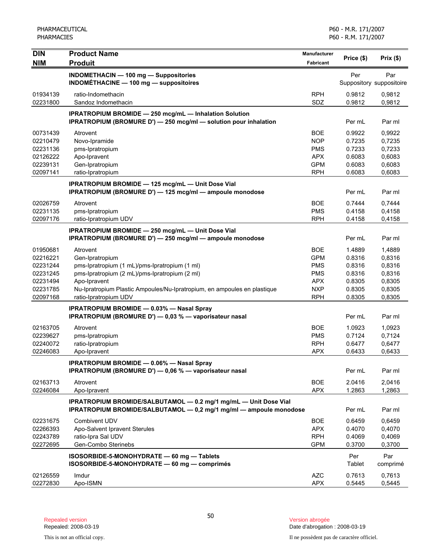| <b>DIN</b><br><b>NIM</b>                                                         | <b>Product Name</b><br><b>Produit</b>                                                                                                                                                                                                              | <b>Manufacturer</b><br>Fabricant                                                               | Price (\$)                                                         | Prix(\$)                                                           |
|----------------------------------------------------------------------------------|----------------------------------------------------------------------------------------------------------------------------------------------------------------------------------------------------------------------------------------------------|------------------------------------------------------------------------------------------------|--------------------------------------------------------------------|--------------------------------------------------------------------|
|                                                                                  | INDOMETHACIN - 100 mg - Suppositories<br>INDOMÉTHACINE - 100 mg - suppositoires                                                                                                                                                                    |                                                                                                | Per                                                                | Par<br>Suppository suppositoire                                    |
| 01934139<br>02231800                                                             | ratio-Indomethacin<br>Sandoz Indomethacin                                                                                                                                                                                                          | <b>RPH</b><br>SDZ                                                                              | 0.9812<br>0.9812                                                   | 0,9812<br>0,9812                                                   |
|                                                                                  | <b>IPRATROPIUM BROMIDE - 250 mcg/mL - Inhalation Solution</b><br>IPRATROPIUM (BROMURE D') - 250 mcg/ml - solution pour inhalation                                                                                                                  |                                                                                                | Per mL                                                             | Par ml                                                             |
| 00731439<br>02210479<br>02231136<br>02126222<br>02239131<br>02097141             | Atrovent<br>Novo-Ipramide<br>pms-Ipratropium<br>Apo-Ipravent<br>Gen-Ipratropium<br>ratio-Ipratropium                                                                                                                                               | <b>BOE</b><br><b>NOP</b><br><b>PMS</b><br><b>APX</b><br><b>GPM</b><br><b>RPH</b>               | 0.9922<br>0.7235<br>0.7233<br>0.6083<br>0.6083<br>0.6083           | 0,9922<br>0,7235<br>0,7233<br>0,6083<br>0,6083<br>0,6083           |
|                                                                                  | <b>IPRATROPIUM BROMIDE - 125 mcg/mL - Unit Dose Vial</b><br>IPRATROPIUM (BROMURE D') - 125 mcg/ml - ampoule monodose                                                                                                                               |                                                                                                | Per mL                                                             | Par ml                                                             |
| 02026759<br>02231135<br>02097176                                                 | Atrovent<br>pms-Ipratropium<br>ratio-Ipratropium UDV                                                                                                                                                                                               | <b>BOE</b><br><b>PMS</b><br><b>RPH</b>                                                         | 0.7444<br>0.4158<br>0.4158                                         | 0,7444<br>0,4158<br>0,4158                                         |
|                                                                                  | IPRATROPIUM BROMIDE - 250 mcg/mL - Unit Dose Vial<br>IPRATROPIUM (BROMURE D') - 250 mcg/ml - ampoule monodose                                                                                                                                      |                                                                                                | Per mL                                                             | Par ml                                                             |
| 01950681<br>02216221<br>02231244<br>02231245<br>02231494<br>02231785<br>02097168 | Atrovent<br>Gen-Ipratropium<br>pms-Ipratropium (1 mL)/pms-Ipratropium (1 ml)<br>pms-Ipratropium (2 mL)/pms-Ipratropium (2 ml)<br>Apo-Ipravent<br>Nu-Ipratropium Plastic Ampoules/Nu-Ipratropium, en ampoules en plastique<br>ratio-Ipratropium UDV | <b>BOE</b><br><b>GPM</b><br><b>PMS</b><br><b>PMS</b><br><b>APX</b><br><b>NXP</b><br><b>RPH</b> | 1.4889<br>0.8316<br>0.8316<br>0.8316<br>0.8305<br>0.8305<br>0.8305 | 1,4889<br>0,8316<br>0,8316<br>0,8316<br>0,8305<br>0,8305<br>0,8305 |
|                                                                                  | <b>IPRATROPIUM BROMIDE - 0.03% - Nasal Spray</b><br>IPRATROPIUM (BROMURE D') - 0,03 % - vaporisateur nasal                                                                                                                                         |                                                                                                | Per mL                                                             | Par ml                                                             |
| 02163705<br>02239627<br>02240072<br>02246083                                     | Atrovent<br>pms-Ipratropium<br>ratio-Ipratropium<br>Apo-Ipravent                                                                                                                                                                                   | <b>BOE</b><br><b>PMS</b><br><b>RPH</b><br><b>APX</b>                                           | 1.0923<br>0.7124<br>0.6477<br>0.6433                               | 1,0923<br>0,7124<br>0,6477<br>0,6433                               |
|                                                                                  | <b>IPRATROPIUM BROMIDE - 0.06% - Nasal Spray</b><br>IPRATROPIUM (BROMURE D') - 0,06 % - vaporisateur nasal                                                                                                                                         |                                                                                                | Per mL                                                             | Par ml                                                             |
| 02163713<br>02246084                                                             | Atrovent<br>Apo-Ipravent                                                                                                                                                                                                                           | <b>BOE</b><br><b>APX</b>                                                                       | 2.0416<br>1.2863                                                   | 2,0416<br>1,2863                                                   |
|                                                                                  | IPRATROPIUM BROMIDE/SALBUTAMOL - 0.2 mg/1 mg/mL - Unit Dose Vial<br>IPRATROPIUM BROMIDE/SALBUTAMOL - 0,2 mg/1 mg/ml - ampoule monodose                                                                                                             |                                                                                                | Per mL                                                             | Par ml                                                             |
| 02231675<br>02266393<br>02243789<br>02272695                                     | Combivent UDV<br>Apo-Salvent Ipravent Sterules<br>ratio-Ipra Sal UDV<br>Gen-Combo Sterinebs                                                                                                                                                        | <b>BOE</b><br><b>APX</b><br><b>RPH</b><br><b>GPM</b>                                           | 0.6459<br>0.4070<br>0.4069<br>0.3700                               | 0,6459<br>0,4070<br>0,4069<br>0,3700                               |
|                                                                                  | ISOSORBIDE-5-MONOHYDRATE - 60 mg - Tablets<br>ISOSORBIDE-5-MONOHYDRATE - 60 mg - comprimés                                                                                                                                                         |                                                                                                | Per<br>Tablet                                                      | Par<br>comprimé                                                    |
| 02126559<br>02272830                                                             | Imdur<br>Apo-ISMN                                                                                                                                                                                                                                  | <b>AZC</b><br><b>APX</b>                                                                       | 0.7613<br>0.5445                                                   | 0,7613<br>0,5445                                                   |

Date d'abrogation : 2008-03-19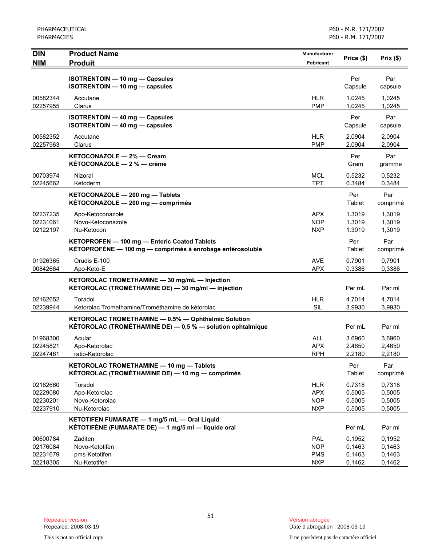| <b>DIN</b>                                   | <b>Product Name</b>                                                                                               | <b>Manufacturer</b>                                  | Price (\$)                           | Prix(\$)                             |
|----------------------------------------------|-------------------------------------------------------------------------------------------------------------------|------------------------------------------------------|--------------------------------------|--------------------------------------|
| <b>NIM</b>                                   | <b>Produit</b>                                                                                                    | <b>Fabricant</b>                                     |                                      |                                      |
|                                              | <b>ISOTRENTOIN - 10 mg - Capsules</b><br>ISOTRENTOIN - 10 mg - capsules                                           |                                                      | Per<br>Capsule                       | Par<br>capsule                       |
| 00582344<br>02257955                         | Accutane<br>Clarus                                                                                                | <b>HLR</b><br><b>PMP</b>                             | 1.0245<br>1.0245                     | 1,0245<br>1,0245                     |
|                                              | ISOTRENTOIN - 40 mg - Capsules<br><b>ISOTRENTOIN - 40 mg - capsules</b>                                           |                                                      | Per<br>Capsule                       | Par<br>capsule                       |
| 00582352<br>02257963                         | Accutane<br>Clarus                                                                                                | <b>HLR</b><br><b>PMP</b>                             | 2.0904<br>2.0904                     | 2,0904<br>2,0904                     |
|                                              | KETOCONAZOLE - 2% - Cream<br>KÉTOCONAZOLE - 2 % - crème                                                           |                                                      | Per<br>Gram                          | Par<br>gramme                        |
| 00703974<br>02245662                         | Nizoral<br>Ketoderm                                                                                               | <b>MCL</b><br><b>TPT</b>                             | 0.5232<br>0.3484                     | 0,5232<br>0,3484                     |
|                                              | KETOCONAZOLE - 200 mg - Tablets<br>KÉTOCONAZOLE - 200 mg - comprimés                                              |                                                      | Per<br>Tablet                        | Par<br>comprimé                      |
| 02237235<br>02231061<br>02122197             | Apo-Ketoconazole<br>Novo-Ketoconazole<br>Nu-Ketocon                                                               | APX<br><b>NOP</b><br><b>NXP</b>                      | 1.3019<br>1.3019<br>1.3019           | 1,3019<br>1,3019<br>1,3019           |
|                                              | KETOPROFEN - 100 mg - Enteric Coated Tablets<br>KÉTOPROFÈNE - 100 mg - comprimés à enrobage entérosoluble         |                                                      | Per<br>Tablet                        | Par<br>comprimé                      |
| 01926365<br>00842664                         | Orudis E-100<br>Apo-Keto-E                                                                                        | <b>AVE</b><br><b>APX</b>                             | 0.7901<br>0.3386                     | 0,7901<br>0.3386                     |
|                                              | KETOROLAC TROMETHAMINE - 30 mg/mL - Injection<br>KÉTOROLAC (TROMÉTHAMINE DE) - 30 mg/ml - injection               |                                                      | Per mL                               | Par ml                               |
| 02162652<br>02239944                         | Toradol<br>Ketorolac Tromethamine/Trométhamine de kétorolac                                                       | <b>HLR</b><br>SIL                                    | 4.7014<br>3.9930                     | 4,7014<br>3,9930                     |
|                                              | KETOROLAC TROMETHAMINE - 0.5% - Ophthalmic Solution<br>KÉTOROLAC (TROMÉTHAMINE DE) - 0,5 % - solution ophtalmique |                                                      | Per mL                               | Par ml                               |
| 01968300<br>02245821<br>02247461             | Acular<br>Apo-Ketorolac<br>ratio-Ketorolac                                                                        | <b>ALL</b><br><b>APX</b><br><b>RPH</b>               | 3.6960<br>2.4650<br>2.2180           | 3,6960<br>2,4650<br>2,2180           |
|                                              | KETOROLAC TROMETHAMINE - 10 mg - Tablets<br>KÉTOROLAC (TROMÉTHAMINE DE) - 10 mg - comprimés                       |                                                      | Per<br>Tablet                        | Par<br>comprimé                      |
| 02162660<br>02229080<br>02230201<br>02237910 | Toradol<br>Apo-Ketorolac<br>Novo-Ketorolac<br>Nu-Ketorolac                                                        | HLR<br><b>APX</b><br><b>NOP</b><br><b>NXP</b>        | 0.7318<br>0.5005<br>0.5005<br>0.5005 | 0,7318<br>0,5005<br>0,5005<br>0,5005 |
|                                              | KETOTIFEN FUMARATE - 1 mg/5 mL - Oral Liquid<br>KÉTOTIFÈNE (FUMARATE DE) - 1 mg/5 ml - liquide oral               |                                                      | Per mL                               | Par ml                               |
| 00600784<br>02176084<br>02231679<br>02218305 | Zaditen<br>Novo-Ketotifen<br>pms-Ketotifen<br>Nu-Ketotifen                                                        | <b>PAL</b><br><b>NOP</b><br><b>PMS</b><br><b>NXP</b> | 0.1952<br>0.1463<br>0.1463<br>0.1462 | 0,1952<br>0,1463<br>0,1463<br>0,1462 |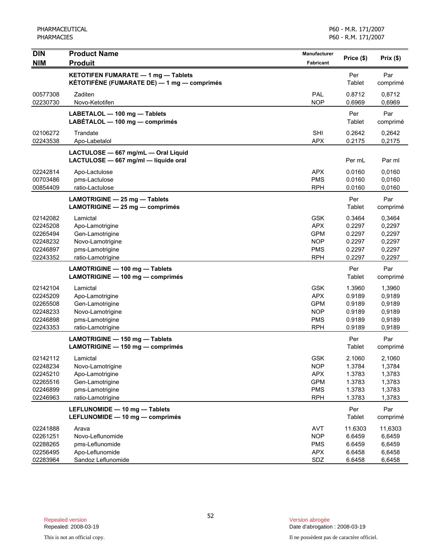| <b>DIN</b>                                                           | <b>Product Name</b>                                                                                        | Manufacturer                                                                     | Price (\$)                                               | Prix(\$)                                                 |
|----------------------------------------------------------------------|------------------------------------------------------------------------------------------------------------|----------------------------------------------------------------------------------|----------------------------------------------------------|----------------------------------------------------------|
| <b>NIM</b>                                                           | <b>Produit</b>                                                                                             | <b>Fabricant</b>                                                                 |                                                          |                                                          |
|                                                                      | KETOTIFEN FUMARATE - 1 mg - Tablets<br>KÉTOTIFÈNE (FUMARATE DE) — 1 mg — comprimés                         |                                                                                  | Per<br>Tablet                                            | Par<br>comprimé                                          |
| 00577308<br>02230730                                                 | Zaditen<br>Novo-Ketotifen                                                                                  | PAL<br><b>NOP</b>                                                                | 0.8712<br>0.6969                                         | 0,8712<br>0,6969                                         |
|                                                                      | LABETALOL - 100 mg - Tablets<br>LABÉTALOL $-$ 100 mg $-$ comprimés                                         |                                                                                  | Per<br>Tablet                                            | Par<br>comprimé                                          |
| 02106272<br>02243538                                                 | Trandate<br>Apo-Labetalol                                                                                  | <b>SHI</b><br><b>APX</b>                                                         | 0.2642<br>0.2175                                         | 0,2642<br>0,2175                                         |
|                                                                      | LACTULOSE - 667 mg/mL - Oral Liquid<br>LACTULOSE - 667 mg/ml - liquide oral                                |                                                                                  | Per mL                                                   | Par ml                                                   |
| 02242814<br>00703486<br>00854409                                     | Apo-Lactulose<br>pms-Lactulose<br>ratio-Lactulose                                                          | <b>APX</b><br><b>PMS</b><br><b>RPH</b>                                           | 0.0160<br>0.0160<br>0.0160                               | 0,0160<br>0,0160<br>0,0160                               |
|                                                                      | LAMOTRIGINE - 25 mg - Tablets<br>LAMOTRIGINE - 25 mg - comprimés                                           |                                                                                  | Per<br>Tablet                                            | Par<br>comprimé                                          |
| 02142082<br>02245208<br>02265494<br>02248232<br>02246897<br>02243352 | Lamictal<br>Apo-Lamotrigine<br>Gen-Lamotrigine<br>Novo-Lamotrigine<br>pms-Lamotrigine<br>ratio-Lamotrigine | <b>GSK</b><br><b>APX</b><br><b>GPM</b><br><b>NOP</b><br><b>PMS</b><br><b>RPH</b> | 0.3464<br>0.2297<br>0.2297<br>0.2297<br>0.2297<br>0.2297 | 0,3464<br>0,2297<br>0,2297<br>0,2297<br>0,2297<br>0,2297 |
|                                                                      | LAMOTRIGINE - 100 mg - Tablets<br>LAMOTRIGINE - 100 mg - comprimés                                         |                                                                                  | Per<br>Tablet                                            | Par<br>comprimé                                          |
| 02142104<br>02245209<br>02265508<br>02248233<br>02246898<br>02243353 | Lamictal<br>Apo-Lamotrigine<br>Gen-Lamotrigine<br>Novo-Lamotrigine<br>pms-Lamotrigine<br>ratio-Lamotrigine | <b>GSK</b><br><b>APX</b><br><b>GPM</b><br><b>NOP</b><br><b>PMS</b><br><b>RPH</b> | 1.3960<br>0.9189<br>0.9189<br>0.9189<br>0.9189<br>0.9189 | 1,3960<br>0,9189<br>0,9189<br>0,9189<br>0,9189<br>0,9189 |
|                                                                      | LAMOTRIGINE - 150 mg - Tablets<br>LAMOTRIGINE - 150 mg - comprimés                                         |                                                                                  | Per<br>Tablet                                            | Par<br>comprimé                                          |
| 02142112<br>02248234<br>02245210<br>02265516<br>02246899<br>02246963 | Lamictal<br>Novo-Lamotrigine<br>Apo-Lamotrigine<br>Gen-Lamotrigine<br>pms-Lamotrigine<br>ratio-Lamotrigine | <b>GSK</b><br><b>NOP</b><br><b>APX</b><br><b>GPM</b><br><b>PMS</b><br><b>RPH</b> | 2.1060<br>1.3784<br>1.3783<br>1.3783<br>1.3783<br>1.3783 | 2,1060<br>1,3784<br>1,3783<br>1,3783<br>1,3783<br>1,3783 |
|                                                                      | LEFLUNOMIDE - 10 mg - Tablets<br>LEFLUNOMIDE - 10 mg - comprimés                                           |                                                                                  | Per<br>Tablet                                            | Par<br>comprimé                                          |
| 02241888<br>02261251<br>02288265<br>02256495<br>02283964             | Arava<br>Novo-Leflunomide<br>pms-Leflunomide<br>Apo-Leflunomide<br>Sandoz Leflunomide                      | <b>AVT</b><br><b>NOP</b><br><b>PMS</b><br><b>APX</b><br>SDZ                      | 11.6303<br>6.6459<br>6.6459<br>6.6458<br>6.6458          | 11,6303<br>6,6459<br>6,6459<br>6,6458<br>6,6458          |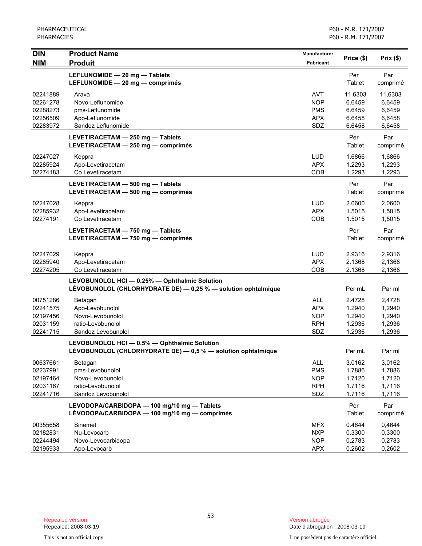| <b>DIN</b>                                               | <b>Product Name</b>                                                                                            | <b>Manufacturer</b>                                         |                                                 |                                                 |
|----------------------------------------------------------|----------------------------------------------------------------------------------------------------------------|-------------------------------------------------------------|-------------------------------------------------|-------------------------------------------------|
| <b>NIM</b>                                               | <b>Produit</b>                                                                                                 | Fabricant                                                   | Price (\$)                                      | Prix(\$)                                        |
|                                                          | LEFLUNOMIDE - 20 mg - Tablets<br>LEFLUNOMIDE - 20 mg - comprimés                                               |                                                             | Per<br>Tablet                                   | Par<br>comprimé                                 |
| 02241889<br>02261278<br>02288273<br>02256509<br>02283972 | Arava<br>Novo-Leflunomide<br>pms-Leflunomide<br>Apo-Leflunomide<br>Sandoz Leflunomide                          | <b>AVT</b><br><b>NOP</b><br><b>PMS</b><br><b>APX</b><br>SDZ | 11.6303<br>6.6459<br>6.6459<br>6.6458<br>6.6458 | 11,6303<br>6,6459<br>6,6459<br>6,6458<br>6,6458 |
|                                                          | LEVETIRACETAM - 250 mg - Tablets<br>LEVETIRACETAM - 250 mg - comprimés                                         |                                                             | Per<br>Tablet                                   | Par<br>comprimé                                 |
| 02247027<br>02285924<br>02274183                         | Keppra<br>Apo-Levetiracetam<br>Co Levetiracetam                                                                | <b>LUD</b><br><b>APX</b><br>COB                             | 1.6866<br>1.2293<br>1.2293                      | 1,6866<br>1,2293<br>1,2293                      |
|                                                          | LEVETIRACETAM - 500 mg - Tablets<br>LEVETIRACETAM - 500 mg - comprimés                                         |                                                             | Per<br>Tablet                                   | Par<br>comprimé                                 |
| 02247028<br>02285932<br>02274191                         | Keppra<br>Apo-Levetiracetam<br>Co Levetiracetam                                                                | <b>LUD</b><br><b>APX</b><br>COB                             | 2.0600<br>1.5015<br>1.5015                      | 2,0600<br>1,5015<br>1,5015                      |
|                                                          | LEVETIRACETAM - 750 mg - Tablets<br>LEVETIRACETAM - 750 mg - comprimés                                         |                                                             | Per<br>Tablet                                   | Par<br>comprimé                                 |
| 02247029<br>02285940<br>02274205                         | Keppra<br>Apo-Levetiracetam<br>Co Levetiracetam                                                                | <b>LUD</b><br><b>APX</b><br>COB                             | 2.9316<br>2.1368<br>2.1368                      | 2,9316<br>2,1368<br>2,1368                      |
|                                                          | LEVOBUNOLOL HCI - 0.25% - Ophthalmic Solution<br>LÉVOBUNOLOL (CHLORHYDRATE DE) - 0,25 % - solution ophtalmique |                                                             | Per mL                                          | Par ml                                          |
| 00751286<br>02241575<br>02197456<br>02031159<br>02241715 | Betagan<br>Apo-Levobunolol<br>Novo-Levobunolol<br>ratio-Levobunolol<br>Sandoz Levobunolol                      | <b>ALL</b><br><b>APX</b><br><b>NOP</b><br><b>RPH</b><br>SDZ | 2.4728<br>1.2940<br>1.2940<br>1.2936<br>1.2936  | 2,4728<br>1,2940<br>1,2940<br>1,2936<br>1,2936  |
|                                                          | LEVOBUNOLOL HCI - 0.5% - Ophthalmic Solution<br>LÉVOBUNOLOL (CHLORHYDRATE DE) - 0,5 % - solution ophtalmique   |                                                             | Per mL                                          | Par ml                                          |
| 00637661<br>02237991<br>02197464<br>02031167<br>02241716 | Betagan<br>pms-Levobunolol<br>Novo-Levobunolol<br>ratio-Levobunolol<br>Sandoz Levobunolol                      | <b>ALL</b><br><b>PMS</b><br><b>NOP</b><br><b>RPH</b><br>SDZ | 3.0162<br>1.7886<br>1.7120<br>1.7116<br>1.7116  | 3,0162<br>1,7886<br>1,7120<br>1,7116<br>1,7116  |
|                                                          | LEVODOPA/CARBIDOPA - 100 mg/10 mg - Tablets<br>LÉVODOPA/CARBIDOPA - 100 mg/10 mg - comprimés                   |                                                             | Per<br>Tablet                                   | Par<br>comprimé                                 |
| 00355658<br>02182831<br>02244494<br>02195933             | Sinemet<br>Nu-Levocarb<br>Novo-Levocarbidopa<br>Apo-Levocarb                                                   | <b>MFX</b><br><b>NXP</b><br><b>NOP</b><br><b>APX</b>        | 0.4644<br>0.3300<br>0.2783<br>0.2602            | 0,4644<br>0,3300<br>0,2783<br>0,2602            |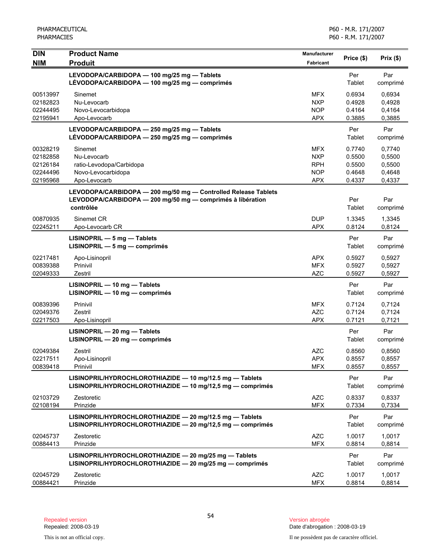| <b>DIN</b><br><b>NIM</b>                                 | <b>Product Name</b><br><b>Produit</b>                                                                                                     | Manufacturer<br><b>Fabricant</b>                             | Price (\$)                                     | Prix(\$)                                       |
|----------------------------------------------------------|-------------------------------------------------------------------------------------------------------------------------------------------|--------------------------------------------------------------|------------------------------------------------|------------------------------------------------|
|                                                          | LEVODOPA/CARBIDOPA - 100 mg/25 mg - Tablets<br>LÉVODOPA/CARBIDOPA - 100 mg/25 mg - comprimés                                              |                                                              | Per<br>Tablet                                  | Par<br>comprimé                                |
| 00513997<br>02182823<br>02244495<br>02195941             | Sinemet<br>Nu-Levocarb<br>Novo-Levocarbidopa<br>Apo-Levocarb                                                                              | MFX.<br><b>NXP</b><br><b>NOP</b><br><b>APX</b>               | 0.6934<br>0.4928<br>0.4164<br>0.3885           | 0,6934<br>0,4928<br>0,4164<br>0,3885           |
|                                                          | LEVODOPA/CARBIDOPA - 250 mg/25 mg - Tablets<br>LÉVODOPA/CARBIDOPA - 250 mg/25 mg - comprimés                                              |                                                              | Per<br>Tablet                                  | Par<br>comprimé                                |
| 00328219<br>02182858<br>02126184<br>02244496<br>02195968 | Sinemet<br>Nu-Levocarb<br>ratio-Levodopa/Carbidopa<br>Novo-Levocarbidopa<br>Apo-Levocarb                                                  | MFX.<br><b>NXP</b><br><b>RPH</b><br><b>NOP</b><br><b>APX</b> | 0.7740<br>0.5500<br>0.5500<br>0.4648<br>0.4337 | 0,7740<br>0,5500<br>0,5500<br>0,4648<br>0,4337 |
|                                                          | LEVODOPA/CARBIDOPA - 200 mg/50 mg - Controlled Release Tablets<br>LEVODOPA/CARBIDOPA - 200 mg/50 mg - comprimés à libération<br>contrôlée |                                                              | Per<br>Tablet                                  | Par<br>comprimé                                |
| 00870935<br>02245211                                     | Sinemet CR<br>Apo-Levocarb CR                                                                                                             | <b>DUP</b><br><b>APX</b>                                     | 1.3345<br>0.8124                               | 1,3345<br>0,8124                               |
|                                                          | LISINOPRIL - 5 mg - Tablets<br>$LISINOPRIL - 5 mg - comprimés$                                                                            |                                                              | Per<br>Tablet                                  | Par<br>comprimé                                |
| 02217481<br>00839388<br>02049333                         | Apo-Lisinopril<br>Prinivil<br>Zestril                                                                                                     | <b>APX</b><br><b>MFX</b><br><b>AZC</b>                       | 0.5927<br>0.5927<br>0.5927                     | 0,5927<br>0,5927<br>0,5927                     |
|                                                          | LISINOPRIL - 10 mg - Tablets<br>LISINOPRIL - 10 mg - comprimés                                                                            |                                                              | Per<br>Tablet                                  | Par<br>comprimé                                |
| 00839396<br>02049376<br>02217503                         | Prinivil<br>Zestril<br>Apo-Lisinopril                                                                                                     | <b>MFX</b><br><b>AZC</b><br><b>APX</b>                       | 0.7124<br>0.7124<br>0.7121                     | 0,7124<br>0,7124<br>0,7121                     |
|                                                          | $LISINOPRIL - 20 mg - Tables$<br>LISINOPRIL - 20 mg - comprimés                                                                           |                                                              | Per<br>Tablet                                  | Par<br>comprimé                                |
| 02049384<br>02217511<br>00839418                         | Zestril<br>Apo-Lisinopril<br>Prinivil                                                                                                     | <b>AZC</b><br><b>APX</b><br><b>MFX</b>                       | 0.8560<br>0.8557<br>0.8557                     | 0,8560<br>0,8557<br>0,8557                     |
|                                                          | LISINOPRIL/HYDROCHLOROTHIAZIDE - 10 mg/12.5 mg - Tablets<br>LISINOPRIL/HYDROCHLOROTHIAZIDE - 10 mg/12,5 mg - comprimés                    |                                                              | Per<br>Tablet                                  | Par<br>comprimé                                |
| 02103729<br>02108194                                     | Zestoretic<br>Prinzide                                                                                                                    | <b>AZC</b><br><b>MFX</b>                                     | 0.8337<br>0.7334                               | 0,8337<br>0,7334                               |
|                                                          | LISINOPRIL/HYDROCHLOROTHIAZIDE - 20 mg/12.5 mg - Tablets<br>LISINOPRIL/HYDROCHLOROTHIAZIDE - 20 mg/12,5 mg - comprimés                    |                                                              | Per<br>Tablet                                  | Par<br>comprimé                                |
| 02045737<br>00884413                                     | Zestoretic<br>Prinzide                                                                                                                    | <b>AZC</b><br><b>MFX</b>                                     | 1.0017<br>0.8814                               | 1.0017<br>0,8814                               |
|                                                          | LISINOPRIL/HYDROCHLOROTHIAZIDE - 20 mg/25 mg - Tablets<br>LISINOPRIL/HYDROCHLOROTHIAZIDE - 20 mg/25 mg - comprimés                        |                                                              | Per<br>Tablet                                  | Par<br>comprimé                                |
| 02045729<br>00884421                                     | Zestoretic<br>Prinzide                                                                                                                    | <b>AZC</b><br><b>MFX</b>                                     | 1.0017<br>0.8814                               | 1,0017<br>0,8814                               |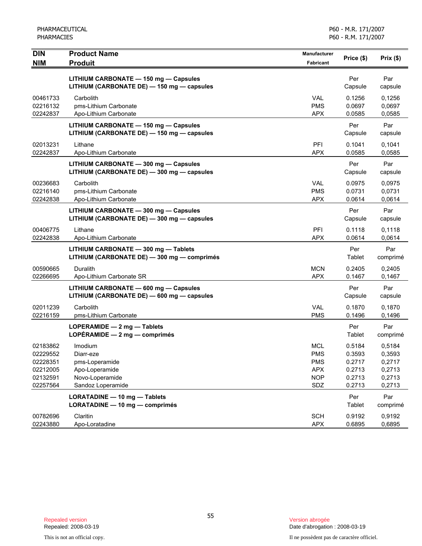| <b>DIN</b> | <b>Product Name</b>                         | <b>Manufacturer</b> | Price (\$)    | Prix(\$) |
|------------|---------------------------------------------|---------------------|---------------|----------|
| <b>NIM</b> | <b>Produit</b>                              | Fabricant           |               |          |
|            | LITHIUM CARBONATE - 150 mg - Capsules       |                     | Per           | Par      |
|            | LITHIUM (CARBONATE DE) - 150 mg - capsules  |                     | Capsule       | capsule  |
| 00461733   | Carbolith                                   | <b>VAL</b>          | 0.1256        | 0,1256   |
| 02216132   | pms-Lithium Carbonate                       | <b>PMS</b>          | 0.0697        | 0,0697   |
| 02242837   | Apo-Lithium Carbonate                       | <b>APX</b>          | 0.0585        | 0,0585   |
|            | LITHIUM CARBONATE - 150 mg - Capsules       |                     | Per           | Par      |
|            | LITHIUM (CARBONATE DE) - 150 mg - capsules  |                     | Capsule       | capsule  |
| 02013231   | Lithane                                     | PFI                 | 0.1041        | 0,1041   |
| 02242837   | Apo-Lithium Carbonate                       | <b>APX</b>          | 0.0585        | 0,0585   |
|            | LITHIUM CARBONATE - 300 mg - Capsules       |                     | Per           | Par      |
|            | LITHIUM (CARBONATE DE) - 300 mg - capsules  |                     | Capsule       | capsule  |
| 00236683   | Carbolith                                   | VAL                 | 0.0975        | 0,0975   |
| 02216140   | pms-Lithium Carbonate                       | <b>PMS</b>          | 0.0731        | 0,0731   |
| 02242838   | Apo-Lithium Carbonate                       | <b>APX</b>          | 0.0614        | 0,0614   |
|            | LITHIUM CARBONATE - 300 mg - Capsules       |                     | Per           | Par      |
|            | LITHIUM (CARBONATE DE) - 300 mg - capsules  |                     | Capsule       | capsule  |
| 00406775   | Lithane                                     | PFI                 | 0.1118        | 0,1118   |
| 02242838   | Apo-Lithium Carbonate                       | <b>APX</b>          | 0.0614        | 0,0614   |
|            | LITHIUM CARBONATE - 300 mg - Tablets        |                     | Per           | Par      |
|            | LITHIUM (CARBONATE DE) - 300 mg - comprimés |                     | Tablet        | comprimé |
| 00590665   | Duralith                                    | <b>MCN</b>          | 0.2405        | 0,2405   |
| 02266695   | Apo-Lithium Carbonate SR                    | <b>APX</b>          | 0.1467        | 0,1467   |
|            | LITHIUM CARBONATE - 600 mg - Capsules       |                     | Per           | Par      |
|            | LITHIUM (CARBONATE DE) - 600 mg - capsules  |                     | Capsule       | capsule  |
| 02011239   | Carbolith                                   | <b>VAL</b>          | 0.1870        | 0,1870   |
| 02216159   | pms-Lithium Carbonate                       | <b>PMS</b>          | 0.1496        | 0,1496   |
|            | LOPERAMIDE - 2 mg - Tablets                 |                     | Per           | Par      |
|            | LOPÉRAMIDE $-2$ mg $-$ comprimés            |                     | Tablet        | comprimé |
| 02183862   | Imodium                                     | <b>MCL</b>          | 0.5184        | 0,5184   |
| 02229552   | Diarr-eze                                   | <b>PMS</b>          | 0.3593        | 0,3593   |
| 02228351   | pms-Loperamide                              | <b>PMS</b>          | 0.2717        | 0,2717   |
| 02212005   | Apo-Loperamide                              | <b>APX</b>          | 0.2713        | 0,2713   |
| 02132591   | Novo-Loperamide                             | <b>NOP</b>          | 0.2713        | 0,2713   |
| 02257564   | Sandoz Loperamide                           | SDZ                 | 0.2713        | 0,2713   |
|            | LORATADINE - 10 mg - Tablets                |                     | Per           | Par      |
|            | LORATADINE - 10 mg - comprimés              |                     | <b>Tablet</b> | comprimé |
| 00782696   | Claritin                                    | <b>SCH</b>          | 0.9192        | 0,9192   |
| 02243880   | Apo-Loratadine                              | <b>APX</b>          | 0.6895        | 0,6895   |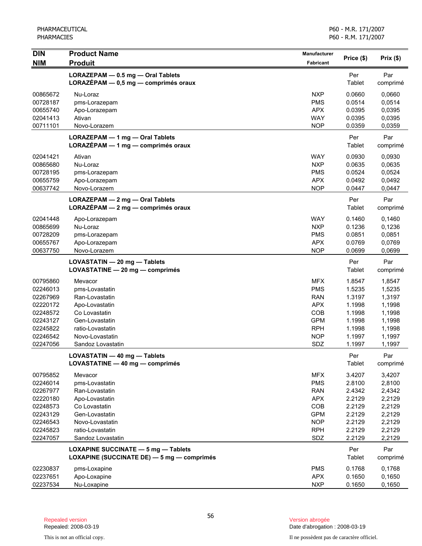| <b>DIN</b>           | <b>Product Name</b>                                                                      | <b>Manufacturer</b>      |                  | Prix(\$)         |
|----------------------|------------------------------------------------------------------------------------------|--------------------------|------------------|------------------|
| <b>NIM</b>           | <b>Produit</b>                                                                           | <b>Fabricant</b>         | Price (\$)       |                  |
|                      | LORAZEPAM - 0.5 mg - Oral Tablets<br>$LORAZÉPAM - 0,5 mg - comprimés oraux$              |                          | Per<br>Tablet    | Par<br>comprimé  |
| 00865672             | Nu-Loraz                                                                                 | <b>NXP</b>               | 0.0660           | 0,0660           |
| 00728187<br>00655740 | pms-Lorazepam                                                                            | <b>PMS</b><br><b>APX</b> | 0.0514<br>0.0395 | 0,0514<br>0,0395 |
| 02041413             | Apo-Lorazepam<br>Ativan                                                                  | <b>WAY</b>               | 0.0395           | 0,0395           |
| 00711101             | Novo-Lorazem                                                                             | <b>NOP</b>               | 0.0359           | 0,0359           |
|                      | LORAZEPAM - 1 mg - Oral Tablets<br>LORAZÉPAM $-1$ mg $-$ comprimés oraux                 |                          | Per<br>Tablet    | Par<br>comprimé  |
| 02041421             | Ativan                                                                                   | <b>WAY</b>               | 0.0930           | 0,0930           |
| 00865680             | Nu-Loraz                                                                                 | <b>NXP</b>               | 0.0635           | 0,0635           |
| 00728195             | pms-Lorazepam                                                                            | <b>PMS</b>               | 0.0524           | 0,0524           |
| 00655759             | Apo-Lorazepam                                                                            | <b>APX</b>               | 0.0492           | 0,0492           |
| 00637742             | Novo-Lorazem                                                                             | <b>NOP</b>               | 0.0447           | 0,0447           |
|                      | LORAZEPAM - 2 mg - Oral Tablets<br>LORAZEPAM - 2 mg - comprimés oraux                    |                          | Per<br>Tablet    | Par<br>comprimé  |
| 02041448             | Apo-Lorazepam                                                                            | <b>WAY</b>               | 0.1460           | 0,1460           |
| 00865699             | Nu-Loraz                                                                                 | <b>NXP</b>               | 0.1236           | 0,1236           |
| 00728209             | pms-Lorazepam                                                                            | <b>PMS</b>               | 0.0851           | 0,0851           |
| 00655767             | Apo-Lorazepam                                                                            | <b>APX</b>               | 0.0769           | 0,0769           |
| 00637750             | Novo-Lorazem                                                                             | <b>NOP</b>               | 0.0699           | 0,0699           |
|                      | LOVASTATIN - 20 mg - Tablets<br>LOVASTATINE - 20 mg - comprimés                          |                          | Per<br>Tablet    | Par<br>comprimé  |
| 00795860             | Mevacor                                                                                  | <b>MFX</b>               | 1.8547           | 1,8547           |
| 02246013             | pms-Lovastatin                                                                           | <b>PMS</b>               | 1.5235           | 1,5235           |
| 02267969             | Ran-Lovastatin                                                                           | <b>RAN</b>               | 1.3197           | 1,3197           |
| 02220172             | Apo-Lovastatin                                                                           | <b>APX</b>               | 1.1998           | 1,1998           |
| 02248572             | Co Lovastatin                                                                            | COB                      | 1.1998           | 1,1998           |
| 02243127             | Gen-Lovastatin                                                                           | <b>GPM</b>               | 1.1998           | 1,1998           |
| 02245822             | ratio-Lovastatin                                                                         | <b>RPH</b>               | 1.1998           | 1,1998           |
| 02246542             | Novo-Lovastatin                                                                          | <b>NOP</b>               | 1.1997           | 1,1997           |
| 02247056             | Sandoz Lovastatin                                                                        | SDZ                      | 1.1997           | 1,1997           |
|                      | LOVASTATIN - 40 mg - Tablets<br>LOVASTATINE - 40 mg - comprimés                          |                          | Per<br>Tablet    | Par<br>comprimé  |
| 00795852             | Mevacor                                                                                  | <b>MFX</b>               | 3.4207           | 3,4207           |
| 02246014             | pms-Lovastatin                                                                           | <b>PMS</b>               | 2.8100           | 2,8100           |
| 02267977             | Ran-Lovastatin                                                                           | <b>RAN</b>               | 2.4342           | 2,4342           |
| 02220180             | Apo-Lovastatin                                                                           | <b>APX</b>               | 2.2129           | 2,2129           |
| 02248573             | Co Lovastatin                                                                            | COB                      | 2.2129           | 2,2129           |
| 02243129             | Gen-Lovastatin                                                                           | <b>GPM</b>               | 2.2129           | 2,2129           |
| 02246543             | Novo-Lovastatin                                                                          | <b>NOP</b>               | 2.2129           | 2,2129           |
| 02245823             | ratio-Lovastatin                                                                         | <b>RPH</b>               | 2.2129           | 2,2129           |
| 02247057             | Sandoz Lovastatin                                                                        | SDZ                      | 2.2129           | 2,2129           |
|                      | <b>LOXAPINE SUCCINATE - 5 mg - Tablets</b><br>LOXAPINE (SUCCINATE DE) - 5 mg - comprimés |                          | Per<br>Tablet    | Par<br>comprimé  |
| 02230837             | pms-Loxapine                                                                             | <b>PMS</b>               | 0.1768           | 0,1768           |
| 02237651             | Apo-Loxapine                                                                             | <b>APX</b>               | 0.1650           | 0,1650           |
| 02237534             | Nu-Loxapine                                                                              | <b>NXP</b>               | 0.1650           | 0,1650           |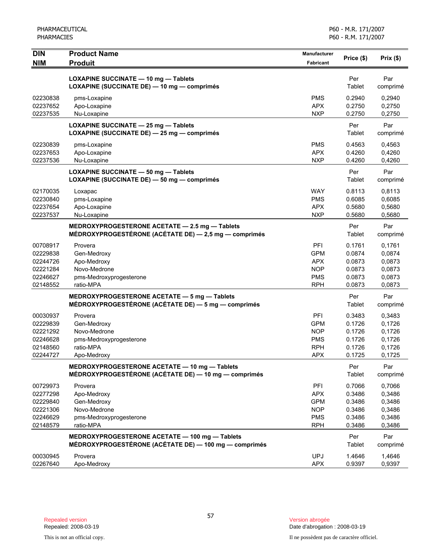| <b>DIN</b><br><b>NIM</b>                                             | <b>Product Name</b><br><b>Produit</b>                                                                   | <b>Manufacturer</b><br>Fabricant                                          | Price (\$)                                               | Prix(\$)                                                 |
|----------------------------------------------------------------------|---------------------------------------------------------------------------------------------------------|---------------------------------------------------------------------------|----------------------------------------------------------|----------------------------------------------------------|
|                                                                      | <b>LOXAPINE SUCCINATE - 10 mg - Tablets</b><br>LOXAPINE (SUCCINATE DE) - 10 mg - comprimés              |                                                                           | Per<br>Tablet                                            | Par<br>comprimé                                          |
| 02230838<br>02237652<br>02237535                                     | pms-Loxapine<br>Apo-Loxapine<br>Nu-Loxapine                                                             | <b>PMS</b><br><b>APX</b><br><b>NXP</b>                                    | 0.2940<br>0.2750<br>0.2750                               | 0,2940<br>0,2750<br>0,2750                               |
|                                                                      | LOXAPINE SUCCINATE - 25 mg - Tablets<br>LOXAPINE (SUCCINATE DE) - 25 mg - comprimés                     |                                                                           | Per<br>Tablet                                            | Par<br>comprimé                                          |
| 02230839<br>02237653<br>02237536                                     | pms-Loxapine<br>Apo-Loxapine<br>Nu-Loxapine                                                             | <b>PMS</b><br><b>APX</b><br><b>NXP</b>                                    | 0.4563<br>0.4260<br>0.4260                               | 0,4563<br>0,4260<br>0,4260                               |
|                                                                      | <b>LOXAPINE SUCCINATE - 50 mg - Tablets</b><br>LOXAPINE (SUCCINATE DE) - 50 mg - comprimés              |                                                                           | Per<br>Tablet                                            | Par<br>comprimé                                          |
| 02170035<br>02230840<br>02237654<br>02237537                         | Loxapac<br>pms-Loxapine<br>Apo-Loxapine<br>Nu-Loxapine                                                  | <b>WAY</b><br><b>PMS</b><br><b>APX</b><br><b>NXP</b>                      | 0.8113<br>0.6085<br>0.5680<br>0.5680                     | 0,8113<br>0,6085<br>0,5680<br>0,5680                     |
|                                                                      | MEDROXYPROGESTERONE ACETATE - 2.5 mg - Tablets<br>MÉDROXYPROGESTÉRONE (ACÉTATE DE) - 2,5 mg - comprimés |                                                                           | Per<br>Tablet                                            | Par<br>comprimé                                          |
| 00708917<br>02229838<br>02244726<br>02221284<br>02246627<br>02148552 | Provera<br>Gen-Medroxy<br>Apo-Medroxy<br>Novo-Medrone<br>pms-Medroxyprogesterone<br>ratio-MPA           | PFI<br><b>GPM</b><br><b>APX</b><br><b>NOP</b><br><b>PMS</b><br><b>RPH</b> | 0.1761<br>0.0874<br>0.0873<br>0.0873<br>0.0873<br>0.0873 | 0,1761<br>0,0874<br>0,0873<br>0,0873<br>0,0873<br>0,0873 |
|                                                                      | MEDROXYPROGESTERONE ACETATE - 5 mg - Tablets<br>MÉDROXYPROGESTÉRONE (ACÉTATE DE) — 5 mg — comprimés     |                                                                           | Per<br>Tablet                                            | Par<br>comprimé                                          |
| 00030937<br>02229839<br>02221292<br>02246628<br>02148560<br>02244727 | Provera<br>Gen-Medroxy<br>Novo-Medrone<br>pms-Medroxyprogesterone<br>ratio-MPA<br>Apo-Medroxy           | PFI<br><b>GPM</b><br><b>NOP</b><br><b>PMS</b><br><b>RPH</b><br><b>APX</b> | 0.3483<br>0.1726<br>0.1726<br>0.1726<br>0.1726<br>0.1725 | 0,3483<br>0,1726<br>0,1726<br>0,1726<br>0,1726<br>0,1725 |
|                                                                      | MEDROXYPROGESTERONE ACETATE - 10 mg - Tablets<br>MÉDROXYPROGESTÉRONE (ACÉTATE DE) - 10 mg - comprimés   |                                                                           | Per<br>Tablet                                            | Par<br>comprimé                                          |
| 00729973<br>02277298<br>02229840<br>02221306<br>02246629<br>02148579 | Provera<br>Apo-Medroxy<br>Gen-Medroxy<br>Novo-Medrone<br>pms-Medroxyprogesterone<br>ratio-MPA           | PFI<br><b>APX</b><br><b>GPM</b><br><b>NOP</b><br><b>PMS</b><br><b>RPH</b> | 0.7066<br>0.3486<br>0.3486<br>0.3486<br>0.3486<br>0.3486 | 0,7066<br>0,3486<br>0,3486<br>0,3486<br>0,3486<br>0,3486 |
|                                                                      | MEDROXYPROGESTERONE ACETATE - 100 mg - Tablets<br>MÉDROXYPROGESTÉRONE (ACÉTATE DE) - 100 mg - comprimés |                                                                           | Per<br>Tablet                                            | Par<br>comprimé                                          |
| 00030945<br>02267640                                                 | Provera<br>Apo-Medroxy                                                                                  | <b>UPJ</b><br><b>APX</b>                                                  | 1.4646<br>0.9397                                         | 1,4646<br>0,9397                                         |

Date d'abrogation : 2008-03-19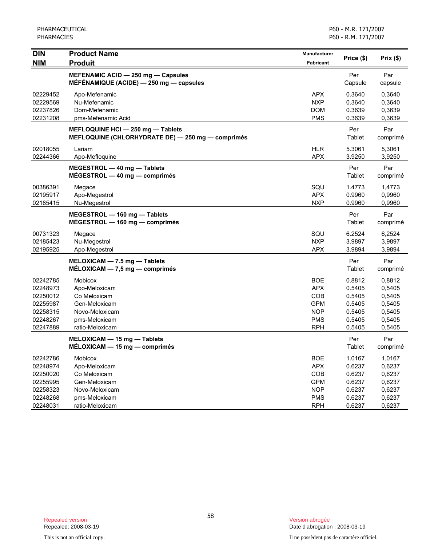| <b>DIN</b>           | <b>Product Name</b>                                                                    | <b>Manufacturer</b>      | Price (\$)       | Prix (\$)        |
|----------------------|----------------------------------------------------------------------------------------|--------------------------|------------------|------------------|
| <b>NIM</b>           | <b>Produit</b>                                                                         | <b>Fabricant</b>         |                  |                  |
|                      | MEFENAMIC ACID - 250 mg - Capsules                                                     |                          | Per              | Par              |
|                      | MÉFÉNAMIQUE (ACIDE) $-$ 250 mg $-$ capsules                                            |                          | Capsule          | capsule          |
| 02229452             | Apo-Mefenamic                                                                          | <b>APX</b>               | 0.3640           | 0,3640           |
| 02229569             | Nu-Mefenamic                                                                           | <b>NXP</b>               | 0.3640           | 0,3640           |
| 02237826             | Dom-Mefenamic                                                                          | <b>DOM</b>               | 0.3639           | 0,3639           |
| 02231208             | pms-Mefenamic Acid                                                                     | <b>PMS</b>               | 0.3639           | 0,3639           |
|                      | MEFLOQUINE HCI - 250 mg - Tablets<br>MEFLOQUINE (CHLORHYDRATE DE) - 250 mg - comprimés |                          | Per<br>Tablet    | Par              |
|                      |                                                                                        |                          |                  | comprimé         |
| 02018055             | Lariam                                                                                 | <b>HLR</b>               | 5.3061           | 5,3061           |
| 02244366             | Apo-Mefloquine                                                                         | <b>APX</b>               | 3.9250           | 3,9250           |
|                      | MEGESTROL - 40 mg - Tablets                                                            |                          | Per              | Par              |
|                      | $MÉGESTROL - 40 mg - comprimés$                                                        |                          | Tablet           | comprimé         |
| 00386391             | Megace                                                                                 | SQU                      | 1.4773           | 1,4773           |
| 02195917             | Apo-Megestrol                                                                          | <b>APX</b>               | 0.9960           | 0,9960           |
| 02185415             | Nu-Megestrol                                                                           | <b>NXP</b>               | 0.9960           | 0,9960           |
|                      | MEGESTROL - 160 mg - Tablets                                                           |                          | Per              | Par              |
|                      | $MÉGESTROL - 160 mg - comprimés$                                                       |                          | Tablet           | comprimé         |
| 00731323             | Megace                                                                                 | SQU                      | 6.2524           | 6,2524           |
| 02185423             | Nu-Megestrol                                                                           | <b>NXP</b>               | 3.9897           | 3,9897           |
| 02195925             | Apo-Megestrol                                                                          | <b>APX</b>               | 3.9894           | 3,9894           |
|                      | MELOXICAM - 7.5 mg - Tablets                                                           |                          | Per              | Par              |
|                      | $MÉLOXICAM - 7,5 mg - comprimés$                                                       |                          | Tablet           | comprimé         |
| 02242785             | Mobicox                                                                                | <b>BOE</b>               | 0.8812           | 0,8812           |
| 02248973             | Apo-Meloxicam                                                                          | <b>APX</b>               | 0.5405           | 0,5405           |
| 02250012             | Co Meloxicam                                                                           | <b>COB</b>               | 0.5405           | 0,5405           |
| 02255987             | Gen-Meloxicam                                                                          | <b>GPM</b>               | 0.5405           | 0,5405           |
| 02258315             | Novo-Meloxicam                                                                         | <b>NOP</b>               | 0.5405           | 0,5405           |
| 02248267<br>02247889 | pms-Meloxicam<br>ratio-Meloxicam                                                       | <b>PMS</b><br><b>RPH</b> | 0.5405<br>0.5405 | 0,5405<br>0,5405 |
|                      |                                                                                        |                          |                  |                  |
|                      | MELOXICAM - 15 mg - Tablets<br>$MÉLOXICAM - 15 mg - comprimés$                         |                          | Per<br>Tablet    | Par<br>comprimé  |
| 02242786             | Mobicox                                                                                | <b>BOE</b>               | 1.0167           | 1,0167           |
| 02248974             | Apo-Meloxicam                                                                          | <b>APX</b>               | 0.6237           | 0,6237           |
| 02250020             | Co Meloxicam                                                                           | COB                      | 0.6237           | 0,6237           |
| 02255995             | Gen-Meloxicam                                                                          | <b>GPM</b>               | 0.6237           | 0,6237           |
| 02258323             | Novo-Meloxicam                                                                         | <b>NOP</b>               | 0.6237           | 0,6237           |
| 02248268             | pms-Meloxicam                                                                          | <b>PMS</b>               | 0.6237           | 0,6237           |
| 02248031             | ratio-Meloxicam                                                                        | <b>RPH</b>               | 0.6237           | 0,6237           |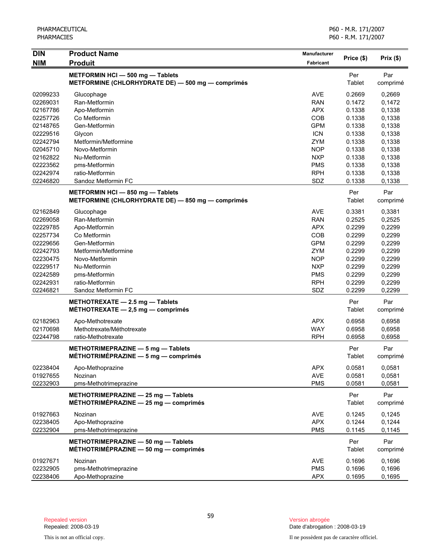| <b>DIN</b> | <b>Product Name</b>                                                                   | <b>Manufacturer</b> |                      | Prix(\$)        |
|------------|---------------------------------------------------------------------------------------|---------------------|----------------------|-----------------|
| <b>NIM</b> | <b>Produit</b>                                                                        | Fabricant           | Price (\$)           |                 |
|            | METFORMIN HCI - 500 mg - Tablets<br>METFORMINE (CHLORHYDRATE DE) - 500 mg - comprimés |                     | Per<br>Tablet        | Par<br>comprimé |
| 02099233   | Glucophage                                                                            | <b>AVE</b>          | 0.2669               | 0,2669          |
| 02269031   | Ran-Metformin                                                                         | <b>RAN</b>          | 0.1472               | 0,1472          |
| 02167786   | Apo-Metformin                                                                         | <b>APX</b>          | 0.1338               | 0,1338          |
| 02257726   | Co Metformin                                                                          | COB                 | 0.1338               | 0,1338          |
| 02148765   | Gen-Metformin                                                                         | <b>GPM</b>          | 0.1338               | 0,1338          |
| 02229516   | Glycon                                                                                | <b>ICN</b>          | 0.1338               | 0,1338          |
| 02242794   | Metformin/Metformine                                                                  | <b>ZYM</b>          | 0.1338               | 0,1338          |
| 02045710   | Novo-Metformin                                                                        | <b>NOP</b>          | 0.1338               | 0,1338          |
| 02162822   | Nu-Metformin                                                                          | <b>NXP</b>          | 0.1338               | 0,1338          |
| 02223562   | pms-Metformin                                                                         | <b>PMS</b>          | 0.1338               | 0,1338          |
| 02242974   | ratio-Metformin                                                                       | <b>RPH</b>          | 0.1338               | 0,1338          |
| 02246820   | Sandoz Metformin FC                                                                   | SDZ                 | 0.1338               | 0,1338          |
|            | METFORMIN HCI - 850 mg - Tablets<br>METFORMINE (CHLORHYDRATE DE) - 850 mg - comprimés |                     | Per<br>Tablet        | Par<br>comprimé |
| 02162849   | Glucophage                                                                            | <b>AVE</b>          | 0.3381               | 0,3381          |
| 02269058   | Ran-Metformin                                                                         | <b>RAN</b>          | 0.2525               | 0,2525          |
| 02229785   | Apo-Metformin                                                                         | <b>APX</b>          | 0.2299               | 0,2299          |
| 02257734   | Co Metformin                                                                          | COB                 | 0.2299               | 0,2299          |
| 02229656   | Gen-Metformin                                                                         | <b>GPM</b>          | 0.2299               | 0,2299          |
| 02242793   | Metformin/Metformine                                                                  | ZYM                 | 0.2299               | 0,2299          |
| 02230475   | Novo-Metformin                                                                        | <b>NOP</b>          | 0.2299               | 0,2299          |
| 02229517   | Nu-Metformin                                                                          | <b>NXP</b>          | 0.2299               | 0,2299          |
| 02242589   | pms-Metformin                                                                         | <b>PMS</b>          | 0.2299               | 0,2299          |
| 02242931   | ratio-Metformin                                                                       | <b>RPH</b>          | 0.2299               | 0,2299          |
| 02246821   | Sandoz Metformin FC                                                                   | SDZ                 | 0.2299               | 0,2299          |
|            | METHOTREXATE - 2.5 mg - Tablets<br>MÉTHOTREXATE $-2,5$ mg $-$ comprimés               |                     | Per<br>Tablet        | Par<br>comprimé |
| 02182963   | Apo-Methotrexate                                                                      | <b>APX</b>          | 0.6958               | 0,6958          |
| 02170698   | Methotrexate/Méthotrexate                                                             | <b>WAY</b>          | 0.6958               | 0,6958          |
| 02244798   | ratio-Methotrexate                                                                    | <b>RPH</b>          | 0.6958               | 0,6958          |
|            | METHOTRIMEPRAZINE - 5 mg - Tablets<br>MÉTHOTRIMÉPRAZINE - 5 mg - comprimés            |                     | Per<br>Tablet        | Par<br>comprimé |
| 02238404   | Apo-Methoprazine                                                                      | <b>APX</b>          | 0.0581               | 0,0581          |
| 01927655   | Nozinan                                                                               | <b>AVE</b>          | 0.0581               | 0,0581          |
| 02232903   | pms-Methotrimeprazine                                                                 | <b>PMS</b>          | 0.0581               | 0,0581          |
|            | METHOTRIMEPRAZINE - 25 mg - Tablets<br>MÉTHOTRIMÉPRAZINE - 25 mg - comprimés          |                     | Per<br>Tablet        | Par<br>comprimé |
|            |                                                                                       |                     |                      |                 |
| 01927663   | Nozinan                                                                               | <b>AVE</b>          | 0.1245               | 0,1245          |
| 02238405   | Apo-Methoprazine                                                                      | <b>APX</b>          | 0.1244               | 0,1244          |
| 02232904   | pms-Methotrimeprazine                                                                 | <b>PMS</b>          | 0.1145               | 0,1145          |
|            | METHOTRIMEPRAZINE - 50 mg - Tablets<br>MÉTHOTRIMÉPRAZINE - 50 mg - comprimés          |                     | Per<br><b>Tablet</b> | Par<br>comprimé |
| 01927671   | Nozinan                                                                               | AVE                 | 0.1696               | 0,1696          |
| 02232905   | pms-Methotrimeprazine                                                                 | <b>PMS</b>          | 0.1696               | 0,1696          |
| 02238406   | Apo-Methoprazine                                                                      | <b>APX</b>          | 0.1695               | 0,1695          |

Date d'abrogation : 2008-03-19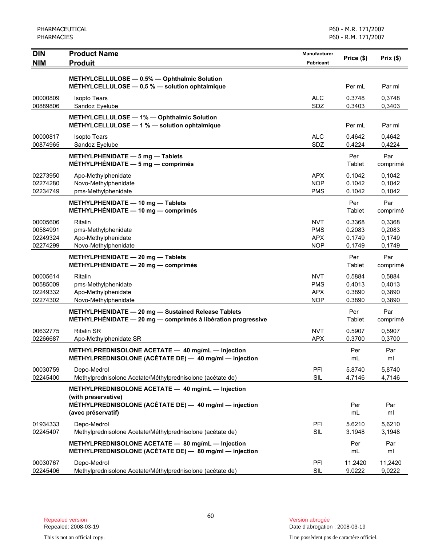| <b>DIN</b>                                   | <b>Product Name</b>                                                                                                   | Manufacturer                                         | Price (\$)                           | Prix(\$)                             |
|----------------------------------------------|-----------------------------------------------------------------------------------------------------------------------|------------------------------------------------------|--------------------------------------|--------------------------------------|
| <b>NIM</b>                                   | <b>Produit</b>                                                                                                        | <b>Fabricant</b>                                     |                                      |                                      |
|                                              | METHYLCELLULOSE - 0.5% - Ophthalmic Solution<br>METHYLCELLULOSE $-$ 0,5 % $-$ solution ophtalmique                    |                                                      | Per mL                               | Par ml                               |
| 00000809                                     | <b>Isopto Tears</b>                                                                                                   | <b>ALC</b>                                           | 0.3748                               | 0,3748                               |
| 00889806                                     | Sandoz Eyelube                                                                                                        | SDZ                                                  | 0.3403                               | 0,3403                               |
|                                              | METHYLCELLULOSE - 1% - Ophthalmic Solution<br>MÉTHYLCELLULOSE - 1 % - solution ophtalmique                            |                                                      | Per mL                               | Par ml                               |
| 00000817<br>00874965                         | <b>Isopto Tears</b><br>Sandoz Eyelube                                                                                 | <b>ALC</b><br>SDZ                                    | 0.4642<br>0.4224                     | 0,4642<br>0,4224                     |
|                                              | METHYLPHENIDATE - 5 mg - Tablets<br>MÉTHYLPHÉNIDATE $-5$ mg $-$ comprimés                                             |                                                      | Per<br>Tablet                        | Par<br>comprimé                      |
| 02273950<br>02274280<br>02234749             | Apo-Methylphenidate<br>Novo-Methylphenidate<br>pms-Methylphenidate                                                    | <b>APX</b><br><b>NOP</b><br><b>PMS</b>               | 0.1042<br>0.1042<br>0.1042           | 0,1042<br>0,1042<br>0,1042           |
|                                              | METHYLPHENIDATE - 10 mg - Tablets<br>MÉTHYLPHÉNIDATE $-$ 10 mg $-$ comprimés                                          |                                                      | Per<br>Tablet                        | Par<br>comprimé                      |
| 00005606<br>00584991<br>02249324<br>02274299 | Ritalin<br>pms-Methylphenidate<br>Apo-Methylphenidate<br>Novo-Methylphenidate                                         | NVT<br><b>PMS</b><br>APX<br><b>NOP</b>               | 0.3368<br>0.2083<br>0.1749<br>0.1749 | 0,3368<br>0,2083<br>0,1749<br>0,1749 |
|                                              | METHYLPHENIDATE - 20 mg - Tablets<br>$MÉTHYLPHÉNIDATE - 20 mg - comprimés$                                            |                                                      | Per<br>Tablet                        | Par<br>comprimé                      |
| 00005614<br>00585009<br>02249332<br>02274302 | Ritalin<br>pms-Methylphenidate<br>Apo-Methylphenidate<br>Novo-Methylphenidate                                         | <b>NVT</b><br><b>PMS</b><br><b>APX</b><br><b>NOP</b> | 0.5884<br>0.4013<br>0.3890<br>0.3890 | 0,5884<br>0,4013<br>0,3890<br>0,3890 |
|                                              | METHYLPHENIDATE - 20 mg - Sustained Release Tablets<br>$METHYLPHENIDATE - 20 mg - comprimés à libération progressive$ |                                                      | Per<br>Tablet                        | Par<br>comprimé                      |
| 00632775<br>02266687                         | <b>Ritalin SR</b><br>Apo-Methylphenidate SR                                                                           | <b>NVT</b><br><b>APX</b>                             | 0.5907<br>0.3700                     | 0,5907<br>0,3700                     |
|                                              | METHYLPREDNISOLONE ACETATE - 40 mg/mL - Injection<br>MÉTHYLPREDNISOLONE (ACÉTATE DE) - 40 mg/ml - injection           |                                                      | Per<br>mL                            | Par<br>ml                            |
| 00030759<br>02245400                         | Depo-Medrol<br>Methylprednisolone Acetate/Méthylprednisolone (acétate de)                                             | PFI<br>SIL                                           | 5.8740<br>4.7146                     | 5,8740<br>4,7146                     |
|                                              | METHYLPREDNISOLONE ACETATE - 40 mg/mL - Injection                                                                     |                                                      |                                      |                                      |
|                                              | (with preservative)<br>MÉTHYLPREDNISOLONE (ACÉTATE DE) - 40 mg/ml - injection<br>(avec préservatif)                   |                                                      | Per<br>$m\mathsf{L}$                 | Par<br>ml                            |
| 01934333<br>02245407                         | Depo-Medrol<br>Methylprednisolone Acetate/Méthylprednisolone (acétate de)                                             | PFI<br><b>SIL</b>                                    | 5.6210<br>3.1948                     | 5,6210<br>3,1948                     |
|                                              | METHYLPREDNISOLONE ACETATE - 80 mg/mL - Injection<br>MÉTHYLPREDNISOLONE (ACÉTATE DE) - 80 mg/ml - injection           |                                                      | Per<br>mL                            | Par<br>ml                            |
| 00030767<br>02245406                         | Depo-Medrol<br>Methylprednisolone Acetate/Méthylprednisolone (acétate de)                                             | PFI<br><b>SIL</b>                                    | 11.2420<br>9.0222                    | 11,2420<br>9,0222                    |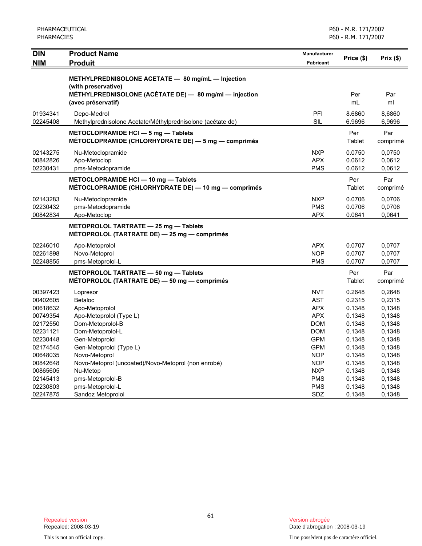| <b>DIN</b> | <b>Product Name</b>                                                                                                                                      | Manufacturer | Price (\$)    | Prix(\$)        |
|------------|----------------------------------------------------------------------------------------------------------------------------------------------------------|--------------|---------------|-----------------|
| <b>NIM</b> | <b>Produit</b>                                                                                                                                           | Fabricant    |               |                 |
|            | METHYLPREDNISOLONE ACETATE - 80 mg/mL - Injection<br>(with preservative)<br>MÉTHYLPREDNISOLONE (ACÉTATE DE) - 80 mg/ml - injection<br>(avec préservatif) |              | Per<br>mL     | Par<br>ml       |
| 01934341   | Depo-Medrol                                                                                                                                              | PFI          | 8.6860        | 8,6860          |
| 02245408   | Methylprednisolone Acetate/Méthylprednisolone (acétate de)                                                                                               | <b>SIL</b>   | 6.9696        | 6,9696          |
|            | METOCLOPRAMIDE HCI - 5 mg - Tablets<br>MÉTOCLOPRAMIDE (CHLORHYDRATE DE) - 5 mg - comprimés                                                               |              | Per<br>Tablet | Par<br>comprimé |
| 02143275   | Nu-Metoclopramide                                                                                                                                        | <b>NXP</b>   | 0.0750        | 0,0750          |
| 00842826   | Apo-Metoclop                                                                                                                                             | <b>APX</b>   | 0.0612        | 0,0612          |
| 02230431   | pms-Metoclopramide                                                                                                                                       | <b>PMS</b>   | 0.0612        | 0,0612          |
|            | METOCLOPRAMIDE HCI - 10 mg - Tablets<br>MÉTOCLOPRAMIDE (CHLORHYDRATE DE) - 10 mg - comprimés                                                             |              | Per<br>Tablet | Par<br>comprimé |
| 02143283   | Nu-Metoclopramide                                                                                                                                        | <b>NXP</b>   | 0.0706        | 0,0706          |
| 02230432   | pms-Metoclopramide                                                                                                                                       | <b>PMS</b>   | 0.0706        | 0,0706          |
| 00842834   | Apo-Metoclop                                                                                                                                             | <b>APX</b>   | 0.0641        | 0,0641          |
|            | METOPROLOL TARTRATE - 25 mg - Tablets<br>MÉTOPROLOL (TARTRATE DE) - 25 mg - comprimés                                                                    |              |               |                 |
| 02246010   | Apo-Metoprolol                                                                                                                                           | <b>APX</b>   | 0.0707        | 0,0707          |
| 02261898   | Novo-Metoprol                                                                                                                                            | <b>NOP</b>   | 0.0707        | 0,0707          |
| 02248855   | pms-Metoprolol-L                                                                                                                                         | <b>PMS</b>   | 0.0707        | 0,0707          |
|            | METOPROLOL TARTRATE - 50 mg - Tablets<br>MÉTOPROLOL (TARTRATE DE) - 50 mg - comprimés                                                                    |              | Per<br>Tablet | Par<br>comprimé |
| 00397423   | Lopresor                                                                                                                                                 | <b>NVT</b>   | 0.2648        | 0,2648          |
| 00402605   | <b>Betaloc</b>                                                                                                                                           | <b>AST</b>   | 0.2315        | 0,2315          |
| 00618632   | Apo-Metoprolol                                                                                                                                           | <b>APX</b>   | 0.1348        | 0,1348          |
| 00749354   | Apo-Metoprolol (Type L)                                                                                                                                  | <b>APX</b>   | 0.1348        | 0.1348          |
| 02172550   | Dom-Metoprolol-B                                                                                                                                         | <b>DOM</b>   | 0.1348        | 0.1348          |
| 02231121   | Dom-Metoprolol-L                                                                                                                                         | <b>DOM</b>   | 0.1348        | 0,1348          |
| 02230448   | Gen-Metoprolol                                                                                                                                           | <b>GPM</b>   | 0.1348        | 0.1348          |
| 02174545   | Gen-Metoprolol (Type L)                                                                                                                                  | <b>GPM</b>   | 0.1348        | 0.1348          |
| 00648035   | Novo-Metoprol                                                                                                                                            | <b>NOP</b>   | 0.1348        | 0,1348          |
| 00842648   | Novo-Metoprol (uncoated)/Novo-Metoprol (non enrobé)                                                                                                      | <b>NOP</b>   | 0.1348        | 0.1348          |
| 00865605   | Nu-Metop                                                                                                                                                 | <b>NXP</b>   | 0.1348        | 0,1348          |
| 02145413   | pms-Metoprolol-B                                                                                                                                         | <b>PMS</b>   | 0.1348        | 0,1348          |
| 02230803   | pms-Metoprolol-L                                                                                                                                         | <b>PMS</b>   | 0.1348        | 0.1348          |
| 02247875   | Sandoz Metoprolol                                                                                                                                        | SDZ          | 0.1348        | 0,1348          |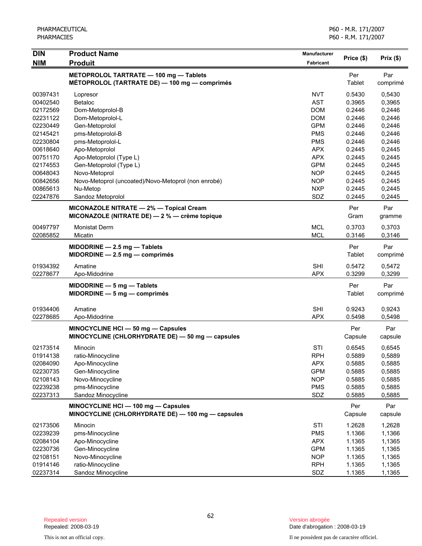| <b>DIN</b>           | <b>Product Name</b>                                                                      | <b>Manufacturer</b> |                |                  |
|----------------------|------------------------------------------------------------------------------------------|---------------------|----------------|------------------|
| <b>NIM</b>           | <b>Produit</b>                                                                           | <b>Fabricant</b>    | Price (\$)     | Prix(\$)         |
|                      | METOPROLOL TARTRATE - 100 mg - Tablets<br>MÉTOPROLOL (TARTRATE DE) — 100 mg — comprimés  |                     | Per<br>Tablet  | Par<br>comprimé  |
| 00397431             | Lopresor                                                                                 | <b>NVT</b>          | 0.5430         | 0,5430           |
| 00402540             | Betaloc                                                                                  | <b>AST</b>          | 0.3965         | 0,3965           |
| 02172569             | Dom-Metoprolol-B                                                                         | <b>DOM</b>          | 0.2446         | 0,2446           |
| 02231122             | Dom-Metoprolol-L                                                                         | <b>DOM</b>          | 0.2446         | 0,2446           |
| 02230449             | Gen-Metoprolol                                                                           | <b>GPM</b>          | 0.2446         | 0,2446           |
| 02145421             | pms-Metoprolol-B                                                                         | <b>PMS</b>          | 0.2446         | 0,2446           |
| 02230804             | pms-Metoprolol-L                                                                         | <b>PMS</b>          | 0.2446         | 0,2446           |
| 00618640             | Apo-Metoprolol                                                                           | <b>APX</b>          | 0.2445         | 0,2445           |
| 00751170             | Apo-Metoprolol (Type L)                                                                  | <b>APX</b>          | 0.2445         | 0,2445           |
| 02174553             | Gen-Metoprolol (Type L)                                                                  | <b>GPM</b>          | 0.2445         | 0,2445           |
| 00648043             | Novo-Metoprol                                                                            | <b>NOP</b>          | 0.2445         | 0,2445           |
| 00842656             | Novo-Metoprol (uncoated)/Novo-Metoprol (non enrobé)                                      | <b>NOP</b>          | 0.2445         | 0,2445           |
| 00865613<br>02247876 | Nu-Metop<br>Sandoz Metoprolol                                                            | <b>NXP</b><br>SDZ   | 0.2445         | 0,2445<br>0,2445 |
|                      |                                                                                          |                     | 0.2445         |                  |
|                      | MICONAZOLE NITRATE - 2% - Topical Cream<br>MICONAZOLE (NITRATE DE) - 2 % - crème topique |                     | Per<br>Gram    | Par<br>gramme    |
| 00497797             | <b>Monistat Derm</b>                                                                     | <b>MCL</b>          | 0.3703         | 0,3703           |
| 02085852             | Micatin                                                                                  | <b>MCL</b>          | 0.3146         | 0,3146           |
|                      | MIDODRINE - 2.5 mg - Tablets<br>$MIDORDINE - 2.5 mg - comprimés$                         |                     | Per<br>Tablet  | Par<br>comprimé  |
| 01934392             | Amatine                                                                                  | <b>SHI</b>          | 0.5472         |                  |
| 02278677             | Apo-Midodrine                                                                            | <b>APX</b>          | 0.3299         | 0,5472<br>0,3299 |
|                      |                                                                                          |                     |                |                  |
|                      | $MIDODRINE - 5 mg - Tables$<br>$MIDORDINE - 5 mg - comprimés$                            |                     | Per<br>Tablet  | Par<br>comprimé  |
| 01934406             | Amatine                                                                                  | <b>SHI</b>          | 0.9243         | 0,9243           |
| 02278685             | Apo-Midodrine                                                                            | <b>APX</b>          | 0.5498         | 0,5498           |
|                      | MINOCYCLINE HCI - 50 mg - Capsules                                                       |                     | Per            | Par              |
|                      | MINOCYCLINE (CHLORHYDRATE DE) - 50 mg - capsules                                         |                     | Capsule        | capsule          |
| 02173514             | Minocin                                                                                  | STI                 | 0.6545         | 0,6545           |
| 01914138             | ratio-Minocycline                                                                        | <b>RPH</b>          | 0.5889         | 0,5889           |
| 02084090             | Apo-Minocycline                                                                          | <b>APX</b>          | 0.5885         | 0,5885           |
| 02230735             | Gen-Minocycline                                                                          | <b>GPM</b>          | 0.5885         | 0,5885           |
| 02108143             | Novo-Minocycline                                                                         | <b>NOP</b>          | 0.5885         | 0,5885           |
| 02239238             | pms-Minocycline                                                                          | <b>PMS</b>          | 0.5885         | 0,5885           |
| 02237313             | Sandoz Minocycline                                                                       | SDZ                 | 0.5885         | 0,5885           |
|                      | MINOCYCLINE HCI - 100 mg - Capsules<br>MINOCYCLINE (CHLORHYDRATE DE) - 100 mg - capsules |                     | Per<br>Capsule | Par<br>capsule   |
| 02173506             | Minocin                                                                                  | STI                 | 1.2628         | 1,2628           |
| 02239239             | pms-Minocycline                                                                          | <b>PMS</b>          | 1.1366         | 1,1366           |
| 02084104             | Apo-Minocycline                                                                          | <b>APX</b>          | 1.1365         | 1,1365           |
| 02230736             | Gen-Minocycline                                                                          | <b>GPM</b>          | 1.1365         | 1,1365           |
| 02108151             | Novo-Minocycline                                                                         | <b>NOP</b>          | 1.1365         | 1,1365           |
| 01914146             | ratio-Minocycline                                                                        | <b>RPH</b>          | 1.1365         | 1,1365           |
| 02237314             | Sandoz Minocycline                                                                       | SDZ                 | 1.1365         | 1,1365           |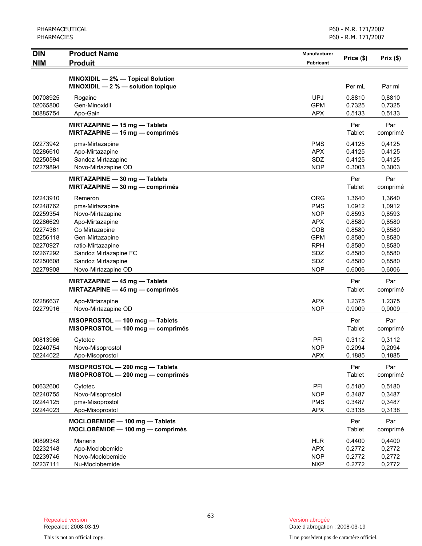| <b>DIN</b> | <b>Product Name</b>                   | <b>Manufacturer</b> | Price (\$) | Prix(\$) |
|------------|---------------------------------------|---------------------|------------|----------|
| <b>NIM</b> | <b>Produit</b>                        | <b>Fabricant</b>    |            |          |
|            | MINOXIDIL - 2% - Topical Solution     |                     |            |          |
|            | MINOXIDIL $-2$ % $-$ solution topique |                     | Per mL     | Par ml   |
| 00708925   | Rogaine                               | <b>UPJ</b>          | 0.8810     | 0,8810   |
| 02065800   | Gen-Minoxidil                         | <b>GPM</b>          | 0.7325     | 0,7325   |
| 00885754   | Apo-Gain                              | <b>APX</b>          | 0.5133     | 0,5133   |
|            | MIRTAZAPINE - 15 mg - Tablets         |                     | Per        | Par      |
|            | MIRTAZAPINE - 15 mg - comprimés       |                     | Tablet     | comprimé |
| 02273942   | pms-Mirtazapine                       | <b>PMS</b>          | 0.4125     | 0,4125   |
| 02286610   | Apo-Mirtazapine                       | <b>APX</b>          | 0.4125     | 0.4125   |
| 02250594   | Sandoz Mirtazapine                    | SDZ                 | 0.4125     | 0,4125   |
| 02279894   | Novo-Mirtazapine OD                   | <b>NOP</b>          | 0.3003     | 0,3003   |
|            | MIRTAZAPINE $-$ 30 mg $-$ Tablets     |                     | Per        | Par      |
|            | $MIRTAZAPINE - 30 mg - comprimés$     |                     | Tablet     | comprimé |
| 02243910   | Remeron                               | <b>ORG</b>          | 1.3640     | 1,3640   |
| 02248762   | pms-Mirtazapine                       | <b>PMS</b>          | 1.0912     | 1,0912   |
| 02259354   | Novo-Mirtazapine                      | <b>NOP</b>          | 0.8593     | 0,8593   |
| 02286629   | Apo-Mirtazapine                       | <b>APX</b>          | 0.8580     | 0,8580   |
| 02274361   | Co Mirtazapine                        | COB                 | 0.8580     | 0,8580   |
| 02256118   | Gen-Mirtazapine                       | <b>GPM</b>          | 0.8580     | 0,8580   |
| 02270927   | ratio-Mirtazapine                     | <b>RPH</b>          | 0.8580     | 0,8580   |
| 02267292   | Sandoz Mirtazapine FC                 | SDZ                 | 0.8580     | 0,8580   |
| 02250608   | Sandoz Mirtazapine                    | SDZ                 | 0.8580     | 0,8580   |
| 02279908   | Novo-Mirtazapine OD                   | <b>NOP</b>          | 0.6006     | 0,6006   |
|            | MIRTAZAPINE - 45 mg - Tablets         |                     | Per        | Par      |
|            | MIRTAZAPINE - 45 mg - comprimés       |                     | Tablet     | comprimé |
| 02286637   | Apo-Mirtazapine                       | <b>APX</b>          | 1.2375     | 1.2375   |
| 02279916   | Novo-Mirtazapine OD                   | <b>NOP</b>          | 0.9009     | 0,9009   |
|            | MISOPROSTOL - 100 mcg - Tablets       |                     | Per        | Par      |
|            | MISOPROSTOL - 100 mcg - comprimés     |                     | Tablet     | comprimé |
| 00813966   | Cytotec                               | PFI                 | 0.3112     | 0,3112   |
| 02240754   | Novo-Misoprostol                      | <b>NOP</b>          | 0.2094     | 0,2094   |
| 02244022   | Apo-Misoprostol                       | <b>APX</b>          | 0.1885     | 0,1885   |
|            | MISOPROSTOL - 200 mcg - Tablets       |                     | Per        | Par      |
|            | MISOPROSTOL - 200 mcg - comprimés     |                     | Tablet     | comprimé |
| 00632600   | Cytotec                               | PFI                 | 0.5180     | 0,5180   |
| 02240755   | Novo-Misoprostol                      | <b>NOP</b>          | 0.3487     | 0,3487   |
| 02244125   | pms-Misoprostol                       | <b>PMS</b>          | 0.3487     | 0,3487   |
| 02244023   | Apo-Misoprostol                       | <b>APX</b>          | 0.3138     | 0,3138   |
|            | MOCLOBEMIDE - 100 mg - Tablets        |                     | Per        | Par      |
|            | $MOCLOBÉMIDE - 100 mg - comprimés$    |                     | Tablet     | comprimé |
| 00899348   | Manerix                               | <b>HLR</b>          | 0.4400     | 0,4400   |
| 02232148   | Apo-Moclobemide                       | <b>APX</b>          | 0.2772     | 0,2772   |
| 02239746   | Novo-Moclobemide                      | <b>NOP</b>          | 0.2772     | 0,2772   |
| 02237111   | Nu-Moclobemide                        | <b>NXP</b>          | 0.2772     | 0,2772   |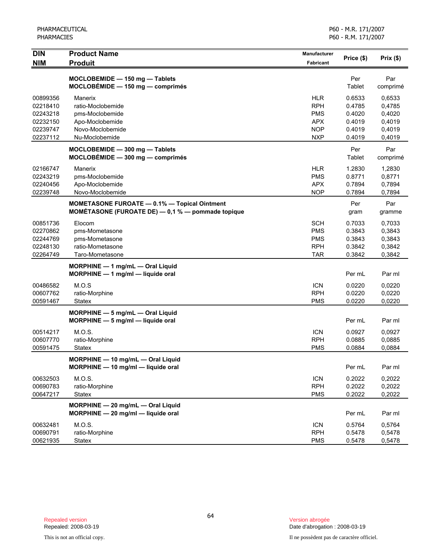| <b>DIN</b>                                                           | <b>Product Name</b>                                                                                      | Manufacturer                                                                     | Price (\$)                                               | Prix(\$)                                                 |
|----------------------------------------------------------------------|----------------------------------------------------------------------------------------------------------|----------------------------------------------------------------------------------|----------------------------------------------------------|----------------------------------------------------------|
| <b>NIM</b>                                                           | <b>Produit</b>                                                                                           | <b>Fabricant</b>                                                                 |                                                          |                                                          |
|                                                                      | MOCLOBEMIDE - 150 mg - Tablets<br>$MOCLOBÉMIDE - 150 mg - comprimés$                                     |                                                                                  | Per<br>Tablet                                            | Par<br>comprimé                                          |
| 00899356<br>02218410<br>02243218<br>02232150<br>02239747<br>02237112 | Manerix<br>ratio-Moclobemide<br>pms-Moclobemide<br>Apo-Moclobemide<br>Novo-Moclobemide<br>Nu-Moclobemide | <b>HLR</b><br><b>RPH</b><br><b>PMS</b><br><b>APX</b><br><b>NOP</b><br><b>NXP</b> | 0.6533<br>0.4785<br>0.4020<br>0.4019<br>0.4019<br>0.4019 | 0,6533<br>0,4785<br>0,4020<br>0,4019<br>0.4019<br>0,4019 |
|                                                                      | MOCLOBEMIDE - 300 mg - Tablets<br>$MOCLOBÉMIDE - 300 mg - comprimés$                                     |                                                                                  | Per<br>Tablet                                            | Par<br>comprimé                                          |
| 02166747<br>02243219<br>02240456<br>02239748                         | Manerix<br>pms-Moclobemide<br>Apo-Moclobemide<br>Novo-Moclobemide                                        | <b>HLR</b><br><b>PMS</b><br><b>APX</b><br><b>NOP</b>                             | 1.2830<br>0.8771<br>0.7894<br>0.7894                     | 1,2830<br>0,8771<br>0,7894<br>0,7894                     |
|                                                                      | <b>MOMETASONE FUROATE - 0.1% - Topical Ointment</b><br>MOMÉTASONE (FUROATE DE) - 0,1 % - pommade topique |                                                                                  | Per<br>gram                                              | Par<br>gramme                                            |
| 00851736<br>02270862<br>02244769<br>02248130<br>02264749             | Elocom<br>pms-Mometasone<br>pms-Mometasone<br>ratio-Mometasone<br>Taro-Mometasone                        | <b>SCH</b><br><b>PMS</b><br><b>PMS</b><br><b>RPH</b><br><b>TAR</b>               | 0.7033<br>0.3843<br>0.3843<br>0.3842<br>0.3842           | 0,7033<br>0,3843<br>0,3843<br>0,3842<br>0,3842           |
|                                                                      | MORPHINE - 1 mg/mL - Oral Liquid<br>MORPHINE - 1 mg/ml - liquide oral                                    |                                                                                  | Per mL                                                   | Par ml                                                   |
| 00486582<br>00607762<br>00591467                                     | M.O.S<br>ratio-Morphine<br>Statex                                                                        | <b>ICN</b><br><b>RPH</b><br><b>PMS</b>                                           | 0.0220<br>0.0220<br>0.0220                               | 0,0220<br>0,0220<br>0,0220                               |
|                                                                      | MORPHINE - 5 mg/mL - Oral Liquid<br>$MORPHINE - 5$ mg/ml $-$ liquide oral                                |                                                                                  | Per mL                                                   | Par ml                                                   |
| 00514217<br>00607770<br>00591475                                     | M.O.S.<br>ratio-Morphine<br><b>Statex</b>                                                                | <b>ICN</b><br><b>RPH</b><br><b>PMS</b>                                           | 0.0927<br>0.0885<br>0.0884                               | 0,0927<br>0,0885<br>0,0884                               |
|                                                                      | MORPHINE - 10 mg/mL - Oral Liquid<br>MORPHINE - 10 mg/ml - liquide oral                                  |                                                                                  | Per mL                                                   | Par ml                                                   |
| 00632503<br>00690783<br>00647217                                     | M.O.S.<br>ratio-Morphine<br>Statex                                                                       | <b>ICN</b><br><b>RPH</b><br><b>PMS</b>                                           | 0.2022<br>0.2022<br>0.2022                               | 0,2022<br>0,2022<br>0,2022                               |
|                                                                      | MORPHINE - 20 mg/mL - Oral Liquid<br>MORPHINE - 20 mg/ml - liquide oral                                  |                                                                                  | Per mL                                                   | Par ml                                                   |
| 00632481<br>00690791<br>00621935                                     | M.O.S.<br>ratio-Morphine<br>Statex                                                                       | <b>ICN</b><br><b>RPH</b><br><b>PMS</b>                                           | 0.5764<br>0.5478<br>0.5478                               | 0,5764<br>0,5478<br>0,5478                               |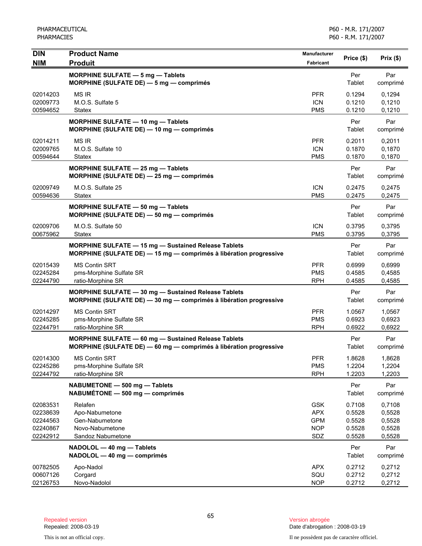| <b>DIN</b><br><b>NIM</b>                                 | <b>Product Name</b><br><b>Produit</b>                                                                                             | Manufacturer<br><b>Fabricant</b>                            | Price (\$)                                     | Prix(\$)                                       |
|----------------------------------------------------------|-----------------------------------------------------------------------------------------------------------------------------------|-------------------------------------------------------------|------------------------------------------------|------------------------------------------------|
|                                                          | <b>MORPHINE SULFATE - 5 mg - Tablets</b><br>MORPHINE (SULFATE DE) - 5 mg - comprimés                                              |                                                             | Per<br>Tablet                                  | Par<br>comprimé                                |
| 02014203<br>02009773<br>00594652                         | <b>MS IR</b><br>M.O.S. Sulfate 5<br>Statex                                                                                        | <b>PFR</b><br><b>ICN</b><br><b>PMS</b>                      | 0.1294<br>0.1210<br>0.1210                     | 0,1294<br>0,1210<br>0,1210                     |
|                                                          | <b>MORPHINE SULFATE - 10 mg - Tablets</b><br>MORPHINE (SULFATE DE) - 10 mg - comprimés                                            |                                                             | Per<br>Tablet                                  | Par<br>comprimé                                |
| 02014211<br>02009765<br>00594644                         | MS IR<br>M.O.S. Sulfate 10<br><b>Statex</b>                                                                                       | <b>PFR</b><br><b>ICN</b><br><b>PMS</b>                      | 0.2011<br>0.1870<br>0.1870                     | 0,2011<br>0,1870<br>0,1870                     |
|                                                          | <b>MORPHINE SULFATE - 25 mg - Tablets</b><br>MORPHINE (SULFATE DE) - 25 mg - comprimés                                            |                                                             | Per<br>Tablet                                  | Par<br>comprimé                                |
| 02009749<br>00594636                                     | M.O.S. Sulfate 25<br>Statex                                                                                                       | <b>ICN</b><br><b>PMS</b>                                    | 0.2475<br>0.2475                               | 0,2475<br>0,2475                               |
|                                                          | MORPHINE SULFATE - 50 mg - Tablets<br>MORPHINE (SULFATE DE) - 50 mg - comprimés                                                   |                                                             | Per<br>Tablet                                  | Par<br>comprimé                                |
| 02009706<br>00675962                                     | M.O.S. Sulfate 50<br><b>Statex</b>                                                                                                | <b>ICN</b><br><b>PMS</b>                                    | 0.3795<br>0.3795                               | 0,3795<br>0,3795                               |
|                                                          | MORPHINE SULFATE - 15 mg - Sustained Release Tablets<br>MORPHINE (SULFATE DE) - 15 mg - comprimés à libération progressive        |                                                             | Per<br>Tablet                                  | Par<br>comprimé                                |
| 02015439<br>02245284<br>02244790                         | <b>MS Contin SRT</b><br>pms-Morphine Sulfate SR<br>ratio-Morphine SR                                                              | <b>PFR</b><br><b>PMS</b><br><b>RPH</b>                      | 0.6999<br>0.4585<br>0.4585                     | 0,6999<br>0,4585<br>0,4585                     |
|                                                          | <b>MORPHINE SULFATE - 30 mg - Sustained Release Tablets</b><br>MORPHINE (SULFATE DE) - 30 mg - comprimés à libération progressive |                                                             | Per<br>Tablet                                  | Par<br>comprimé                                |
| 02014297<br>02245285<br>02244791                         | <b>MS Contin SRT</b><br>pms-Morphine Sulfate SR<br>ratio-Morphine SR                                                              | <b>PFR</b><br><b>PMS</b><br><b>RPH</b>                      | 1.0567<br>0.6923<br>0.6922                     | 1,0567<br>0,6923<br>0,6922                     |
|                                                          | MORPHINE SULFATE - 60 mg - Sustained Release Tablets<br>MORPHINE (SULFATE DE) - 60 mg - comprimés à libération progressive        |                                                             | Per<br>Tablet                                  | Par<br>comprimé                                |
| 02014300<br>02245286<br>02244792                         | <b>MS Contin SRT</b><br>pms-Morphine Sulfate SR<br>ratio-Morphine SR                                                              | <b>PFR</b><br><b>PMS</b><br><b>RPH</b>                      | 1.8628<br>1.2204<br>1.2203                     | 1,8628<br>1,2204<br>1,2203                     |
|                                                          | NABUMETONE - 500 mg - Tablets<br>NABUMÉTONE - 500 mg - comprimés                                                                  |                                                             | Per<br>Tablet                                  | Par<br>comprimé                                |
| 02083531<br>02238639<br>02244563<br>02240867<br>02242912 | Relafen<br>Apo-Nabumetone<br>Gen-Nabumetone<br>Novo-Nabumetone<br>Sandoz Nabumetone                                               | <b>GSK</b><br><b>APX</b><br><b>GPM</b><br><b>NOP</b><br>SDZ | 0.7108<br>0.5528<br>0.5528<br>0.5528<br>0.5528 | 0,7108<br>0,5528<br>0,5528<br>0,5528<br>0,5528 |
|                                                          | NADOLOL - 40 mg - Tablets<br>NADOLOL - 40 mg - comprimés                                                                          |                                                             | Per<br>Tablet                                  | Par<br>comprimé                                |
| 00782505<br>00607126<br>02126753                         | Apo-Nadol<br>Corgard<br>Novo-Nadolol                                                                                              | <b>APX</b><br>SQU<br><b>NOP</b>                             | 0.2712<br>0.2712<br>0.2712                     | 0,2712<br>0,2712<br>0,2712                     |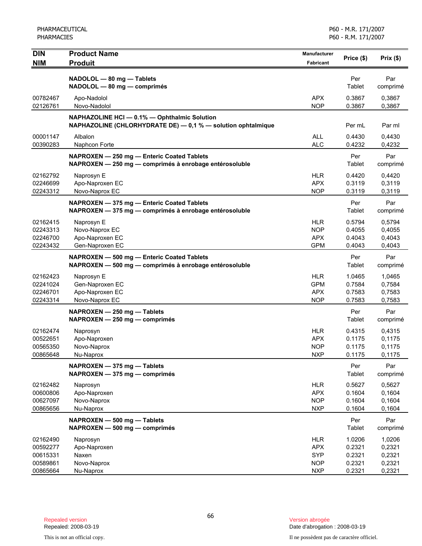| <b>DIN</b>                                               | <b>Product Name</b>                                                                                          | Manufacturer                                                       | Price (\$)                                     | Prix(\$)                                       |
|----------------------------------------------------------|--------------------------------------------------------------------------------------------------------------|--------------------------------------------------------------------|------------------------------------------------|------------------------------------------------|
| <b>NIM</b>                                               | <b>Produit</b>                                                                                               | Fabricant                                                          |                                                |                                                |
|                                                          | NADOLOL - 80 mg - Tablets<br>NADOLOL - 80 mg - comprimés                                                     |                                                                    | Per<br>Tablet                                  | Par<br>comprimé                                |
| 00782467<br>02126761                                     | Apo-Nadolol<br>Novo-Nadolol                                                                                  | <b>APX</b><br><b>NOP</b>                                           | 0.3867<br>0.3867                               | 0,3867<br>0,3867                               |
|                                                          | NAPHAZOLINE HCI - 0.1% - Ophthalmic Solution<br>NAPHAZOLINE (CHLORHYDRATE DE) - 0,1 % - solution ophtalmique |                                                                    | Per mL                                         | Par ml                                         |
| 00001147<br>00390283                                     | Albalon<br>Naphcon Forte                                                                                     | <b>ALL</b><br><b>ALC</b>                                           | 0.4430<br>0.4232                               | 0,4430<br>0,4232                               |
|                                                          | NAPROXEN - 250 mg - Enteric Coated Tablets<br>NAPROXEN - 250 mg - comprimés à enrobage entérosoluble         |                                                                    | Per<br>Tablet                                  | Par<br>comprimé                                |
| 02162792<br>02246699<br>02243312                         | Naprosyn E<br>Apo-Naproxen EC<br>Novo-Naprox EC                                                              | <b>HLR</b><br><b>APX</b><br><b>NOP</b>                             | 0.4420<br>0.3119<br>0.3119                     | 0,4420<br>0,3119<br>0,3119                     |
|                                                          | NAPROXEN - 375 mg - Enteric Coated Tablets<br>NAPROXEN - 375 mg - comprimés à enrobage entérosoluble         |                                                                    | Per<br>Tablet                                  | Par<br>comprimé                                |
| 02162415<br>02243313<br>02246700<br>02243432             | Naprosyn E<br>Novo-Naprox EC<br>Apo-Naproxen EC<br>Gen-Naproxen EC                                           | <b>HLR</b><br><b>NOP</b><br><b>APX</b><br><b>GPM</b>               | 0.5794<br>0.4055<br>0.4043<br>0.4043           | 0,5794<br>0,4055<br>0,4043<br>0,4043           |
|                                                          | NAPROXEN - 500 mg - Enteric Coated Tablets<br>NAPROXEN - 500 mg - comprimés à enrobage entérosoluble         |                                                                    | Per<br>Tablet                                  | Par<br>comprimé                                |
| 02162423<br>02241024<br>02246701<br>02243314             | Naprosyn E<br>Gen-Naproxen EC<br>Apo-Naproxen EC<br>Novo-Naprox EC                                           | <b>HLR</b><br><b>GPM</b><br><b>APX</b><br><b>NOP</b>               | 1.0465<br>0.7584<br>0.7583<br>0.7583           | 1,0465<br>0,7584<br>0,7583<br>0,7583           |
|                                                          | NAPROXEN - 250 mg - Tablets<br>NAPROXEN - 250 mg - comprimés                                                 |                                                                    | Per<br>Tablet                                  | Par<br>comprimé                                |
| 02162474<br>00522651<br>00565350<br>00865648             | Naprosyn<br>Apo-Naproxen<br>Novo-Naprox<br>Nu-Naprox                                                         | <b>HLR</b><br><b>APX</b><br><b>NOP</b><br><b>NXP</b>               | 0.4315<br>0.1175<br>0.1175<br>0.1175           | 0,4315<br>0,1175<br>0,1175<br>0,1175           |
|                                                          | NAPROXEN - 375 mg - Tablets<br>NAPROXEN - 375 mg - comprimés                                                 |                                                                    | Per<br>Tablet                                  | Par<br>comprimé                                |
| 02162482<br>00600806<br>00627097<br>00865656             | Naprosyn<br>Apo-Naproxen<br>Novo-Naprox<br>Nu-Naprox                                                         | <b>HLR</b><br><b>APX</b><br><b>NOP</b><br><b>NXP</b>               | 0.5627<br>0.1604<br>0.1604<br>0.1604           | 0,5627<br>0,1604<br>0,1604<br>0,1604           |
|                                                          | NAPROXEN - 500 mg - Tablets<br>NAPROXEN - 500 mg - comprimés                                                 |                                                                    | Per<br>Tablet                                  | Par<br>comprimé                                |
| 02162490<br>00592277<br>00615331<br>00589861<br>00865664 | Naprosyn<br>Apo-Naproxen<br>Naxen<br>Novo-Naprox<br>Nu-Naprox                                                | <b>HLR</b><br><b>APX</b><br><b>SYP</b><br><b>NOP</b><br><b>NXP</b> | 1.0206<br>0.2321<br>0.2321<br>0.2321<br>0.2321 | 1,0206<br>0,2321<br>0,2321<br>0,2321<br>0,2321 |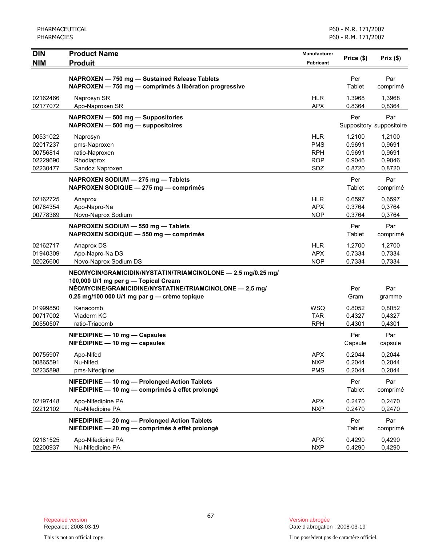| <b>DIN</b>                                               | <b>Product Name</b>                                                                                                                                                                                             | <b>Manufacturer</b>                                         | Price (\$)                                     | Prix(\$)                                       |
|----------------------------------------------------------|-----------------------------------------------------------------------------------------------------------------------------------------------------------------------------------------------------------------|-------------------------------------------------------------|------------------------------------------------|------------------------------------------------|
| <b>NIM</b>                                               | <b>Produit</b>                                                                                                                                                                                                  | Fabricant                                                   |                                                |                                                |
|                                                          | NAPROXEN - 750 mg - Sustained Release Tablets<br>NAPROXEN - 750 mg - comprimés à libération progressive                                                                                                         |                                                             | Per<br>Tablet                                  | Par<br>comprimé                                |
| 02162466<br>02177072                                     | Naprosyn SR<br>Apo-Naproxen SR                                                                                                                                                                                  | <b>HLR</b><br><b>APX</b>                                    | 1.3968<br>0.8364                               | 1,3968<br>0,8364                               |
|                                                          | NAPROXEN - 500 mg - Suppositories<br>NAPROXEN - 500 mg - suppositoires                                                                                                                                          |                                                             | Per                                            | Par<br>Suppository suppositoire                |
| 00531022<br>02017237<br>00756814<br>02229690<br>02230477 | Naprosyn<br>pms-Naproxen<br>ratio-Naproxen<br>Rhodiaprox<br>Sandoz Naproxen                                                                                                                                     | <b>HLR</b><br><b>PMS</b><br><b>RPH</b><br><b>ROP</b><br>SDZ | 1.2100<br>0.9691<br>0.9691<br>0.9046<br>0.8720 | 1,2100<br>0,9691<br>0,9691<br>0,9046<br>0,8720 |
|                                                          | NAPROXEN SODIUM - 275 mg - Tablets<br>NAPROXEN SODIQUE - 275 mg - comprimés                                                                                                                                     |                                                             | Per<br>Tablet                                  | Par<br>comprimé                                |
| 02162725<br>00784354<br>00778389                         | Anaprox<br>Apo-Napro-Na<br>Novo-Naprox Sodium                                                                                                                                                                   | <b>HLR</b><br><b>APX</b><br><b>NOP</b>                      | 0.6597<br>0.3764<br>0.3764                     | 0,6597<br>0,3764<br>0,3764                     |
|                                                          | NAPROXEN SODIUM - 550 mg - Tablets<br>NAPROXEN SODIQUE - 550 mg - comprimés                                                                                                                                     |                                                             | Per<br>Tablet                                  | Par<br>comprimé                                |
| 02162717<br>01940309<br>02026600                         | Anaprox DS<br>Apo-Napro-Na DS<br>Novo-Naprox Sodium DS                                                                                                                                                          | <b>HLR</b><br><b>APX</b><br><b>NOP</b>                      | 1.2700<br>0.7334<br>0.7334                     | 1,2700<br>0,7334<br>0,7334                     |
|                                                          | NEOMYCIN/GRAMICIDIN/NYSTATIN/TRIAMCINOLONE - 2.5 mg/0.25 mg/<br>100,000 U/1 mg per g - Topical Cream<br>NÉOMYCINE/GRAMICIDINE/NYSTATINE/TRIAMCINOLONE - 2,5 mg/<br>0,25 mg/100 000 U/1 mg par g — crème topique |                                                             | Per<br>Gram                                    | Par<br>gramme                                  |
| 01999850<br>00717002<br>00550507                         | Kenacomb<br>Viaderm KC<br>ratio-Triacomb                                                                                                                                                                        | <b>WSQ</b><br><b>TAR</b><br><b>RPH</b>                      | 0.8052<br>0.4327<br>0.4301                     | 0,8052<br>0,4327<br>0,4301                     |
|                                                          | NIFEDIPINE - 10 mg - Capsules<br>NIFÉDIPINE - 10 mg - capsules                                                                                                                                                  |                                                             | Per<br>Capsule                                 | Par<br>capsule                                 |
| 00755907<br>00865591<br>02235898                         | Apo-Nifed<br>Nu-Nifed<br>pms-Nifedipine                                                                                                                                                                         | <b>APX</b><br><b>NXP</b><br><b>PMS</b>                      | 0.2044<br>0.2044<br>0.2044                     | 0,2044<br>0,2044<br>0,2044                     |
|                                                          | NIFEDIPINE - 10 mg - Prolonged Action Tablets<br>NIFÉDIPINE - 10 mg - comprimés à effet prolongé                                                                                                                |                                                             | Per<br>Tablet                                  | Par<br>comprimé                                |
| 02197448<br>02212102                                     | Apo-Nifedipine PA<br>Nu-Nifedipine PA                                                                                                                                                                           | <b>APX</b><br><b>NXP</b>                                    | 0.2470<br>0.2470                               | 0,2470<br>0,2470                               |
|                                                          | NIFEDIPINE - 20 mg - Prolonged Action Tablets<br>NIFÉDIPINE - 20 mg - comprimés à effet prolongé                                                                                                                |                                                             | Per<br><b>Tablet</b>                           | Par<br>comprimé                                |
| 02181525<br>02200937                                     | Apo-Nifedipine PA<br>Nu-Nifedipine PA                                                                                                                                                                           | <b>APX</b><br><b>NXP</b>                                    | 0.4290<br>0.4290                               | 0,4290<br>0,4290                               |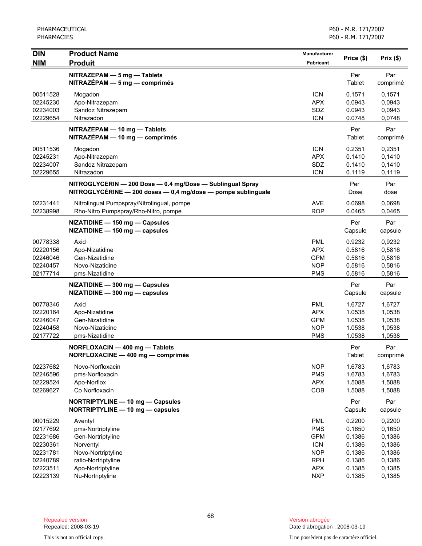| DIN                                                                  | <b>Product Name</b>                                                                                                       | Manufacturer                                                                     |                                                          |                                                          |
|----------------------------------------------------------------------|---------------------------------------------------------------------------------------------------------------------------|----------------------------------------------------------------------------------|----------------------------------------------------------|----------------------------------------------------------|
| <b>NIM</b>                                                           | <b>Produit</b>                                                                                                            | Fabricant                                                                        | Price (\$)                                               | Prix(\$)                                                 |
|                                                                      | NITRAZEPAM - 5 mg - Tablets<br>$NITRAZÉPAM - 5 mg - comprimés$                                                            |                                                                                  | Per<br>Tablet                                            | Par<br>comprimé                                          |
| 00511528<br>02245230<br>02234003<br>02229654                         | Mogadon<br>Apo-Nitrazepam<br>Sandoz Nitrazepam<br>Nitrazadon                                                              | <b>ICN</b><br><b>APX</b><br>SDZ<br><b>ICN</b>                                    | 0.1571<br>0.0943<br>0.0943<br>0.0748                     | 0,1571<br>0,0943<br>0,0943<br>0,0748                     |
|                                                                      | NITRAZEPAM - 10 mg - Tablets<br>NITRAZÉPAM - 10 mg - comprimés                                                            |                                                                                  | Per<br>Tablet                                            | Par<br>comprimé                                          |
| 00511536<br>02245231<br>02234007<br>02229655                         | Mogadon<br>Apo-Nitrazepam<br>Sandoz Nitrazepam<br>Nitrazadon                                                              | <b>ICN</b><br><b>APX</b><br>SDZ<br><b>ICN</b>                                    | 0.2351<br>0.1410<br>0.1410<br>0.1119                     | 0,2351<br>0,1410<br>0,1410<br>0,1119                     |
|                                                                      | NITROGLYCERIN - 200 Dose - 0.4 mg/Dose - Sublingual Spray<br>NITROGLYCÉRINE - 200 doses - 0,4 mg/dose - pompe sublinguale |                                                                                  | Per<br>Dose                                              | Par<br>dose                                              |
| 02231441<br>02238998                                                 | Nitrolingual Pumpspray/Nitrolingual, pompe<br>Rho-Nitro Pumpspray/Rho-Nitro, pompe                                        | <b>AVE</b><br><b>ROP</b>                                                         | 0.0698<br>0.0465                                         | 0,0698<br>0,0465                                         |
|                                                                      | NIZATIDINE - 150 mg - Capsules<br>NIZATIDINE - 150 mg - capsules                                                          |                                                                                  | Per<br>Capsule                                           | Par<br>capsule                                           |
| 00778338<br>02220156<br>02246046<br>02240457<br>02177714             | Axid<br>Apo-Nizatidine<br>Gen-Nizatidine<br>Novo-Nizatidine<br>pms-Nizatidine                                             | <b>PML</b><br><b>APX</b><br><b>GPM</b><br><b>NOP</b><br><b>PMS</b>               | 0.9232<br>0.5816<br>0.5816<br>0.5816<br>0.5816           | 0,9232<br>0,5816<br>0,5816<br>0,5816<br>0,5816           |
|                                                                      | NIZATIDINE - 300 mg - Capsules<br>NIZATIDINE - 300 mg - capsules                                                          |                                                                                  | Per<br>Capsule                                           | Par<br>capsule                                           |
| 00778346<br>02220164<br>02246047<br>02240458<br>02177722             | Axid<br>Apo-Nizatidine<br>Gen-Nizatidine<br>Novo-Nizatidine<br>pms-Nizatidine                                             | PML<br><b>APX</b><br><b>GPM</b><br><b>NOP</b><br><b>PMS</b>                      | 1.6727<br>1.0538<br>1.0538<br>1.0538<br>1.0538           | 1,6727<br>1,0538<br>1,0538<br>1,0538<br>1,0538           |
|                                                                      | NORFLOXACIN - 400 mg - Tablets<br>NORFLOXACINE - 400 mg - comprimés                                                       |                                                                                  | Per<br><b>Tablet</b>                                     | Par<br>comprimé                                          |
| 02237682<br>02246596<br>02229524<br>02269627                         | Novo-Norfloxacin<br>pms-Norfloxacin<br>Apo-Norflox<br>Co Norfloxacin                                                      | <b>NOP</b><br><b>PMS</b><br><b>APX</b><br>COB                                    | 1.6783<br>1.6783<br>1.5088<br>1.5088                     | 1,6783<br>1,6783<br>1,5088<br>1,5088                     |
|                                                                      | NORTRIPTYLINE - 10 mg - Capsules<br>NORTRIPTYLINE - 10 mg - capsules                                                      |                                                                                  | Per<br>Capsule                                           | Par<br>capsule                                           |
| 00015229<br>02177692<br>02231686<br>02230361<br>02231781<br>02240789 | Aventyl<br>pms-Nortriptyline<br>Gen-Nortriptyline<br>Norventyl<br>Novo-Nortriptyline<br>ratio-Nortriptyline               | <b>PML</b><br><b>PMS</b><br><b>GPM</b><br><b>ICN</b><br><b>NOP</b><br><b>RPH</b> | 0.2200<br>0.1650<br>0.1386<br>0.1386<br>0.1386<br>0.1386 | 0,2200<br>0,1650<br>0,1386<br>0,1386<br>0,1386<br>0,1386 |
| 02223511<br>02223139                                                 | Apo-Nortriptyline<br>Nu-Nortriptyline                                                                                     | <b>APX</b><br><b>NXP</b>                                                         | 0.1385<br>0.1385                                         | 0,1385<br>0,1385                                         |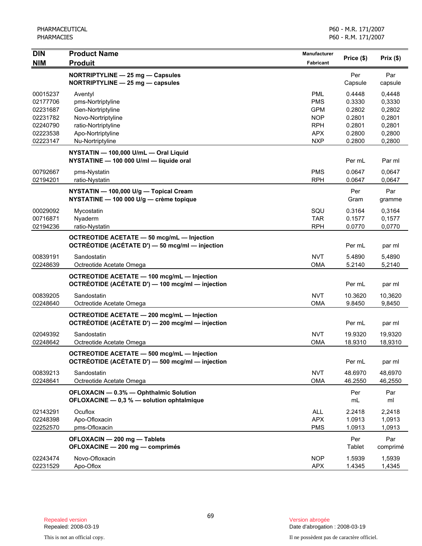| <b>DIN</b>                                                                       | <b>Product Name</b>                                                                                                                     | <b>Manufacturer</b>                                                                            | Price (\$)                                                         | Prix(\$)                                                           |
|----------------------------------------------------------------------------------|-----------------------------------------------------------------------------------------------------------------------------------------|------------------------------------------------------------------------------------------------|--------------------------------------------------------------------|--------------------------------------------------------------------|
| <b>NIM</b>                                                                       | <b>Produit</b>                                                                                                                          | Fabricant                                                                                      |                                                                    |                                                                    |
|                                                                                  | NORTRIPTYLINE - 25 mg - Capsules<br>NORTRIPTYLINE - 25 mg - capsules                                                                    |                                                                                                | Per<br>Capsule                                                     | Par<br>capsule                                                     |
| 00015237<br>02177706<br>02231687<br>02231782<br>02240790<br>02223538<br>02223147 | Aventyl<br>pms-Nortriptyline<br>Gen-Nortriptyline<br>Novo-Nortriptyline<br>ratio-Nortriptyline<br>Apo-Nortriptyline<br>Nu-Nortriptyline | <b>PML</b><br><b>PMS</b><br><b>GPM</b><br><b>NOP</b><br><b>RPH</b><br><b>APX</b><br><b>NXP</b> | 0.4448<br>0.3330<br>0.2802<br>0.2801<br>0.2801<br>0.2800<br>0.2800 | 0,4448<br>0,3330<br>0,2802<br>0,2801<br>0,2801<br>0,2800<br>0,2800 |
|                                                                                  | NYSTATIN - 100,000 U/mL - Oral Liquid<br>NYSTATINE - 100 000 U/ml - liquide oral                                                        |                                                                                                | Per mL                                                             | Par ml                                                             |
| 00792667<br>02194201                                                             | pms-Nystatin<br>ratio-Nystatin                                                                                                          | <b>PMS</b><br><b>RPH</b>                                                                       | 0.0647<br>0.0647                                                   | 0,0647<br>0,0647                                                   |
|                                                                                  | NYSTATIN - 100,000 U/g - Topical Cream<br>NYSTATINE - 100 000 U/g - crème topique                                                       |                                                                                                | Per<br>Gram                                                        | Par<br>gramme                                                      |
| 00029092<br>00716871<br>02194236                                                 | Mycostatin<br>Nyaderm<br>ratio-Nystatin                                                                                                 | SQU<br><b>TAR</b><br><b>RPH</b>                                                                | 0.3164<br>0.1577<br>0.0770                                         | 0,3164<br>0,1577<br>0,0770                                         |
|                                                                                  | OCTREOTIDE ACETATE - 50 mcg/mL - Injection<br>OCTRÉOTIDE (ACÉTATE D') - 50 mcg/ml - injection                                           |                                                                                                | Per mL                                                             | par ml                                                             |
| 00839191<br>02248639                                                             | Sandostatin<br>Octreotide Acetate Omega                                                                                                 | <b>NVT</b><br>OMA                                                                              | 5.4890<br>5.2140                                                   | 5,4890<br>5,2140                                                   |
|                                                                                  | OCTREOTIDE ACETATE - 100 mcg/mL - Injection<br>OCTRÉOTIDE (ACÉTATE D') - 100 mcg/ml - injection                                         |                                                                                                | Per mL                                                             | par ml                                                             |
| 00839205<br>02248640                                                             | Sandostatin<br>Octreotide Acetate Omega                                                                                                 | <b>NVT</b><br><b>OMA</b>                                                                       | 10.3620<br>9.8450                                                  | 10,3620<br>9,8450                                                  |
|                                                                                  | OCTREOTIDE ACETATE - 200 mcg/mL - Injection<br>OCTRÉOTIDE (ACÉTATE D') - 200 mcg/ml - injection                                         |                                                                                                | Per mL                                                             | par ml                                                             |
| 02049392<br>02248642                                                             | Sandostatin<br>Octreotide Acetate Omega                                                                                                 | <b>NVT</b><br><b>OMA</b>                                                                       | 19.9320<br>18.9310                                                 | 19,9320<br>18,9310                                                 |
|                                                                                  | OCTREOTIDE ACETATE - 500 mcg/mL - Injection<br>OCTREOTIDE (ACETATE D') - 500 mcg/ml - injection                                         |                                                                                                | Per mL                                                             | par ml                                                             |
| 00839213<br>02248641                                                             | Sandostatin<br>Octreotide Acetate Omega                                                                                                 | <b>NVT</b><br><b>OMA</b>                                                                       | 48.6970<br>46.2550                                                 | 48,6970<br>46,2550                                                 |
|                                                                                  | OFLOXACIN - 0.3% - Ophthalmic Solution<br>OFLOXACINE - 0,3 % - solution ophtalmique                                                     |                                                                                                | Per<br>mL                                                          | Par<br>ml                                                          |
| 02143291<br>02248398<br>02252570                                                 | Ocuflox<br>Apo-Ofloxacin<br>pms-Ofloxacin                                                                                               | <b>ALL</b><br><b>APX</b><br><b>PMS</b>                                                         | 2.2418<br>1.0913<br>1.0913                                         | 2,2418<br>1,0913<br>1,0913                                         |
|                                                                                  | OFLOXACIN - 200 mg - Tablets<br>OFLOXACINE - 200 mg - comprimés                                                                         |                                                                                                | Per<br><b>Tablet</b>                                               | Par<br>comprimé                                                    |
| 02243474<br>02231529                                                             | Novo-Ofloxacin<br>Apo-Oflox                                                                                                             | <b>NOP</b><br><b>APX</b>                                                                       | 1.5939<br>1.4345                                                   | 1,5939<br>1,4345                                                   |

Date d'abrogation : 2008-03-19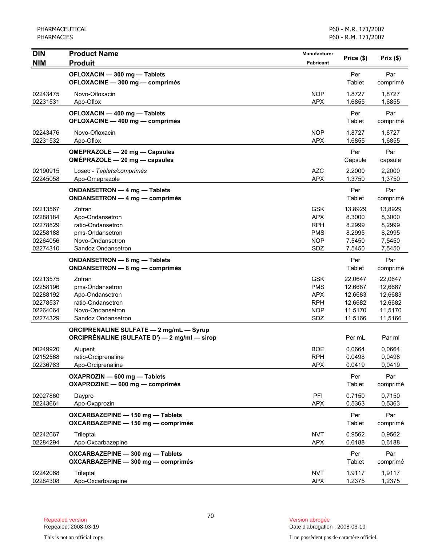| <b>DIN</b><br><b>NIM</b> | <b>Product Name</b><br><b>Produit</b>                                                          | Manufacturer<br><b>Fabricant</b> | Price (\$)           | Prix(\$)         |
|--------------------------|------------------------------------------------------------------------------------------------|----------------------------------|----------------------|------------------|
|                          | OFLOXACIN - 300 mg - Tablets                                                                   |                                  | Per                  | Par              |
|                          | OFLOXACINE - 300 mg - comprimés                                                                |                                  | Tablet               | comprimé         |
| 02243475                 | Novo-Ofloxacin                                                                                 | <b>NOP</b>                       | 1.8727               | 1,8727           |
| 02231531                 | Apo-Oflox                                                                                      | <b>APX</b>                       | 1.6855               | 1,6855           |
|                          | OFLOXACIN - 400 mg - Tablets<br>OFLOXACINE - 400 mg - comprimés                                |                                  | Per<br>Tablet        | Par<br>comprimé  |
| 02243476                 | Novo-Ofloxacin                                                                                 | <b>NOP</b>                       | 1.8727               | 1,8727           |
| 02231532                 | Apo-Oflox                                                                                      | <b>APX</b>                       | 1.6855               | 1,6855           |
|                          | OMEPRAZOLE - 20 mg - Capsules<br>OMÉPRAZOLE - 20 mg - capsules                                 |                                  | Per<br>Capsule       | Par<br>capsule   |
| 02190915                 | Losec - Tablets/comprimés                                                                      | <b>AZC</b>                       | 2.2000               | 2,2000           |
| 02245058                 | Apo-Omeprazole                                                                                 | <b>APX</b>                       | 1.3750               | 1,3750           |
|                          | ONDANSETRON - 4 mg - Tablets<br>ONDANSETRON - 4 mg - comprimés                                 |                                  | Per<br>Tablet        | Par<br>comprimé  |
| 02213567                 | Zofran                                                                                         | <b>GSK</b>                       | 13.8929              | 13,8929          |
| 02288184                 | Apo-Ondansetron                                                                                | <b>APX</b>                       | 8.3000               | 8,3000           |
| 02278529                 | ratio-Ondansetron                                                                              | <b>RPH</b>                       | 8.2999               | 8,2999           |
| 02258188                 | pms-Ondansetron                                                                                | <b>PMS</b>                       | 8.2995               | 8,2995           |
| 02264056<br>02274310     | Novo-Ondansetron<br>Sandoz Ondansetron                                                         | <b>NOP</b><br>SDZ                | 7.5450<br>7.5450     | 7,5450<br>7,5450 |
|                          |                                                                                                |                                  |                      |                  |
|                          | ONDANSETRON - 8 mg - Tablets<br><b>ONDANSETRON - 8 mg - comprimés</b>                          |                                  | Per<br>Tablet        | Par<br>comprimé  |
| 02213575                 | Zofran                                                                                         | <b>GSK</b>                       | 22.0647              | 22,0647          |
| 02258196                 | pms-Ondansetron                                                                                | <b>PMS</b>                       | 12.6687              | 12,6687          |
| 02288192                 | Apo-Ondansetron                                                                                | <b>APX</b>                       | 12.6683              | 12,6683          |
| 02278537                 | ratio-Ondansetron                                                                              | <b>RPH</b>                       | 12.6682              | 12,6682          |
| 02264064                 | Novo-Ondansetron                                                                               | <b>NOP</b>                       | 11.5170              | 11,5170          |
| 02274329                 | Sandoz Ondansetron                                                                             | SDZ                              | 11.5166              | 11,5166          |
|                          | <b>ORCIPRENALINE SULFATE - 2 mg/mL - Syrup</b><br>ORCIPRÉNALINE (SULFATE D') — 2 mg/ml — sirop |                                  | Per mL               | Par ml           |
| 00249920                 | Alupent                                                                                        | <b>BOE</b>                       | 0.0664               | 0.0664           |
| 02152568                 | ratio-Orciprenaline                                                                            | <b>RPH</b>                       | 0.0498               | 0,0498           |
| 02236783                 | Apo-Orciprenaline                                                                              | <b>APX</b>                       | 0.0419               | 0,0419           |
|                          | OXAPROZIN - 600 mg - Tablets                                                                   |                                  | Per                  | Par              |
|                          | OXAPROZINE - 600 mg - comprimés                                                                |                                  | <b>Tablet</b>        | comprimé         |
|                          |                                                                                                |                                  |                      |                  |
| 02027860<br>02243661     | Daypro<br>Apo-Oxaprozin                                                                        | PFI<br><b>APX</b>                | 0.7150<br>0.5363     | 0,7150<br>0,5363 |
|                          |                                                                                                |                                  |                      |                  |
|                          | OXCARBAZEPINE - 150 mg - Tablets<br>OXCARBAZEPINE - 150 mg - comprimés                         |                                  | Per<br><b>Tablet</b> | Par<br>comprimé  |
| 02242067                 | Trileptal                                                                                      | <b>NVT</b>                       | 0.9562               | 0,9562           |
| 02284294                 | Apo-Oxcarbazepine                                                                              | <b>APX</b>                       | 0.6188               | 0,6188           |
|                          | OXCARBAZEPINE - 300 mg - Tablets<br>OXCARBAZEPINE - 300 mg - comprimés                         |                                  | Per<br><b>Tablet</b> | Par<br>comprimé  |
| 02242068                 | Trileptal                                                                                      | <b>NVT</b>                       | 1.9117               | 1,9117           |
| 02284308                 | Apo-Oxcarbazepine                                                                              | <b>APX</b>                       | 1.2375               | 1,2375           |

Date d'abrogation : 2008-03-19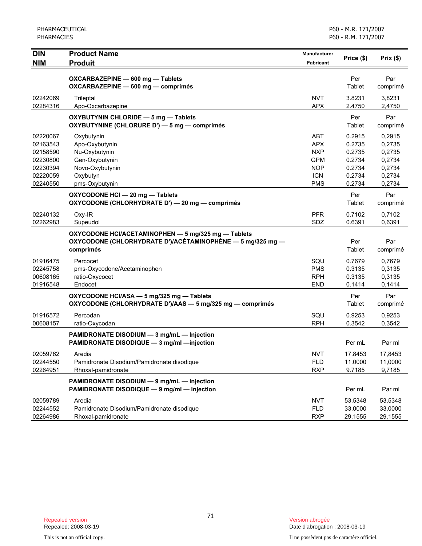| <b>DIN</b> | <b>Product Name</b>                                        | <b>Manufacturer</b> |            | Prix(\$) |
|------------|------------------------------------------------------------|---------------------|------------|----------|
| <b>NIM</b> | <b>Produit</b>                                             | Fabricant           | Price (\$) |          |
|            |                                                            |                     |            |          |
|            | OXCARBAZEPINE - 600 mg - Tablets                           |                     | Per        | Par      |
|            | OXCARBAZEPINE - 600 mg - comprimés                         |                     | Tablet     | comprimé |
| 02242069   | Trileptal                                                  | <b>NVT</b>          | 3.8231     | 3,8231   |
| 02284316   | Apo-Oxcarbazepine                                          | <b>APX</b>          | 2.4750     | 2,4750   |
|            | OXYBUTYNIN CHLORIDE - 5 mg - Tablets                       |                     | Per        | Par      |
|            | OXYBUTYNINE (CHLORURE D') - 5 mg - comprimés               |                     | Tablet     | comprimé |
| 02220067   | Oxybutynin                                                 | <b>ABT</b>          | 0.2915     | 0,2915   |
| 02163543   | Apo-Oxybutynin                                             | <b>APX</b>          | 0.2735     | 0,2735   |
| 02158590   | Nu-Oxybutynin                                              | <b>NXP</b>          | 0.2735     | 0,2735   |
| 02230800   | Gen-Oxybutynin                                             | <b>GPM</b>          | 0.2734     | 0,2734   |
| 02230394   | Novo-Oxybutynin                                            | <b>NOP</b>          | 0.2734     | 0,2734   |
| 02220059   | Oxybutyn                                                   | <b>ICN</b>          | 0.2734     | 0,2734   |
| 02240550   | pms-Oxybutynin                                             | <b>PMS</b>          | 0.2734     | 0,2734   |
|            | OXYCODONE HCI - 20 mg - Tablets                            |                     | Per        | Par      |
|            | OXYCODONE (CHLORHYDRATE D') - 20 mg - comprimés            |                     | Tablet     | comprimé |
| 02240132   | Oxy-IR                                                     | <b>PFR</b>          | 0.7102     | 0,7102   |
| 02262983   | Supeudol                                                   | SDZ                 | 0.6391     | 0,6391   |
|            | OXYCODONE HCI/ACETAMINOPHEN - 5 mg/325 mg - Tablets        |                     |            |          |
|            | OXYCODONE (CHLORHYDRATE D')/ACÉTAMINOPHÈNE - 5 mg/325 mg - |                     | Per        | Par      |
|            | comprimés                                                  |                     | Tablet     | comprimé |
| 01916475   | Percocet                                                   | SQU                 | 0.7679     | 0,7679   |
| 02245758   | pms-Oxycodone/Acetaminophen                                | <b>PMS</b>          | 0.3135     | 0,3135   |
| 00608165   | ratio-Oxycocet                                             | <b>RPH</b>          | 0.3135     | 0,3135   |
| 01916548   | Endocet                                                    | <b>END</b>          | 0.1414     | 0,1414   |
|            | OXYCODONE HCI/ASA - 5 mg/325 mg - Tablets                  |                     | Per        | Par      |
|            | OXYCODONE (CHLORHYDRATE D')/AAS - 5 mg/325 mg - comprimés  |                     | Tablet     | comprimé |
| 01916572   | Percodan                                                   | SQU                 | 0.9253     | 0,9253   |
| 00608157   | ratio-Oxycodan                                             | <b>RPH</b>          | 0.3542     | 0,3542   |
|            | PAMIDRONATE DISODIUM - 3 mg/mL - Injection                 |                     |            |          |
|            | <b>PAMIDRONATE DISODIQUE - 3 mg/ml - injection</b>         |                     | Per mL     | Par ml   |
| 02059762   | Aredia                                                     | <b>NVT</b>          | 17.8453    | 17,8453  |
| 02244550   | Pamidronate Disodium/Pamidronate disodique                 | <b>FLD</b>          | 11.0000    | 11,0000  |
| 02264951   | Rhoxal-pamidronate                                         | <b>RXP</b>          | 9.7185     | 9,7185   |
|            | PAMIDRONATE DISODIUM - 9 mg/mL - Injection                 |                     |            |          |
|            | PAMIDRONATE DISODIQUE - 9 mg/ml - injection                |                     | Per mL     | Par ml   |
| 02059789   | Aredia                                                     | <b>NVT</b>          | 53.5348    | 53,5348  |
| 02244552   | Pamidronate Disodium/Pamidronate disodique                 | <b>FLD</b>          | 33.0000    | 33,0000  |
| 02264986   | Rhoxal-pamidronate                                         | <b>RXP</b>          | 29.1555    | 29,1555  |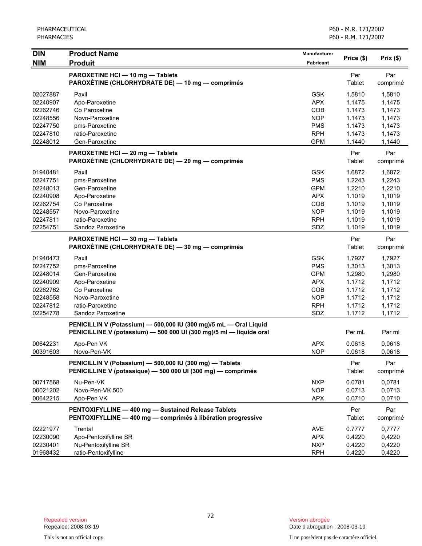| <b>DIN</b> | <b>Product Name</b>                                                 | <b>Manufacturer</b> | Price (\$) | Prix(\$) |
|------------|---------------------------------------------------------------------|---------------------|------------|----------|
| <b>NIM</b> | <b>Produit</b>                                                      | <b>Fabricant</b>    |            |          |
|            | PAROXETINE HCI - 10 mg - Tablets                                    |                     | Per        | Par      |
|            | PAROXÉTINE (CHLORHYDRATE DE) — 10 mg — comprimés                    |                     | Tablet     | comprimé |
| 02027887   | Paxil                                                               | <b>GSK</b>          | 1.5810     | 1,5810   |
| 02240907   | Apo-Paroxetine                                                      | <b>APX</b>          | 1.1475     | 1,1475   |
| 02262746   | Co Paroxetine                                                       | COB                 | 1.1473     | 1,1473   |
| 02248556   | Novo-Paroxetine                                                     | <b>NOP</b>          | 1.1473     | 1,1473   |
| 02247750   | pms-Paroxetine                                                      | <b>PMS</b>          | 1.1473     | 1,1473   |
| 02247810   | ratio-Paroxetine                                                    | <b>RPH</b>          | 1.1473     | 1,1473   |
| 02248012   | Gen-Paroxetine                                                      | <b>GPM</b>          | 1.1440     | 1,1440   |
|            | PAROXETINE HCI - 20 mg - Tablets                                    |                     | Per        | Par      |
|            | PAROXÉTINE (CHLORHYDRATE DE) - 20 mg - comprimés                    |                     | Tablet     | comprimé |
| 01940481   | Paxil                                                               | <b>GSK</b>          | 1.6872     | 1,6872   |
| 02247751   | pms-Paroxetine                                                      | <b>PMS</b>          | 1.2243     | 1,2243   |
| 02248013   | Gen-Paroxetine                                                      | <b>GPM</b>          | 1.2210     | 1,2210   |
| 02240908   | Apo-Paroxetine                                                      | <b>APX</b>          | 1.1019     | 1,1019   |
| 02262754   | Co Paroxetine                                                       | COB                 | 1.1019     | 1,1019   |
| 02248557   | Novo-Paroxetine                                                     | <b>NOP</b>          | 1.1019     | 1,1019   |
| 02247811   | ratio-Paroxetine                                                    | <b>RPH</b>          | 1.1019     | 1,1019   |
| 02254751   | Sandoz Paroxetine                                                   | SDZ                 | 1.1019     | 1,1019   |
|            | PAROXETINE HCI - 30 mg - Tablets                                    |                     | Per        | Par      |
|            | PAROXÉTINE (CHLORHYDRATE DE) - 30 mg - comprimés                    |                     | Tablet     | comprimé |
| 01940473   | Paxil                                                               | <b>GSK</b>          | 1.7927     | 1,7927   |
| 02247752   | pms-Paroxetine                                                      | <b>PMS</b>          | 1.3013     | 1,3013   |
| 02248014   | Gen-Paroxetine                                                      | <b>GPM</b>          | 1.2980     | 1,2980   |
| 02240909   | Apo-Paroxetine                                                      | <b>APX</b>          | 1.1712     | 1,1712   |
| 02262762   | Co Paroxetine                                                       | <b>COB</b>          | 1.1712     | 1,1712   |
| 02248558   | Novo-Paroxetine                                                     | <b>NOP</b>          | 1.1712     | 1,1712   |
| 02247812   | ratio-Paroxetine                                                    | <b>RPH</b>          | 1.1712     | 1,1712   |
| 02254778   | Sandoz Paroxetine                                                   | SDZ                 | 1.1712     | 1,1712   |
|            | PENICILLIN V (Potassium) - 500,000 IU (300 mg)/5 mL - Oral Liquid   |                     |            |          |
|            | PÉNICILLINE V (potassium) - 500 000 UI (300 mg)/5 ml - liquide oral |                     | Per mL     | Par ml   |
| 00642231   | Apo-Pen VK                                                          | <b>APX</b>          | 0.0618     | 0,0618   |
| 00391603   | Novo-Pen-VK                                                         | <b>NOP</b>          | 0.0618     | 0,0618   |
|            | PENICILLIN V (Potassium) - 500,000 IU (300 mg) - Tablets            |                     | Per        | Par      |
|            | PÉNICILLINE V (potassique) - 500 000 UI (300 mg) - comprimés        |                     | Tablet     | comprimé |
| 00717568   | Nu-Pen-VK                                                           | <b>NXP</b>          | 0.0781     | 0,0781   |
| 00021202   | Novo-Pen-VK 500                                                     | <b>NOP</b>          | 0.0713     | 0,0713   |
| 00642215   | Apo-Pen VK                                                          | <b>APX</b>          | 0.0710     | 0,0710   |
|            | PENTOXIFYLLINE - 400 mg - Sustained Release Tablets                 |                     | Per        | Par      |
|            | PENTOXIFYLLINE - 400 mg - comprimés à libération progressive        |                     | Tablet     | comprimé |
| 02221977   | Trental                                                             | <b>AVE</b>          | 0.7777     | 0,7777   |
| 02230090   | Apo-Pentoxifylline SR                                               | <b>APX</b>          | 0.4220     | 0,4220   |
| 02230401   | Nu-Pentoxifylline SR                                                | <b>NXP</b>          | 0.4220     | 0,4220   |
| 01968432   | ratio-Pentoxifylline                                                | <b>RPH</b>          | 0.4220     | 0,4220   |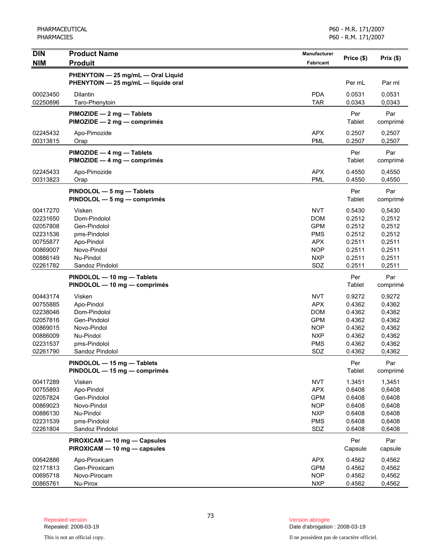| <b>DIN</b><br><b>NIM</b>                                                                     | <b>Product Name</b><br><b>Produit</b>                                                                               | <b>Manufacturer</b><br>Fabricant                                                                      | Price (\$)                                                                   | Prix(\$)                                                                     |
|----------------------------------------------------------------------------------------------|---------------------------------------------------------------------------------------------------------------------|-------------------------------------------------------------------------------------------------------|------------------------------------------------------------------------------|------------------------------------------------------------------------------|
|                                                                                              | PHENYTOIN - 25 mg/mL - Oral Liquid                                                                                  |                                                                                                       |                                                                              |                                                                              |
|                                                                                              | PHENYTOIN - 25 mg/mL - liquide oral                                                                                 |                                                                                                       | Per mL                                                                       | Par ml                                                                       |
| 00023450<br>02250896                                                                         | <b>Dilantin</b><br>Taro-Phenytoin                                                                                   | <b>PDA</b><br><b>TAR</b>                                                                              | 0.0531<br>0.0343                                                             | 0,0531<br>0,0343                                                             |
|                                                                                              | PIMOZIDE - 2 mg - Tablets<br>PIMOZIDE - 2 mg - comprimés                                                            |                                                                                                       | Per<br>Tablet                                                                | Par<br>comprimé                                                              |
| 02245432<br>00313815                                                                         | Apo-Pimozide<br>Orap                                                                                                | <b>APX</b><br><b>PML</b>                                                                              | 0.2507<br>0.2507                                                             | 0,2507<br>0,2507                                                             |
|                                                                                              | PIMOZIDE - 4 mg - Tablets<br>PIMOZIDE - 4 mg - comprimés                                                            |                                                                                                       | Per<br>Tablet                                                                | Par<br>comprimé                                                              |
| 02245433<br>00313823                                                                         | Apo-Pimozide<br>Orap                                                                                                | <b>APX</b><br><b>PML</b>                                                                              | 0.4550<br>0.4550                                                             | 0,4550<br>0,4550                                                             |
|                                                                                              | PINDOLOL - 5 mg - Tablets<br>PINDOLOL - 5 mg - comprimés                                                            |                                                                                                       | Per<br>Tablet                                                                | Par<br>comprimé                                                              |
| 00417270<br>02231650<br>02057808<br>02231536<br>00755877<br>00869007<br>00886149<br>02261782 | Visken<br>Dom-Pindolol<br>Gen-Pindolol<br>pms-Pindolol<br>Apo-Pindol<br>Novo-Pindol<br>Nu-Pindol<br>Sandoz Pindolol | <b>NVT</b><br><b>DOM</b><br><b>GPM</b><br><b>PMS</b><br><b>APX</b><br><b>NOP</b><br><b>NXP</b><br>SDZ | 0.5430<br>0.2512<br>0.2512<br>0.2512<br>0.2511<br>0.2511<br>0.2511<br>0.2511 | 0,5430<br>0,2512<br>0,2512<br>0,2512<br>0,2511<br>0,2511<br>0,2511<br>0,2511 |
|                                                                                              | PINDOLOL - 10 mg - Tablets<br>PINDOLOL - 10 mg - comprimés                                                          |                                                                                                       | Per<br>Tablet                                                                | Par<br>comprimé                                                              |
| 00443174<br>00755885<br>02238046<br>02057816<br>00869015<br>00886009<br>02231537<br>02261790 | Visken<br>Apo-Pindol<br>Dom-Pindolol<br>Gen-Pindolol<br>Novo-Pindol<br>Nu-Pindol<br>pms-Pindolol<br>Sandoz Pindolol | <b>NVT</b><br><b>APX</b><br><b>DOM</b><br><b>GPM</b><br><b>NOP</b><br><b>NXP</b><br><b>PMS</b><br>SDZ | 0.9272<br>0.4362<br>0.4362<br>0.4362<br>0.4362<br>0.4362<br>0.4362<br>0.4362 | 0,9272<br>0,4362<br>0,4362<br>0,4362<br>0,4362<br>0,4362<br>0,4362<br>0,4362 |
|                                                                                              | PINDOLOL - 15 mg - Tablets<br>PINDOLOL - 15 mg - comprimés                                                          |                                                                                                       | Per<br><b>Tablet</b>                                                         | Par<br>comprimé                                                              |
| 00417289<br>00755893<br>02057824<br>00869023<br>00886130<br>02231539<br>02261804             | Visken<br>Apo-Pindol<br>Gen-Pindolol<br>Novo-Pindol<br>Nu-Pindol<br>pms-Pindolol<br>Sandoz Pindolol                 | <b>NVT</b><br><b>APX</b><br><b>GPM</b><br><b>NOP</b><br><b>NXP</b><br><b>PMS</b><br>SDZ               | 1.3451<br>0.6408<br>0.6408<br>0.6408<br>0.6408<br>0.6408<br>0.6408           | 1,3451<br>0,6408<br>0,6408<br>0,6408<br>0,6408<br>0,6408<br>0,6408           |
|                                                                                              | PIROXICAM - 10 mg - Capsules<br>PIROXICAM - 10 mg - capsules                                                        |                                                                                                       | Per<br>Capsule                                                               | Par<br>capsule                                                               |
| 00642886<br>02171813<br>00695718<br>00865761                                                 | Apo-Piroxicam<br>Gen-Piroxicam<br>Novo-Pirocam<br>Nu-Pirox                                                          | <b>APX</b><br><b>GPM</b><br><b>NOP</b><br><b>NXP</b>                                                  | 0.4562<br>0.4562<br>0.4562<br>0.4562                                         | 0,4562<br>0,4562<br>0,4562<br>0,4562                                         |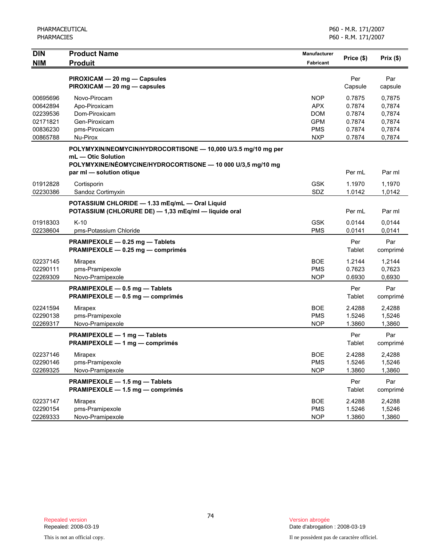| <b>DIN</b> | <b>Product Name</b>                                                               | Manufacturer |               |          |
|------------|-----------------------------------------------------------------------------------|--------------|---------------|----------|
| <b>NIM</b> | <b>Produit</b>                                                                    | Fabricant    | Price (\$)    | Prix(\$) |
|            | PIROXICAM - 20 mg - Capsules                                                      |              | Per           | Par      |
|            | PIROXICAM - 20 mg - capsules                                                      |              | Capsule       | capsule  |
| 00695696   | Novo-Pirocam                                                                      | <b>NOP</b>   | 0.7875        | 0,7875   |
| 00642894   | Apo-Piroxicam                                                                     | <b>APX</b>   | 0.7874        | 0,7874   |
| 02239536   | Dom-Piroxicam                                                                     | <b>DOM</b>   | 0.7874        | 0,7874   |
| 02171821   | Gen-Piroxicam                                                                     | <b>GPM</b>   | 0.7874        | 0,7874   |
| 00836230   | pms-Piroxicam                                                                     | <b>PMS</b>   | 0.7874        | 0,7874   |
| 00865788   | Nu-Pirox                                                                          | <b>NXP</b>   | 0.7874        | 0,7874   |
|            | POLYMYXIN/NEOMYCIN/HYDROCORTISONE - 10,000 U/3.5 mg/10 mg per                     |              |               |          |
|            | mL - Otic Solution<br>POLYMYXINE/NÉOMYCINE/HYDROCORTISONE - 10 000 U/3,5 mg/10 mg |              |               |          |
|            | par ml - solution otique                                                          |              | Per mL        | Par ml   |
| 01912828   | Cortisporin                                                                       | <b>GSK</b>   | 1.1970        | 1,1970   |
| 02230386   | Sandoz Cortimyxin                                                                 | SDZ          | 1.0142        | 1,0142   |
|            | POTASSIUM CHLORIDE - 1.33 mEq/mL - Oral Liquid                                    |              |               |          |
|            | POTASSIUM (CHLORURE DE) - 1,33 mEq/ml - liquide oral                              |              | Per mL        | Par ml   |
| 01918303   | $K-10$                                                                            | <b>GSK</b>   | 0.0144        | 0,0144   |
| 02238604   | pms-Potassium Chloride                                                            | <b>PMS</b>   | 0.0141        | 0,0141   |
|            | PRAMIPEXOLE - 0.25 mg - Tablets                                                   |              | Per           | Par      |
|            | PRAMIPEXOLE - 0.25 mg - comprimés                                                 |              | Tablet        | comprimé |
| 02237145   | Mirapex                                                                           | <b>BOE</b>   | 1.2144        | 1,2144   |
| 02290111   | pms-Pramipexole                                                                   | <b>PMS</b>   | 0.7623        | 0,7623   |
| 02269309   | Novo-Pramipexole                                                                  | <b>NOP</b>   | 0.6930        | 0,6930   |
|            | PRAMIPEXOLE - 0.5 mg - Tablets                                                    |              | Per           | Par      |
|            | PRAMIPEXOLE - 0.5 mg - comprimés                                                  |              | Tablet        | comprimé |
| 02241594   | Mirapex                                                                           | <b>BOE</b>   | 2.4288        | 2,4288   |
| 02290138   | pms-Pramipexole                                                                   | <b>PMS</b>   | 1.5246        | 1,5246   |
| 02269317   | Novo-Pramipexole                                                                  | <b>NOP</b>   | 1.3860        | 1,3860   |
|            | PRAMIPEXOLE - 1 mg - Tablets                                                      |              | Per           | Par      |
|            | PRAMIPEXOLE - 1 mg - comprimés                                                    |              | Tablet        | comprimé |
| 02237146   | Mirapex                                                                           | <b>BOE</b>   | 2.4288        | 2,4288   |
| 02290146   | pms-Pramipexole                                                                   | <b>PMS</b>   | 1.5246        | 1,5246   |
| 02269325   | Novo-Pramipexole                                                                  | <b>NOP</b>   | 1.3860        | 1,3860   |
|            | PRAMIPEXOLE - 1.5 mg - Tablets                                                    |              | Per           | Par      |
|            | PRAMIPEXOLE - 1.5 mg - comprimés                                                  |              | <b>Tablet</b> | comprimé |
| 02237147   | Mirapex                                                                           | <b>BOE</b>   | 2.4288        | 2,4288   |
| 02290154   | pms-Pramipexole                                                                   | <b>PMS</b>   | 1.5246        | 1,5246   |
| 02269333   | Novo-Pramipexole                                                                  | <b>NOP</b>   | 1.3860        | 1,3860   |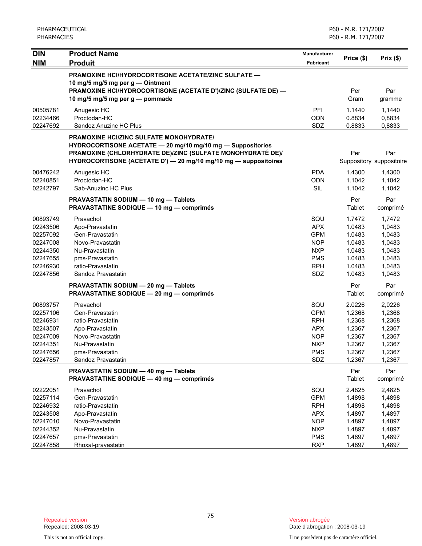| <b>DIN</b>                       | <b>Product Name</b>                                                                                                                                                                                                                           | <b>Manufacturer</b>      | Price (\$)                 | Prix(\$)                        |
|----------------------------------|-----------------------------------------------------------------------------------------------------------------------------------------------------------------------------------------------------------------------------------------------|--------------------------|----------------------------|---------------------------------|
| <b>NIM</b>                       | <b>Produit</b>                                                                                                                                                                                                                                | <b>Fabricant</b>         |                            |                                 |
|                                  | <b>PRAMOXINE HCI/HYDROCORTISONE ACETATE/ZINC SULFATE —</b><br>10 mg/5 mg/5 mg per g — Ointment<br>PRAMOXINE HCI/HYDROCORTISONE (ACETATE D')/ZINC (SULFATE DE) -                                                                               |                          | Per                        | Par                             |
|                                  | 10 mg/5 mg/5 mg per g - pommade                                                                                                                                                                                                               |                          | Gram                       | gramme                          |
| 00505781<br>02234466<br>02247692 | Anugesic HC<br>Proctodan-HC<br>Sandoz Anuzinc HC Plus                                                                                                                                                                                         | PFI<br><b>ODN</b><br>SDZ | 1.1440<br>0.8834<br>0.8833 | 1,1440<br>0,8834<br>0,8833      |
|                                  | <b>PRAMOXINE HCI/ZINC SULFATE MONOHYDRATE/</b><br>HYDROCORTISONE ACETATE - 20 mg/10 mg/10 mg - Suppositories<br>PRAMOXINE (CHLORHYDRATE DE)/ZINC (SULFATE MONOHYDRATÉ DE)/<br>HYDROCORTISONE (ACÉTATE D') - 20 mg/10 mg/10 mg - suppositoires |                          | Per                        | Par<br>Suppository suppositoire |
| 00476242                         | Anugesic HC                                                                                                                                                                                                                                   | <b>PDA</b>               | 1.4300                     | 1,4300                          |
| 02240851                         | Proctodan-HC                                                                                                                                                                                                                                  | <b>ODN</b>               | 1.1042                     | 1,1042                          |
| 02242797                         | Sab-Anuzinc HC Plus<br>PRAVASTATIN SODIUM - 10 mg - Tablets<br><b>PRAVASTATINE SODIQUE - 10 mg - comprimés</b>                                                                                                                                | SIL                      | 1.1042<br>Per<br>Tablet    | 1,1042<br>Par<br>comprimé       |
| 00893749                         | Pravachol                                                                                                                                                                                                                                     | SQU                      | 1.7472                     | 1,7472                          |
| 02243506                         | Apo-Pravastatin                                                                                                                                                                                                                               | <b>APX</b>               | 1.0483                     | 1,0483                          |
| 02257092<br>02247008             | Gen-Pravastatin<br>Novo-Pravastatin                                                                                                                                                                                                           | <b>GPM</b><br><b>NOP</b> | 1.0483<br>1.0483           | 1,0483<br>1,0483                |
| 02244350                         | Nu-Pravastatin                                                                                                                                                                                                                                | <b>NXP</b>               | 1.0483                     | 1,0483                          |
| 02247655                         | pms-Pravastatin                                                                                                                                                                                                                               | <b>PMS</b>               | 1.0483                     | 1,0483                          |
| 02246930                         | ratio-Pravastatin                                                                                                                                                                                                                             | <b>RPH</b>               | 1.0483                     | 1,0483                          |
| 02247856                         | Sandoz Pravastatin                                                                                                                                                                                                                            | SDZ                      | 1.0483                     | 1,0483                          |
|                                  | PRAVASTATIN SODIUM - 20 mg - Tablets<br><b>PRAVASTATINE SODIQUE - 20 mg - comprimés</b>                                                                                                                                                       |                          | Per<br>Tablet              | Par<br>comprimé                 |
| 00893757                         | Pravachol                                                                                                                                                                                                                                     | SQU                      | 2.0226                     | 2,0226                          |
| 02257106                         | Gen-Pravastatin                                                                                                                                                                                                                               | <b>GPM</b>               | 1.2368                     | 1,2368                          |
| 02246931                         | ratio-Pravastatin                                                                                                                                                                                                                             | <b>RPH</b>               | 1.2368                     | 1,2368                          |
| 02243507                         | Apo-Pravastatin                                                                                                                                                                                                                               | <b>APX</b>               | 1.2367                     | 1,2367                          |
| 02247009<br>02244351             | Novo-Pravastatin<br>Nu-Pravastatin                                                                                                                                                                                                            | <b>NOP</b><br><b>NXP</b> | 1.2367<br>1.2367           | 1,2367<br>1,2367                |
| 02247656                         | pms-Pravastatin                                                                                                                                                                                                                               | <b>PMS</b>               | 1.2367                     | 1,2367                          |
| 02247857                         | Sandoz Pravastatin                                                                                                                                                                                                                            | SDZ                      | 1.2367                     | 1,2367                          |
|                                  | PRAVASTATIN SODIUM - 40 mg - Tablets<br><b>PRAVASTATINE SODIQUE - 40 mg - comprimés</b>                                                                                                                                                       |                          | Per<br>Tablet              | Par<br>comprimé                 |
| 02222051                         | Pravachol                                                                                                                                                                                                                                     | SQU                      | 2.4825                     | 2,4825                          |
| 02257114                         | Gen-Pravastatin                                                                                                                                                                                                                               | <b>GPM</b>               | 1.4898                     | 1,4898                          |
| 02246932                         | ratio-Pravastatin                                                                                                                                                                                                                             | <b>RPH</b>               | 1.4898                     | 1,4898                          |
| 02243508                         | Apo-Pravastatin                                                                                                                                                                                                                               | <b>APX</b>               | 1.4897                     | 1,4897                          |
| 02247010                         | Novo-Pravastatin                                                                                                                                                                                                                              | <b>NOP</b>               | 1.4897                     | 1,4897                          |
| 02244352                         | Nu-Pravastatin                                                                                                                                                                                                                                | <b>NXP</b>               | 1.4897                     | 1,4897                          |
| 02247657                         | pms-Pravastatin                                                                                                                                                                                                                               | <b>PMS</b>               | 1.4897                     | 1,4897                          |
| 02247858                         | Rhoxal-pravastatin                                                                                                                                                                                                                            | <b>RXP</b>               | 1.4897                     | 1,4897                          |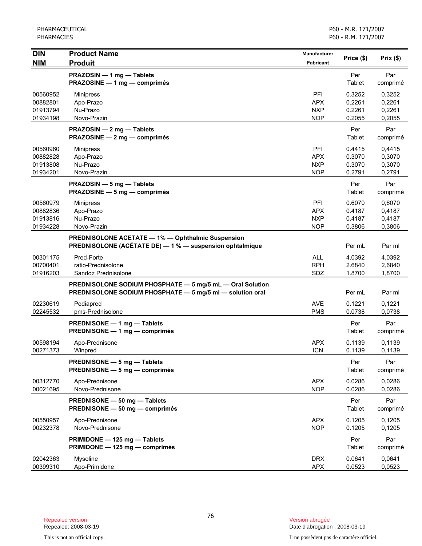| <b>DIN</b>                                   | <b>Product Name</b>                                                                                                    | <b>Manufacturer</b>                           | Price (\$)                           | Prix(\$)                             |
|----------------------------------------------|------------------------------------------------------------------------------------------------------------------------|-----------------------------------------------|--------------------------------------|--------------------------------------|
| <b>NIM</b>                                   | <b>Produit</b>                                                                                                         | Fabricant                                     |                                      |                                      |
|                                              | PRAZOSIN - 1 mg - Tablets<br>PRAZOSINE - 1 mg - comprimés                                                              |                                               | Per<br>Tablet                        | Par<br>comprimé                      |
| 00560952<br>00882801<br>01913794<br>01934198 | <b>Minipress</b><br>Apo-Prazo<br>Nu-Prazo<br>Novo-Prazin                                                               | PFI<br><b>APX</b><br><b>NXP</b><br><b>NOP</b> | 0.3252<br>0.2261<br>0.2261<br>0.2055 | 0,3252<br>0,2261<br>0,2261<br>0,2055 |
|                                              | PRAZOSIN - 2 mg - Tablets<br>PRAZOSINE - 2 mg - comprimés                                                              |                                               | Per<br>Tablet                        | Par<br>comprimé                      |
| 00560960<br>00882828<br>01913808<br>01934201 | <b>Minipress</b><br>Apo-Prazo<br>Nu-Prazo<br>Novo-Prazin                                                               | PFI<br><b>APX</b><br><b>NXP</b><br><b>NOP</b> | 0.4415<br>0.3070<br>0.3070<br>0.2791 | 0,4415<br>0,3070<br>0,3070<br>0,2791 |
|                                              | PRAZOSIN - 5 mg - Tablets<br>PRAZOSINE - 5 mg - comprimés                                                              |                                               | Per<br>Tablet                        | Par<br>comprimé                      |
| 00560979<br>00882836<br>01913816<br>01934228 | <b>Minipress</b><br>Apo-Prazo<br>Nu-Prazo<br>Novo-Prazin                                                               | PFI<br><b>APX</b><br><b>NXP</b><br><b>NOP</b> | 0.6070<br>0.4187<br>0.4187<br>0.3806 | 0,6070<br>0,4187<br>0,4187<br>0,3806 |
|                                              | PREDNISOLONE ACETATE - 1% - Ophthalmic Suspension<br>PREDNISOLONE (ACÉTATE DE) - 1 % - suspension ophtalmique          |                                               | Per mL                               | Par ml                               |
| 00301175<br>00700401<br>01916203             | Pred-Forte<br>ratio-Prednisolone<br>Sandoz Prednisolone                                                                | <b>ALL</b><br><b>RPH</b><br>SDZ               | 4.0392<br>2.6840<br>1.8700           | 4,0392<br>2,6840<br>1,8700           |
|                                              | PREDNISOLONE SODIUM PHOSPHATE - 5 mg/5 mL - Oral Solution<br>PREDNISOLONE SODIUM PHOSPHATE - 5 mg/5 ml - solution oral |                                               | Per mL                               | Par ml                               |
| 02230619<br>02245532                         | Pediapred<br>pms-Prednisolone                                                                                          | <b>AVE</b><br><b>PMS</b>                      | 0.1221<br>0.0738                     | 0,1221<br>0,0738                     |
|                                              | PREDNISONE - 1 mg - Tablets<br>PREDNISONE - 1 mg - comprimés                                                           |                                               | Per<br>Tablet                        | Par<br>comprimé                      |
| 00598194<br>00271373                         | Apo-Prednisone<br>Winpred                                                                                              | <b>APX</b><br><b>ICN</b>                      | 0.1139<br>0.1139                     | 0,1139<br>0,1139                     |
|                                              | PREDNISONE - 5 mg - Tablets<br>PREDNISONE - 5 mg - comprimés                                                           |                                               | Per<br>Tablet                        | Par<br>comprimé                      |
| 00312770<br>00021695                         | Apo-Prednisone<br>Novo-Prednisone                                                                                      | <b>APX</b><br><b>NOP</b>                      | 0.0286<br>0.0286                     | 0,0286<br>0,0286                     |
|                                              | PREDNISONE - 50 mg - Tablets<br>PREDNISONE - 50 mg - comprimés                                                         |                                               | Per<br><b>Tablet</b>                 | Par<br>comprimé                      |
| 00550957<br>00232378                         | Apo-Prednisone<br>Novo-Prednisone                                                                                      | <b>APX</b><br><b>NOP</b>                      | 0.1205<br>0.1205                     | 0,1205<br>0,1205                     |
|                                              | PRIMIDONE - 125 mg - Tablets<br>PRIMIDONE - 125 mg - comprimés                                                         |                                               | Per<br>Tablet                        | Par<br>comprimé                      |
| 02042363<br>00399310                         | Mysoline<br>Apo-Primidone                                                                                              | <b>DRX</b><br><b>APX</b>                      | 0.0641<br>0.0523                     | 0,0641<br>0,0523                     |

Date d'abrogation : 2008-03-19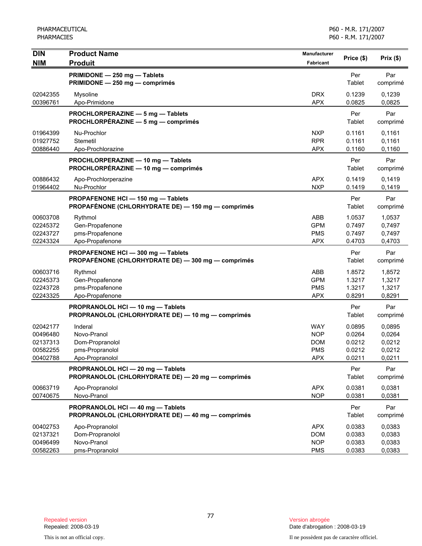| <b>DIN</b>           | <b>Product Name</b>                                                                         | Manufacturer             | Price (\$)       | Prix(\$)         |
|----------------------|---------------------------------------------------------------------------------------------|--------------------------|------------------|------------------|
| <b>NIM</b>           | <b>Produit</b>                                                                              | Fabricant                |                  |                  |
|                      | PRIMIDONE - 250 mg - Tablets                                                                |                          | Per              | Par              |
|                      | PRIMIDONE - 250 mg - comprimés                                                              |                          | Tablet           | comprimé         |
| 02042355<br>00396761 | Mysoline<br>Apo-Primidone                                                                   | <b>DRX</b><br><b>APX</b> | 0.1239<br>0.0825 | 0,1239<br>0,0825 |
|                      | PROCHLORPERAZINE - 5 mg - Tablets                                                           |                          | Per              | Par              |
|                      | PROCHLORPÉRAZINE - 5 mg - comprimés                                                         |                          | Tablet           | comprimé         |
| 01964399             | Nu-Prochlor                                                                                 | <b>NXP</b>               | 0.1161           | 0,1161           |
| 01927752             | Stemetil                                                                                    | <b>RPR</b>               | 0.1161           | 0,1161           |
| 00886440             | Apo-Prochlorazine                                                                           | <b>APX</b>               | 0.1160           | 0,1160           |
|                      | PROCHLORPERAZINE - 10 mg - Tablets<br>PROCHLORPÉRAZINE - 10 mg - comprimés                  |                          | Per<br>Tablet    | Par<br>comprimé  |
| 00886432             | Apo-Prochlorperazine                                                                        | <b>APX</b>               | 0.1419           | 0,1419           |
| 01964402             | Nu-Prochlor                                                                                 | <b>NXP</b>               | 0.1419           | 0,1419           |
|                      | PROPAFENONE HCI - 150 mg - Tablets                                                          |                          | Per              | Par              |
|                      | <b>PROPAFÉNONE (CHLORHYDRATE DE) — 150 mg — comprimés</b>                                   |                          | Tablet           | comprimé         |
| 00603708             | Rythmol                                                                                     | ABB                      | 1.0537           | 1,0537           |
| 02245372<br>02243727 | Gen-Propafenone<br>pms-Propafenone                                                          | <b>GPM</b><br><b>PMS</b> | 0.7497<br>0.7497 | 0,7497           |
| 02243324             | Apo-Propafenone                                                                             | <b>APX</b>               | 0.4703           | 0,7497<br>0,4703 |
|                      |                                                                                             |                          |                  |                  |
|                      | PROPAFENONE HCI-300 mg-Tablets<br><b>PROPAFÉNONE (CHLORHYDRATE DE) — 300 mg — comprimés</b> |                          | Per<br>Tablet    | Par<br>comprimé  |
| 00603716             | Rythmol                                                                                     | ABB                      | 1.8572           | 1,8572           |
| 02245373             | Gen-Propafenone                                                                             | <b>GPM</b>               | 1.3217           | 1,3217           |
| 02243728             | pms-Propafenone                                                                             | <b>PMS</b>               | 1.3217           | 1,3217           |
| 02243325             | Apo-Propafenone                                                                             | <b>APX</b>               | 0.8291           | 0,8291           |
|                      | PROPRANOLOL HCI - 10 mg - Tablets                                                           |                          | Per              | Par              |
|                      | PROPRANOLOL (CHLORHYDRATE DE) - 10 mg - comprimés                                           |                          | Tablet           | comprimé         |
| 02042177             | Inderal                                                                                     | <b>WAY</b>               | 0.0895           | 0,0895           |
| 00496480             | Novo-Pranol                                                                                 | <b>NOP</b>               | 0.0264           | 0,0264           |
| 02137313<br>00582255 | Dom-Propranolol<br>pms-Propranolol                                                          | <b>DOM</b><br><b>PMS</b> | 0.0212<br>0.0212 | 0,0212<br>0,0212 |
| 00402788             | Apo-Propranolol                                                                             | <b>APX</b>               | 0.0211           | 0,0211           |
|                      | PROPRANOLOL HCI - 20 mg - Tablets                                                           |                          | Per              | Par              |
|                      | PROPRANOLOL (CHLORHYDRATE DE) - 20 mg - comprimés                                           |                          | Tablet           | comprimé         |
| 00663719             | Apo-Propranolol                                                                             | <b>APX</b>               | 0.0381           | 0,0381           |
| 00740675             | Novo-Pranol                                                                                 | <b>NOP</b>               | 0.0381           | 0,0381           |
|                      | PROPRANOLOL HCI - 40 mg - Tablets<br>PROPRANOLOL (CHLORHYDRATE DE) - 40 mg - comprimés      |                          | Per<br>Tablet    | Par<br>comprimé  |
| 00402753             | Apo-Propranolol                                                                             | <b>APX</b>               | 0.0383           | 0.0383           |
| 02137321             | Dom-Propranolol                                                                             | <b>DOM</b>               | 0.0383           | 0,0383           |
| 00496499             | Novo-Pranol                                                                                 | <b>NOP</b>               | 0.0383           | 0,0383           |
| 00582263             | pms-Propranolol                                                                             | <b>PMS</b>               | 0.0383           | 0,0383           |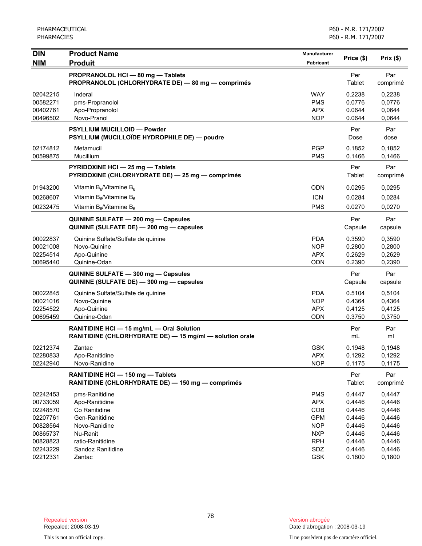| <b>DIN</b>                                   | <b>Product Name</b>                                                                                   | Manufacturer                                         | Price (\$)                           | Prix(\$)                             |
|----------------------------------------------|-------------------------------------------------------------------------------------------------------|------------------------------------------------------|--------------------------------------|--------------------------------------|
| <b>NIM</b>                                   | <b>Produit</b>                                                                                        | Fabricant                                            |                                      |                                      |
|                                              | PROPRANOLOL HCI - 80 mg - Tablets<br>PROPRANOLOL (CHLORHYDRATE DE) - 80 mg - comprimés                |                                                      | Per<br>Tablet                        | Par<br>comprimé                      |
| 02042215<br>00582271<br>00402761<br>00496502 | Inderal<br>pms-Propranolol<br>Apo-Propranolol<br>Novo-Pranol                                          | <b>WAY</b><br><b>PMS</b><br><b>APX</b><br><b>NOP</b> | 0.2238<br>0.0776<br>0.0644<br>0.0644 | 0,2238<br>0,0776<br>0,0644<br>0,0644 |
|                                              | <b>PSYLLIUM MUCILLOID - Powder</b><br>PSYLLIUM (MUCILLOÏDE HYDROPHILE DE) — poudre                    |                                                      | Per<br>Dose                          | Par<br>dose                          |
| 02174812<br>00599875                         | Metamucil<br>Mucillium                                                                                | <b>PGP</b><br><b>PMS</b>                             | 0.1852<br>0.1466                     | 0,1852<br>0,1466                     |
|                                              | PYRIDOXINE HCI - 25 mg - Tablets<br>PYRIDOXINE (CHLORHYDRATE DE) - 25 mg - comprimés                  |                                                      | Per<br>Tablet                        | Par<br>comprimé                      |
| 01943200                                     | Vitamin $B_6$ /Vitamine $B_6$                                                                         | <b>ODN</b>                                           | 0.0295                               | 0,0295                               |
| 00268607                                     | Vitamin $B_6$ /Vitamine $B_6$                                                                         | <b>ICN</b>                                           | 0.0284                               | 0,0284                               |
| 00232475                                     | Vitamin $B_6$ /Vitamine $B_6$                                                                         | <b>PMS</b>                                           | 0.0270                               | 0,0270                               |
|                                              | QUININE SULFATE - 200 mg - Capsules<br>QUININE (SULFATE DE) - 200 mg - capsules                       |                                                      | Per<br>Capsule                       | Par<br>capsule                       |
| 00022837<br>00021008<br>02254514<br>00695440 | Quinine Sulfate/Sulfate de quinine<br>Novo-Quinine<br>Apo-Quinine<br>Quinine-Odan                     | <b>PDA</b><br><b>NOP</b><br><b>APX</b><br><b>ODN</b> | 0.3590<br>0.2800<br>0.2629<br>0.2390 | 0,3590<br>0,2800<br>0,2629<br>0,2390 |
|                                              | QUININE SULFATE - 300 mg - Capsules<br>QUININE (SULFATE DE) - 300 mg - capsules                       |                                                      | Per<br>Capsule                       | Par<br>capsule                       |
| 00022845<br>00021016<br>02254522<br>00695459 | Quinine Sulfate/Sulfate de quinine<br>Novo-Quinine<br>Apo-Quinine<br>Quinine-Odan                     | <b>PDA</b><br><b>NOP</b><br><b>APX</b><br><b>ODN</b> | 0.5104<br>0.4364<br>0.4125<br>0.3750 | 0,5104<br>0,4364<br>0,4125<br>0,3750 |
|                                              | RANITIDINE HCI - 15 mg/mL - Oral Solution<br>RANITIDINE (CHLORHYDRATE DE) - 15 mg/ml - solution orale |                                                      | Per<br>mL                            | Par<br>ml                            |
| 02212374<br>02280833<br>02242940             | Zantac<br>Apo-Ranitidine<br>Novo-Ranidine                                                             | <b>GSK</b><br><b>APX</b><br><b>NOP</b>               | 0.1948<br>0.1292<br>0.1175           | 0,1948<br>0,1292<br>0,1175           |
|                                              | RANITIDINE HCI - 150 mg - Tablets<br>RANITIDINE (CHLORHYDRATE DE) - 150 mg - comprimés                |                                                      | Per<br>Tablet                        | Par<br>comprimé                      |
| 02242453<br>00733059                         | pms-Ranitidine<br>Apo-Ranitidine                                                                      | <b>PMS</b><br><b>APX</b>                             | 0.4447<br>0.4446                     | 0,4447<br>0,4446                     |
| 02248570<br>02207761                         | Co Ranitidine<br>Gen-Ranitidine                                                                       | COB<br><b>GPM</b>                                    | 0.4446<br>0.4446                     | 0,4446<br>0,4446                     |
| 00828564                                     | Novo-Ranidine                                                                                         | <b>NOP</b>                                           | 0.4446                               | 0,4446                               |
| 00865737                                     | Nu-Ranit                                                                                              | <b>NXP</b>                                           | 0.4446                               | 0,4446                               |
| 00828823                                     | ratio-Ranitidine                                                                                      | <b>RPH</b>                                           | 0.4446                               | 0,4446                               |
| 02243229                                     | Sandoz Ranitidine                                                                                     | SDZ                                                  | 0.4446                               | 0,4446                               |
| 02212331                                     | Zantac                                                                                                | GSK                                                  | 0.1800                               | 0,1800                               |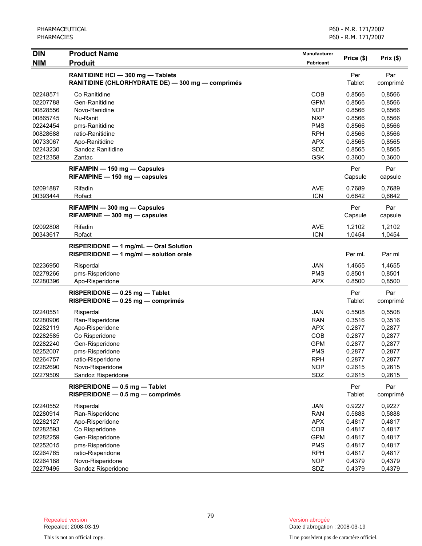| <b>DIN</b>           | <b>Product Name</b>                                                                    | <b>Manufacturer</b>      | Price (\$)           | Prix(\$)         |
|----------------------|----------------------------------------------------------------------------------------|--------------------------|----------------------|------------------|
| <b>NIM</b>           | <b>Produit</b>                                                                         | Fabricant                |                      |                  |
|                      | RANITIDINE HCI - 300 mg - Tablets<br>RANITIDINE (CHLORHYDRATE DE) - 300 mg - comprimés |                          | Per<br>Tablet        | Par<br>comprimé  |
| 02248571             | Co Ranitidine                                                                          | COB                      | 0.8566               | 0,8566           |
| 02207788             | Gen-Ranitidine                                                                         | <b>GPM</b>               | 0.8566               | 0,8566           |
| 00828556             | Novo-Ranidine                                                                          | <b>NOP</b>               | 0.8566               | 0,8566           |
| 00865745             | Nu-Ranit                                                                               | <b>NXP</b>               | 0.8566               | 0,8566           |
| 02242454             | pms-Ranitidine                                                                         | <b>PMS</b>               | 0.8566               | 0,8566           |
| 00828688             | ratio-Ranitidine                                                                       | <b>RPH</b>               | 0.8566               | 0,8566           |
| 00733067             | Apo-Ranitidine                                                                         | <b>APX</b>               | 0.8565               | 0,8565           |
| 02243230             | Sandoz Ranitidine                                                                      | SDZ                      | 0.8565               | 0,8565           |
| 02212358             | Zantac                                                                                 | <b>GSK</b>               | 0.3600               | 0,3600           |
|                      | RIFAMPIN - 150 mg - Capsules<br>RIFAMPINE - 150 mg - capsules                          |                          | Per<br>Capsule       | Par<br>capsule   |
| 02091887             | Rifadin                                                                                | <b>AVE</b>               | 0.7689               | 0,7689           |
| 00393444             | Rofact                                                                                 | <b>ICN</b>               | 0.6642               | 0,6642           |
|                      | RIFAMPIN - 300 mg - Capsules<br>RIFAMPINE - 300 mg - capsules                          |                          | Per<br>Capsule       | Par<br>capsule   |
| 02092808             | Rifadin                                                                                | <b>AVE</b>               | 1.2102               | 1,2102           |
| 00343617             | Rofact                                                                                 | <b>ICN</b>               | 1.0454               | 1,0454           |
|                      | RISPERIDONE - 1 mg/mL - Oral Solution<br>RISPERIDONE - 1 mg/ml - solution orale        |                          | Per mL               | Par ml           |
| 02236950             | Risperdal                                                                              | JAN                      | 1.4655               | 1,4655           |
| 02279266             | pms-Risperidone                                                                        | <b>PMS</b>               | 0.8501               | 0,8501           |
| 02280396             | Apo-Risperidone                                                                        | <b>APX</b>               | 0.8500               | 0,8500           |
|                      | RISPERIDONE - 0.25 mg - Tablet<br>RISPERIDONE - 0.25 mg - comprimés                    |                          | Per<br>Tablet        | Par<br>comprimé  |
|                      |                                                                                        |                          |                      |                  |
| 02240551             | Risperdal                                                                              | <b>JAN</b><br><b>RAN</b> | 0.5508               | 0,5508           |
| 02280906<br>02282119 | Ran-Risperidone<br>Apo-Risperidone                                                     | <b>APX</b>               | 0.3516<br>0.2877     | 0,3516<br>0,2877 |
| 02282585             | Co Risperidone                                                                         | COB                      | 0.2877               | 0,2877           |
| 02282240             | Gen-Risperidone                                                                        | <b>GPM</b>               | 0.2877               | 0,2877           |
| 02252007             | pms-Risperidone                                                                        | <b>PMS</b>               | 0.2877               | 0,2877           |
| 02264757             | ratio-Risperidone                                                                      | <b>RPH</b>               | 0.2877               | 0,2877           |
| 02282690             | Novo-Risperidone                                                                       | <b>NOP</b>               | 0.2615               | 0,2615           |
| 02279509             | Sandoz Risperidone                                                                     | SDZ                      | 0.2615               | 0,2615           |
|                      | RISPERIDONE - 0.5 mg - Tablet<br>RISPERIDONE - 0.5 mg - comprimés                      |                          | Per<br><b>Tablet</b> | Par<br>comprimé  |
| 02240552             | Risperdal                                                                              | <b>JAN</b>               | 0.9227               | 0,9227           |
| 02280914             | Ran-Risperidone                                                                        | <b>RAN</b>               | 0.5888               | 0,5888           |
| 02282127             | Apo-Risperidone                                                                        | <b>APX</b>               | 0.4817               | 0,4817           |
| 02282593             | Co Risperidone                                                                         | COB                      | 0.4817               | 0,4817           |
| 02282259             | Gen-Risperidone                                                                        | <b>GPM</b>               | 0.4817               | 0,4817           |
| 02252015             | pms-Risperidone                                                                        | <b>PMS</b>               | 0.4817               | 0,4817           |
| 02264765             | ratio-Risperidone                                                                      | <b>RPH</b>               | 0.4817               | 0,4817           |
| 02264188             | Novo-Risperidone                                                                       | <b>NOP</b>               | 0.4379               | 0,4379           |
| 02279495             | Sandoz Risperidone                                                                     | SDZ                      | 0.4379               | 0,4379           |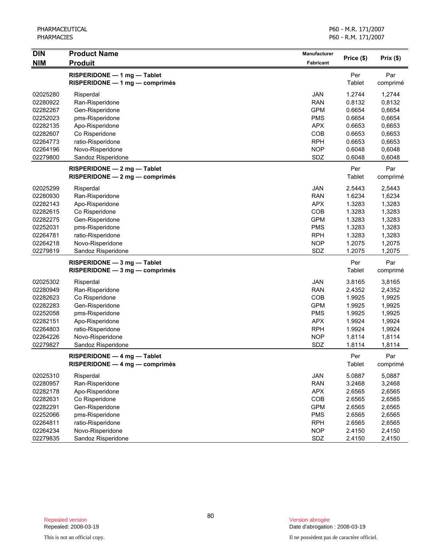| <b>DIN</b> | <b>Product Name</b>                                             | Manufacturer | Price (\$)    | Prix(\$)        |
|------------|-----------------------------------------------------------------|--------------|---------------|-----------------|
| <b>NIM</b> | <b>Produit</b>                                                  | Fabricant    |               |                 |
|            | RISPERIDONE - 1 mg - Tablet<br>RISPERIDONE - 1 mg - comprimés   |              | Per<br>Tablet | Par<br>comprimé |
| 02025280   | Risperdal                                                       | <b>JAN</b>   | 1.2744        | 1,2744          |
| 02280922   | Ran-Risperidone                                                 | <b>RAN</b>   | 0.8132        | 0,8132          |
| 02282267   | Gen-Risperidone                                                 | <b>GPM</b>   | 0.6654        | 0,6654          |
| 02252023   | pms-Risperidone                                                 | <b>PMS</b>   | 0.6654        | 0,6654          |
| 02282135   | Apo-Risperidone                                                 | <b>APX</b>   | 0.6653        | 0,6653          |
| 02282607   | Co Risperidone                                                  | COB          | 0.6653        | 0,6653          |
| 02264773   | ratio-Risperidone                                               | <b>RPH</b>   | 0.6653        | 0,6653          |
| 02264196   | Novo-Risperidone                                                | <b>NOP</b>   | 0.6048        | 0,6048          |
| 02279800   | Sandoz Risperidone                                              | SDZ          | 0.6048        | 0,6048          |
|            | RISPERIDONE - 2 mg - Tablet<br>$RISPERIDONE - 2 mg - comprimés$ |              | Per<br>Tablet | Par<br>comprimé |
| 02025299   | Risperdal                                                       | <b>JAN</b>   | 2.5443        | 2,5443          |
| 02280930   | Ran-Risperidone                                                 | <b>RAN</b>   | 1.6234        | 1,6234          |
| 02282143   | Apo-Risperidone                                                 | <b>APX</b>   | 1.3283        | 1,3283          |
| 02282615   | Co Risperidone                                                  | COB          | 1.3283        | 1,3283          |
| 02282275   | Gen-Risperidone                                                 | <b>GPM</b>   | 1.3283        | 1,3283          |
| 02252031   | pms-Risperidone                                                 | <b>PMS</b>   | 1.3283        | 1,3283          |
| 02264781   | ratio-Risperidone                                               | <b>RPH</b>   | 1.3283        | 1,3283          |
| 02264218   | Novo-Risperidone                                                | <b>NOP</b>   | 1.2075        | 1,2075          |
| 02279819   | Sandoz Risperidone                                              | SDZ          | 1.2075        | 1,2075          |
|            | $RISPERIDONE - 3 mg - Table$                                    |              | Per           | Par             |
|            | $RISPERIDONE - 3 mg - comprimés$                                |              | Tablet        | comprimé        |
| 02025302   | Risperdal                                                       | JAN          | 3.8165        | 3,8165          |
| 02280949   | Ran-Risperidone                                                 | <b>RAN</b>   | 2.4352        | 2,4352          |
| 02282623   | Co Risperidone                                                  | COB          | 1.9925        | 1,9925          |
| 02282283   | Gen-Risperidone                                                 | <b>GPM</b>   | 1.9925        | 1,9925          |
| 02252058   | pms-Risperidone                                                 | <b>PMS</b>   | 1.9925        | 1,9925          |
| 02282151   | Apo-Risperidone                                                 | <b>APX</b>   | 1.9924        | 1,9924          |
| 02264803   | ratio-Risperidone                                               | <b>RPH</b>   | 1.9924        | 1,9924          |
| 02264226   | Novo-Risperidone                                                | <b>NOP</b>   | 1.8114        | 1,8114          |
| 02279827   | Sandoz Risperidone                                              | SDZ          | 1.8114        | 1,8114          |
|            | RISPERIDONE - 4 mg - Tablet                                     |              | Per           | Par             |
|            | RISPERIDONE - 4 mg - comprimés                                  |              | Tablet        | comprimé        |
| 02025310   | Risperdal                                                       | <b>JAN</b>   | 5.0887        | 5,0887          |
| 02280957   | Ran-Risperidone                                                 | <b>RAN</b>   | 3.2468        | 3,2468          |
| 02282178   | Apo-Risperidone                                                 | <b>APX</b>   | 2.6565        | 2,6565          |
| 02282631   | Co Risperidone                                                  | COB          | 2.6565        | 2,6565          |
| 02282291   | Gen-Risperidone                                                 | <b>GPM</b>   | 2.6565        | 2,6565          |
| 02252066   | pms-Risperidone                                                 | <b>PMS</b>   | 2.6565        | 2,6565          |
| 02264811   | ratio-Risperidone                                               | <b>RPH</b>   | 2.6565        | 2,6565          |
| 02264234   | Novo-Risperidone                                                | <b>NOP</b>   | 2.4150        | 2,4150          |
| 02279835   | Sandoz Risperidone                                              | SDZ          | 2.4150        | 2,4150          |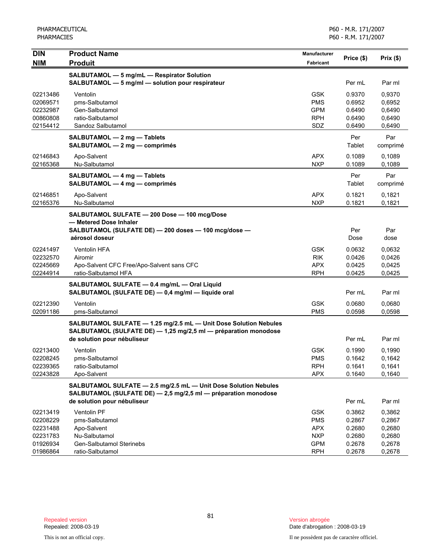| <b>DIN</b>                                                           | <b>Product Name</b>                                                                                                                                                | <b>Manufacturer</b>                                                              | Price (\$)                                               | Prix(\$)                                                 |
|----------------------------------------------------------------------|--------------------------------------------------------------------------------------------------------------------------------------------------------------------|----------------------------------------------------------------------------------|----------------------------------------------------------|----------------------------------------------------------|
| <b>NIM</b>                                                           | <b>Produit</b>                                                                                                                                                     | Fabricant                                                                        |                                                          |                                                          |
|                                                                      | SALBUTAMOL - 5 mg/mL - Respirator Solution<br>SALBUTAMOL - 5 mg/ml - solution pour respirateur                                                                     |                                                                                  | Per mL                                                   | Par ml                                                   |
| 02213486<br>02069571<br>02232987<br>00860808<br>02154412             | Ventolin<br>pms-Salbutamol<br>Gen-Salbutamol<br>ratio-Salbutamol<br>Sandoz Salbutamol                                                                              | <b>GSK</b><br><b>PMS</b><br><b>GPM</b><br><b>RPH</b><br>SDZ                      | 0.9370<br>0.6952<br>0.6490<br>0.6490<br>0.6490           | 0,9370<br>0,6952<br>0,6490<br>0,6490<br>0,6490           |
|                                                                      | SALBUTAMOL - 2 mg - Tablets<br>SALBUTAMOL - 2 mg - comprimés                                                                                                       |                                                                                  | Per<br>Tablet                                            | Par<br>comprimé                                          |
| 02146843<br>02165368                                                 | Apo-Salvent<br>Nu-Salbutamol                                                                                                                                       | <b>APX</b><br><b>NXP</b>                                                         | 0.1089<br>0.1089                                         | 0,1089<br>0,1089                                         |
|                                                                      | SALBUTAMOL - 4 mg - Tablets<br>SALBUTAMOL - 4 mg - comprimés                                                                                                       |                                                                                  | Per<br>Tablet                                            | Par<br>comprimé                                          |
| 02146851<br>02165376                                                 | Apo-Salvent<br>Nu-Salbutamol                                                                                                                                       | <b>APX</b><br><b>NXP</b>                                                         | 0.1821<br>0.1821                                         | 0,1821<br>0,1821                                         |
|                                                                      | SALBUTAMOL SULFATE - 200 Dose - 100 mcg/Dose<br>— Metered Dose Inhaler<br>SALBUTAMOL (SULFATE DE) - 200 doses - 100 mcg/dose -<br>aérosol doseur                   |                                                                                  | Per<br>Dose                                              | Par<br>dose                                              |
| 02241497<br>02232570<br>02245669<br>02244914                         | <b>Ventolin HFA</b><br>Airomir<br>Apo-Salvent CFC Free/Apo-Salvent sans CFC<br>ratio-Salbutamol HFA                                                                | <b>GSK</b><br><b>RIK</b><br><b>APX</b><br><b>RPH</b>                             | 0.0632<br>0.0426<br>0.0425<br>0.0425                     | 0,0632<br>0,0426<br>0,0425<br>0,0425                     |
|                                                                      | SALBUTAMOL SULFATE - 0.4 mg/mL - Oral Liquid<br>SALBUTAMOL (SULFATE DE) - 0,4 mg/ml - liquide oral                                                                 |                                                                                  | Per mL                                                   | Par ml                                                   |
| 02212390<br>02091186                                                 | Ventolin<br>pms-Salbutamol                                                                                                                                         | <b>GSK</b><br><b>PMS</b>                                                         | 0.0680<br>0.0598                                         | 0,0680<br>0,0598                                         |
|                                                                      | SALBUTAMOL SULFATE - 1.25 mg/2.5 mL - Unit Dose Solution Nebules<br>SALBUTAMOL (SULFATE DE) - 1,25 mg/2,5 ml - préparation monodose<br>de solution pour nébuliseur |                                                                                  | Per mL                                                   | Par ml                                                   |
| 02213400<br>02208245<br>02239365<br>02243828                         | Ventolin<br>pms-Salbutamol<br>ratio-Salbutamol<br>Apo-Salvent                                                                                                      | <b>GSK</b><br><b>PMS</b><br><b>RPH</b><br><b>APX</b>                             | 0.1990<br>0.1642<br>0.1641<br>0.1640                     | 0,1990<br>0,1642<br>0,1641<br>0,1640                     |
|                                                                      | SALBUTAMOL SULFATE - 2.5 mg/2.5 mL - Unit Dose Solution Nebules<br>SALBUTAMOL (SULFATE DE) - 2,5 mg/2,5 ml - préparation monodose<br>de solution pour nébuliseur   |                                                                                  | Per mL                                                   | Par ml                                                   |
| 02213419<br>02208229<br>02231488<br>02231783<br>01926934<br>01986864 | <b>Ventolin PF</b><br>pms-Salbutamol<br>Apo-Salvent<br>Nu-Salbutamol<br>Gen-Salbutamol Sterinebs<br>ratio-Salbutamol                                               | <b>GSK</b><br><b>PMS</b><br><b>APX</b><br><b>NXP</b><br><b>GPM</b><br><b>RPH</b> | 0.3862<br>0.2867<br>0.2680<br>0.2680<br>0.2678<br>0.2678 | 0,3862<br>0,2867<br>0,2680<br>0,2680<br>0,2678<br>0,2678 |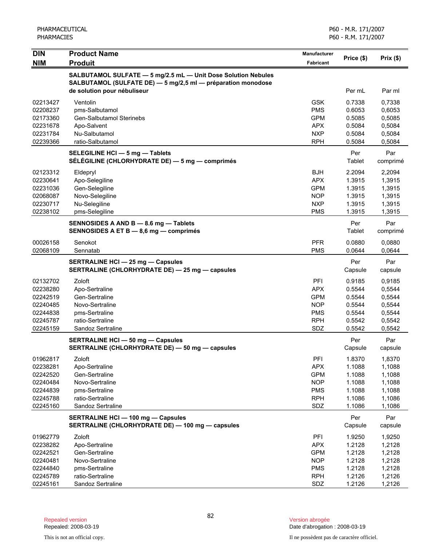| PHARMACEUTICAL<br><b>PHARMACIES</b> |                                                                                               | P60 - M.R. 171/2007<br>P60 - R.M. 171/2007 |                  |                  |
|-------------------------------------|-----------------------------------------------------------------------------------------------|--------------------------------------------|------------------|------------------|
| <b>DIN</b><br><b>NIM</b>            | <b>Product Name</b><br><b>Produit</b>                                                         | <b>Manufacturer</b><br><b>Fabricant</b>    | Price (\$)       | Prix(\$)         |
|                                     | SALBUTAMOL SULFATE - 5 mg/2.5 mL - Unit Dose Solution Nebules                                 |                                            |                  |                  |
|                                     | SALBUTAMOL (SULFATE DE) - 5 mg/2,5 ml - préparation monodose                                  |                                            |                  |                  |
|                                     | de solution pour nébuliseur                                                                   |                                            | Per mL           | Par ml           |
| 02213427                            | Ventolin                                                                                      | <b>GSK</b>                                 | 0.7338           | 0,7338           |
| 02208237<br>02173360                | pms-Salbutamol<br><b>Gen-Salbutamol Sterinebs</b>                                             | <b>PMS</b><br><b>GPM</b>                   | 0.6053<br>0.5085 | 0,6053<br>0,5085 |
| 02231678                            | Apo-Salvent                                                                                   | <b>APX</b>                                 | 0.5084           | 0,5084           |
| 02231784                            | Nu-Salbutamol                                                                                 | <b>NXP</b>                                 | 0.5084           | 0,5084           |
| 02239366                            | ratio-Salbutamol                                                                              | <b>RPH</b>                                 | 0.5084           | 0,5084           |
|                                     | SELEGILINE HCI - 5 mg - Tablets                                                               |                                            | Per              | Par              |
|                                     | SÉLÉGILINE (CHLORHYDRATE DE) - 5 mg - comprimés                                               |                                            | Tablet           | comprimé         |
| 02123312                            | Eldepryl                                                                                      | <b>BJH</b>                                 | 2.2094           | 2,2094           |
| 02230641                            | Apo-Selegiline                                                                                | <b>APX</b>                                 | 1.3915           | 1,3915           |
| 02231036                            | Gen-Selegiline                                                                                | <b>GPM</b>                                 | 1.3915           | 1,3915           |
| 02068087                            | Novo-Selegiline                                                                               | <b>NOP</b>                                 | 1.3915           | 1,3915           |
| 02230717                            | Nu-Selegiline<br>pms-Selegiline                                                               | <b>NXP</b><br><b>PMS</b>                   | 1.3915           | 1,3915           |
| 02238102                            |                                                                                               |                                            | 1.3915           | 1,3915           |
|                                     | SENNOSIDES A AND B - 8.6 mg - Tablets<br>SENNOSIDES A ET B - 8,6 mg - comprimés               |                                            | Per<br>Tablet    | Par<br>comprimé  |
| 00026158                            | Senokot                                                                                       | <b>PFR</b>                                 | 0.0880           | 0,0880           |
| 02068109                            | Sennatab                                                                                      | <b>PMS</b>                                 | 0.0644           | 0,0644           |
|                                     | <b>SERTRALINE HCI - 25 mg - Capsules</b><br>SERTRALINE (CHLORHYDRATE DE) - 25 mg - capsules   |                                            | Per<br>Capsule   | Par<br>capsule   |
| 02132702                            | Zoloft                                                                                        | PFI                                        | 0.9185           | 0,9185           |
| 02238280                            | Apo-Sertraline                                                                                | <b>APX</b>                                 | 0.5544           | 0,5544           |
| 02242519                            | Gen-Sertraline                                                                                | <b>GPM</b>                                 | 0.5544           | 0,5544           |
| 02240485<br>02244838                | Novo-Sertraline                                                                               | <b>NOP</b><br><b>PMS</b>                   | 0.5544<br>0.5544 | 0,5544<br>0,5544 |
| 02245787                            | pms-Sertraline<br>ratio-Sertraline                                                            | <b>RPH</b>                                 | 0.5542           | 0,5542           |
| 02245159                            | Sandoz Sertraline                                                                             | SDZ                                        | 0.5542           | 0,5542           |
|                                     | <b>SERTRALINE HCI - 50 mg - Capsules</b>                                                      |                                            | Per              | Par              |
|                                     | SERTRALINE (CHLORHYDRATE DE) - 50 mg - capsules                                               |                                            | Capsule          | capsule          |
| 01962817                            | Zoloft                                                                                        | PFI                                        | 1.8370           | 1,8370           |
| 02238281                            | Apo-Sertraline                                                                                | <b>APX</b>                                 | 1.1088           | 1,1088           |
| 02242520                            | Gen-Sertraline                                                                                | <b>GPM</b>                                 | 1.1088           | 1,1088           |
| 02240484<br>02244839                | Novo-Sertraline                                                                               | <b>NOP</b>                                 | 1.1088           | 1,1088           |
| 02245788                            | pms-Sertraline<br>ratio-Sertraline                                                            | <b>PMS</b><br><b>RPH</b>                   | 1.1088<br>1.1086 | 1,1088<br>1,1086 |
| 02245160                            | Sandoz Sertraline                                                                             | SDZ                                        | 1.1086           | 1,1086           |
|                                     | <b>SERTRALINE HCI - 100 mg - Capsules</b><br>SERTRALINE (CHLORHYDRATE DE) - 100 mg - capsules |                                            | Per<br>Capsule   | Par<br>capsule   |
|                                     |                                                                                               |                                            |                  |                  |
| 01962779<br>02238282                | Zoloft                                                                                        | PFI<br><b>APX</b>                          | 1.9250<br>1.2128 | 1,9250           |
| 02242521                            | Apo-Sertraline<br>Gen-Sertraline                                                              | <b>GPM</b>                                 | 1.2128           | 1,2128<br>1,2128 |
| 02240481                            | Novo-Sertraline                                                                               | <b>NOP</b>                                 | 1.2128           | 1,2128           |
| 02244840                            | pms-Sertraline                                                                                | <b>PMS</b>                                 | 1.2128           | 1,2128           |
| 02245789                            | ratio-Sertraline                                                                              | <b>RPH</b>                                 | 1.2126           | 1,2126           |
| 02245161                            | Sandoz Sertraline                                                                             | SDZ                                        | 1.2126           | 1,2126           |

Version abrogée<br>Date d'abrogation : 2008-03-19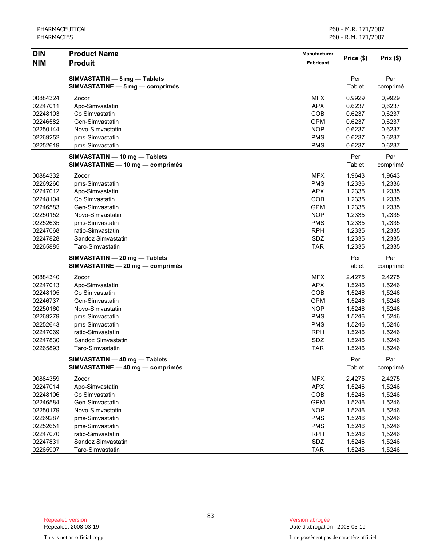| <b>DIN</b> | <b>Product Name</b>              | Manufacturer | Price (\$)    | Prix(\$) |
|------------|----------------------------------|--------------|---------------|----------|
| <b>NIM</b> | <b>Produit</b>                   | Fabricant    |               |          |
|            | SIMVASTATIN - 5 mg - Tablets     |              | Per           | Par      |
|            | SIMVASTATINE - 5 mg - comprimés  |              | <b>Tablet</b> | comprimé |
| 00884324   | Zocor                            | <b>MFX</b>   | 0.9929        | 0,9929   |
| 02247011   | Apo-Simvastatin                  | <b>APX</b>   | 0.6237        | 0,6237   |
| 02248103   | Co Simvastatin                   | COB          | 0.6237        | 0,6237   |
| 02246582   | Gen-Simvastatin                  | <b>GPM</b>   | 0.6237        | 0,6237   |
| 02250144   | Novo-Simvastatin                 | <b>NOP</b>   | 0.6237        | 0,6237   |
| 02269252   | pms-Simvastatin                  | <b>PMS</b>   | 0.6237        | 0,6237   |
| 02252619   | pms-Simvastatin                  | <b>PMS</b>   | 0.6237        | 0,6237   |
|            | SIMVASTATIN - 10 mg - Tablets    |              | Per           | Par      |
|            | SIMVASTATINE - 10 mg - comprimés |              | <b>Tablet</b> | comprimé |
| 00884332   | Zocor                            | <b>MFX</b>   | 1.9643        | 1,9643   |
| 02269260   | pms-Simvastatin                  | <b>PMS</b>   | 1.2336        | 1,2336   |
| 02247012   | Apo-Simvastatin                  | <b>APX</b>   | 1.2335        | 1,2335   |
| 02248104   | Co Simvastatin                   | COB          | 1.2335        | 1,2335   |
| 02246583   | Gen-Simvastatin                  | <b>GPM</b>   | 1.2335        | 1,2335   |
| 02250152   | Novo-Simvastatin                 | <b>NOP</b>   | 1.2335        | 1,2335   |
| 02252635   | pms-Simvastatin                  | <b>PMS</b>   | 1.2335        | 1,2335   |
| 02247068   | ratio-Simvastatin                | <b>RPH</b>   | 1.2335        | 1,2335   |
| 02247828   | Sandoz Simvastatin               | SDZ          | 1.2335        | 1,2335   |
| 02265885   | Taro-Simvastatin                 | <b>TAR</b>   | 1.2335        | 1,2335   |
|            | SIMVASTATIN - 20 mg - Tablets    |              | Per           | Par      |
|            | SIMVASTATINE - 20 mg - comprimés |              | Tablet        | comprimé |
| 00884340   | Zocor                            | <b>MFX</b>   | 2.4275        | 2,4275   |
| 02247013   | Apo-Simvastatin                  | <b>APX</b>   | 1.5246        | 1,5246   |
| 02248105   | Co Simvastatin                   | COB          | 1.5246        | 1,5246   |
| 02246737   | Gen-Simvastatin                  | <b>GPM</b>   | 1.5246        | 1,5246   |
| 02250160   | Novo-Simvastatin                 | <b>NOP</b>   | 1.5246        | 1,5246   |
| 02269279   | pms-Simvastatin                  | <b>PMS</b>   | 1.5246        | 1,5246   |
| 02252643   | pms-Simvastatin                  | <b>PMS</b>   | 1.5246        | 1,5246   |
| 02247069   | ratio-Simvastatin                | <b>RPH</b>   | 1.5246        | 1,5246   |
| 02247830   | Sandoz Simvastatin               | SDZ          | 1.5246        | 1,5246   |
| 02265893   | Taro-Simvastatin                 | <b>TAR</b>   | 1.5246        | 1,5246   |
|            | SIMVASTATIN - 40 mg - Tablets    |              | Per           | Par      |
|            | SIMVASTATINE - 40 mg - comprimés |              | Tablet        | comprimé |
| 00884359   | Zocor                            | <b>MFX</b>   | 2.4275        | 2,4275   |
| 02247014   | Apo-Simvastatin                  | <b>APX</b>   | 1.5246        | 1,5246   |
| 02248106   | Co Simvastatin                   | COB          | 1.5246        | 1,5246   |
| 02246584   | Gen-Simvastatin                  | <b>GPM</b>   | 1.5246        | 1,5246   |
| 02250179   | Novo-Simvastatin                 | <b>NOP</b>   | 1.5246        | 1,5246   |
| 02269287   | pms-Simvastatin                  | <b>PMS</b>   | 1.5246        | 1,5246   |
| 02252651   | pms-Simvastatin                  | <b>PMS</b>   | 1.5246        | 1,5246   |
| 02247070   | ratio-Simvastatin                | <b>RPH</b>   | 1.5246        | 1,5246   |
| 02247831   | Sandoz Simvastatin               | SDZ          | 1.5246        | 1,5246   |
| 02265907   | Taro-Simvastatin                 | <b>TAR</b>   | 1.5246        | 1,5246   |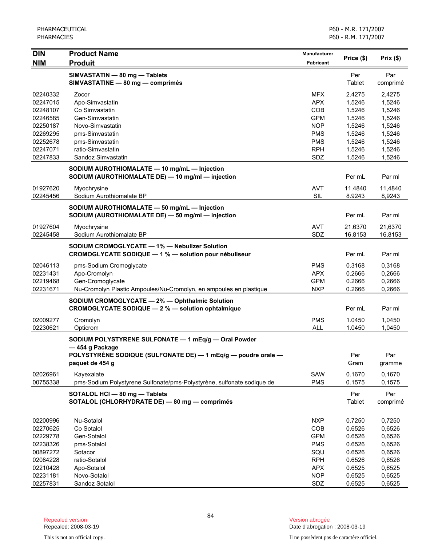| <b>DIN</b>           | <b>Product Name</b>                                                              | Manufacturer     |                  |                  |
|----------------------|----------------------------------------------------------------------------------|------------------|------------------|------------------|
| <b>NIM</b>           | <b>Produit</b>                                                                   | <b>Fabricant</b> | Price (\$)       | Prix(\$)         |
|                      | SIMVASTATIN - 80 mg - Tablets                                                    |                  | Per              | Par              |
|                      | SIMVASTATINE - 80 mg - comprimés                                                 |                  | Tablet           | comprimé         |
| 02240332             | Zocor                                                                            | <b>MFX</b>       | 2.4275           | 2,4275           |
| 02247015             | Apo-Simvastatin                                                                  | <b>APX</b>       | 1.5246           | 1,5246           |
| 02248107             | Co Simvastatin                                                                   | COB              | 1.5246           | 1,5246           |
| 02246585             | Gen-Simvastatin                                                                  | <b>GPM</b>       | 1.5246           | 1,5246           |
| 02250187             | Novo-Simvastatin                                                                 | <b>NOP</b>       | 1.5246           | 1,5246           |
| 02269295             | pms-Simvastatin                                                                  | <b>PMS</b>       | 1.5246           | 1,5246           |
| 02252678             | pms-Simvastatin                                                                  | <b>PMS</b>       | 1.5246           | 1,5246           |
| 02247071             | ratio-Simvastatin                                                                | <b>RPH</b>       | 1.5246           | 1,5246           |
| 02247833             | Sandoz Simvastatin                                                               | SDZ              | 1.5246           | 1,5246           |
|                      | SODIUM AUROTHIOMALATE - 10 mg/mL - Injection                                     |                  |                  |                  |
|                      | SODIUM (AUROTHIOMALATE DE) - 10 mg/ml - injection                                |                  | Per mL           | Par ml           |
| 01927620             | Myochrysine                                                                      | <b>AVT</b>       | 11.4840          | 11,4840          |
| 02245456             | Sodium Aurothiomalate BP                                                         | SIL              | 8.9243           | 8,9243           |
|                      |                                                                                  |                  |                  |                  |
|                      | SODIUM AUROTHIOMALATE - 50 mg/mL - Injection                                     |                  |                  |                  |
|                      | SODIUM (AUROTHIOMALATE DE) - 50 mg/ml - injection                                |                  | Per mL           | Par ml           |
| 01927604             | Myochrysine                                                                      | <b>AVT</b>       | 21.6370          | 21,6370          |
| 02245458             | Sodium Aurothiomalate BP                                                         | SDZ              | 16.8153          | 16,8153          |
|                      | <b>SODIUM CROMOGLYCATE - 1% - Nebulizer Solution</b>                             |                  |                  |                  |
|                      | CROMOGLYCATE SODIQUE - 1 % - solution pour nébuliseur                            |                  | Per mL           | Par ml           |
| 02046113             | pms-Sodium Cromoglycate                                                          | <b>PMS</b>       | 0.3168           | 0,3168           |
| 02231431             | Apo-Cromolyn                                                                     | <b>APX</b>       | 0.2666           | 0,2666           |
| 02219468             | Gen-Cromoglycate                                                                 | <b>GPM</b>       | 0.2666           | 0,2666           |
| 02231671             | Nu-Cromolyn Plastic Ampoules/Nu-Cromolyn, en ampoules en plastique               | <b>NXP</b>       | 0.2666           | 0,2666           |
|                      | SODIUM CROMOGLYCATE - 2% - Ophthalmic Solution                                   |                  |                  |                  |
|                      | CROMOGLYCATE SODIQUE - 2 % - solution ophtalmique                                |                  | Per mL           | Par ml           |
|                      |                                                                                  | <b>PMS</b>       |                  |                  |
| 02009277<br>02230621 | Cromolyn<br>Opticrom                                                             | <b>ALL</b>       | 1.0450<br>1.0450 | 1,0450<br>1,0450 |
|                      |                                                                                  |                  |                  |                  |
|                      | SODIUM POLYSTYRENE SULFONATE - 1 mEq/g - Oral Powder                             |                  |                  |                  |
|                      | — 454 g Package                                                                  |                  | Per              | Par              |
|                      | POLYSTYRÈNE SODIQUE (SULFONATE DE) — 1 mEq/g — poudre orale —<br>paquet de 454 g |                  | Gram             |                  |
|                      |                                                                                  |                  |                  | gramme           |
| 02026961             | Kayexalate                                                                       | SAW              | 0.1670           | 0,1670           |
| 00755338             | pms-Sodium Polystyrene Sulfonate/pms-Polystyrène, sulfonate sodique de           | <b>PMS</b>       | 0.1575           | 0,1575           |
|                      | SOTALOL HCI - 80 mg - Tablets                                                    |                  | Per              | Per              |
|                      | SOTALOL (CHLORHYDRATE DE) - 80 mg - comprimés                                    |                  | Tablet           | comprimé         |
|                      |                                                                                  |                  |                  |                  |
| 02200996             | Nu-Sotalol                                                                       | <b>NXP</b>       | 0.7250           | 0,7250           |
| 02270625             | Co Sotalol                                                                       | COB              | 0.6526           | 0,6526           |
| 02229778             | Gen-Sotalol                                                                      | <b>GPM</b>       | 0.6526           | 0,6526           |
| 02238326             | pms-Sotalol                                                                      | <b>PMS</b>       | 0.6526           | 0,6526           |
| 00897272             | Sotacor                                                                          | SQU              | 0.6526           | 0,6526           |
| 02084228             | ratio-Sotalol                                                                    | <b>RPH</b>       | 0.6526           | 0,6526           |
| 02210428             | Apo-Sotalol                                                                      | <b>APX</b>       | 0.6525           | 0,6525           |
| 02231181             | Novo-Sotalol                                                                     | <b>NOP</b>       | 0.6525           | 0,6525           |
| 02257831             | Sandoz Sotalol                                                                   | SDZ              | 0.6525           | 0,6525           |

Date d'abrogation : 2008-03-19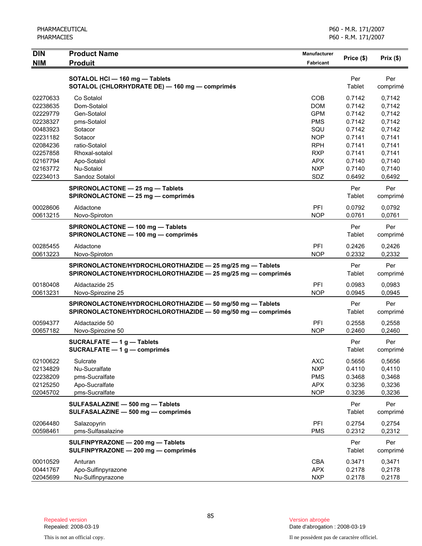| <b>PHARMACIES</b>                                        |                                                                                                                                              | P60 - R.M. 171/2007                                                |                                                          |                                                            |
|----------------------------------------------------------|----------------------------------------------------------------------------------------------------------------------------------------------|--------------------------------------------------------------------|----------------------------------------------------------|------------------------------------------------------------|
| <b>DIN</b><br><b>NIM</b>                                 | <b>Product Name</b><br><b>Produit</b>                                                                                                        | <b>Manufacturer</b><br>Fabricant                                   | Price (\$)                                               | Prix(\$)                                                   |
|                                                          | SOTALOL HCI - 160 mg - Tablets<br>SOTALOL (CHLORHYDRATE DE) - 160 mg - comprimés                                                             |                                                                    | Per<br>Tablet                                            | Per<br>comprimé                                            |
| 02270633<br>02238635<br>02229779                         | Co Sotalol<br>Dom-Sotalol<br>Gen-Sotalol                                                                                                     | COB<br><b>DOM</b><br><b>GPM</b>                                    | 0.7142<br>0.7142<br>0.7142                               | 0,7142<br>0,7142<br>0,7142                                 |
| 02238327<br>00483923<br>02231182                         | pms-Sotalol<br>Sotacor<br>Sotacor                                                                                                            | <b>PMS</b><br>SQU<br><b>NOP</b>                                    | 0.7142<br>0.7142<br>0.7141                               | 0,7142<br>0,7142<br>0,7141                                 |
| 02084236<br>02257858<br>02167794                         | ratio-Sotalol<br>Rhoxal-sotalol<br>Apo-Sotalol                                                                                               | <b>RPH</b><br><b>RXP</b><br><b>APX</b>                             | 0.7141<br>0.7141<br>0.7140                               | 0,7141<br>0,7141<br>0,7140                                 |
| 02163772<br>02234013                                     | Nu-Sotalol<br>Sandoz Sotalol<br>SPIRONOLACTONE - 25 mg - Tablets                                                                             | <b>NXP</b><br>SDZ                                                  | 0.7140<br>0.6492<br>Per                                  | 0,7140<br>0,6492<br>Per                                    |
| 00028606<br>00613215                                     | SPIRONOLACTONE - 25 mg - comprimés<br>Aldactone<br>Novo-Spiroton                                                                             | PFI<br><b>NOP</b>                                                  | Tablet<br>0.0792<br>0.0761                               | comprimé<br>0,0792<br>0,0761                               |
|                                                          | SPIRONOLACTONE - 100 mg - Tablets<br>SPIRONOLACTONE - 100 mg - comprimés                                                                     |                                                                    | Per<br>Tablet                                            | Per<br>comprimé                                            |
| 00285455<br>00613223                                     | Aldactone<br>Novo-Spiroton                                                                                                                   | PFI<br><b>NOP</b>                                                  | 0.2426<br>0.2332                                         | 0,2426<br>0,2332                                           |
|                                                          | SPIRONOLACTONE/HYDROCHLOROTHIAZIDE - 25 mg/25 mg - Tablets<br>SPIRONOLACTONE/HYDROCHLOROTHIAZIDE - 25 mg/25 mg - comprimés                   |                                                                    | Per<br><b>Tablet</b>                                     | Per<br>comprimé                                            |
| 00180408<br>00613231                                     | Aldactazide 25<br>Novo-Spirozine 25                                                                                                          | PFI<br><b>NOP</b>                                                  | 0.0983<br>0.0945                                         | 0.0983<br>0,0945                                           |
| 00594377                                                 | SPIRONOLACTONE/HYDROCHLOROTHIAZIDE - 50 mg/50 mg - Tablets<br>SPIRONOLACTONE/HYDROCHLOROTHIAZIDE - 50 mg/50 mg - comprimés<br>Aldactazide 50 | PFI                                                                | Per<br>Tablet<br>0.2558                                  | Per<br>comprimé<br>0,2558                                  |
| 00657182                                                 | Novo-Spirozine 50<br>SUCRALFATE - 1 g - Tablets                                                                                              | <b>NOP</b>                                                         | 0.2460<br>Per                                            | 0,2460<br>Per                                              |
| 02100622<br>02134829<br>02238209<br>02125250<br>02045702 | SUCRALFATE $-1$ g $-$ comprimés<br>Sulcrate<br>Nu-Sucralfate<br>pms-Sucralfate<br>Apo-Sucralfate<br>pms-Sucralfate                           | <b>AXC</b><br><b>NXP</b><br><b>PMS</b><br><b>APX</b><br><b>NOP</b> | Tablet<br>0.5656<br>0.4110<br>0.3468<br>0.3236<br>0.3236 | comprimé<br>0,5656<br>0,4110<br>0,3468<br>0,3236<br>0,3236 |
|                                                          | SULFASALAZINE - 500 mg - Tablets<br>SULFASALAZINE - 500 mg - comprimés                                                                       |                                                                    | Per<br><b>Tablet</b>                                     | Per<br>comprimé                                            |
| 02064480<br>00598461                                     | Salazopyrin<br>pms-Sulfasalazine                                                                                                             | PFI<br><b>PMS</b>                                                  | 0.2754<br>0.2312                                         | 0,2754<br>0,2312                                           |
|                                                          | SULFINPYRAZONE - 200 mg - Tablets<br>SULFINPYRAZONE - 200 mg - comprimés                                                                     |                                                                    | Per<br>Tablet                                            | Per<br>comprimé                                            |
| 00010529<br>00441767<br>02045699                         | Anturan<br>Apo-Sulfinpyrazone<br>Nu-Sulfinpyrazone                                                                                           | CBA<br><b>APX</b><br><b>NXP</b>                                    | 0.3471<br>0.2178<br>0.2178                               | 0,3471<br>0,2178<br>0,2178                                 |

PHARMACEUTICAL

Date d'abrogation : 2008-03-19

This is not an official copy. Il ne possèdent pas de caractère officiel.

P60 - M.R. 171/2007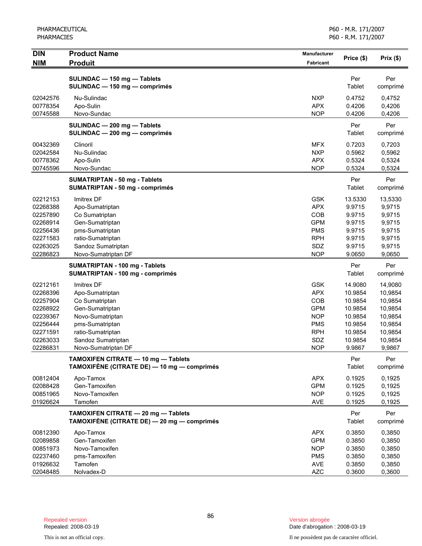| <b>DIN</b><br><b>NIM</b> | <b>Product Name</b><br><b>Produit</b>                                              | <b>Manufacturer</b><br><b>Fabricant</b> | Price (\$)           | Prix(\$)         |
|--------------------------|------------------------------------------------------------------------------------|-----------------------------------------|----------------------|------------------|
|                          |                                                                                    |                                         |                      |                  |
|                          | SULINDAC - 150 mg - Tablets<br>SULINDAC - 150 mg - comprimés                       |                                         | Per<br>Tablet        | Per<br>comprimé  |
| 02042576                 | Nu-Sulindac                                                                        | <b>NXP</b>                              | 0.4752               | 0,4752           |
| 00778354                 | Apo-Sulin                                                                          | <b>APX</b>                              | 0.4206               | 0,4206           |
| 00745588                 | Novo-Sundac                                                                        | <b>NOP</b>                              | 0.4206               | 0,4206           |
|                          | SULINDAC - 200 mg - Tablets<br>SULINDAC - 200 mg - comprimés                       |                                         | Per<br>Tablet        | Per<br>comprimé  |
| 00432369                 | Clinoril                                                                           | <b>MFX</b>                              | 0.7203               | 0,7203           |
| 02042584                 | Nu-Sulindac                                                                        | <b>NXP</b>                              | 0.5962               | 0,5962           |
| 00778362                 | Apo-Sulin                                                                          | <b>APX</b>                              | 0.5324               | 0,5324           |
| 00745596                 | Novo-Sundac                                                                        | <b>NOP</b>                              | 0.5324               | 0,5324           |
|                          | <b>SUMATRIPTAN - 50 mg - Tablets</b><br><b>SUMATRIPTAN - 50 mg - comprimés</b>     |                                         | Per<br>Tablet        | Per<br>comprimé  |
| 02212153                 | Imitrex DF                                                                         | <b>GSK</b>                              | 13.5330              | 13,5330          |
| 02268388                 | Apo-Sumatriptan                                                                    | <b>APX</b>                              | 9.9715               | 9,9715           |
| 02257890                 | Co Sumatriptan                                                                     | COB                                     | 9.9715               | 9,9715           |
| 02268914<br>02256436     | Gen-Sumatriptan<br>pms-Sumatriptan                                                 | <b>GPM</b><br><b>PMS</b>                | 9.9715<br>9.9715     | 9,9715<br>9,9715 |
| 02271583                 | ratio-Sumatriptan                                                                  | <b>RPH</b>                              | 9.9715               | 9,9715           |
| 02263025                 | Sandoz Sumatriptan                                                                 | SDZ                                     | 9.9715               | 9,9715           |
| 02286823                 | Novo-Sumatriptan DF                                                                | <b>NOP</b>                              | 9.0650               | 9,0650           |
|                          | <b>SUMATRIPTAN - 100 mg - Tablets</b><br><b>SUMATRIPTAN - 100 mg - comprimés</b>   |                                         | Per<br>Tablet        | Per<br>comprimé  |
| 02212161                 | Imitrex DF                                                                         | <b>GSK</b>                              | 14.9080              | 14,9080          |
| 02268396                 | Apo-Sumatriptan                                                                    | <b>APX</b>                              | 10.9854              | 10,9854          |
| 02257904                 | Co Sumatriptan                                                                     | COB                                     | 10.9854              | 10,9854          |
| 02268922                 | Gen-Sumatriptan                                                                    | <b>GPM</b>                              | 10.9854              | 10,9854          |
| 02239367                 | Novo-Sumatriptan                                                                   | <b>NOP</b>                              | 10.9854              | 10,9854          |
| 02256444                 | pms-Sumatriptan                                                                    | <b>PMS</b>                              | 10.9854              | 10,9854          |
| 02271591                 | ratio-Sumatriptan                                                                  | <b>RPH</b>                              | 10.9854              | 10,9854          |
| 02263033                 | Sandoz Sumatriptan                                                                 | SDZ                                     | 10.9854              | 10,9854          |
| 02286831                 | Novo-Sumatriptan DF                                                                | <b>NOP</b>                              | 9.9867               | 9,9867           |
|                          | TAMOXIFEN CITRATE - 10 mg - Tablets<br>TAMOXIFÈNE (CITRATE DE) — 10 mg — comprimés |                                         | Per<br><b>Tablet</b> | Per<br>comprimé  |
| 00812404                 | Apo-Tamox                                                                          | <b>APX</b>                              | 0.1925               | 0,1925           |
| 02088428                 | Gen-Tamoxifen                                                                      | <b>GPM</b>                              | 0.1925               | 0,1925           |
| 00851965                 | Novo-Tamoxifen                                                                     | <b>NOP</b>                              | 0.1925               | 0,1925           |
| 01926624                 | Tamofen                                                                            | <b>AVE</b>                              | 0.1925               | 0,1925           |
|                          | TAMOXIFEN CITRATE - 20 mg - Tablets<br>TAMOXIFÈNE (CITRATE DE) — 20 mg — comprimés |                                         | Per<br>Tablet        | Per<br>comprimé  |
| 00812390                 | Apo-Tamox                                                                          | <b>APX</b>                              | 0.3850               | 0,3850           |
| 02089858                 | Gen-Tamoxifen                                                                      | <b>GPM</b>                              | 0.3850               | 0,3850           |
| 00851973                 | Novo-Tamoxifen                                                                     | <b>NOP</b>                              | 0.3850               | 0,3850           |
| 02237460                 | pms-Tamoxifen                                                                      | <b>PMS</b>                              | 0.3850               | 0,3850           |
| 01926632                 | Tamofen                                                                            | <b>AVE</b>                              | 0.3850               | 0,3850           |
| 02048485                 | Nolvadex-D                                                                         | <b>AZC</b>                              | 0.3600               | 0,3600           |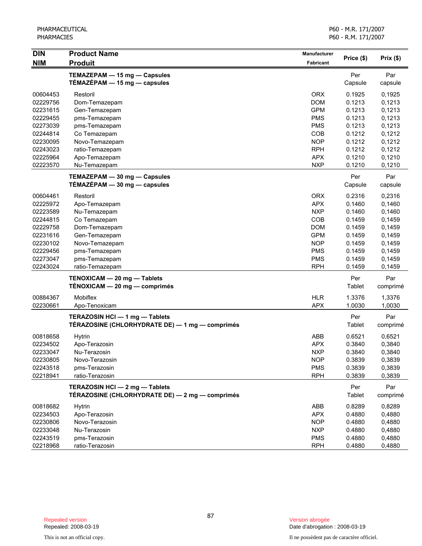| <b>DIN</b> | <b>Product Name</b>                                                               | Manufacturer     |                |                 |
|------------|-----------------------------------------------------------------------------------|------------------|----------------|-----------------|
| <b>NIM</b> | <b>Produit</b>                                                                    | <b>Fabricant</b> | Price (\$)     | Prix(\$)        |
|            | TEMAZEPAM - 15 mg - Capsules<br>TÉMAZÉPAM - 15 mg - capsules                      |                  | Per<br>Capsule | Par<br>capsule  |
| 00604453   | Restoril                                                                          | <b>ORX</b>       | 0.1925         | 0,1925          |
| 02229756   | Dom-Temazepam                                                                     | <b>DOM</b>       | 0.1213         | 0,1213          |
| 02231615   | Gen-Temazepam                                                                     | <b>GPM</b>       | 0.1213         | 0,1213          |
| 02229455   | pms-Temazepam                                                                     | <b>PMS</b>       | 0.1213         | 0,1213          |
| 02273039   | pms-Temazepam                                                                     | <b>PMS</b>       | 0.1213         | 0,1213          |
| 02244814   | Co Temazepam                                                                      | COB              | 0.1212         | 0,1212          |
| 02230095   | Novo-Temazepam                                                                    | <b>NOP</b>       | 0.1212         | 0,1212          |
| 02243023   | ratio-Temazepam                                                                   | <b>RPH</b>       | 0.1212         | 0,1212          |
| 02225964   | Apo-Temazepam                                                                     | <b>APX</b>       | 0.1210         | 0,1210          |
| 02223570   | Nu-Temazepam                                                                      | <b>NXP</b>       | 0.1210         | 0,1210          |
|            | TEMAZEPAM - 30 mg - Capsules<br>$TÉMAZÉPAM - 30 mg - capsules$                    |                  | Per<br>Capsule | Par<br>capsule  |
| 00604461   | Restoril                                                                          | <b>ORX</b>       | 0.2316         | 0,2316          |
| 02225972   | Apo-Temazepam                                                                     | <b>APX</b>       | 0.1460         | 0,1460          |
| 02223589   | Nu-Temazepam                                                                      | <b>NXP</b>       | 0.1460         | 0,1460          |
| 02244815   | Co Temazepam                                                                      | COB              | 0.1459         | 0,1459          |
| 02229758   | Dom-Temazepam                                                                     | <b>DOM</b>       | 0.1459         | 0,1459          |
| 02231616   | Gen-Temazepam                                                                     | <b>GPM</b>       | 0.1459         | 0,1459          |
| 02230102   | Novo-Temazepam                                                                    | <b>NOP</b>       | 0.1459         | 0,1459          |
| 02229456   | pms-Temazepam                                                                     | <b>PMS</b>       | 0.1459         | 0,1459          |
| 02273047   | pms-Temazepam                                                                     | <b>PMS</b>       | 0.1459         | 0,1459          |
| 02243024   | ratio-Temazepam                                                                   | <b>RPH</b>       | 0.1459         | 0,1459          |
|            | TENOXICAM - 20 mg - Tablets<br>TÉNOXICAM - 20 mg - comprimés                      |                  | Per<br>Tablet  | Par<br>comprimé |
| 00884367   | <b>Mobiflex</b>                                                                   | <b>HLR</b>       | 1.3376         | 1,3376          |
| 02230661   | Apo-Tenoxicam                                                                     | <b>APX</b>       | 1.0030         | 1,0030          |
|            | TERAZOSIN HCI - 1 mg - Tablets<br>TÉRAZOSINE (CHLORHYDRATE DE) — 1 mg — comprimés |                  | Per<br>Tablet  | Par<br>comprimé |
| 00818658   | <b>Hytrin</b>                                                                     | ABB              | 0.6521         | 0,6521          |
| 02234502   | Apo-Terazosin                                                                     | <b>APX</b>       | 0.3840         | 0,3840          |
| 02233047   | Nu-Terazosin                                                                      | <b>NXP</b>       | 0.3840         | 0,3840          |
| 02230805   | Novo-Terazosin                                                                    | <b>NOP</b>       | 0.3839         | 0,3839          |
| 02243518   | pms-Terazosin                                                                     | <b>PMS</b>       | 0.3839         | 0,3839          |
| 02218941   | ratio-Terazosin                                                                   | <b>RPH</b>       | 0.3839         | 0,3839          |
|            | TERAZOSIN HCI - 2 mg - Tablets<br>TÉRAZOSINE (CHLORHYDRATE DE) — 2 mg — comprimés |                  | Per<br>Tablet  | Par<br>comprimé |
| 00818682   | <b>Hytrin</b>                                                                     | ABB              | 0.8289         | 0,8289          |
| 02234503   | Apo-Terazosin                                                                     | <b>APX</b>       | 0.4880         | 0,4880          |
| 02230806   | Novo-Terazosin                                                                    | <b>NOP</b>       | 0.4880         | 0,4880          |
| 02233048   | Nu-Terazosin                                                                      | <b>NXP</b>       | 0.4880         | 0,4880          |
| 02243519   | pms-Terazosin                                                                     | <b>PMS</b>       | 0.4880         | 0,4880          |
| 02218968   | ratio-Terazosin                                                                   | <b>RPH</b>       | 0.4880         | 0,4880          |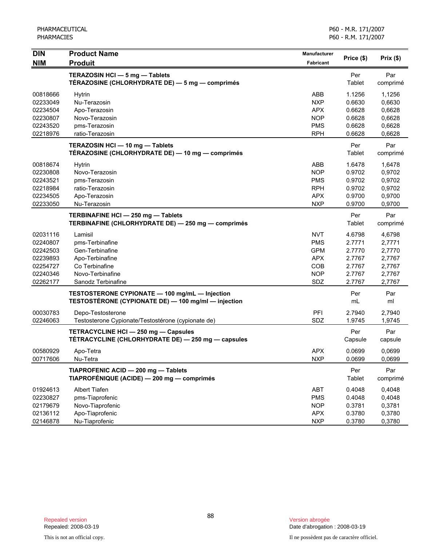| <b>DIN</b>           | <b>Product Name</b>                                                                                   | Manufacturer             | Price (\$)       | Prix(\$)         |
|----------------------|-------------------------------------------------------------------------------------------------------|--------------------------|------------------|------------------|
| <b>NIM</b>           | <b>Produit</b>                                                                                        | Fabricant                |                  |                  |
|                      | TERAZOSIN HCI - 5 mg - Tablets<br>TÉRAZOSINE (CHLORHYDRATE DE) - 5 mg - comprimés                     |                          | Per<br>Tablet    | Par<br>comprimé  |
| 00818666<br>02233049 | Hytrin<br>Nu-Terazosin                                                                                | ABB<br><b>NXP</b>        | 1.1256<br>0.6630 | 1,1256<br>0,6630 |
| 02234504<br>02230807 | Apo-Terazosin<br>Novo-Terazosin                                                                       | <b>APX</b><br><b>NOP</b> | 0.6628<br>0.6628 | 0,6628<br>0,6628 |
| 02243520             | pms-Terazosin                                                                                         | <b>PMS</b>               | 0.6628           | 0,6628           |
| 02218976             | ratio-Terazosin                                                                                       | <b>RPH</b>               | 0.6628           | 0,6628           |
|                      | TERAZOSIN HCI - 10 mg - Tablets<br>TÉRAZOSINE (CHLORHYDRATE DE) - 10 mg - comprimés                   |                          | Per<br>Tablet    | Par<br>comprimé  |
| 00818674<br>02230808 | Hytrin<br>Novo-Terazosin                                                                              | ABB<br><b>NOP</b>        | 1.6478<br>0.9702 | 1,6478<br>0,9702 |
| 02243521             | pms-Terazosin                                                                                         | <b>PMS</b>               | 0.9702           | 0,9702           |
| 02218984             | ratio-Terazosin                                                                                       | <b>RPH</b>               | 0.9702           | 0,9702           |
| 02234505             | Apo-Terazosin                                                                                         | <b>APX</b>               | 0.9700           | 0,9700           |
| 02233050             | Nu-Terazosin                                                                                          | <b>NXP</b>               | 0.9700           | 0,9700           |
|                      | TERBINAFINE HCI - 250 mg - Tablets<br>TERBINAFINE (CHLORHYDRATE DE) - 250 mg - comprimés              |                          | Per<br>Tablet    | Par<br>comprimé  |
| 02031116             | Lamisil                                                                                               | <b>NVT</b>               | 4.6798           | 4,6798           |
| 02240807             | pms-Terbinafine                                                                                       | <b>PMS</b>               | 2.7771           | 2,7771           |
| 02242503             | Gen-Terbinafine                                                                                       | <b>GPM</b>               | 2.7770           | 2,7770           |
| 02239893             | Apo-Terbinafine                                                                                       | <b>APX</b>               | 2.7767           | 2,7767           |
| 02254727             | Co Terbinafine                                                                                        | COB                      | 2.7767           | 2,7767           |
| 02240346             | Novo-Terbinafine                                                                                      | <b>NOP</b>               | 2.7767           | 2,7767           |
| 02262177             | Sanodz Terbinafine                                                                                    | SDZ                      | 2.7767           | 2,7767           |
|                      | TESTOSTERONE CYPIONATE - 100 mg/mL - Injection<br>TESTOSTÉRONE (CYPIONATE DE) - 100 mg/ml - injection |                          | Per<br>mL        | Par<br>ml        |
| 00030783             | Depo-Testosterone                                                                                     | PFI                      | 2.7940           | 2,7940           |
| 02246063             | Testosterone Cypionate/Testostérone (cypionate de)                                                    | SDZ                      | 1.9745           | 1,9745           |
|                      | TETRACYCLINE HCI - 250 mg - Capsules<br>TÉTRACYCLINE (CHLORHYDRATE DE) - 250 mg - capsules            |                          | Per<br>Capsule   | Par<br>capsule   |
| 00580929<br>00717606 | Apo-Tetra<br>Nu-Tetra                                                                                 | <b>APX</b><br><b>NXP</b> | 0.0699<br>0.0699 | 0,0699<br>0,0699 |
|                      | TIAPROFENIC ACID - 200 mg - Tablets<br>TIAPROFÉNIQUE (ACIDE) - 200 mg - comprimés                     |                          | Per<br>Tablet    | Par<br>comprimé  |
| 01924613             | Albert Tiafen                                                                                         | ABT                      | 0.4048           | 0,4048           |
| 02230827             | pms-Tiaprofenic                                                                                       | <b>PMS</b>               | 0.4048           | 0,4048           |
| 02179679             | Novo-Tiaprofenic                                                                                      | <b>NOP</b>               | 0.3781           | 0,3781           |
| 02136112             | Apo-Tiaprofenic                                                                                       | <b>APX</b>               | 0.3780           | 0,3780           |
| 02146878             | Nu-Tiaprofenic                                                                                        | <b>NXP</b>               | 0.3780           | 0,3780           |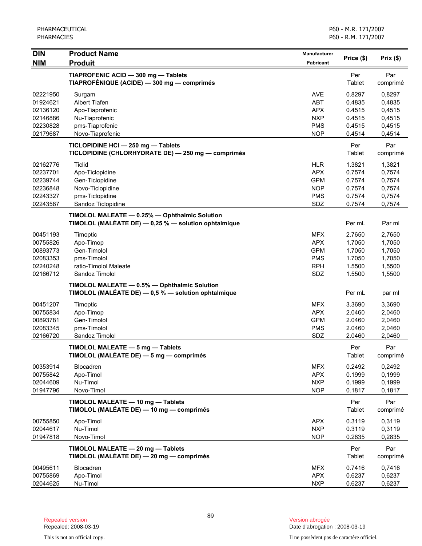| <b>DIN</b> | <b>Product Name</b>                                                                                   | Manufacturer     | Price (\$)           | Prix(\$)        |
|------------|-------------------------------------------------------------------------------------------------------|------------------|----------------------|-----------------|
| <b>NIM</b> | <b>Produit</b>                                                                                        | <b>Fabricant</b> |                      |                 |
|            | TIAPROFENIC ACID - 300 mg - Tablets<br>TIAPROFÉNIQUE (ACIDE) - 300 mg - comprimés                     |                  | Per<br><b>Tablet</b> | Par<br>comprimé |
| 02221950   | Surgam                                                                                                | <b>AVE</b>       | 0.8297               | 0,8297          |
| 01924621   | Albert Tiafen                                                                                         | <b>ABT</b>       | 0.4835               | 0,4835          |
| 02136120   | Apo-Tiaprofenic                                                                                       | <b>APX</b>       | 0.4515               | 0,4515          |
| 02146886   | Nu-Tiaprofenic                                                                                        | <b>NXP</b>       | 0.4515               | 0,4515          |
| 02230828   | pms-Tiaprofenic                                                                                       | <b>PMS</b>       | 0.4515               | 0,4515          |
| 02179687   | Novo-Tiaprofenic                                                                                      | <b>NOP</b>       | 0.4514               | 0,4514          |
|            | TICLOPIDINE HCI - 250 mg - Tablets<br>TICLOPIDINE (CHLORHYDRATE DE) - 250 mg - comprimés              |                  | Per<br>Tablet        | Par<br>comprimé |
| 02162776   | <b>Ticlid</b>                                                                                         | <b>HLR</b>       | 1.3821               | 1,3821          |
| 02237701   | Apo-Ticlopidine                                                                                       | <b>APX</b>       | 0.7574               | 0,7574          |
| 02239744   | Gen-Ticlopidine                                                                                       | <b>GPM</b>       | 0.7574               | 0,7574          |
| 02236848   | Novo-Ticlopidine                                                                                      | <b>NOP</b>       | 0.7574               | 0,7574          |
| 02243327   | pms-Ticlopidine                                                                                       | <b>PMS</b>       | 0.7574               | 0,7574          |
| 02243587   | Sandoz Ticlopidine                                                                                    | SDZ              | 0.7574               | 0,7574          |
|            | TIMOLOL MALEATE - 0.25% - Ophthalmic Solution<br>TIMOLOL (MALÉATE DE) - 0,25 % - solution ophtalmique |                  | Per mL               | Par ml          |
| 00451193   | Timoptic                                                                                              | <b>MFX</b>       | 2.7650               | 2,7650          |
| 00755826   | Apo-Timop                                                                                             | <b>APX</b>       | 1.7050               | 1,7050          |
| 00893773   | Gen-Timolol                                                                                           | <b>GPM</b>       | 1.7050               | 1,7050          |
| 02083353   | pms-Timolol                                                                                           | <b>PMS</b>       | 1.7050               | 1,7050          |
| 02240248   | ratio-Timolol Maleate                                                                                 | <b>RPH</b>       | 1.5500               | 1,5500          |
| 02166712   | Sandoz Timolol                                                                                        | SDZ              | 1.5500               | 1,5500          |
|            | TIMOLOL MALEATE - 0.5% - Ophthalmic Solution<br>TIMOLOL (MALÉATE DE) - 0,5 % - solution ophtalmique   |                  | Per mL               | par ml          |
| 00451207   | Timoptic                                                                                              | <b>MFX</b>       | 3.3690               | 3,3690          |
| 00755834   | Apo-Timop                                                                                             | <b>APX</b>       | 2.0460               | 2,0460          |
| 00893781   | Gen-Timolol                                                                                           | <b>GPM</b>       | 2.0460               | 2,0460          |
| 02083345   | pms-Timolol                                                                                           | <b>PMS</b>       | 2.0460               | 2,0460          |
| 02166720   | Sandoz Timolol                                                                                        | SDZ              | 2.0460               | 2,0460          |
|            | TIMOLOL MALEATE - 5 mg - Tablets<br>TIMOLOL (MALÉATE DE) - 5 mg - comprimés                           |                  | Per<br>Tablet        | Par<br>comprimé |
| 00353914   | Blocadren                                                                                             | <b>MFX</b>       | 0.2492               | 0,2492          |
| 00755842   | Apo-Timol                                                                                             | <b>APX</b>       | 0.1999               | 0,1999          |
| 02044609   | Nu-Timol                                                                                              | <b>NXP</b>       | 0.1999               | 0,1999          |
| 01947796   | Novo-Timol                                                                                            | <b>NOP</b>       | 0.1817               | 0,1817          |
|            | TIMOLOL MALEATE - 10 mg - Tablets<br>TIMOLOL (MALÉATE DE) — 10 mg — comprimés                         |                  | Per<br>Tablet        | Par<br>comprimé |
| 00755850   | Apo-Timol                                                                                             | <b>APX</b>       | 0.3119               | 0,3119          |
| 02044617   | Nu-Timol                                                                                              | <b>NXP</b>       | 0.3119               | 0,3119          |
| 01947818   | Novo-Timol                                                                                            | <b>NOP</b>       | 0.2835               | 0,2835          |
|            | TIMOLOL MALEATE - 20 mg - Tablets<br>TIMOLOL (MALÉATE DE) - 20 mg - comprimés                         |                  | Per<br>Tablet        | Par<br>comprimé |
| 00495611   | Blocadren                                                                                             | <b>MFX</b>       | 0.7416               | 0,7416          |
| 00755869   | Apo-Timol                                                                                             | <b>APX</b>       | 0.6237               | 0,6237          |
| 02044625   | Nu-Timol                                                                                              | <b>NXP</b>       | 0.6237               | 0,6237          |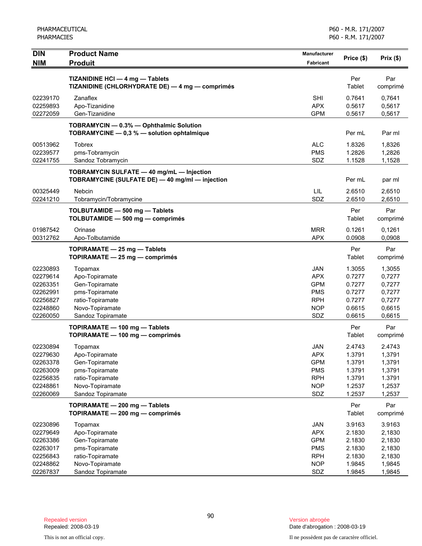| <b>DIN</b>                                                                       | <b>Product Name</b>                                                                                                       | Manufacturer                                                                            | Price (\$)                                                         | Prix(\$)                                                           |
|----------------------------------------------------------------------------------|---------------------------------------------------------------------------------------------------------------------------|-----------------------------------------------------------------------------------------|--------------------------------------------------------------------|--------------------------------------------------------------------|
| <b>NIM</b>                                                                       | <b>Produit</b>                                                                                                            | <b>Fabricant</b>                                                                        |                                                                    |                                                                    |
|                                                                                  | TIZANIDINE HCI - 4 mg - Tablets<br>TIZANIDINE (CHLORHYDRATE DE) - 4 mg - comprimés                                        |                                                                                         | Per<br>Tablet                                                      | Par<br>comprimé                                                    |
| 02239170<br>02259893<br>02272059                                                 | Zanaflex<br>Apo-Tizanidine<br>Gen-Tizanidine                                                                              | <b>SHI</b><br><b>APX</b><br><b>GPM</b>                                                  | 0.7641<br>0.5617<br>0.5617                                         | 0,7641<br>0,5617<br>0,5617                                         |
|                                                                                  | TOBRAMYCIN - 0.3% - Ophthalmic Solution<br>TOBRAMYCINE - 0,3 % - solution ophtalmique                                     |                                                                                         | Per mL                                                             | Par ml                                                             |
| 00513962<br>02239577<br>02241755                                                 | <b>Tobrex</b><br>pms-Tobramycin<br>Sandoz Tobramycin                                                                      | <b>ALC</b><br><b>PMS</b><br>SDZ                                                         | 1.8326<br>1.2826<br>1.1528                                         | 1,8326<br>1,2826<br>1,1528                                         |
|                                                                                  | TOBRAMYCIN SULFATE - 40 mg/mL - Injection<br>TOBRAMYCINE (SULFATE DE) - 40 mg/ml - injection                              |                                                                                         | Per mL                                                             | par ml                                                             |
| 00325449<br>02241210                                                             | Nebcin<br>Tobramycin/Tobramycine                                                                                          | LIL<br>SDZ                                                                              | 2.6510<br>2.6510                                                   | 2,6510<br>2,6510                                                   |
|                                                                                  | TOLBUTAMIDE - 500 mg - Tablets<br>TOLBUTAMIDE - 500 mg - comprimés                                                        |                                                                                         | Per<br>Tablet                                                      | Par<br>comprimé                                                    |
| 01987542<br>00312762                                                             | Orinase<br>Apo-Tolbutamide                                                                                                | <b>MRR</b><br><b>APX</b>                                                                | 0.1261<br>0.0908                                                   | 0,1261<br>0,0908                                                   |
|                                                                                  | TOPIRAMATE - 25 mg - Tablets<br>TOPIRAMATE - 25 mg - comprimés                                                            |                                                                                         | Per<br>Tablet                                                      | Par<br>comprimé                                                    |
| 02230893<br>02279614<br>02263351<br>02262991<br>02256827<br>02248860<br>02260050 | Topamax<br>Apo-Topiramate<br>Gen-Topiramate<br>pms-Topiramate<br>ratio-Topiramate<br>Novo-Topiramate<br>Sandoz Topiramate | <b>JAN</b><br><b>APX</b><br><b>GPM</b><br><b>PMS</b><br><b>RPH</b><br><b>NOP</b><br>SDZ | 1.3055<br>0.7277<br>0.7277<br>0.7277<br>0.7277<br>0.6615<br>0.6615 | 1,3055<br>0,7277<br>0,7277<br>0,7277<br>0,7277<br>0,6615<br>0,6615 |
|                                                                                  | TOPIRAMATE - 100 mg - Tablets<br>TOPIRAMATE - 100 mg - comprimés                                                          |                                                                                         | Per<br>Tablet                                                      | Par<br>comprimé                                                    |
| 02230894<br>02279630<br>02263378<br>02263009<br>02256835<br>02248861<br>02260069 | Topamax<br>Apo-Topiramate<br>Gen-Topiramate<br>pms-Topiramate<br>ratio-Topiramate<br>Novo-Topiramate<br>Sandoz Topiramate | <b>JAN</b><br><b>APX</b><br><b>GPM</b><br><b>PMS</b><br><b>RPH</b><br><b>NOP</b><br>SDZ | 2.4743<br>1.3791<br>1.3791<br>1.3791<br>1.3791<br>1.2537<br>1.2537 | 2.4743<br>1,3791<br>1,3791<br>1,3791<br>1.3791<br>1,2537<br>1,2537 |
|                                                                                  | TOPIRAMATE - 200 mg - Tablets<br>TOPIRAMATE - 200 mg - comprimés                                                          |                                                                                         | Per<br>Tablet                                                      | Par<br>comprimé                                                    |
| 02230896<br>02279649<br>02263386<br>02263017<br>02256843<br>02248862             | Topamax<br>Apo-Topiramate<br>Gen-Topiramate<br>pms-Topiramate<br>ratio-Topiramate<br>Novo-Topiramate                      | JAN<br><b>APX</b><br><b>GPM</b><br><b>PMS</b><br><b>RPH</b><br><b>NOP</b>               | 3.9163<br>2.1830<br>2.1830<br>2.1830<br>2.1830<br>1.9845           | 3.9163<br>2,1830<br>2,1830<br>2,1830<br>2,1830<br>1,9845           |
| 02267837                                                                         | Sandoz Topiramate                                                                                                         | SDZ                                                                                     | 1.9845                                                             | 1,9845                                                             |

Date d'abrogation : 2008-03-19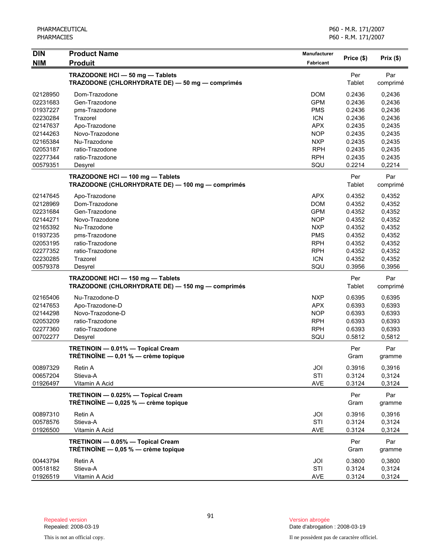| <b>DIN</b> | <b>Product Name</b>                                                                  | <b>Manufacturer</b> | Price (\$)    | Prix(\$)        |
|------------|--------------------------------------------------------------------------------------|---------------------|---------------|-----------------|
| <b>NIM</b> | <b>Produit</b>                                                                       | <b>Fabricant</b>    |               |                 |
|            | TRAZODONE HCI - 50 mg - Tablets<br>TRAZODONE (CHLORHYDRATE DE) - 50 mg - comprimés   |                     | Per<br>Tablet | Par<br>comprimé |
| 02128950   | Dom-Trazodone                                                                        | <b>DOM</b>          | 0.2436        | 0,2436          |
| 02231683   | Gen-Trazodone                                                                        | <b>GPM</b>          | 0.2436        | 0,2436          |
| 01937227   | pms-Trazodone                                                                        | <b>PMS</b>          | 0.2436        | 0,2436          |
| 02230284   | Trazorel                                                                             | <b>ICN</b>          | 0.2436        | 0,2436          |
| 02147637   | Apo-Trazodone                                                                        | <b>APX</b>          | 0.2435        | 0,2435          |
| 02144263   | Novo-Trazodone                                                                       | <b>NOP</b>          | 0.2435        | 0,2435          |
| 02165384   | Nu-Trazodone                                                                         | <b>NXP</b>          | 0.2435        | 0,2435          |
| 02053187   | ratio-Trazodone                                                                      | <b>RPH</b>          | 0.2435        | 0,2435          |
| 02277344   | ratio-Trazodone                                                                      | <b>RPH</b>          | 0.2435        | 0.2435          |
| 00579351   | Desyrel                                                                              | SQU                 | 0.2214        | 0,2214          |
|            | TRAZODONE HCI - 100 mg - Tablets<br>TRAZODONE (CHLORHYDRATE DE) - 100 mg - comprimés |                     | Per<br>Tablet | Par<br>comprimé |
| 02147645   | Apo-Trazodone                                                                        | <b>APX</b>          | 0.4352        | 0,4352          |
| 02128969   | Dom-Trazodone                                                                        | <b>DOM</b>          | 0.4352        | 0,4352          |
| 02231684   | Gen-Trazodone                                                                        | <b>GPM</b>          | 0.4352        | 0,4352          |
| 02144271   | Novo-Trazodone                                                                       | <b>NOP</b>          | 0.4352        | 0,4352          |
| 02165392   | Nu-Trazodone                                                                         | <b>NXP</b>          | 0.4352        | 0,4352          |
| 01937235   | pms-Trazodone                                                                        | <b>PMS</b>          | 0.4352        | 0,4352          |
| 02053195   | ratio-Trazodone                                                                      | <b>RPH</b>          | 0.4352        | 0,4352          |
| 02277352   | ratio-Trazodone                                                                      | <b>RPH</b>          | 0.4352        | 0,4352          |
| 02230285   | Trazorel                                                                             | <b>ICN</b>          | 0.4352        | 0,4352          |
| 00579378   | Desyrel                                                                              | SQU                 | 0.3956        | 0,3956          |
|            | TRAZODONE HCI - 150 mg - Tablets<br>TRAZODONE (CHLORHYDRATE DE) - 150 mg - comprimés |                     | Per<br>Tablet | Par<br>comprimé |
| 02165406   | Nu-Trazodone-D                                                                       | <b>NXP</b>          | 0.6395        | 0,6395          |
| 02147653   | Apo-Trazodone-D                                                                      | <b>APX</b>          | 0.6393        | 0,6393          |
| 02144298   | Novo-Trazodone-D                                                                     | <b>NOP</b>          | 0.6393        | 0,6393          |
| 02053209   | ratio-Trazodone                                                                      | <b>RPH</b>          | 0.6393        | 0,6393          |
| 02277360   | ratio-Trazodone                                                                      | <b>RPH</b>          | 0.6393        | 0,6393          |
| 00702277   | Desyrel                                                                              | SQU                 | 0.5812        | 0,5812          |
|            | TRETINOIN - 0.01% - Topical Cream<br>TRÉTINOÏNE - 0,01 % - crème topique             |                     | Per<br>Gram   | Par<br>gramme   |
| 00897329   | Retin A                                                                              | JOI                 | 0.3916        | 0,3916          |
| 00657204   | Stieva-A                                                                             | STI                 | 0.3124        | 0,3124          |
| 01926497   | Vitamin A Acid                                                                       | <b>AVE</b>          | 0.3124        | 0,3124          |
|            | TRETINOIN - 0.025% - Topical Cream<br>TRÉTINOÏNE - 0,025 % - crème topique           |                     | Per<br>Gram   | Par<br>gramme   |
| 00897310   | <b>Retin A</b>                                                                       | JOI                 | 0.3916        | 0,3916          |
| 00578576   | Stieva-A                                                                             | STI                 | 0.3124        | 0,3124          |
| 01926500   | Vitamin A Acid                                                                       | <b>AVE</b>          | 0.3124        | 0,3124          |
|            |                                                                                      |                     |               |                 |
|            | TRETINOIN - 0.05% - Topical Cream<br>TRÉTINOÏNE $-$ 0,05 % $-$ crème topique         |                     | Per<br>Gram   | Par<br>gramme   |
| 00443794   | Retin A                                                                              | JOI                 | 0.3800        | 0,3800          |
| 00518182   | Stieva-A                                                                             | STI                 | 0.3124        | 0,3124          |
| 01926519   | Vitamin A Acid                                                                       | <b>AVE</b>          | 0.3124        | 0,3124          |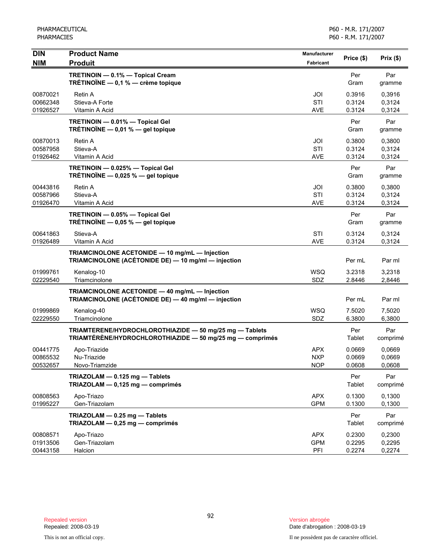| <b>DIN</b>           | <b>Product Name</b>                                                                                                  | Manufacturer | Price (\$)           | Prix(\$)         |
|----------------------|----------------------------------------------------------------------------------------------------------------------|--------------|----------------------|------------------|
| <b>NIM</b>           | <b>Produit</b>                                                                                                       | Fabricant    |                      |                  |
|                      | TRETINOIN - 0.1% - Topical Cream<br>TRÉTINOÏNE - 0,1 % - crème topique                                               |              | Per<br>Gram          | Par<br>gramme    |
| 00870021             | <b>Retin A</b>                                                                                                       | JOI          | 0.3916               | 0,3916           |
| 00662348             | Stieva-A Forte                                                                                                       | STI          | 0.3124               | 0,3124           |
| 01926527             | Vitamin A Acid                                                                                                       | <b>AVE</b>   | 0.3124               | 0,3124           |
|                      | TRETINOIN - 0.01% - Topical Gel<br>TRÉTINOÏNE $-$ 0,01 % $-$ gel topique                                             |              | Per<br>Gram          | Par<br>gramme    |
| 00870013             | <b>Retin A</b>                                                                                                       | JOI          | 0.3800               | 0,3800           |
| 00587958             | Stieva-A                                                                                                             | STI          | 0.3124               | 0,3124           |
| 01926462             | Vitamin A Acid                                                                                                       | <b>AVE</b>   | 0.3124               | 0,3124           |
|                      | TRETINOIN - 0.025% - Topical Gel<br>TRÉTINOÏNE $-$ 0,025 % $-$ gel topique                                           |              | Per<br>Gram          | Par<br>gramme    |
|                      |                                                                                                                      |              |                      |                  |
| 00443816<br>00587966 | Retin A<br>Stieva-A                                                                                                  | JOI<br>STI   | 0.3800<br>0.3124     | 0,3800<br>0,3124 |
| 01926470             | Vitamin A Acid                                                                                                       | <b>AVE</b>   | 0.3124               | 0,3124           |
|                      | TRETINOIN - 0.05% - Topical Gel                                                                                      |              | Per                  | Par              |
|                      | TRÉTINOÏNE - 0,05 % - gel topique                                                                                    |              | Gram                 | gramme           |
| 00641863             | Stieva-A                                                                                                             | STI          | 0.3124               | 0,3124           |
| 01926489             | Vitamin A Acid                                                                                                       | <b>AVE</b>   | 0.3124               | 0,3124           |
|                      | TRIAMCINOLONE ACETONIDE - 10 mg/mL - Injection<br>TRIAMCINOLONE (ACÉTONIDE DE) - 10 mg/ml - injection                |              | Per mL               | Par ml           |
| 01999761             | Kenalog-10                                                                                                           | <b>WSQ</b>   | 3.2318               | 3,2318           |
| 02229540             | Triamcinolone                                                                                                        | SDZ          | 2.8446               | 2,8446           |
|                      | TRIAMCINOLONE ACETONIDE - 40 mg/mL - Injection<br>TRIAMCINOLONE (ACÉTONIDE DE) - 40 mg/ml - injection                |              | Per mL               | Par ml           |
| 01999869             | Kenalog-40                                                                                                           | <b>WSQ</b>   | 7.5020               | 7,5020           |
| 02229550             | Triamcinolone                                                                                                        | SDZ          | 6.3800               | 6,3800           |
|                      | TRIAMTERENE/HYDROCHLOROTHIAZIDE - 50 mg/25 mg - Tablets<br>TRIAMTÉRÈNE/HYDROCHLOROTHIAZIDE - 50 mg/25 mg - comprimés |              | Per<br>Tablet        | Par<br>comprimé  |
| 00441775             | Apo-Triazide                                                                                                         | <b>APX</b>   | 0.0669               | 0.0669           |
| 00865532             | Nu-Triazide                                                                                                          | <b>NXP</b>   | 0.0669               | 0,0669           |
| 00532657             | Novo-Triamzide                                                                                                       | <b>NOP</b>   | 0.0608               | 0,0608           |
|                      | TRIAZOLAM - 0.125 mg - Tablets<br>TRIAZOLAM - 0,125 mg - comprimés                                                   |              | Per<br><b>Tablet</b> | Par<br>comprimé  |
| 00808563             | Apo-Triazo                                                                                                           | <b>APX</b>   | 0.1300               | 0,1300           |
| 01995227             | Gen-Triazolam                                                                                                        | <b>GPM</b>   | 0.1300               | 0,1300           |
|                      | TRIAZOLAM - 0.25 mg - Tablets<br>TRIAZOLAM - 0,25 mg - comprimés                                                     |              | Per<br><b>Tablet</b> | Par<br>comprimé  |
| 00808571             | Apo-Triazo                                                                                                           | <b>APX</b>   | 0.2300               | 0,2300           |
| 01913506             | Gen-Triazolam                                                                                                        | <b>GPM</b>   | 0.2295               | 0,2295           |
| 00443158             | Halcion                                                                                                              | PFI          | 0.2274               | 0,2274           |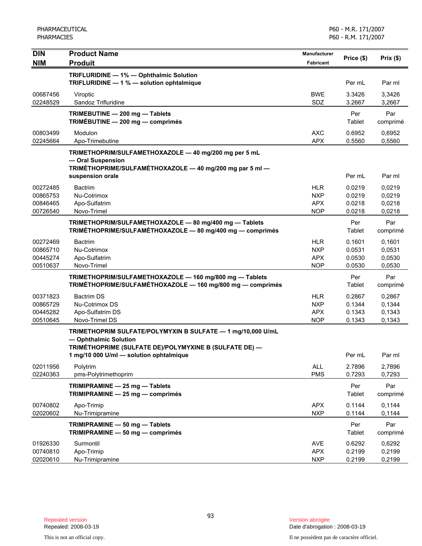| <b>DIN</b>           | <b>Product Name</b>                                                                                                   | <b>Manufacturer</b>      | Price (\$)           |                  |
|----------------------|-----------------------------------------------------------------------------------------------------------------------|--------------------------|----------------------|------------------|
| <b>NIM</b>           | <b>Produit</b>                                                                                                        | <b>Fabricant</b>         |                      | Prix(\$)         |
|                      | TRIFLURIDINE - 1% - Ophthalmic Solution                                                                               |                          |                      |                  |
|                      | TRIFLURIDINE - 1 % - solution ophtalmique                                                                             |                          | Per mL               | Par ml           |
| 00687456             | Viroptic                                                                                                              | <b>BWE</b>               | 3.3426               | 3,3426           |
| 02248529             | Sandoz Trifluridine                                                                                                   | SDZ                      | 3.2667               | 3,2667           |
|                      | TRIMEBUTINE - 200 mg - Tablets                                                                                        |                          | Per                  | Par              |
|                      | TRIMEBUTINE - 200 mg - comprimés                                                                                      |                          | Tablet               | comprimé         |
| 00803499             | Modulon                                                                                                               | <b>AXC</b>               | 0.6952               | 0,6952           |
| 02245664             | Apo-Trimebutine                                                                                                       | <b>APX</b>               | 0.5560               | 0,5560           |
|                      | TRIMETHOPRIM/SULFAMETHOXAZOLE - 40 mg/200 mg per 5 mL                                                                 |                          |                      |                  |
|                      | - Oral Suspension<br>TRIMÉTHOPRIME/SULFAMÉTHOXAZOLE - 40 mg/200 mg par 5 ml -                                         |                          |                      |                  |
|                      | suspension orale                                                                                                      |                          | Per mL               | Par ml           |
| 00272485             | <b>Bactrim</b>                                                                                                        | <b>HLR</b>               | 0.0219               | 0,0219           |
| 00865753             | Nu-Cotrimox                                                                                                           | <b>NXP</b>               | 0.0219               | 0,0219           |
| 00846465             | Apo-Sulfatrim                                                                                                         | <b>APX</b>               | 0.0218               | 0,0218           |
| 00726540             | Novo-Trimel                                                                                                           | <b>NOP</b>               | 0.0218               | 0,0218           |
|                      | TRIMETHOPRIM/SULFAMETHOXAZOLE - 80 mg/400 mg - Tablets                                                                |                          | Per                  | Par              |
|                      | TRIMÉTHOPRIME/SULFAMÉTHOXAZOLE - 80 mg/400 mg - comprimés                                                             |                          | Tablet               | comprimé         |
| 00272469             | <b>Bactrim</b>                                                                                                        | <b>HLR</b>               | 0.1601               | 0,1601           |
| 00865710             | Nu-Cotrimox                                                                                                           | <b>NXP</b>               | 0.0531               | 0,0531           |
| 00445274<br>00510637 | Apo-Sulfatrim<br>Novo-Trimel                                                                                          | <b>APX</b><br><b>NOP</b> | 0.0530<br>0.0530     | 0,0530<br>0,0530 |
|                      |                                                                                                                       |                          |                      |                  |
|                      | TRIMETHOPRIM/SULFAMETHOXAZOLE - 160 mg/800 mg - Tablets<br>TRIMÉTHOPRIME/SULFAMÉTHOXAZOLE - 160 mg/800 mg - comprimés |                          | Per<br>Tablet        | Par<br>comprimé  |
|                      |                                                                                                                       | <b>HLR</b>               | 0.2867               |                  |
| 00371823<br>00865729 | <b>Bactrim DS</b><br>Nu-Cotrimox DS                                                                                   | <b>NXP</b>               | 0.1344               | 0,2867<br>0,1344 |
| 00445282             | Apo-Sulfatrim DS                                                                                                      | <b>APX</b>               | 0.1343               | 0,1343           |
| 00510645             | Novo-Trimel DS                                                                                                        | <b>NOP</b>               | 0.1343               | 0.1343           |
|                      | TRIMETHOPRIM SULFATE/POLYMYXIN B SULFATE - 1 mg/10,000 U/mL                                                           |                          |                      |                  |
|                      | - Ophthalmic Solution                                                                                                 |                          |                      |                  |
|                      | TRIMÉTHOPRIME (SULFATE DE)/POLYMYXINE B (SULFATE DE) -                                                                |                          |                      |                  |
|                      | 1 mg/10 000 U/ml - solution ophtalmique                                                                               |                          | Per mL               | Par ml           |
| 02011956<br>02240363 | Polytrim<br>pms-Polytrimethoprim                                                                                      | <b>ALL</b><br><b>PMS</b> | 2.7896<br>0.7293     | 2,7896<br>0,7293 |
|                      |                                                                                                                       |                          |                      |                  |
|                      | TRIMIPRAMINE - 25 mg - Tablets                                                                                        |                          | Per                  | Par              |
|                      | TRIMIPRAMINE - 25 mg - comprimés                                                                                      |                          | <b>Tablet</b>        | comprimé         |
| 00740802<br>02020602 | Apo-Trimip<br>Nu-Trimipramine                                                                                         | <b>APX</b><br><b>NXP</b> | 0.1144<br>0.1144     | 0,1144<br>0,1144 |
|                      |                                                                                                                       |                          |                      |                  |
|                      | TRIMIPRAMINE - 50 mg - Tablets<br>TRIMIPRAMINE - 50 mg - comprimés                                                    |                          | Per<br><b>Tablet</b> | Par<br>comprimé  |
|                      |                                                                                                                       |                          |                      |                  |
| 01926330<br>00740810 | Surmontil<br>Apo-Trimip                                                                                               | <b>AVE</b><br><b>APX</b> | 0.6292<br>0.2199     | 0,6292<br>0,2199 |
| 02020610             | Nu-Trimipramine                                                                                                       | <b>NXP</b>               | 0.2199               | 0,2199           |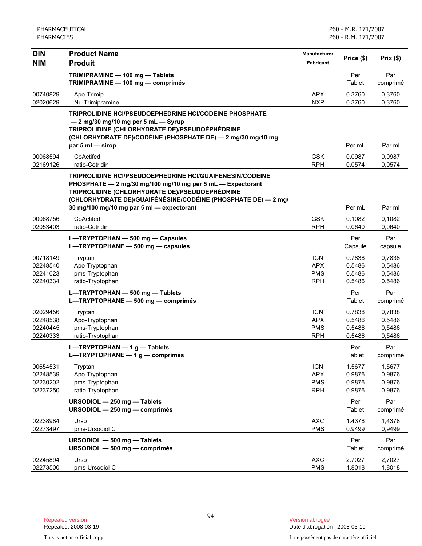| <b>DIN</b>                                   | <b>Product Name</b>                                                                                                                                                                                                                                                                           | <b>Manufacturer</b>                                  | Price (\$)                           | Prix(\$)                             |
|----------------------------------------------|-----------------------------------------------------------------------------------------------------------------------------------------------------------------------------------------------------------------------------------------------------------------------------------------------|------------------------------------------------------|--------------------------------------|--------------------------------------|
| <b>NIM</b>                                   | <b>Produit</b>                                                                                                                                                                                                                                                                                | <b>Fabricant</b>                                     |                                      |                                      |
|                                              | TRIMIPRAMINE - 100 mg - Tablets<br>TRIMIPRAMINE - 100 mg - comprimés                                                                                                                                                                                                                          |                                                      | Per<br>Tablet                        | Par<br>comprimé                      |
| 00740829<br>02020629                         | Apo-Trimip<br>Nu-Trimipramine                                                                                                                                                                                                                                                                 | <b>APX</b><br><b>NXP</b>                             | 0.3760<br>0.3760                     | 0,3760<br>0,3760                     |
|                                              | TRIPROLIDINE HCI/PSEUDOEPHEDRINE HCI/CODEINE PHOSPHATE<br>$-2$ mg/30 mg/10 mg per 5 mL $-$ Syrup<br>TRIPROLIDINE (CHLORHYDRATE DE)/PSEUDOÉPHÉDRINE<br>(CHLORHYDRATE DE)/CODÉINE (PHOSPHATE DE) — 2 mg/30 mg/10 mg<br>par 5 ml - sirop                                                         |                                                      | Per mL                               | Par ml                               |
| 00068594<br>02169126                         | CoActifed<br>ratio-Cotridin                                                                                                                                                                                                                                                                   | <b>GSK</b><br><b>RPH</b>                             | 0.0987<br>0.0574                     | 0,0987<br>0,0574                     |
|                                              | <b>TRIPROLIDINE HCI/PSEUDOEPHEDRINE HCI/GUAIFENESIN/CODEINE</b><br>PHOSPHATE - 2 mg/30 mg/100 mg/10 mg per 5 mL - Expectorant<br>TRIPROLIDINE (CHLORHYDRATE DE)/PSEUDOÉPHÉDRINE<br>(CHLORHYDRATE DE)/GUAIFÉNÉSINE/CODÉINE (PHOSPHATE DE) - 2 mg/<br>30 mg/100 mg/10 mg par 5 ml - expectorant |                                                      | Per mL                               | Par ml                               |
| 00068756<br>02053403                         | CoActifed<br>ratio-Cotridin                                                                                                                                                                                                                                                                   | <b>GSK</b><br><b>RPH</b>                             | 0.1082<br>0.0640                     | 0,1082<br>0,0640                     |
|                                              | L-TRYPTOPHAN - 500 mg - Capsules<br>L-TRYPTOPHANE - 500 mg - capsules                                                                                                                                                                                                                         |                                                      | Per<br>Capsule                       | Par<br>capsule                       |
| 00718149<br>02248540<br>02241023<br>02240334 | Tryptan<br>Apo-Tryptophan<br>pms-Tryptophan<br>ratio-Tryptophan                                                                                                                                                                                                                               | <b>ICN</b><br><b>APX</b><br><b>PMS</b><br><b>RPH</b> | 0.7838<br>0.5486<br>0.5486<br>0.5486 | 0,7838<br>0,5486<br>0,5486<br>0,5486 |
|                                              | L-TRYPTOPHAN - 500 mg - Tablets<br>L-TRYPTOPHANE - 500 mg - comprimés                                                                                                                                                                                                                         |                                                      | Per<br>Tablet                        | Par<br>comprimé                      |
| 02029456<br>02248538<br>02240445<br>02240333 | Tryptan<br>Apo-Tryptophan<br>pms-Tryptophan<br>ratio-Tryptophan                                                                                                                                                                                                                               | <b>ICN</b><br><b>APX</b><br><b>PMS</b><br><b>RPH</b> | 0.7838<br>0.5486<br>0.5486<br>0.5486 | 0,7838<br>0,5486<br>0,5486<br>0,5486 |
|                                              | $L = TRYPTOPHAN - 1 g - Tables$<br>L-TRYPTOPHANE $-1$ g $-$ comprimés                                                                                                                                                                                                                         |                                                      | Per<br>Tablet                        | Par<br>comprimé                      |
| 00654531<br>02248539<br>02230202<br>02237250 | Tryptan<br>Apo-Tryptophan<br>pms-Tryptophan<br>ratio-Tryptophan                                                                                                                                                                                                                               | <b>ICN</b><br><b>APX</b><br><b>PMS</b><br><b>RPH</b> | 1.5677<br>0.9876<br>0.9876<br>0.9876 | 1,5677<br>0,9876<br>0,9876<br>0,9876 |
|                                              | URSODIOL - 250 mg - Tablets<br>URSODIOL - 250 mg - comprimés                                                                                                                                                                                                                                  |                                                      | Per<br>Tablet                        | Par<br>comprimé                      |
| 02238984<br>02273497                         | Urso<br>pms-Ursodiol C                                                                                                                                                                                                                                                                        | <b>AXC</b><br><b>PMS</b>                             | 1.4378<br>0.9499                     | 1,4378<br>0,9499                     |
|                                              | URSODIOL - 500 mg - Tablets<br>URSODIOL - 500 mg - comprimés                                                                                                                                                                                                                                  |                                                      | Per<br>Tablet                        | Par<br>comprimé                      |
| 02245894<br>02273500                         | Urso<br>pms-Ursodiol C                                                                                                                                                                                                                                                                        | <b>AXC</b><br><b>PMS</b>                             | 2.7027<br>1.8018                     | 2,7027<br>1,8018                     |

Date d'abrogation : 2008-03-19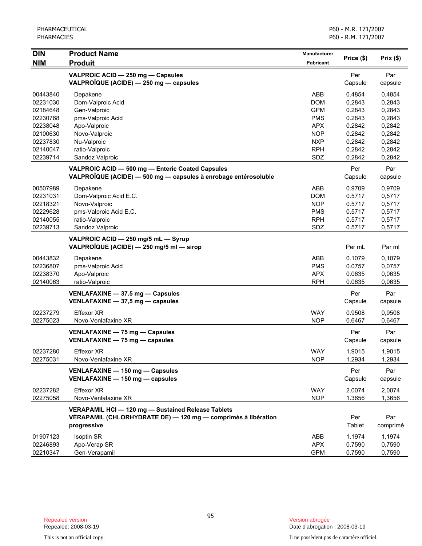| <b>NIM</b><br><b>Produit</b><br>Fabricant<br>VALPROIC ACID - 250 mg - Capsules<br>Par<br>Per<br>VALPROÏQUE (ACIDE) - 250 mg - capsules<br>Capsule<br>capsule<br>ABB<br>00443840<br>Depakene<br>0.4854<br>0,4854<br><b>DOM</b><br>02231030<br>Dom-Valproic Acid<br>0.2843<br>0,2843<br><b>GPM</b><br>0.2843<br>0,2843<br>02184648<br>Gen-Valproic<br>02230768<br>pms-Valproic Acid<br><b>PMS</b><br>0.2843<br>0,2843<br>02238048<br><b>APX</b><br>0.2842<br>0,2842<br>Apo-Valproic<br>Novo-Valproic<br><b>NOP</b><br>0.2842<br>0,2842<br>02100630<br>Nu-Valproic<br><b>NXP</b><br>0.2842<br>0,2842<br>02237830<br>02140047<br>ratio-Valproic<br><b>RPH</b><br>0.2842<br>0,2842<br>SDZ<br>02239714<br>Sandoz Valproic<br>0.2842<br>0,2842<br>Par<br>VALPROIC ACID - 500 mg - Enteric Coated Capsules<br>Per<br>VALPROÏQUE (ACIDE) - 500 mg - capsules à enrobage entérosoluble<br>Capsule<br>capsule<br>ABB<br>00507989<br>Depakene<br>0.9709<br>0,9709<br><b>DOM</b><br>02231031<br>Dom-Valproic Acid E.C.<br>0.5717<br>0,5717<br><b>NOP</b><br>02218321<br>Novo-Valproic<br>0.5717<br>0,5717<br><b>PMS</b><br>02229628<br>pms-Valproic Acid E.C.<br>0.5717<br>0,5717<br><b>RPH</b><br>02140055<br>ratio-Valproic<br>0.5717<br>0,5717<br>02239713<br>Sandoz Valproic<br><b>SDZ</b><br>0.5717<br>0,5717<br>VALPROIC ACID - 250 mg/5 mL - Syrup<br>VALPROÏQUE (ACIDE) - 250 mg/5 ml - sirop<br>Per mL<br>Par ml<br>ABB<br>00443832<br>Depakene<br>0.1079<br>0,1079<br><b>PMS</b><br>02236807<br>pms-Valproic Acid<br>0.0757<br>0,0757<br>02238370<br>Apo-Valproic<br><b>APX</b><br>0.0635<br>0,0635<br><b>RPH</b><br>0.0635<br>02140063<br>ratio-Valproic<br>0,0635<br>Per<br>Par<br>VENLAFAXINE - 37.5 mg - Capsules<br>VENLAFAXINE - 37,5 mg - capsules<br>Capsule<br>capsule<br><b>WAY</b><br>02237279<br><b>Effexor XR</b><br>0.9508<br>0,9508<br><b>NOP</b><br>02275023<br>Novo-Venlafaxine XR<br>0.6467<br>0,6467<br>Per<br>Par<br>VENLAFAXINE - 75 mg - Capsules<br>VENLAFAXINE - 75 mg - capsules<br>Capsule<br>capsule<br><b>WAY</b><br>02237280<br><b>Effexor XR</b><br>1.9015<br>1,9015<br>02275031<br>Novo-Venlafaxine XR<br><b>NOP</b><br>1.2934<br>1,2934<br>Per<br>Par<br>VENLAFAXINE - 150 mg - Capsules<br>VENLAFAXINE - 150 mg - capsules<br>Capsule<br>capsule<br>Effexor XR<br><b>WAY</b><br>02237282<br>2.0074<br>2,0074<br><b>NOP</b><br>02275058<br>Novo-Venlafaxine XR<br>1.3656<br>1,3656<br>VERAPAMIL HCI - 120 mg - Sustained Release Tablets<br>Per<br>VERAPAMIL (CHLORHYDRATE DE) - 120 mg - comprimés à libération<br>Par<br>Tablet<br>progressive<br>comprimé<br>Isoptin SR<br>01907123<br>ABB<br>1.1974<br>1,1974<br>02246893<br>Apo-Verap SR<br><b>APX</b><br>0.7590<br>0,7590 | <b>DIN</b> | <b>Product Name</b> |            |            |          |
|--------------------------------------------------------------------------------------------------------------------------------------------------------------------------------------------------------------------------------------------------------------------------------------------------------------------------------------------------------------------------------------------------------------------------------------------------------------------------------------------------------------------------------------------------------------------------------------------------------------------------------------------------------------------------------------------------------------------------------------------------------------------------------------------------------------------------------------------------------------------------------------------------------------------------------------------------------------------------------------------------------------------------------------------------------------------------------------------------------------------------------------------------------------------------------------------------------------------------------------------------------------------------------------------------------------------------------------------------------------------------------------------------------------------------------------------------------------------------------------------------------------------------------------------------------------------------------------------------------------------------------------------------------------------------------------------------------------------------------------------------------------------------------------------------------------------------------------------------------------------------------------------------------------------------------------------------------------------------------------------------------------------------------------------------------------------------------------------------------------------------------------------------------------------------------------------------------------------------------------------------------------------------------------------------------------------------------------------------------------------------------------------------------------------------------------------------------------------------------------------------------------------------------------------------------------------------------------------------------------------------------------------------------------------------------------------------------------|------------|---------------------|------------|------------|----------|
|                                                                                                                                                                                                                                                                                                                                                                                                                                                                                                                                                                                                                                                                                                                                                                                                                                                                                                                                                                                                                                                                                                                                                                                                                                                                                                                                                                                                                                                                                                                                                                                                                                                                                                                                                                                                                                                                                                                                                                                                                                                                                                                                                                                                                                                                                                                                                                                                                                                                                                                                                                                                                                                                                                              |            |                     |            | Price (\$) | Prix(\$) |
|                                                                                                                                                                                                                                                                                                                                                                                                                                                                                                                                                                                                                                                                                                                                                                                                                                                                                                                                                                                                                                                                                                                                                                                                                                                                                                                                                                                                                                                                                                                                                                                                                                                                                                                                                                                                                                                                                                                                                                                                                                                                                                                                                                                                                                                                                                                                                                                                                                                                                                                                                                                                                                                                                                              |            |                     |            |            |          |
|                                                                                                                                                                                                                                                                                                                                                                                                                                                                                                                                                                                                                                                                                                                                                                                                                                                                                                                                                                                                                                                                                                                                                                                                                                                                                                                                                                                                                                                                                                                                                                                                                                                                                                                                                                                                                                                                                                                                                                                                                                                                                                                                                                                                                                                                                                                                                                                                                                                                                                                                                                                                                                                                                                              |            |                     |            |            |          |
|                                                                                                                                                                                                                                                                                                                                                                                                                                                                                                                                                                                                                                                                                                                                                                                                                                                                                                                                                                                                                                                                                                                                                                                                                                                                                                                                                                                                                                                                                                                                                                                                                                                                                                                                                                                                                                                                                                                                                                                                                                                                                                                                                                                                                                                                                                                                                                                                                                                                                                                                                                                                                                                                                                              |            |                     |            |            |          |
|                                                                                                                                                                                                                                                                                                                                                                                                                                                                                                                                                                                                                                                                                                                                                                                                                                                                                                                                                                                                                                                                                                                                                                                                                                                                                                                                                                                                                                                                                                                                                                                                                                                                                                                                                                                                                                                                                                                                                                                                                                                                                                                                                                                                                                                                                                                                                                                                                                                                                                                                                                                                                                                                                                              |            |                     |            |            |          |
|                                                                                                                                                                                                                                                                                                                                                                                                                                                                                                                                                                                                                                                                                                                                                                                                                                                                                                                                                                                                                                                                                                                                                                                                                                                                                                                                                                                                                                                                                                                                                                                                                                                                                                                                                                                                                                                                                                                                                                                                                                                                                                                                                                                                                                                                                                                                                                                                                                                                                                                                                                                                                                                                                                              |            |                     |            |            |          |
|                                                                                                                                                                                                                                                                                                                                                                                                                                                                                                                                                                                                                                                                                                                                                                                                                                                                                                                                                                                                                                                                                                                                                                                                                                                                                                                                                                                                                                                                                                                                                                                                                                                                                                                                                                                                                                                                                                                                                                                                                                                                                                                                                                                                                                                                                                                                                                                                                                                                                                                                                                                                                                                                                                              |            |                     |            |            |          |
|                                                                                                                                                                                                                                                                                                                                                                                                                                                                                                                                                                                                                                                                                                                                                                                                                                                                                                                                                                                                                                                                                                                                                                                                                                                                                                                                                                                                                                                                                                                                                                                                                                                                                                                                                                                                                                                                                                                                                                                                                                                                                                                                                                                                                                                                                                                                                                                                                                                                                                                                                                                                                                                                                                              |            |                     |            |            |          |
|                                                                                                                                                                                                                                                                                                                                                                                                                                                                                                                                                                                                                                                                                                                                                                                                                                                                                                                                                                                                                                                                                                                                                                                                                                                                                                                                                                                                                                                                                                                                                                                                                                                                                                                                                                                                                                                                                                                                                                                                                                                                                                                                                                                                                                                                                                                                                                                                                                                                                                                                                                                                                                                                                                              |            |                     |            |            |          |
|                                                                                                                                                                                                                                                                                                                                                                                                                                                                                                                                                                                                                                                                                                                                                                                                                                                                                                                                                                                                                                                                                                                                                                                                                                                                                                                                                                                                                                                                                                                                                                                                                                                                                                                                                                                                                                                                                                                                                                                                                                                                                                                                                                                                                                                                                                                                                                                                                                                                                                                                                                                                                                                                                                              |            |                     |            |            |          |
|                                                                                                                                                                                                                                                                                                                                                                                                                                                                                                                                                                                                                                                                                                                                                                                                                                                                                                                                                                                                                                                                                                                                                                                                                                                                                                                                                                                                                                                                                                                                                                                                                                                                                                                                                                                                                                                                                                                                                                                                                                                                                                                                                                                                                                                                                                                                                                                                                                                                                                                                                                                                                                                                                                              |            |                     |            |            |          |
|                                                                                                                                                                                                                                                                                                                                                                                                                                                                                                                                                                                                                                                                                                                                                                                                                                                                                                                                                                                                                                                                                                                                                                                                                                                                                                                                                                                                                                                                                                                                                                                                                                                                                                                                                                                                                                                                                                                                                                                                                                                                                                                                                                                                                                                                                                                                                                                                                                                                                                                                                                                                                                                                                                              |            |                     |            |            |          |
|                                                                                                                                                                                                                                                                                                                                                                                                                                                                                                                                                                                                                                                                                                                                                                                                                                                                                                                                                                                                                                                                                                                                                                                                                                                                                                                                                                                                                                                                                                                                                                                                                                                                                                                                                                                                                                                                                                                                                                                                                                                                                                                                                                                                                                                                                                                                                                                                                                                                                                                                                                                                                                                                                                              |            |                     |            |            |          |
|                                                                                                                                                                                                                                                                                                                                                                                                                                                                                                                                                                                                                                                                                                                                                                                                                                                                                                                                                                                                                                                                                                                                                                                                                                                                                                                                                                                                                                                                                                                                                                                                                                                                                                                                                                                                                                                                                                                                                                                                                                                                                                                                                                                                                                                                                                                                                                                                                                                                                                                                                                                                                                                                                                              |            |                     |            |            |          |
|                                                                                                                                                                                                                                                                                                                                                                                                                                                                                                                                                                                                                                                                                                                                                                                                                                                                                                                                                                                                                                                                                                                                                                                                                                                                                                                                                                                                                                                                                                                                                                                                                                                                                                                                                                                                                                                                                                                                                                                                                                                                                                                                                                                                                                                                                                                                                                                                                                                                                                                                                                                                                                                                                                              |            |                     |            |            |          |
|                                                                                                                                                                                                                                                                                                                                                                                                                                                                                                                                                                                                                                                                                                                                                                                                                                                                                                                                                                                                                                                                                                                                                                                                                                                                                                                                                                                                                                                                                                                                                                                                                                                                                                                                                                                                                                                                                                                                                                                                                                                                                                                                                                                                                                                                                                                                                                                                                                                                                                                                                                                                                                                                                                              |            |                     |            |            |          |
|                                                                                                                                                                                                                                                                                                                                                                                                                                                                                                                                                                                                                                                                                                                                                                                                                                                                                                                                                                                                                                                                                                                                                                                                                                                                                                                                                                                                                                                                                                                                                                                                                                                                                                                                                                                                                                                                                                                                                                                                                                                                                                                                                                                                                                                                                                                                                                                                                                                                                                                                                                                                                                                                                                              |            |                     |            |            |          |
|                                                                                                                                                                                                                                                                                                                                                                                                                                                                                                                                                                                                                                                                                                                                                                                                                                                                                                                                                                                                                                                                                                                                                                                                                                                                                                                                                                                                                                                                                                                                                                                                                                                                                                                                                                                                                                                                                                                                                                                                                                                                                                                                                                                                                                                                                                                                                                                                                                                                                                                                                                                                                                                                                                              |            |                     |            |            |          |
|                                                                                                                                                                                                                                                                                                                                                                                                                                                                                                                                                                                                                                                                                                                                                                                                                                                                                                                                                                                                                                                                                                                                                                                                                                                                                                                                                                                                                                                                                                                                                                                                                                                                                                                                                                                                                                                                                                                                                                                                                                                                                                                                                                                                                                                                                                                                                                                                                                                                                                                                                                                                                                                                                                              |            |                     |            |            |          |
|                                                                                                                                                                                                                                                                                                                                                                                                                                                                                                                                                                                                                                                                                                                                                                                                                                                                                                                                                                                                                                                                                                                                                                                                                                                                                                                                                                                                                                                                                                                                                                                                                                                                                                                                                                                                                                                                                                                                                                                                                                                                                                                                                                                                                                                                                                                                                                                                                                                                                                                                                                                                                                                                                                              |            |                     |            |            |          |
|                                                                                                                                                                                                                                                                                                                                                                                                                                                                                                                                                                                                                                                                                                                                                                                                                                                                                                                                                                                                                                                                                                                                                                                                                                                                                                                                                                                                                                                                                                                                                                                                                                                                                                                                                                                                                                                                                                                                                                                                                                                                                                                                                                                                                                                                                                                                                                                                                                                                                                                                                                                                                                                                                                              |            |                     |            |            |          |
|                                                                                                                                                                                                                                                                                                                                                                                                                                                                                                                                                                                                                                                                                                                                                                                                                                                                                                                                                                                                                                                                                                                                                                                                                                                                                                                                                                                                                                                                                                                                                                                                                                                                                                                                                                                                                                                                                                                                                                                                                                                                                                                                                                                                                                                                                                                                                                                                                                                                                                                                                                                                                                                                                                              |            |                     |            |            |          |
|                                                                                                                                                                                                                                                                                                                                                                                                                                                                                                                                                                                                                                                                                                                                                                                                                                                                                                                                                                                                                                                                                                                                                                                                                                                                                                                                                                                                                                                                                                                                                                                                                                                                                                                                                                                                                                                                                                                                                                                                                                                                                                                                                                                                                                                                                                                                                                                                                                                                                                                                                                                                                                                                                                              |            |                     |            |            |          |
|                                                                                                                                                                                                                                                                                                                                                                                                                                                                                                                                                                                                                                                                                                                                                                                                                                                                                                                                                                                                                                                                                                                                                                                                                                                                                                                                                                                                                                                                                                                                                                                                                                                                                                                                                                                                                                                                                                                                                                                                                                                                                                                                                                                                                                                                                                                                                                                                                                                                                                                                                                                                                                                                                                              |            |                     |            |            |          |
|                                                                                                                                                                                                                                                                                                                                                                                                                                                                                                                                                                                                                                                                                                                                                                                                                                                                                                                                                                                                                                                                                                                                                                                                                                                                                                                                                                                                                                                                                                                                                                                                                                                                                                                                                                                                                                                                                                                                                                                                                                                                                                                                                                                                                                                                                                                                                                                                                                                                                                                                                                                                                                                                                                              |            |                     |            |            |          |
|                                                                                                                                                                                                                                                                                                                                                                                                                                                                                                                                                                                                                                                                                                                                                                                                                                                                                                                                                                                                                                                                                                                                                                                                                                                                                                                                                                                                                                                                                                                                                                                                                                                                                                                                                                                                                                                                                                                                                                                                                                                                                                                                                                                                                                                                                                                                                                                                                                                                                                                                                                                                                                                                                                              |            |                     |            |            |          |
|                                                                                                                                                                                                                                                                                                                                                                                                                                                                                                                                                                                                                                                                                                                                                                                                                                                                                                                                                                                                                                                                                                                                                                                                                                                                                                                                                                                                                                                                                                                                                                                                                                                                                                                                                                                                                                                                                                                                                                                                                                                                                                                                                                                                                                                                                                                                                                                                                                                                                                                                                                                                                                                                                                              |            |                     |            |            |          |
|                                                                                                                                                                                                                                                                                                                                                                                                                                                                                                                                                                                                                                                                                                                                                                                                                                                                                                                                                                                                                                                                                                                                                                                                                                                                                                                                                                                                                                                                                                                                                                                                                                                                                                                                                                                                                                                                                                                                                                                                                                                                                                                                                                                                                                                                                                                                                                                                                                                                                                                                                                                                                                                                                                              |            |                     |            |            |          |
|                                                                                                                                                                                                                                                                                                                                                                                                                                                                                                                                                                                                                                                                                                                                                                                                                                                                                                                                                                                                                                                                                                                                                                                                                                                                                                                                                                                                                                                                                                                                                                                                                                                                                                                                                                                                                                                                                                                                                                                                                                                                                                                                                                                                                                                                                                                                                                                                                                                                                                                                                                                                                                                                                                              |            |                     |            |            |          |
|                                                                                                                                                                                                                                                                                                                                                                                                                                                                                                                                                                                                                                                                                                                                                                                                                                                                                                                                                                                                                                                                                                                                                                                                                                                                                                                                                                                                                                                                                                                                                                                                                                                                                                                                                                                                                                                                                                                                                                                                                                                                                                                                                                                                                                                                                                                                                                                                                                                                                                                                                                                                                                                                                                              |            |                     |            |            |          |
|                                                                                                                                                                                                                                                                                                                                                                                                                                                                                                                                                                                                                                                                                                                                                                                                                                                                                                                                                                                                                                                                                                                                                                                                                                                                                                                                                                                                                                                                                                                                                                                                                                                                                                                                                                                                                                                                                                                                                                                                                                                                                                                                                                                                                                                                                                                                                                                                                                                                                                                                                                                                                                                                                                              |            |                     |            |            |          |
|                                                                                                                                                                                                                                                                                                                                                                                                                                                                                                                                                                                                                                                                                                                                                                                                                                                                                                                                                                                                                                                                                                                                                                                                                                                                                                                                                                                                                                                                                                                                                                                                                                                                                                                                                                                                                                                                                                                                                                                                                                                                                                                                                                                                                                                                                                                                                                                                                                                                                                                                                                                                                                                                                                              |            |                     |            |            |          |
|                                                                                                                                                                                                                                                                                                                                                                                                                                                                                                                                                                                                                                                                                                                                                                                                                                                                                                                                                                                                                                                                                                                                                                                                                                                                                                                                                                                                                                                                                                                                                                                                                                                                                                                                                                                                                                                                                                                                                                                                                                                                                                                                                                                                                                                                                                                                                                                                                                                                                                                                                                                                                                                                                                              |            |                     |            |            |          |
|                                                                                                                                                                                                                                                                                                                                                                                                                                                                                                                                                                                                                                                                                                                                                                                                                                                                                                                                                                                                                                                                                                                                                                                                                                                                                                                                                                                                                                                                                                                                                                                                                                                                                                                                                                                                                                                                                                                                                                                                                                                                                                                                                                                                                                                                                                                                                                                                                                                                                                                                                                                                                                                                                                              |            |                     |            |            |          |
|                                                                                                                                                                                                                                                                                                                                                                                                                                                                                                                                                                                                                                                                                                                                                                                                                                                                                                                                                                                                                                                                                                                                                                                                                                                                                                                                                                                                                                                                                                                                                                                                                                                                                                                                                                                                                                                                                                                                                                                                                                                                                                                                                                                                                                                                                                                                                                                                                                                                                                                                                                                                                                                                                                              |            |                     |            |            |          |
|                                                                                                                                                                                                                                                                                                                                                                                                                                                                                                                                                                                                                                                                                                                                                                                                                                                                                                                                                                                                                                                                                                                                                                                                                                                                                                                                                                                                                                                                                                                                                                                                                                                                                                                                                                                                                                                                                                                                                                                                                                                                                                                                                                                                                                                                                                                                                                                                                                                                                                                                                                                                                                                                                                              |            |                     |            |            |          |
|                                                                                                                                                                                                                                                                                                                                                                                                                                                                                                                                                                                                                                                                                                                                                                                                                                                                                                                                                                                                                                                                                                                                                                                                                                                                                                                                                                                                                                                                                                                                                                                                                                                                                                                                                                                                                                                                                                                                                                                                                                                                                                                                                                                                                                                                                                                                                                                                                                                                                                                                                                                                                                                                                                              |            |                     |            |            |          |
|                                                                                                                                                                                                                                                                                                                                                                                                                                                                                                                                                                                                                                                                                                                                                                                                                                                                                                                                                                                                                                                                                                                                                                                                                                                                                                                                                                                                                                                                                                                                                                                                                                                                                                                                                                                                                                                                                                                                                                                                                                                                                                                                                                                                                                                                                                                                                                                                                                                                                                                                                                                                                                                                                                              |            |                     |            |            |          |
|                                                                                                                                                                                                                                                                                                                                                                                                                                                                                                                                                                                                                                                                                                                                                                                                                                                                                                                                                                                                                                                                                                                                                                                                                                                                                                                                                                                                                                                                                                                                                                                                                                                                                                                                                                                                                                                                                                                                                                                                                                                                                                                                                                                                                                                                                                                                                                                                                                                                                                                                                                                                                                                                                                              |            |                     |            |            |          |
|                                                                                                                                                                                                                                                                                                                                                                                                                                                                                                                                                                                                                                                                                                                                                                                                                                                                                                                                                                                                                                                                                                                                                                                                                                                                                                                                                                                                                                                                                                                                                                                                                                                                                                                                                                                                                                                                                                                                                                                                                                                                                                                                                                                                                                                                                                                                                                                                                                                                                                                                                                                                                                                                                                              |            |                     |            |            |          |
|                                                                                                                                                                                                                                                                                                                                                                                                                                                                                                                                                                                                                                                                                                                                                                                                                                                                                                                                                                                                                                                                                                                                                                                                                                                                                                                                                                                                                                                                                                                                                                                                                                                                                                                                                                                                                                                                                                                                                                                                                                                                                                                                                                                                                                                                                                                                                                                                                                                                                                                                                                                                                                                                                                              |            |                     |            |            |          |
|                                                                                                                                                                                                                                                                                                                                                                                                                                                                                                                                                                                                                                                                                                                                                                                                                                                                                                                                                                                                                                                                                                                                                                                                                                                                                                                                                                                                                                                                                                                                                                                                                                                                                                                                                                                                                                                                                                                                                                                                                                                                                                                                                                                                                                                                                                                                                                                                                                                                                                                                                                                                                                                                                                              |            |                     |            |            |          |
| Gen-Verapamil<br>0.7590<br>0,7590                                                                                                                                                                                                                                                                                                                                                                                                                                                                                                                                                                                                                                                                                                                                                                                                                                                                                                                                                                                                                                                                                                                                                                                                                                                                                                                                                                                                                                                                                                                                                                                                                                                                                                                                                                                                                                                                                                                                                                                                                                                                                                                                                                                                                                                                                                                                                                                                                                                                                                                                                                                                                                                                            | 02210347   |                     | <b>GPM</b> |            |          |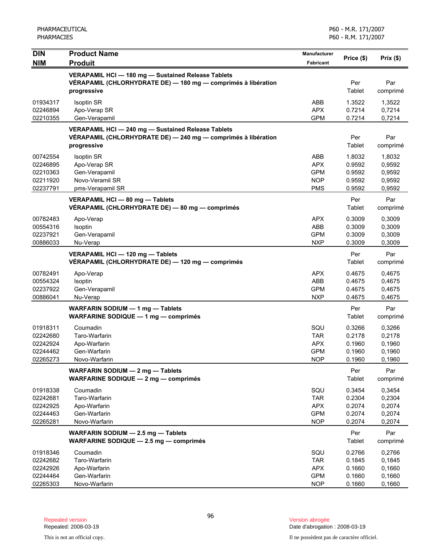| <b>NIM</b><br><b>Produit</b><br>Fabricant<br>VERAPAMIL HCI - 180 mg - Sustained Release Tablets<br>VÉRAPAMIL (CHLORHYDRATE DE) - 180 mg - comprimés à libération<br>Per<br>Par<br>Tablet<br>progressive<br>comprimé<br>01934317<br>Isoptin SR<br>ABB<br>1.3522<br>1,3522<br>Apo-Verap SR<br><b>APX</b><br>0.7214<br>02246894<br>0,7214<br><b>GPM</b><br>0.7214<br>0,7214<br>02210355<br>Gen-Verapamil<br>VERAPAMIL HCI - 240 mg - Sustained Release Tablets<br>VERAPAMIL (CHLORHYDRATE DE) - 240 mg - comprimés à libération<br>Per<br>Par<br>Tablet<br>progressive<br>comprimé<br>00742554<br>Isoptin SR<br>ABB<br>1.8032<br>1,8032<br><b>APX</b><br>02246895<br>Apo-Verap SR<br>0.9592<br>0,9592<br>Gen-Verapamil<br><b>GPM</b><br>02210363<br>0.9592<br>0,9592<br>Novo-Veramil SR<br><b>NOP</b><br>0.9592<br>02211920<br>0,9592<br>02237791<br>pms-Verapamil SR<br><b>PMS</b><br>0.9592<br>0,9592<br>VERAPAMIL HCI - 80 mg - Tablets<br>Per<br>Par<br>VÉRAPAMIL (CHLORHYDRATE DE) — 80 mg — comprimés<br>Tablet<br>comprimé<br>00782483<br><b>APX</b><br>0.3009<br>0,3009<br>Apo-Verap<br>ABB<br>0.3009<br>0,3009<br>00554316<br>Isoptin<br>02237921<br><b>GPM</b><br>0.3009<br>0,3009<br>Gen-Verapamil<br><b>NXP</b><br>00886033<br>Nu-Verap<br>0.3009<br>0,3009<br>VERAPAMIL HCI - 120 mg - Tablets<br>Per<br>Par<br>VÉRAPAMIL (CHLORHYDRATE DE) — 120 mg — comprimés<br>Tablet<br>comprimé<br>00782491<br>Apo-Verap<br><b>APX</b><br>0.4675<br>0,4675<br>ABB<br>0.4675<br>00554324<br>Isoptin<br>0,4675<br><b>GPM</b><br>02237922<br>Gen-Verapamil<br>0.4675<br>0,4675<br>00886041<br><b>NXP</b><br>Nu-Verap<br>0.4675<br>0,4675<br>WARFARIN SODIUM - 1 mg - Tablets<br>Per<br>Par<br>WARFARINE SODIQUE - 1 mg - comprimés<br>Tablet<br>comprimé<br>SQU<br>01918311<br>0.3266<br>0,3266<br>Coumadin<br><b>TAR</b><br>02242680<br>Taro-Warfarin<br>0.2178<br>0,2178<br><b>APX</b><br>02242924<br>Apo-Warfarin<br>0.1960<br>0,1960<br>02244462<br><b>GPM</b><br>0.1960<br>0,1960<br>Gen-Warfarin<br>02265273<br>Novo-Warfarin<br><b>NOP</b><br>0.1960<br>0,1960<br>Per<br>Par<br>WARFARIN SODIUM - 2 mg - Tablets<br><b>WARFARINE SODIQUE - 2 mg - comprimés</b><br>Tablet<br>comprimé<br>SQU<br>01918338<br>Coumadin<br>0.3454<br>0,3454<br>02242681<br>Taro-Warfarin<br><b>TAR</b><br>0.2304<br>0,2304<br><b>APX</b><br>0.2074<br>0,2074<br>02242925<br>Apo-Warfarin<br>Gen-Warfarin<br><b>GPM</b><br>0.2074<br>0,2074<br>02244463<br><b>NOP</b><br>02265281<br>Novo-Warfarin<br>0.2074<br>0,2074<br>WARFARIN SODIUM - 2.5 mg - Tablets<br>Per<br>Par<br>WARFARINE SODIQUE - 2.5 mg - comprimés<br>Tablet<br>comprimé<br>SQU<br>0.2766<br>01918346<br>Coumadin<br>0,2766<br>Taro-Warfarin<br>0,1845<br>02242682<br><b>TAR</b><br>0.1845<br>0,1660<br>02242926<br>Apo-Warfarin<br><b>APX</b><br>0.1660<br>Gen-Warfarin<br><b>GPM</b><br>0.1660<br>0,1660<br>02244464 | <b>DIN</b> | <b>Product Name</b> | Manufacturer | Price (\$) | Prix(\$) |
|---------------------------------------------------------------------------------------------------------------------------------------------------------------------------------------------------------------------------------------------------------------------------------------------------------------------------------------------------------------------------------------------------------------------------------------------------------------------------------------------------------------------------------------------------------------------------------------------------------------------------------------------------------------------------------------------------------------------------------------------------------------------------------------------------------------------------------------------------------------------------------------------------------------------------------------------------------------------------------------------------------------------------------------------------------------------------------------------------------------------------------------------------------------------------------------------------------------------------------------------------------------------------------------------------------------------------------------------------------------------------------------------------------------------------------------------------------------------------------------------------------------------------------------------------------------------------------------------------------------------------------------------------------------------------------------------------------------------------------------------------------------------------------------------------------------------------------------------------------------------------------------------------------------------------------------------------------------------------------------------------------------------------------------------------------------------------------------------------------------------------------------------------------------------------------------------------------------------------------------------------------------------------------------------------------------------------------------------------------------------------------------------------------------------------------------------------------------------------------------------------------------------------------------------------------------------------------------------------------------------------------------------------------------------------------------------------------------------------------------------------------------------------------------------------------------------------------------------------------------------------|------------|---------------------|--------------|------------|----------|
|                                                                                                                                                                                                                                                                                                                                                                                                                                                                                                                                                                                                                                                                                                                                                                                                                                                                                                                                                                                                                                                                                                                                                                                                                                                                                                                                                                                                                                                                                                                                                                                                                                                                                                                                                                                                                                                                                                                                                                                                                                                                                                                                                                                                                                                                                                                                                                                                                                                                                                                                                                                                                                                                                                                                                                                                                                                                           |            |                     |              |            |          |
|                                                                                                                                                                                                                                                                                                                                                                                                                                                                                                                                                                                                                                                                                                                                                                                                                                                                                                                                                                                                                                                                                                                                                                                                                                                                                                                                                                                                                                                                                                                                                                                                                                                                                                                                                                                                                                                                                                                                                                                                                                                                                                                                                                                                                                                                                                                                                                                                                                                                                                                                                                                                                                                                                                                                                                                                                                                                           |            |                     |              |            |          |
|                                                                                                                                                                                                                                                                                                                                                                                                                                                                                                                                                                                                                                                                                                                                                                                                                                                                                                                                                                                                                                                                                                                                                                                                                                                                                                                                                                                                                                                                                                                                                                                                                                                                                                                                                                                                                                                                                                                                                                                                                                                                                                                                                                                                                                                                                                                                                                                                                                                                                                                                                                                                                                                                                                                                                                                                                                                                           |            |                     |              |            |          |
|                                                                                                                                                                                                                                                                                                                                                                                                                                                                                                                                                                                                                                                                                                                                                                                                                                                                                                                                                                                                                                                                                                                                                                                                                                                                                                                                                                                                                                                                                                                                                                                                                                                                                                                                                                                                                                                                                                                                                                                                                                                                                                                                                                                                                                                                                                                                                                                                                                                                                                                                                                                                                                                                                                                                                                                                                                                                           |            |                     |              |            |          |
|                                                                                                                                                                                                                                                                                                                                                                                                                                                                                                                                                                                                                                                                                                                                                                                                                                                                                                                                                                                                                                                                                                                                                                                                                                                                                                                                                                                                                                                                                                                                                                                                                                                                                                                                                                                                                                                                                                                                                                                                                                                                                                                                                                                                                                                                                                                                                                                                                                                                                                                                                                                                                                                                                                                                                                                                                                                                           |            |                     |              |            |          |
|                                                                                                                                                                                                                                                                                                                                                                                                                                                                                                                                                                                                                                                                                                                                                                                                                                                                                                                                                                                                                                                                                                                                                                                                                                                                                                                                                                                                                                                                                                                                                                                                                                                                                                                                                                                                                                                                                                                                                                                                                                                                                                                                                                                                                                                                                                                                                                                                                                                                                                                                                                                                                                                                                                                                                                                                                                                                           |            |                     |              |            |          |
|                                                                                                                                                                                                                                                                                                                                                                                                                                                                                                                                                                                                                                                                                                                                                                                                                                                                                                                                                                                                                                                                                                                                                                                                                                                                                                                                                                                                                                                                                                                                                                                                                                                                                                                                                                                                                                                                                                                                                                                                                                                                                                                                                                                                                                                                                                                                                                                                                                                                                                                                                                                                                                                                                                                                                                                                                                                                           |            |                     |              |            |          |
|                                                                                                                                                                                                                                                                                                                                                                                                                                                                                                                                                                                                                                                                                                                                                                                                                                                                                                                                                                                                                                                                                                                                                                                                                                                                                                                                                                                                                                                                                                                                                                                                                                                                                                                                                                                                                                                                                                                                                                                                                                                                                                                                                                                                                                                                                                                                                                                                                                                                                                                                                                                                                                                                                                                                                                                                                                                                           |            |                     |              |            |          |
|                                                                                                                                                                                                                                                                                                                                                                                                                                                                                                                                                                                                                                                                                                                                                                                                                                                                                                                                                                                                                                                                                                                                                                                                                                                                                                                                                                                                                                                                                                                                                                                                                                                                                                                                                                                                                                                                                                                                                                                                                                                                                                                                                                                                                                                                                                                                                                                                                                                                                                                                                                                                                                                                                                                                                                                                                                                                           |            |                     |              |            |          |
|                                                                                                                                                                                                                                                                                                                                                                                                                                                                                                                                                                                                                                                                                                                                                                                                                                                                                                                                                                                                                                                                                                                                                                                                                                                                                                                                                                                                                                                                                                                                                                                                                                                                                                                                                                                                                                                                                                                                                                                                                                                                                                                                                                                                                                                                                                                                                                                                                                                                                                                                                                                                                                                                                                                                                                                                                                                                           |            |                     |              |            |          |
|                                                                                                                                                                                                                                                                                                                                                                                                                                                                                                                                                                                                                                                                                                                                                                                                                                                                                                                                                                                                                                                                                                                                                                                                                                                                                                                                                                                                                                                                                                                                                                                                                                                                                                                                                                                                                                                                                                                                                                                                                                                                                                                                                                                                                                                                                                                                                                                                                                                                                                                                                                                                                                                                                                                                                                                                                                                                           |            |                     |              |            |          |
|                                                                                                                                                                                                                                                                                                                                                                                                                                                                                                                                                                                                                                                                                                                                                                                                                                                                                                                                                                                                                                                                                                                                                                                                                                                                                                                                                                                                                                                                                                                                                                                                                                                                                                                                                                                                                                                                                                                                                                                                                                                                                                                                                                                                                                                                                                                                                                                                                                                                                                                                                                                                                                                                                                                                                                                                                                                                           |            |                     |              |            |          |
|                                                                                                                                                                                                                                                                                                                                                                                                                                                                                                                                                                                                                                                                                                                                                                                                                                                                                                                                                                                                                                                                                                                                                                                                                                                                                                                                                                                                                                                                                                                                                                                                                                                                                                                                                                                                                                                                                                                                                                                                                                                                                                                                                                                                                                                                                                                                                                                                                                                                                                                                                                                                                                                                                                                                                                                                                                                                           |            |                     |              |            |          |
|                                                                                                                                                                                                                                                                                                                                                                                                                                                                                                                                                                                                                                                                                                                                                                                                                                                                                                                                                                                                                                                                                                                                                                                                                                                                                                                                                                                                                                                                                                                                                                                                                                                                                                                                                                                                                                                                                                                                                                                                                                                                                                                                                                                                                                                                                                                                                                                                                                                                                                                                                                                                                                                                                                                                                                                                                                                                           |            |                     |              |            |          |
|                                                                                                                                                                                                                                                                                                                                                                                                                                                                                                                                                                                                                                                                                                                                                                                                                                                                                                                                                                                                                                                                                                                                                                                                                                                                                                                                                                                                                                                                                                                                                                                                                                                                                                                                                                                                                                                                                                                                                                                                                                                                                                                                                                                                                                                                                                                                                                                                                                                                                                                                                                                                                                                                                                                                                                                                                                                                           |            |                     |              |            |          |
|                                                                                                                                                                                                                                                                                                                                                                                                                                                                                                                                                                                                                                                                                                                                                                                                                                                                                                                                                                                                                                                                                                                                                                                                                                                                                                                                                                                                                                                                                                                                                                                                                                                                                                                                                                                                                                                                                                                                                                                                                                                                                                                                                                                                                                                                                                                                                                                                                                                                                                                                                                                                                                                                                                                                                                                                                                                                           |            |                     |              |            |          |
|                                                                                                                                                                                                                                                                                                                                                                                                                                                                                                                                                                                                                                                                                                                                                                                                                                                                                                                                                                                                                                                                                                                                                                                                                                                                                                                                                                                                                                                                                                                                                                                                                                                                                                                                                                                                                                                                                                                                                                                                                                                                                                                                                                                                                                                                                                                                                                                                                                                                                                                                                                                                                                                                                                                                                                                                                                                                           |            |                     |              |            |          |
|                                                                                                                                                                                                                                                                                                                                                                                                                                                                                                                                                                                                                                                                                                                                                                                                                                                                                                                                                                                                                                                                                                                                                                                                                                                                                                                                                                                                                                                                                                                                                                                                                                                                                                                                                                                                                                                                                                                                                                                                                                                                                                                                                                                                                                                                                                                                                                                                                                                                                                                                                                                                                                                                                                                                                                                                                                                                           |            |                     |              |            |          |
|                                                                                                                                                                                                                                                                                                                                                                                                                                                                                                                                                                                                                                                                                                                                                                                                                                                                                                                                                                                                                                                                                                                                                                                                                                                                                                                                                                                                                                                                                                                                                                                                                                                                                                                                                                                                                                                                                                                                                                                                                                                                                                                                                                                                                                                                                                                                                                                                                                                                                                                                                                                                                                                                                                                                                                                                                                                                           |            |                     |              |            |          |
|                                                                                                                                                                                                                                                                                                                                                                                                                                                                                                                                                                                                                                                                                                                                                                                                                                                                                                                                                                                                                                                                                                                                                                                                                                                                                                                                                                                                                                                                                                                                                                                                                                                                                                                                                                                                                                                                                                                                                                                                                                                                                                                                                                                                                                                                                                                                                                                                                                                                                                                                                                                                                                                                                                                                                                                                                                                                           |            |                     |              |            |          |
|                                                                                                                                                                                                                                                                                                                                                                                                                                                                                                                                                                                                                                                                                                                                                                                                                                                                                                                                                                                                                                                                                                                                                                                                                                                                                                                                                                                                                                                                                                                                                                                                                                                                                                                                                                                                                                                                                                                                                                                                                                                                                                                                                                                                                                                                                                                                                                                                                                                                                                                                                                                                                                                                                                                                                                                                                                                                           |            |                     |              |            |          |
|                                                                                                                                                                                                                                                                                                                                                                                                                                                                                                                                                                                                                                                                                                                                                                                                                                                                                                                                                                                                                                                                                                                                                                                                                                                                                                                                                                                                                                                                                                                                                                                                                                                                                                                                                                                                                                                                                                                                                                                                                                                                                                                                                                                                                                                                                                                                                                                                                                                                                                                                                                                                                                                                                                                                                                                                                                                                           |            |                     |              |            |          |
|                                                                                                                                                                                                                                                                                                                                                                                                                                                                                                                                                                                                                                                                                                                                                                                                                                                                                                                                                                                                                                                                                                                                                                                                                                                                                                                                                                                                                                                                                                                                                                                                                                                                                                                                                                                                                                                                                                                                                                                                                                                                                                                                                                                                                                                                                                                                                                                                                                                                                                                                                                                                                                                                                                                                                                                                                                                                           |            |                     |              |            |          |
|                                                                                                                                                                                                                                                                                                                                                                                                                                                                                                                                                                                                                                                                                                                                                                                                                                                                                                                                                                                                                                                                                                                                                                                                                                                                                                                                                                                                                                                                                                                                                                                                                                                                                                                                                                                                                                                                                                                                                                                                                                                                                                                                                                                                                                                                                                                                                                                                                                                                                                                                                                                                                                                                                                                                                                                                                                                                           |            |                     |              |            |          |
|                                                                                                                                                                                                                                                                                                                                                                                                                                                                                                                                                                                                                                                                                                                                                                                                                                                                                                                                                                                                                                                                                                                                                                                                                                                                                                                                                                                                                                                                                                                                                                                                                                                                                                                                                                                                                                                                                                                                                                                                                                                                                                                                                                                                                                                                                                                                                                                                                                                                                                                                                                                                                                                                                                                                                                                                                                                                           |            |                     |              |            |          |
|                                                                                                                                                                                                                                                                                                                                                                                                                                                                                                                                                                                                                                                                                                                                                                                                                                                                                                                                                                                                                                                                                                                                                                                                                                                                                                                                                                                                                                                                                                                                                                                                                                                                                                                                                                                                                                                                                                                                                                                                                                                                                                                                                                                                                                                                                                                                                                                                                                                                                                                                                                                                                                                                                                                                                                                                                                                                           |            |                     |              |            |          |
|                                                                                                                                                                                                                                                                                                                                                                                                                                                                                                                                                                                                                                                                                                                                                                                                                                                                                                                                                                                                                                                                                                                                                                                                                                                                                                                                                                                                                                                                                                                                                                                                                                                                                                                                                                                                                                                                                                                                                                                                                                                                                                                                                                                                                                                                                                                                                                                                                                                                                                                                                                                                                                                                                                                                                                                                                                                                           |            |                     |              |            |          |
|                                                                                                                                                                                                                                                                                                                                                                                                                                                                                                                                                                                                                                                                                                                                                                                                                                                                                                                                                                                                                                                                                                                                                                                                                                                                                                                                                                                                                                                                                                                                                                                                                                                                                                                                                                                                                                                                                                                                                                                                                                                                                                                                                                                                                                                                                                                                                                                                                                                                                                                                                                                                                                                                                                                                                                                                                                                                           |            |                     |              |            |          |
|                                                                                                                                                                                                                                                                                                                                                                                                                                                                                                                                                                                                                                                                                                                                                                                                                                                                                                                                                                                                                                                                                                                                                                                                                                                                                                                                                                                                                                                                                                                                                                                                                                                                                                                                                                                                                                                                                                                                                                                                                                                                                                                                                                                                                                                                                                                                                                                                                                                                                                                                                                                                                                                                                                                                                                                                                                                                           |            |                     |              |            |          |
|                                                                                                                                                                                                                                                                                                                                                                                                                                                                                                                                                                                                                                                                                                                                                                                                                                                                                                                                                                                                                                                                                                                                                                                                                                                                                                                                                                                                                                                                                                                                                                                                                                                                                                                                                                                                                                                                                                                                                                                                                                                                                                                                                                                                                                                                                                                                                                                                                                                                                                                                                                                                                                                                                                                                                                                                                                                                           |            |                     |              |            |          |
|                                                                                                                                                                                                                                                                                                                                                                                                                                                                                                                                                                                                                                                                                                                                                                                                                                                                                                                                                                                                                                                                                                                                                                                                                                                                                                                                                                                                                                                                                                                                                                                                                                                                                                                                                                                                                                                                                                                                                                                                                                                                                                                                                                                                                                                                                                                                                                                                                                                                                                                                                                                                                                                                                                                                                                                                                                                                           |            |                     |              |            |          |
|                                                                                                                                                                                                                                                                                                                                                                                                                                                                                                                                                                                                                                                                                                                                                                                                                                                                                                                                                                                                                                                                                                                                                                                                                                                                                                                                                                                                                                                                                                                                                                                                                                                                                                                                                                                                                                                                                                                                                                                                                                                                                                                                                                                                                                                                                                                                                                                                                                                                                                                                                                                                                                                                                                                                                                                                                                                                           |            |                     |              |            |          |
|                                                                                                                                                                                                                                                                                                                                                                                                                                                                                                                                                                                                                                                                                                                                                                                                                                                                                                                                                                                                                                                                                                                                                                                                                                                                                                                                                                                                                                                                                                                                                                                                                                                                                                                                                                                                                                                                                                                                                                                                                                                                                                                                                                                                                                                                                                                                                                                                                                                                                                                                                                                                                                                                                                                                                                                                                                                                           |            |                     |              |            |          |
|                                                                                                                                                                                                                                                                                                                                                                                                                                                                                                                                                                                                                                                                                                                                                                                                                                                                                                                                                                                                                                                                                                                                                                                                                                                                                                                                                                                                                                                                                                                                                                                                                                                                                                                                                                                                                                                                                                                                                                                                                                                                                                                                                                                                                                                                                                                                                                                                                                                                                                                                                                                                                                                                                                                                                                                                                                                                           |            |                     |              |            |          |
|                                                                                                                                                                                                                                                                                                                                                                                                                                                                                                                                                                                                                                                                                                                                                                                                                                                                                                                                                                                                                                                                                                                                                                                                                                                                                                                                                                                                                                                                                                                                                                                                                                                                                                                                                                                                                                                                                                                                                                                                                                                                                                                                                                                                                                                                                                                                                                                                                                                                                                                                                                                                                                                                                                                                                                                                                                                                           |            |                     |              |            |          |
|                                                                                                                                                                                                                                                                                                                                                                                                                                                                                                                                                                                                                                                                                                                                                                                                                                                                                                                                                                                                                                                                                                                                                                                                                                                                                                                                                                                                                                                                                                                                                                                                                                                                                                                                                                                                                                                                                                                                                                                                                                                                                                                                                                                                                                                                                                                                                                                                                                                                                                                                                                                                                                                                                                                                                                                                                                                                           |            |                     |              |            |          |
|                                                                                                                                                                                                                                                                                                                                                                                                                                                                                                                                                                                                                                                                                                                                                                                                                                                                                                                                                                                                                                                                                                                                                                                                                                                                                                                                                                                                                                                                                                                                                                                                                                                                                                                                                                                                                                                                                                                                                                                                                                                                                                                                                                                                                                                                                                                                                                                                                                                                                                                                                                                                                                                                                                                                                                                                                                                                           |            |                     |              |            |          |
|                                                                                                                                                                                                                                                                                                                                                                                                                                                                                                                                                                                                                                                                                                                                                                                                                                                                                                                                                                                                                                                                                                                                                                                                                                                                                                                                                                                                                                                                                                                                                                                                                                                                                                                                                                                                                                                                                                                                                                                                                                                                                                                                                                                                                                                                                                                                                                                                                                                                                                                                                                                                                                                                                                                                                                                                                                                                           |            |                     |              |            |          |
|                                                                                                                                                                                                                                                                                                                                                                                                                                                                                                                                                                                                                                                                                                                                                                                                                                                                                                                                                                                                                                                                                                                                                                                                                                                                                                                                                                                                                                                                                                                                                                                                                                                                                                                                                                                                                                                                                                                                                                                                                                                                                                                                                                                                                                                                                                                                                                                                                                                                                                                                                                                                                                                                                                                                                                                                                                                                           |            |                     |              |            |          |
|                                                                                                                                                                                                                                                                                                                                                                                                                                                                                                                                                                                                                                                                                                                                                                                                                                                                                                                                                                                                                                                                                                                                                                                                                                                                                                                                                                                                                                                                                                                                                                                                                                                                                                                                                                                                                                                                                                                                                                                                                                                                                                                                                                                                                                                                                                                                                                                                                                                                                                                                                                                                                                                                                                                                                                                                                                                                           |            |                     |              |            |          |
|                                                                                                                                                                                                                                                                                                                                                                                                                                                                                                                                                                                                                                                                                                                                                                                                                                                                                                                                                                                                                                                                                                                                                                                                                                                                                                                                                                                                                                                                                                                                                                                                                                                                                                                                                                                                                                                                                                                                                                                                                                                                                                                                                                                                                                                                                                                                                                                                                                                                                                                                                                                                                                                                                                                                                                                                                                                                           |            |                     |              |            |          |
|                                                                                                                                                                                                                                                                                                                                                                                                                                                                                                                                                                                                                                                                                                                                                                                                                                                                                                                                                                                                                                                                                                                                                                                                                                                                                                                                                                                                                                                                                                                                                                                                                                                                                                                                                                                                                                                                                                                                                                                                                                                                                                                                                                                                                                                                                                                                                                                                                                                                                                                                                                                                                                                                                                                                                                                                                                                                           |            |                     |              |            |          |
|                                                                                                                                                                                                                                                                                                                                                                                                                                                                                                                                                                                                                                                                                                                                                                                                                                                                                                                                                                                                                                                                                                                                                                                                                                                                                                                                                                                                                                                                                                                                                                                                                                                                                                                                                                                                                                                                                                                                                                                                                                                                                                                                                                                                                                                                                                                                                                                                                                                                                                                                                                                                                                                                                                                                                                                                                                                                           |            |                     |              |            |          |
|                                                                                                                                                                                                                                                                                                                                                                                                                                                                                                                                                                                                                                                                                                                                                                                                                                                                                                                                                                                                                                                                                                                                                                                                                                                                                                                                                                                                                                                                                                                                                                                                                                                                                                                                                                                                                                                                                                                                                                                                                                                                                                                                                                                                                                                                                                                                                                                                                                                                                                                                                                                                                                                                                                                                                                                                                                                                           |            |                     |              |            |          |
|                                                                                                                                                                                                                                                                                                                                                                                                                                                                                                                                                                                                                                                                                                                                                                                                                                                                                                                                                                                                                                                                                                                                                                                                                                                                                                                                                                                                                                                                                                                                                                                                                                                                                                                                                                                                                                                                                                                                                                                                                                                                                                                                                                                                                                                                                                                                                                                                                                                                                                                                                                                                                                                                                                                                                                                                                                                                           |            |                     |              |            |          |
|                                                                                                                                                                                                                                                                                                                                                                                                                                                                                                                                                                                                                                                                                                                                                                                                                                                                                                                                                                                                                                                                                                                                                                                                                                                                                                                                                                                                                                                                                                                                                                                                                                                                                                                                                                                                                                                                                                                                                                                                                                                                                                                                                                                                                                                                                                                                                                                                                                                                                                                                                                                                                                                                                                                                                                                                                                                                           |            |                     |              |            |          |
|                                                                                                                                                                                                                                                                                                                                                                                                                                                                                                                                                                                                                                                                                                                                                                                                                                                                                                                                                                                                                                                                                                                                                                                                                                                                                                                                                                                                                                                                                                                                                                                                                                                                                                                                                                                                                                                                                                                                                                                                                                                                                                                                                                                                                                                                                                                                                                                                                                                                                                                                                                                                                                                                                                                                                                                                                                                                           |            |                     |              |            |          |
|                                                                                                                                                                                                                                                                                                                                                                                                                                                                                                                                                                                                                                                                                                                                                                                                                                                                                                                                                                                                                                                                                                                                                                                                                                                                                                                                                                                                                                                                                                                                                                                                                                                                                                                                                                                                                                                                                                                                                                                                                                                                                                                                                                                                                                                                                                                                                                                                                                                                                                                                                                                                                                                                                                                                                                                                                                                                           |            |                     |              |            |          |
|                                                                                                                                                                                                                                                                                                                                                                                                                                                                                                                                                                                                                                                                                                                                                                                                                                                                                                                                                                                                                                                                                                                                                                                                                                                                                                                                                                                                                                                                                                                                                                                                                                                                                                                                                                                                                                                                                                                                                                                                                                                                                                                                                                                                                                                                                                                                                                                                                                                                                                                                                                                                                                                                                                                                                                                                                                                                           | 02265303   | Novo-Warfarin       | <b>NOP</b>   | 0.1660     | 0,1660   |

Date d'abrogation : 2008-03-19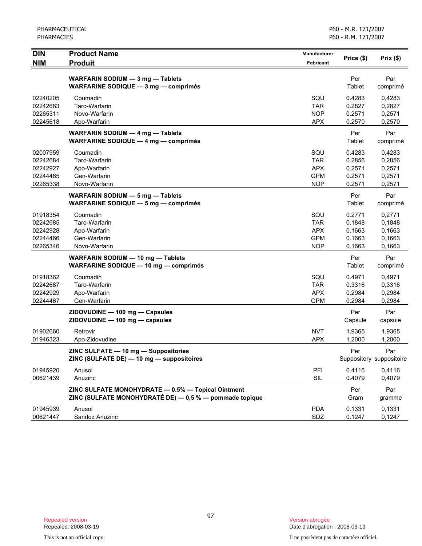| <b>DIN</b><br><b>NIM</b>                                 | <b>Product Name</b><br><b>Produit</b>                                                                         | Manufacturer<br><b>Fabricant</b>                            | Price (\$)                                     | Prix(\$)                                       |
|----------------------------------------------------------|---------------------------------------------------------------------------------------------------------------|-------------------------------------------------------------|------------------------------------------------|------------------------------------------------|
|                                                          | WARFARIN SODIUM - 3 mg - Tablets<br><b>WARFARINE SODIQUE - 3 mg - comprimés</b>                               |                                                             | Per<br>Tablet                                  | Par<br>comprimé                                |
| 02240205<br>02242683<br>02265311<br>02245618             | Coumadin<br>Taro-Warfarin<br>Novo-Warfarin<br>Apo-Warfarin                                                    | SQU<br>TAR<br><b>NOP</b><br><b>APX</b>                      | 0.4283<br>0.2827<br>0.2571<br>0.2570           | 0,4283<br>0,2827<br>0,2571<br>0,2570           |
|                                                          | WARFARIN SODIUM - 4 mg - Tablets<br><b>WARFARINE SODIQUE - 4 mg - comprimés</b>                               |                                                             | Per<br>Tablet                                  | Par<br>comprimé                                |
| 02007959<br>02242684<br>02242927<br>02244465<br>02265338 | Coumadin<br>Taro-Warfarin<br>Apo-Warfarin<br>Gen-Warfarin<br>Novo-Warfarin                                    | SQU<br><b>TAR</b><br><b>APX</b><br><b>GPM</b><br><b>NOP</b> | 0.4283<br>0.2856<br>0.2571<br>0.2571<br>0.2571 | 0,4283<br>0,2856<br>0,2571<br>0,2571<br>0,2571 |
|                                                          | WARFARIN SODIUM - 5 mg - Tablets<br>WARFARINE SODIQUE - 5 mg - comprimés                                      |                                                             | Per<br>Tablet                                  | Par<br>comprimé                                |
| 01918354<br>02242685<br>02242928<br>02244466<br>02265346 | Coumadin<br>Taro-Warfarin<br>Apo-Warfarin<br>Gen-Warfarin<br>Novo-Warfarin                                    | SQU<br><b>TAR</b><br>APX<br><b>GPM</b><br><b>NOP</b>        | 0.2771<br>0.1848<br>0.1663<br>0.1663<br>0.1663 | 0,2771<br>0,1848<br>0,1663<br>0,1663<br>0,1663 |
|                                                          | WARFARIN SODIUM - 10 mg - Tablets<br>WARFARINE SODIQUE - 10 mg - comprimés                                    |                                                             | Per<br>Tablet                                  | Par<br>comprimé                                |
| 01918362<br>02242687<br>02242929<br>02244467             | Coumadin<br>Taro-Warfarin<br>Apo-Warfarin<br>Gen-Warfarin                                                     | SQU<br><b>TAR</b><br><b>APX</b><br><b>GPM</b>               | 0.4971<br>0.3316<br>0.2984<br>0.2984           | 0,4971<br>0,3316<br>0,2984<br>0,2984           |
|                                                          | ZIDOVUDINE - 100 mg - Capsules<br>ZIDOVUDINE - 100 mg - capsules                                              |                                                             | Per<br>Capsule                                 | Par<br>capsule                                 |
| 01902660<br>01946323                                     | Retrovir<br>Apo-Zidovudine                                                                                    | <b>NVT</b><br><b>APX</b>                                    | 1.9365<br>1.2000                               | 1,9365<br>1,2000                               |
|                                                          | ZINC SULFATE - 10 mg - Suppositories<br>ZINC (SULFATE DE) - 10 mg - suppositoires                             |                                                             | Per                                            | Par<br>Suppository suppositoire                |
| 01945920<br>00621439                                     | Anusol<br>Anuzinc                                                                                             | PFI<br>SIL                                                  | 0.4116<br>0.4079                               | 0,4116<br>0,4079                               |
|                                                          | ZINC SULFATE MONOHYDRATE - 0.5% - Topical Ointment<br>ZINC (SULFATE MONOHYDRATÉ DE) - 0,5 % - pommade topique |                                                             | Per<br>Gram                                    | Par<br>gramme                                  |
| 01945939<br>00621447                                     | Anusol<br>Sandoz Anuzinc                                                                                      | <b>PDA</b><br>SDZ                                           | 0.1331<br>0.1247                               | 0,1331<br>0,1247                               |